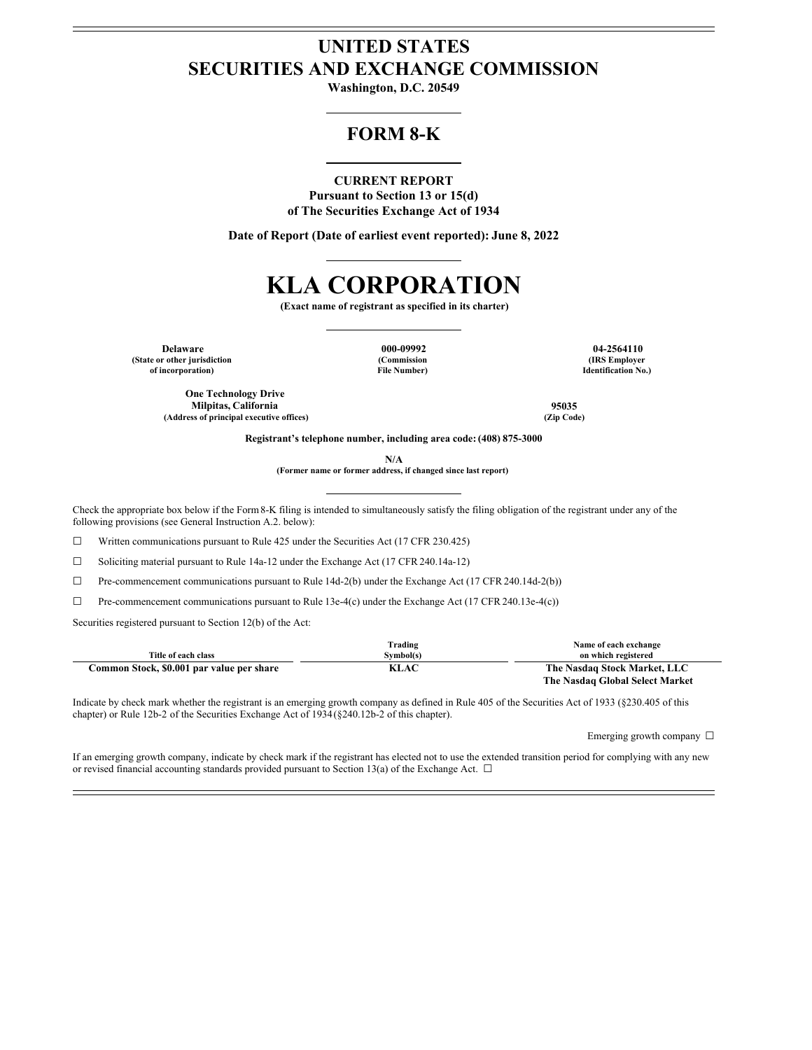# **UNITED STATES SECURITIES AND EXCHANGE COMMISSION**

**Washington, D.C. 20549**

## **FORM 8-K**

### **CURRENT REPORT**

**Pursuant to Section 13 or 15(d) of The Securities Exchange Act of 1934**

**Date of Report (Date of earliest event reported): June 8, 2022**

# **KLA CORPORATION**

**(Exact name of registrant as specified in its charter)**

**Delaware 000-09992 04-2564110 (State or other jurisdiction of incorporation)**

**(Commission File Number)**

**(IRS Employer Identification No.)**

**One Technology Drive Milpitas, California 95035 (Address of principal executive offices) (Zip Code)**

**Registrant's telephone number, including area code: (408) 875-3000**

**N/A**

**(Former name or former address, if changed since last report)**

Check the appropriate box below if the Form8-K filing is intended to simultaneously satisfy the filing obligation of the registrant under any of the following provisions (see General Instruction A.2. below):

 $\Box$  Written communications pursuant to Rule 425 under the Securities Act (17 CFR 230.425)

☐ Soliciting material pursuant to Rule 14a-12 under the Exchange Act (17 CFR 240.14a-12)

 $\Box$  Pre-commencement communications pursuant to Rule 14d-2(b) under the Exchange Act (17 CFR 240.14d-2(b))

 $\Box$  Pre-commencement communications pursuant to Rule 13e-4(c) under the Exchange Act (17 CFR 240.13e-4(c))

Securities registered pursuant to Section 12(b) of the Act:

|                                           | Trading                              | Name of each exchange           |
|-------------------------------------------|--------------------------------------|---------------------------------|
| Title of each class                       | Symbol(s)                            | on which registered             |
| Common Stock, \$0.001 par value per share | The Nasdaq Stock Market, LLC<br>KLAC |                                 |
|                                           |                                      | The Nasdaq Global Select Market |

Indicate by check mark whether the registrant is an emerging growth company as defined in Rule 405 of the Securities Act of 1933 (§230.405 of this chapter) or Rule 12b-2 of the Securities Exchange Act of 1934(§240.12b-2 of this chapter).

Emerging growth company  $\ \Box$ 

If an emerging growth company, indicate by check mark if the registrant has elected not to use the extended transition period for complying with any new or revised financial accounting standards provided pursuant to Section 13(a) of the Exchange Act.  $\Box$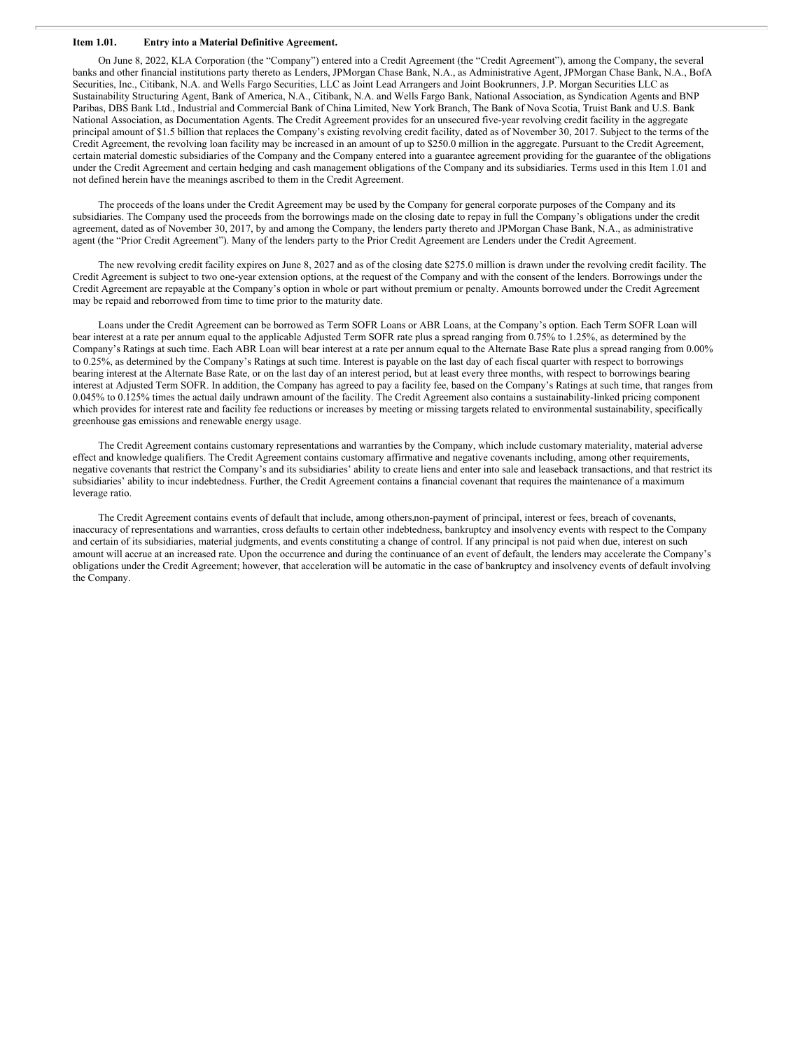### **Item 1.01. Entry into a Material Definitive Agreement.**

On June 8, 2022, KLA Corporation (the "Company") entered into a Credit Agreement (the "Credit Agreement"), among the Company, the several banks and other financial institutions party thereto as Lenders, JPMorgan Chase Bank, N.A., as Administrative Agent, JPMorgan Chase Bank, N.A., BofA Securities, Inc., Citibank, N.A. and Wells Fargo Securities, LLC as Joint Lead Arrangers and Joint Bookrunners, J.P. Morgan Securities LLC as Sustainability Structuring Agent, Bank of America, N.A., Citibank, N.A. and Wells Fargo Bank, National Association, as Syndication Agents and BNP Paribas, DBS Bank Ltd., Industrial and Commercial Bank of China Limited, New York Branch, The Bank of Nova Scotia, Truist Bank and U.S. Bank National Association, as Documentation Agents. The Credit Agreement provides for an unsecured five-year revolving credit facility in the aggregate principal amount of \$1.5 billion that replaces the Company's existing revolving credit facility, dated as of November 30, 2017. Subject to the terms of the Credit Agreement, the revolving loan facility may be increased in an amount of up to \$250.0 million in the aggregate. Pursuant to the Credit Agreement, certain material domestic subsidiaries of the Company and the Company entered into a guarantee agreement providing for the guarantee of the obligations under the Credit Agreement and certain hedging and cash management obligations of the Company and its subsidiaries. Terms used in this Item 1.01 and not defined herein have the meanings ascribed to them in the Credit Agreement.

The proceeds of the loans under the Credit Agreement may be used by the Company for general corporate purposes of the Company and its subsidiaries. The Company used the proceeds from the borrowings made on the closing date to repay in full the Company's obligations under the credit agreement, dated as of November 30, 2017, by and among the Company, the lenders party thereto and JPMorgan Chase Bank, N.A., as administrative agent (the "Prior Credit Agreement"). Many of the lenders party to the Prior Credit Agreement are Lenders under the Credit Agreement.

The new revolving credit facility expires on June 8, 2027 and as of the closing date \$275.0 million is drawn under the revolving credit facility. The Credit Agreement is subject to two one-year extension options, at the request of the Company and with the consent of the lenders. Borrowings under the Credit Agreement are repayable at the Company's option in whole or part without premium or penalty. Amounts borrowed under the Credit Agreement may be repaid and reborrowed from time to time prior to the maturity date.

Loans under the Credit Agreement can be borrowed as Term SOFR Loans or ABR Loans, at the Company's option. Each Term SOFR Loan will bear interest at a rate per annum equal to the applicable Adjusted Term SOFR rate plus a spread ranging from 0.75% to 1.25%, as determined by the Company's Ratings at such time. Each ABR Loan will bear interest at a rate per annum equal to the Alternate Base Rate plus a spread ranging from 0.00% to 0.25%, as determined by the Company's Ratings at such time. Interest is payable on the last day of each fiscal quarter with respect to borrowings bearing interest at the Alternate Base Rate, or on the last day of an interest period, but at least every three months, with respect to borrowings bearing interest at Adjusted Term SOFR. In addition, the Company has agreed to pay a facility fee, based on the Company's Ratings at such time, that ranges from 0.045% to 0.125% times the actual daily undrawn amount of the facility. The Credit Agreement also contains a sustainability-linked pricing component which provides for interest rate and facility fee reductions or increases by meeting or missing targets related to environmental sustainability, specifically greenhouse gas emissions and renewable energy usage.

The Credit Agreement contains customary representations and warranties by the Company, which include customary materiality, material adverse effect and knowledge qualifiers. The Credit Agreement contains customary affirmative and negative covenants including, among other requirements, negative covenants that restrict the Company's and its subsidiaries' ability to create liens and enter into sale and leaseback transactions, and that restrict its subsidiaries' ability to incur indebtedness. Further, the Credit Agreement contains a financial covenant that requires the maintenance of a maximum leverage ratio.

The Credit Agreement contains events of default that include, among others,non-payment of principal, interest or fees, breach of covenants, inaccuracy of representations and warranties, cross defaults to certain other indebtedness, bankruptcy and insolvency events with respect to the Company and certain of its subsidiaries, material judgments, and events constituting a change of control. If any principal is not paid when due, interest on such amount will accrue at an increased rate. Upon the occurrence and during the continuance of an event of default, the lenders may accelerate the Company's obligations under the Credit Agreement; however, that acceleration will be automatic in the case of bankruptcy and insolvency events of default involving the Company.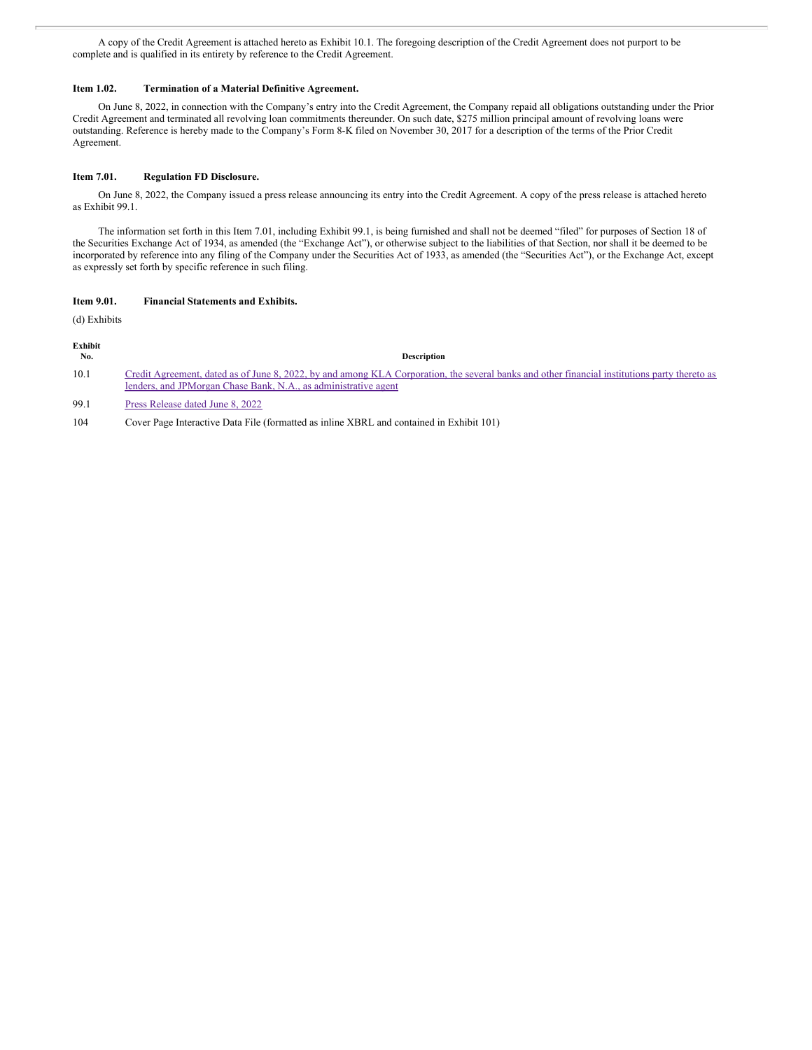A copy of the Credit Agreement is attached hereto as Exhibit 10.1. The foregoing description of the Credit Agreement does not purport to be complete and is qualified in its entirety by reference to the Credit Agreement.

### **Item 1.02. Termination of a Material Definitive Agreement.**

On June 8, 2022, in connection with the Company's entry into the Credit Agreement, the Company repaid all obligations outstanding under the Prior Credit Agreement and terminated all revolving loan commitments thereunder. On such date, \$275 million principal amount of revolving loans were outstanding. Reference is hereby made to the Company's Form 8-K filed on November 30, 2017 for a description of the terms of the Prior Credit Agreement.

### **Item 7.01. Regulation FD Disclosure.**

On June 8, 2022, the Company issued a press release announcing its entry into the Credit Agreement. A copy of the press release is attached hereto as Exhibit 99.1.

The information set forth in this Item 7.01, including Exhibit 99.1, is being furnished and shall not be deemed "filed" for purposes of Section 18 of the Securities Exchange Act of 1934, as amended (the "Exchange Act"), or otherwise subject to the liabilities of that Section, nor shall it be deemed to be incorporated by reference into any filing of the Company under the Securities Act of 1933, as amended (the "Securities Act"), or the Exchange Act, except as expressly set forth by specific reference in such filing.

### **Item 9.01. Financial Statements and Exhibits.**

(d) Exhibits

### **Exhibit**

### **No. Description**

10.1 Credit Agreement, dated as of June 8, 2022, by and among KLA Corporation, the several banks and other financial institutions party thereto as lenders, and JPMorgan Chase Bank, N.A., as [administrative](#page-65-0) agent

99.1 Press [Release](#page-127-0) dated June 8, 2022

104 Cover Page Interactive Data File (formatted as inline XBRL and contained in Exhibit 101)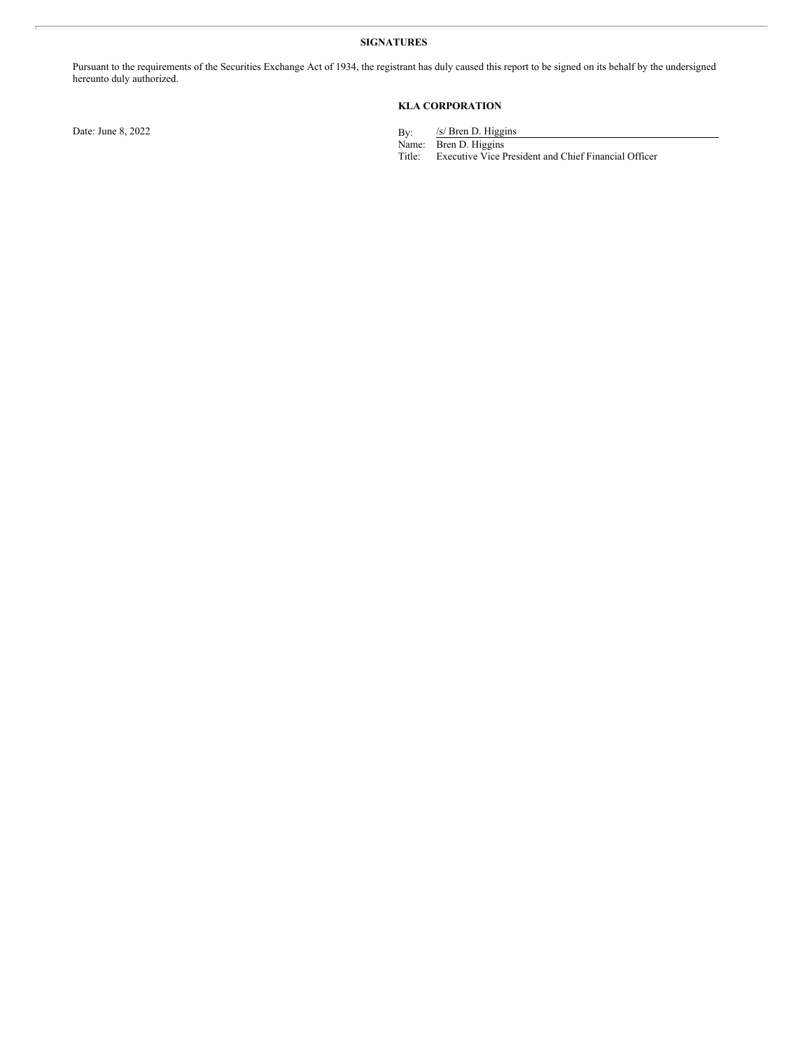### **SIGNATURES**

Pursuant to the requirements of the Securities Exchange Act of 1934, the registrant has duly caused this report to be signed on its behalf by the undersigned hereunto duly authorized.

### **KLA CORPORATION**

Date: June 8, 2022

/s/ Bren D. Higgins

Name: Bren D. Higgins

Title: Executive Vice President and Chief Financial Officer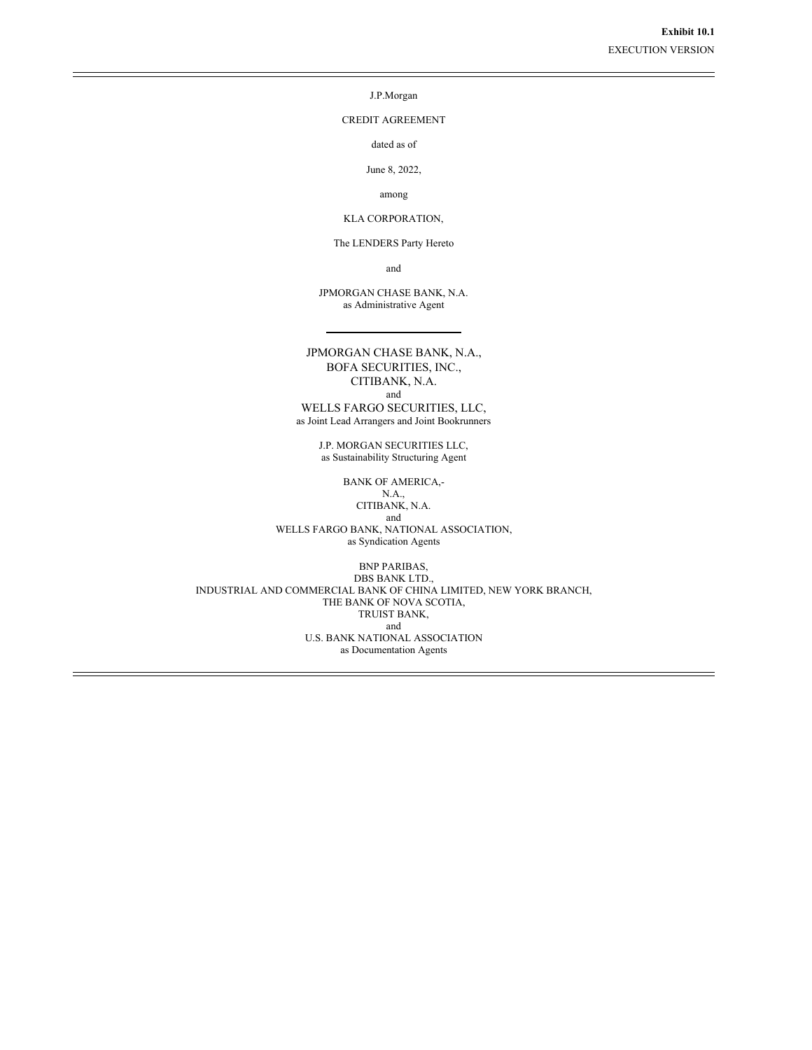J.P.Morgan

CREDIT AGREEMENT

dated as of

June 8, 2022,

among

KLA CORPORATION,

The LENDERS Party Hereto

and

JPMORGAN CHASE BANK, N.A. as Administrative Agent

JPMORGAN CHASE BANK, N.A., BOFA SECURITIES, INC., CITIBANK, N.A. and WELLS FARGO SECURITIES, LLC,

as Joint Lead Arrangers and Joint Bookrunners

J.P. MORGAN SECURITIES LLC, as Sustainability Structuring Agent

BANK OF AMERICA,-

N.A., CITIBANK, N.A. and

WELLS FARGO BANK, NATIONAL ASSOCIATION, as Syndication Agents

BNP PARIBAS, DBS BANK LTD., INDUSTRIAL AND COMMERCIAL BANK OF CHINA LIMITED, NEW YORK BRANCH, THE BANK OF NOVA SCOTIA, TRUIST BANK, and U.S. BANK NATIONAL ASSOCIATION as Documentation Agents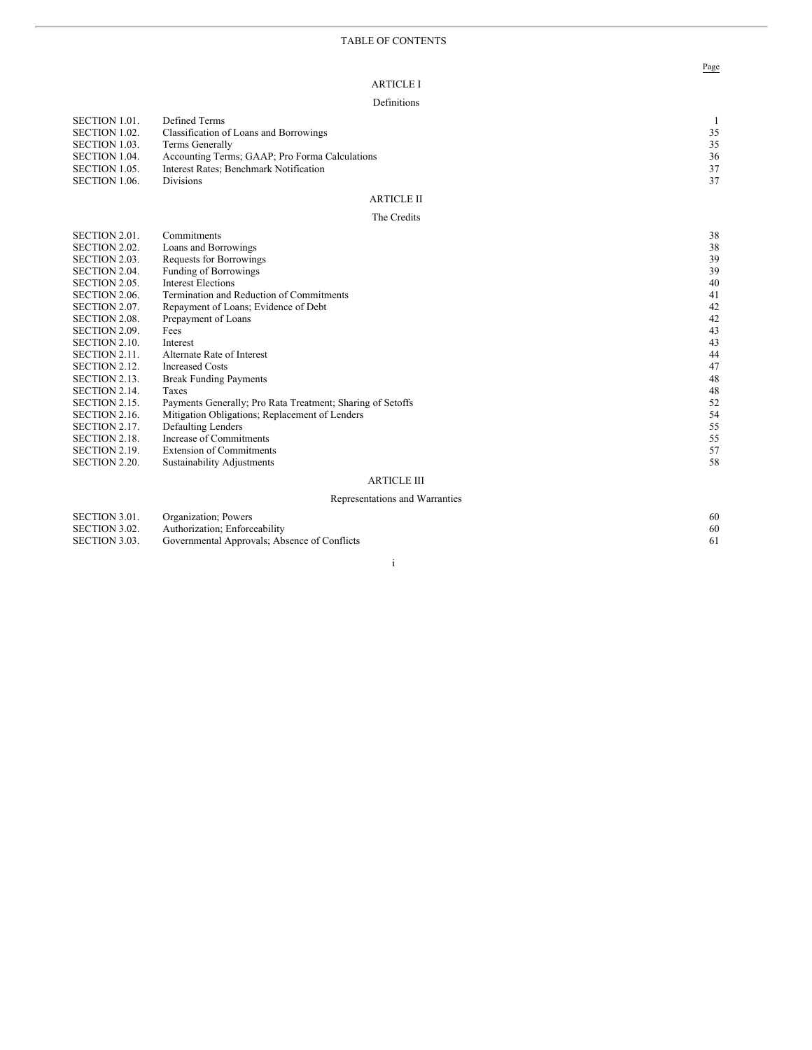### A R T I C L E I

#### Definitions

| SECTION 1.01.<br>SECTION 1.02.<br>SECTION 1.03.<br>SECTION 1.04.<br>SECTION 1.05.<br>SECTION 1.06. | Defined Terms<br>Classification of Loans and Borrowings<br>Terms Generally<br>Accounting Terms; GAAP; Pro Forma Calculations<br>Interest Rates; Benchmark Notification<br><b>Divisions</b> | 35<br>35<br>36<br>37<br>37 |
|----------------------------------------------------------------------------------------------------|--------------------------------------------------------------------------------------------------------------------------------------------------------------------------------------------|----------------------------|
|                                                                                                    | <b>ARTICLE II</b>                                                                                                                                                                          |                            |
|                                                                                                    | The Credits                                                                                                                                                                                |                            |
| SECTION 2.01.                                                                                      | Commitments                                                                                                                                                                                | 38                         |
| SECTION 2.02.                                                                                      | Loans and Borrowings                                                                                                                                                                       | 38                         |
| SECTION 2.03.                                                                                      | Requests for Borrowings                                                                                                                                                                    | 39                         |
|                                                                                                    |                                                                                                                                                                                            | 39                         |
| SECTION 2.04.                                                                                      | <b>Funding of Borrowings</b>                                                                                                                                                               |                            |
| SECTION 2.05.                                                                                      | <b>Interest Elections</b>                                                                                                                                                                  | 40                         |
| SECTION 2.06.                                                                                      | Termination and Reduction of Commitments                                                                                                                                                   | 41                         |
| SECTION 2.07.                                                                                      | Repayment of Loans; Evidence of Debt                                                                                                                                                       | 42                         |
| SECTION 2.08.                                                                                      | Prepayment of Loans                                                                                                                                                                        | 42                         |
| SECTION 2.09.                                                                                      | Fees                                                                                                                                                                                       | 43                         |
| <b>SECTION 2.10.</b>                                                                               | Interest                                                                                                                                                                                   | 43                         |
| <b>SECTION 2.11.</b>                                                                               | Alternate Rate of Interest                                                                                                                                                                 | 44                         |
| SECTION 2.12.                                                                                      | <b>Increased Costs</b>                                                                                                                                                                     | 47                         |
| SECTION 2.13.                                                                                      | <b>Break Funding Payments</b>                                                                                                                                                              | 48                         |
| SECTION 2.14.                                                                                      | Taxes                                                                                                                                                                                      | 48                         |
| <b>SECTION 2.15.</b>                                                                               | Payments Generally; Pro Rata Treatment; Sharing of Setoffs                                                                                                                                 | 52                         |

ARTICLE III

SECTION 2.16

SECTION 2.17

SECTION 2.19

SECTION 2.20

SECTION 2.18. In

6. Mitigation Obligations; Replacement of Lenders

7. Defaulting Lenders

ncrease of Commitments

9. Extension of Commitments

0. Sustainability Adjustments

#### Representations and Warranties

| SECTION 3.01. | Organization: Powers                         | 60 |
|---------------|----------------------------------------------|----|
| SECTION 3.02. | Authorization: Enforceability                | 60 |
| SECTION 3.03. | Governmental Approvals; Absence of Conflicts |    |

### i

Page

5 4

5 5

5 5

5 7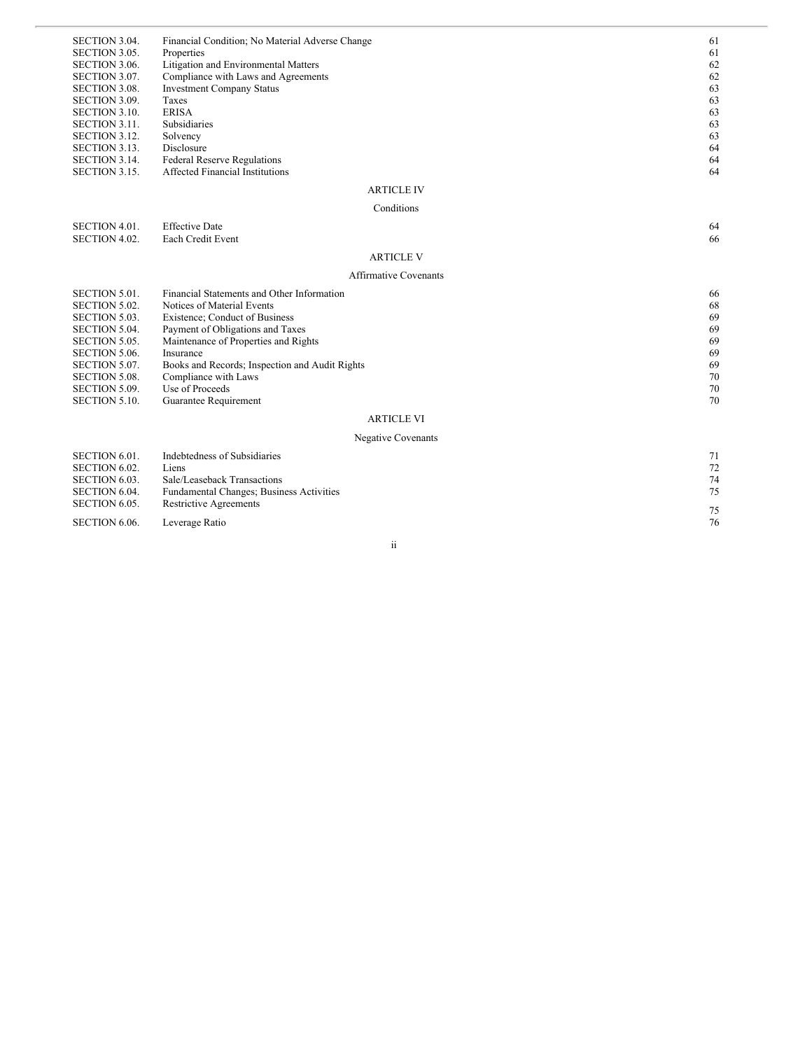| SECTION 3.04.        | Financial Condition; No Material Adverse Change | 61    |
|----------------------|-------------------------------------------------|-------|
| SECTION 3.05.        | Properties                                      | 61    |
| SECTION 3.06.        | Litigation and Environmental Matters            | 62    |
| SECTION 3.07.        | Compliance with Laws and Agreements             | 62    |
| <b>SECTION 3.08.</b> | <b>Investment Company Status</b>                | 63    |
| SECTION 3.09.        | Taxes                                           | 63    |
| <b>SECTION 3.10.</b> | <b>ERISA</b>                                    | 63    |
| <b>SECTION 3.11.</b> | Subsidiaries                                    | 63    |
| SECTION 3.12.        | Solvency                                        | 63    |
| SECTION 3.13.        | Disclosure                                      | 64    |
| SECTION 3.14.        | <b>Federal Reserve Regulations</b>              | 64    |
| SECTION 3.15.        | <b>Affected Financial Institutions</b>          | 64    |
|                      | <b>ARTICLE IV</b>                               |       |
|                      | Conditions                                      |       |
| SECTION 4.01.        | <b>Effective Date</b>                           | 64    |
| SECTION 4.02.        | Each Credit Event                               | 66    |
|                      | <b>ARTICLE V</b>                                |       |
|                      | <b>Affirmative Covenants</b>                    |       |
| SECTION 5.01.        | Financial Statements and Other Information      | 66    |
| <b>SECTION 5.02.</b> | Notices of Material Events                      | 68    |
| <b>SECTION 5.03.</b> | Existence: Conduct of Business                  | 69    |
| SECTION 5.04.        | Payment of Obligations and Taxes                | 69    |
| <b>SECTION 5.05.</b> | Maintenance of Properties and Rights            | 69    |
| SECTION 5.06.        | Insurance                                       | 69    |
| SECTION 5.07.        | Books and Records; Inspection and Audit Rights  | 69    |
| <b>SECTION 5.08.</b> | Compliance with Laws                            | 70    |
| SECTION 5.09.        | Use of Proceeds                                 | 70    |
| <b>SECTION 5.10.</b> | Guarantee Requirement                           | 70    |
|                      | <b>ARTICLE VI</b>                               |       |
|                      | <b>Negative Covenants</b>                       |       |
| SECTION 6.01.        | Indebtedness of Subsidiaries                    | 71    |
| SECTION 6.02.        | Liens                                           | 72    |
| SECTION 6.03.        | Sale/Leaseback Transactions                     | 74    |
| SECTION 6.04.        | Fundamental Changes; Business Activities        | 75    |
| SECTION 6.05.        | <b>Restrictive Agreements</b>                   | $- -$ |

SECTION 6.06 6. Leverage Ratio

i i

7 5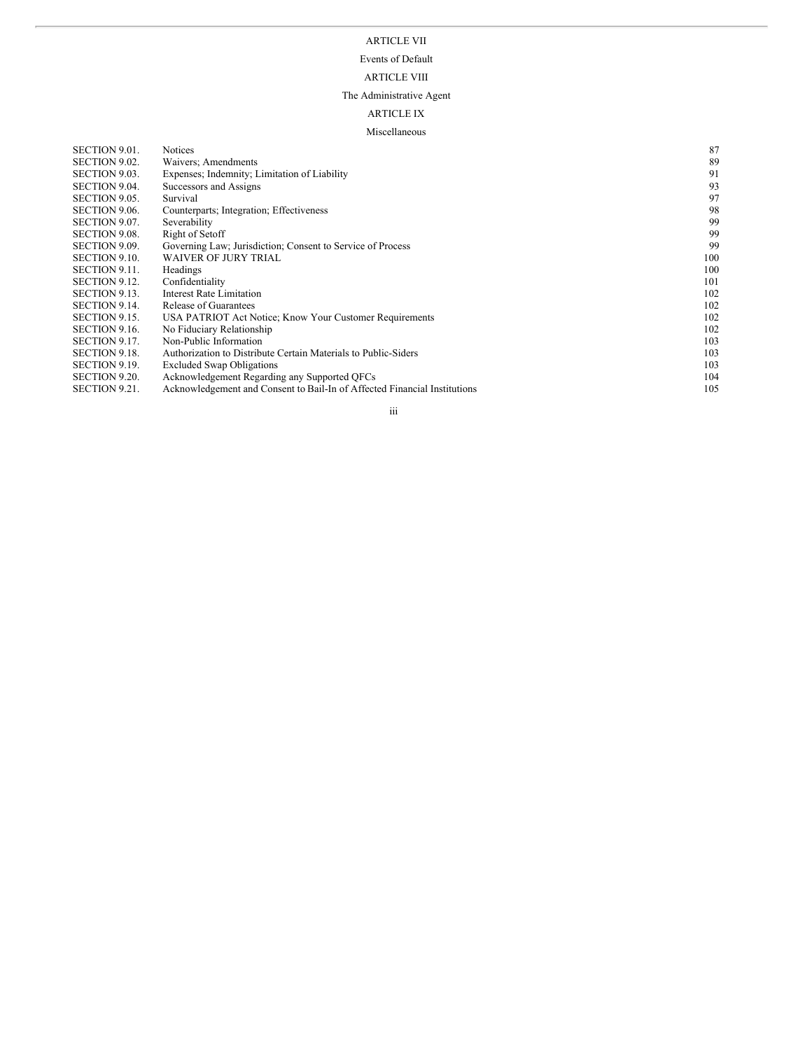### ARTICLE VII

### Events of Default

#### ARTICLE VIII

#### The Administrative Agent

### ARTICLE IX

#### Miscellaneous

| <b>Notices</b>                                                            | 87  |
|---------------------------------------------------------------------------|-----|
| Waivers: Amendments                                                       | 89  |
| Expenses; Indemnity; Limitation of Liability                              | 91  |
| Successors and Assigns                                                    | 93  |
| Survival                                                                  | 97  |
| Counterparts; Integration; Effectiveness                                  | 98  |
| Severability                                                              | 99  |
| Right of Setoff                                                           | 99  |
| Governing Law; Jurisdiction; Consent to Service of Process                | 99  |
| <b>WAIVER OF JURY TRIAL</b>                                               | 100 |
| Headings                                                                  | 100 |
| Confidentiality                                                           | 101 |
| Interest Rate Limitation                                                  | 102 |
| <b>Release of Guarantees</b>                                              | 102 |
| USA PATRIOT Act Notice; Know Your Customer Requirements                   | 102 |
| No Fiduciary Relationship                                                 | 102 |
| Non-Public Information                                                    | 103 |
| Authorization to Distribute Certain Materials to Public-Siders            | 103 |
| <b>Excluded Swap Obligations</b>                                          | 103 |
| Acknowledgement Regarding any Supported QFCs                              | 104 |
| Acknowledgement and Consent to Bail-In of Affected Financial Institutions | 105 |
|                                                                           |     |

#### i i i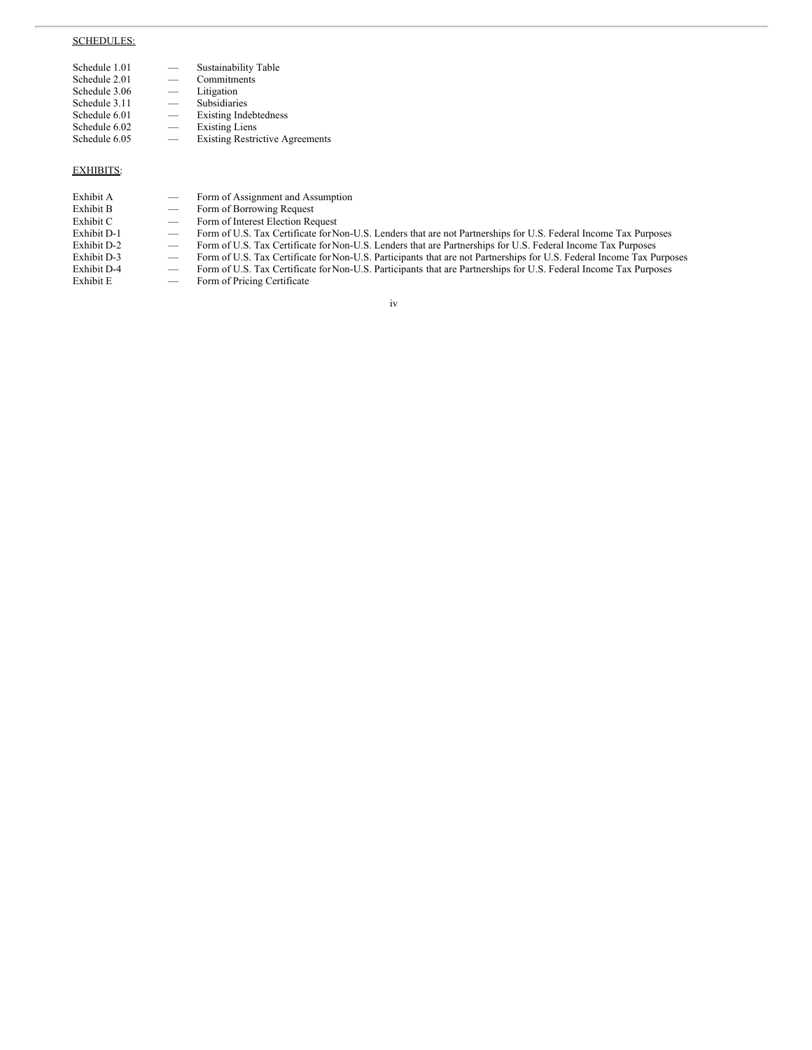### SCHEDULES:

| Schedule 1.01 |   | Sustainability Table                   |
|---------------|---|----------------------------------------|
| Schedule 2.01 |   | Commitments                            |
| Schedule 3.06 |   | Litigation                             |
| Schedule 3.11 | - | Subsidiaries                           |
| Schedule 6.01 | - | <b>Existing Indebtedness</b>           |
| Schedule 6.02 |   | <b>Existing Liens</b>                  |
| Schedule 6.05 |   | <b>Existing Restrictive Agreements</b> |
|               |   |                                        |

### EXHIBITS:

### Exhibit A — Form of Assignment and Assumption<br>Exhibit B — Form of Borrowing Request Exhibit B — Form of Borrowing Request<br>Exhibit C — Form of Interest Election Re Exhibit C — Form of Interest Election Request<br>Exhibit D-1 — Form of U.S. Tax Certificate for N Exhibit D-1 — Form of U.S. Tax Certificate for Non-U.S. Lenders that are not Partnerships for U.S. Federal Income Tax Purposes Exhibit D-2 — Form of U.S. Tax Certificate for Non-U.S. Lenders that are Partnerships for U.S. Exhibit D-2 — Form of U.S. Tax Certificate for Non-U.S. Lenders that are Partnerships for U.S. Federal Income Tax Purposes<br>Exhibit D-3 — Form of U.S. Tax Certificate for Non-U.S. Participants that are not Partnerships for Exhibit D-3 — Form of U.S. Tax Certificate for Non-U.S. Participants that are not Partnerships for U.S. Federal Income Tax Purposes<br>Exhibit D-4 — Form of U.S. Tax Certificate for Non-U.S. Participants that are Partnerships Exhibit D-4 — Form of U.S. Tax Certificate for Non-U.S. Participants that are Partnerships for U.S. Federal Income Tax Purposes<br>Exhibit E — Form of Pricing Certificate Form of Pricing Certificate

iv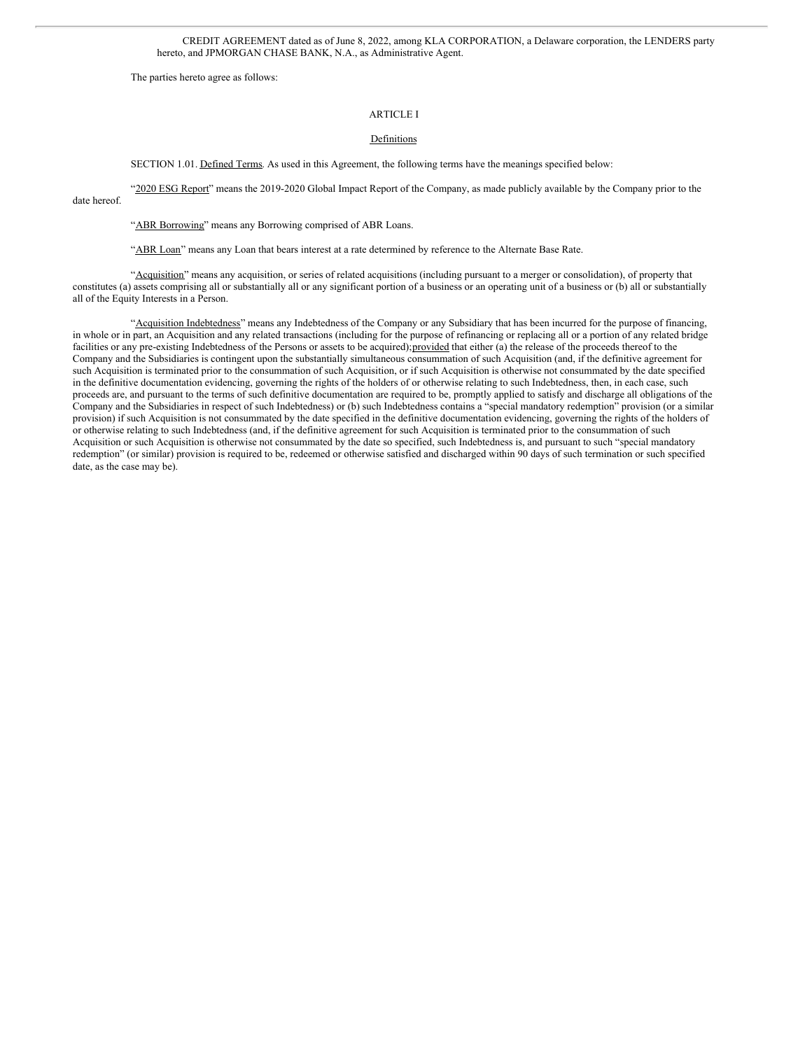CREDIT AGREEMENT dated as of June 8, 2022, among KLA CORPORATION, a Delaware corporation, the LENDERS party hereto, and JPMORGAN CHASE BANK, N.A., as Administrative Agent.

The parties hereto agree as follows:

### ARTICLE I

### Definitions

SECTION 1.01. Defined Terms. As used in this Agreement, the following terms have the meanings specified below:

"2020 ESG Report" means the 2019-2020 Global Impact Report of the Company, as made publicly available by the Company prior to the date hereof.

"ABR Borrowing" means any Borrowing comprised of ABR Loans.

"ABR Loan" means any Loan that bears interest at a rate determined by reference to the Alternate Base Rate.

"Acquisition" means any acquisition, or series of related acquisitions (including pursuant to a merger or consolidation), of property that constitutes (a) assets comprising all or substantially all or any significant portion of a business or an operating unit of a business or (b) all or substantially all of the Equity Interests in a Person.

"Acquisition Indebtedness" means any Indebtedness of the Company or any Subsidiary that has been incurred for the purpose of financing, in whole or in part, an Acquisition and any related transactions (including for the purpose of refinancing or replacing all or a portion of any related bridge facilities or any pre-existing Indebtedness of the Persons or assets to be acquired);provided that either (a) the release of the proceeds thereof to the Company and the Subsidiaries is contingent upon the substantially simultaneous consummation of such Acquisition (and, if the definitive agreement for such Acquisition is terminated prior to the consummation of such Acquisition, or if such Acquisition is otherwise not consummated by the date specified in the definitive documentation evidencing, governing the rights of the holders of or otherwise relating to such Indebtedness, then, in each case, such proceeds are, and pursuant to the terms of such definitive documentation are required to be, promptly applied to satisfy and discharge all obligations of the Company and the Subsidiaries in respect of such Indebtedness) or (b) such Indebtedness contains a "special mandatory redemption" provision (or a similar provision) if such Acquisition is not consummated by the date specified in the definitive documentation evidencing, governing the rights of the holders of or otherwise relating to such Indebtedness (and, if the definitive agreement for such Acquisition is terminated prior to the consummation of such Acquisition or such Acquisition is otherwise not consummated by the date so specified, such Indebtedness is, and pursuant to such "special mandatory redemption" (or similar) provision is required to be, redeemed or otherwise satisfied and discharged within 90 days of such termination or such specified date, as the case may be).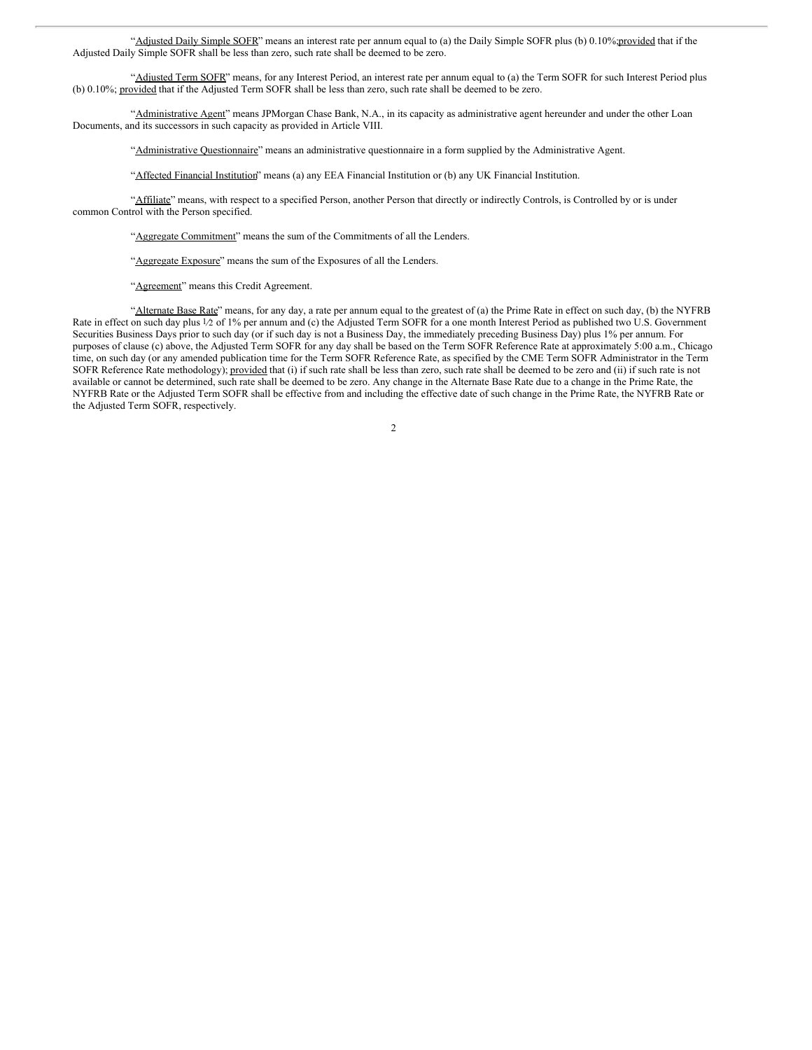"Adjusted Daily Simple SOFR" means an interest rate per annum equal to (a) the Daily Simple SOFR plus (b) 0.10%;provided that if the Adjusted Daily Simple SOFR shall be less than zero, such rate shall be deemed to be zero.

"Adjusted Term SOFR" means, for any Interest Period, an interest rate per annum equal to (a) the Term SOFR for such Interest Period plus (b) 0.10%; provided that if the Adjusted Term SOFR shall be less than zero, such rate shall be deemed to be zero.

"Administrative Agent" means JPMorgan Chase Bank, N.A., in its capacity as administrative agent hereunder and under the other Loan Documents, and its successors in such capacity as provided in Article VIII.

"Administrative Questionnaire" means an administrative questionnaire in a form supplied by the Administrative Agent.

"Affected Financial Institution" means (a) any EEA Financial Institution or (b) any UK Financial Institution.

"Affiliate" means, with respect to a specified Person, another Person that directly or indirectly Controls, is Controlled by or is under common Control with the Person specified.

"Aggregate Commitment" means the sum of the Commitments of all the Lenders.

"Aggregate Exposure" means the sum of the Exposures of all the Lenders.

"Agreement" means this Credit Agreement.

"Alternate Base Rate" means, for any day, a rate per annum equal to the greatest of (a) the Prime Rate in effect on such day, (b) the NYFRB Rate in effect on such day plus 1/2 of 1% per annum and (c) the Adjusted Term SOFR for a one month Interest Period as published two U.S. Government Securities Business Days prior to such day (or if such day is not a Business Day, the immediately preceding Business Day) plus 1% per annum. For purposes of clause (c) above, the Adjusted Term SOFR for any day shall be based on the Term SOFR Reference Rate at approximately 5:00 a.m., Chicago time, on such day (or any amended publication time for the Term SOFR Reference Rate, as specified by the CME Term SOFR Administrator in the Term SOFR Reference Rate methodology); provided that (i) if such rate shall be less than zero, such rate shall be deemed to be zero and (ii) if such rate is not available or cannot be determined, such rate shall be deemed to be zero. Any change in the Alternate Base Rate due to a change in the Prime Rate, the NYFRB Rate or the Adjusted Term SOFR shall be effective from and including the effective date of such change in the Prime Rate, the NYFRB Rate or the Adjusted Term SOFR, respectively.

 $\overline{2}$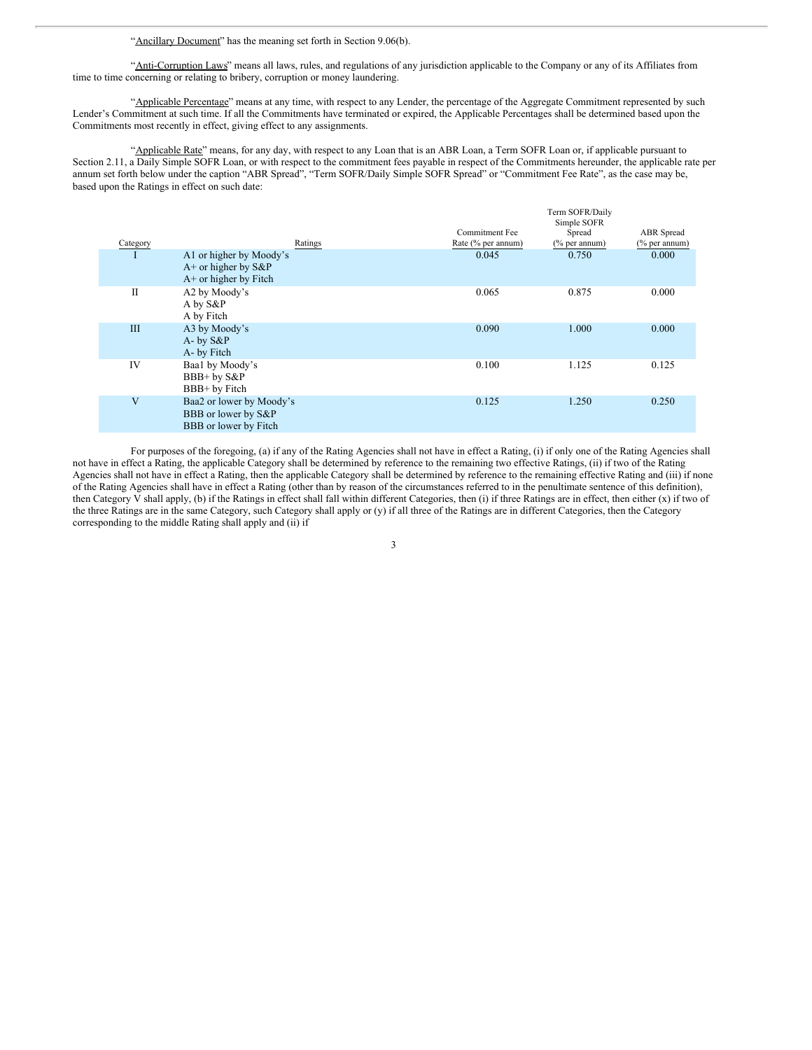"Ancillary Document" has the meaning set forth in Section 9.06(b).

"Anti-Corruption Laws" means all laws, rules, and regulations of any jurisdiction applicable to the Company or any of its Affiliates from time to time concerning or relating to bribery, corruption or money laundering.

"Applicable Percentage" means at any time, with respect to any Lender, the percentage of the Aggregate Commitment represented by such Lender's Commitment at such time. If all the Commitments have terminated or expired, the Applicable Percentages shall be determined based upon the Commitments most recently in effect, giving effect to any assignments.

"Applicable Rate" means, for any day, with respect to any Loan that is an ABR Loan, a Term SOFR Loan or, if applicable pursuant to Section 2.11, a Daily Simple SOFR Loan, or with respect to the commitment fees payable in respect of the Commitments hereunder, the applicable rate per annum set forth below under the caption "ABR Spread", "Term SOFR/Daily Simple SOFR Spread" or "Commitment Fee Rate", as the case may be, based upon the Ratings in effect on such date:

|          |                                                                              |                       | Term SOFR/Daily<br>Simple SOFR |                  |
|----------|------------------------------------------------------------------------------|-----------------------|--------------------------------|------------------|
|          |                                                                              | <b>Commitment Fee</b> | Spread                         | ABR Spread       |
| Category | Ratings                                                                      | Rate (% per annum)    | $(\%$ per annum)               | $(\%$ per annum) |
|          | A1 or higher by Moody's<br>$A+$ or higher by $S\&P$<br>A+ or higher by Fitch | 0.045                 | 0.750                          | 0.000            |
| П        | A2 by Moody's<br>A by S&P<br>A by Fitch                                      | 0.065                 | 0.875                          | 0.000            |
| Ш        | A3 by Moody's<br>A- by S&P<br>A- by Fitch                                    | 0.090                 | 1.000                          | 0.000            |
| IV       | Baa1 by Moody's<br>BBB+ by S&P<br>BBB+ by Fitch                              | 0.100                 | 1.125                          | 0.125            |
| V        | Baa2 or lower by Moody's<br>BBB or lower by S&P<br>BBB or lower by Fitch     | 0.125                 | 1.250                          | 0.250            |

For purposes of the foregoing, (a) if any of the Rating Agencies shall not have in effect a Rating, (i) if only one of the Rating Agencies shall not have in effect a Rating, the applicable Category shall be determined by reference to the remaining two effective Ratings, (ii) if two of the Rating Agencies shall not have in effect a Rating, then the applicable Category shall be determined by reference to the remaining effective Rating and (iii) if none of the Rating Agencies shall have in effect a Rating (other than by reason of the circumstances referred to in the penultimate sentence of this definition), then Category V shall apply, (b) if the Ratings in effect shall fall within different Categories, then (i) if three Ratings are in effect, then either (x) if two of the three Ratings are in the same Category, such Category shall apply or (y) if all three of the Ratings are in different Categories, then the Category corresponding to the middle Rating shall apply and (ii) if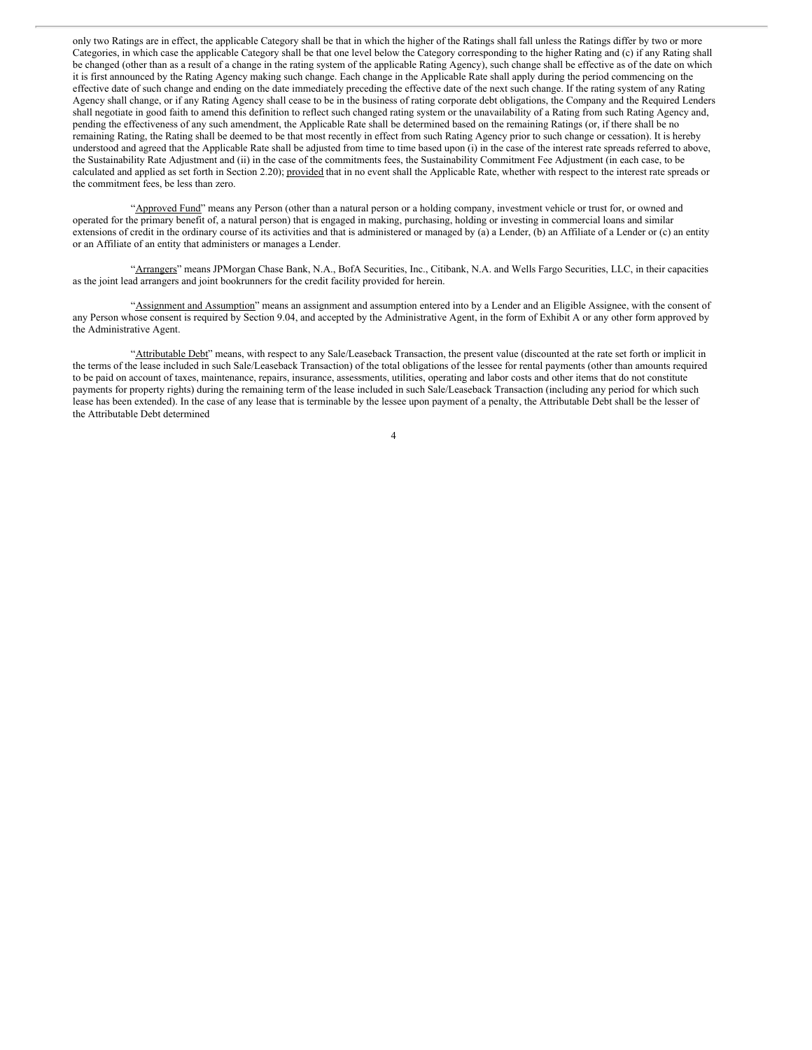only two Ratings are in effect, the applicable Category shall be that in which the higher of the Ratings shall fall unless the Ratings differ by two or more Categories, in which case the applicable Category shall be that one level below the Category corresponding to the higher Rating and (c) if any Rating shall be changed (other than as a result of a change in the rating system of the applicable Rating Agency), such change shall be effective as of the date on which it is first announced by the Rating Agency making such change. Each change in the Applicable Rate shall apply during the period commencing on the effective date of such change and ending on the date immediately preceding the effective date of the next such change. If the rating system of any Rating Agency shall change, or if any Rating Agency shall cease to be in the business of rating corporate debt obligations, the Company and the Required Lenders shall negotiate in good faith to amend this definition to reflect such changed rating system or the unavailability of a Rating from such Rating Agency and, pending the effectiveness of any such amendment, the Applicable Rate shall be determined based on the remaining Ratings (or, if there shall be no remaining Rating, the Rating shall be deemed to be that most recently in effect from such Rating Agency prior to such change or cessation). It is hereby understood and agreed that the Applicable Rate shall be adjusted from time to time based upon (i) in the case of the interest rate spreads referred to above, the Sustainability Rate Adjustment and (ii) in the case of the commitments fees, the Sustainability Commitment Fee Adjustment (in each case, to be calculated and applied as set forth in Section 2.20); provided that in no event shall the Applicable Rate, whether with respect to the interest rate spreads or the commitment fees, be less than zero.

"Approved Fund" means any Person (other than a natural person or a holding company, investment vehicle or trust for, or owned and operated for the primary benefit of, a natural person) that is engaged in making, purchasing, holding or investing in commercial loans and similar extensions of credit in the ordinary course of its activities and that is administered or managed by (a) a Lender, (b) an Affiliate of a Lender or (c) an entity or an Affiliate of an entity that administers or manages a Lender.

"Arrangers" means JPMorgan Chase Bank, N.A., BofA Securities, Inc., Citibank, N.A. and Wells Fargo Securities, LLC, in their capacities as the joint lead arrangers and joint bookrunners for the credit facility provided for herein.

"Assignment and Assumption" means an assignment and assumption entered into by a Lender and an Eligible Assignee, with the consent of any Person whose consent is required by Section 9.04, and accepted by the Administrative Agent, in the form of Exhibit A or any other form approved by the Administrative Agent.

"Attributable Debt" means, with respect to any Sale/Leaseback Transaction, the present value (discounted at the rate set forth or implicit in the terms of the lease included in such Sale/Leaseback Transaction) of the total obligations of the lessee for rental payments (other than amounts required to be paid on account of taxes, maintenance, repairs, insurance, assessments, utilities, operating and labor costs and other items that do not constitute payments for property rights) during the remaining term of the lease included in such Sale/Leaseback Transaction (including any period for which such lease has been extended). In the case of any lease that is terminable by the lessee upon payment of a penalty, the Attributable Debt shall be the lesser of the Attributable Debt determined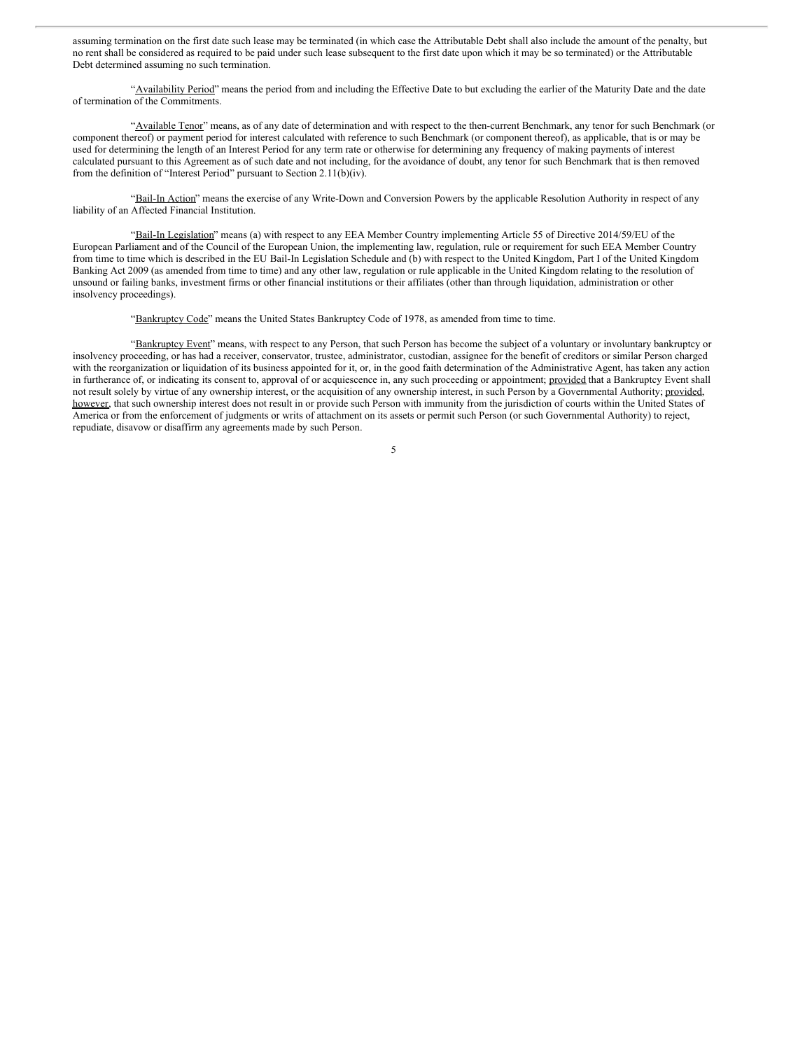assuming termination on the first date such lease may be terminated (in which case the Attributable Debt shall also include the amount of the penalty, but no rent shall be considered as required to be paid under such lease subsequent to the first date upon which it may be so terminated) or the Attributable Debt determined assuming no such termination.

"Availability Period" means the period from and including the Effective Date to but excluding the earlier of the Maturity Date and the date of termination of the Commitments.

"Available Tenor" means, as of any date of determination and with respect to the then-current Benchmark, any tenor for such Benchmark (or component thereof) or payment period for interest calculated with reference to such Benchmark (or component thereof), as applicable, that is or may be used for determining the length of an Interest Period for any term rate or otherwise for determining any frequency of making payments of interest calculated pursuant to this Agreement as of such date and not including, for the avoidance of doubt, any tenor for such Benchmark that is then removed from the definition of "Interest Period" pursuant to Section 2.11(b)(iv).

"Bail-In Action" means the exercise of any Write-Down and Conversion Powers by the applicable Resolution Authority in respect of any liability of an Affected Financial Institution.

"Bail-In Legislation" means (a) with respect to any EEA Member Country implementing Article 55 of Directive 2014/59/EU of the European Parliament and of the Council of the European Union, the implementing law, regulation, rule or requirement for such EEA Member Country from time to time which is described in the EU Bail-In Legislation Schedule and (b) with respect to the United Kingdom, Part I of the United Kingdom Banking Act 2009 (as amended from time to time) and any other law, regulation or rule applicable in the United Kingdom relating to the resolution of unsound or failing banks, investment firms or other financial institutions or their affiliates (other than through liquidation, administration or other insolvency proceedings).

"Bankruptcy Code" means the United States Bankruptcy Code of 1978, as amended from time to time.

"Bankruptcy Event" means, with respect to any Person, that such Person has become the subject of a voluntary or involuntary bankruptcy or insolvency proceeding, or has had a receiver, conservator, trustee, administrator, custodian, assignee for the benefit of creditors or similar Person charged with the reorganization or liquidation of its business appointed for it, or, in the good faith determination of the Administrative Agent, has taken any action in furtherance of, or indicating its consent to, approval of or acquiescence in, any such proceeding or appointment; provided that a Bankruptcy Event shall not result solely by virtue of any ownership interest, or the acquisition of any ownership interest, in such Person by a Governmental Authority; provided, however, that such ownership interest does not result in or provide such Person with immunity from the jurisdiction of courts within the United States of America or from the enforcement of judgments or writs of attachment on its assets or permit such Person (or such Governmental Authority) to reject, repudiate, disavow or disaffirm any agreements made by such Person.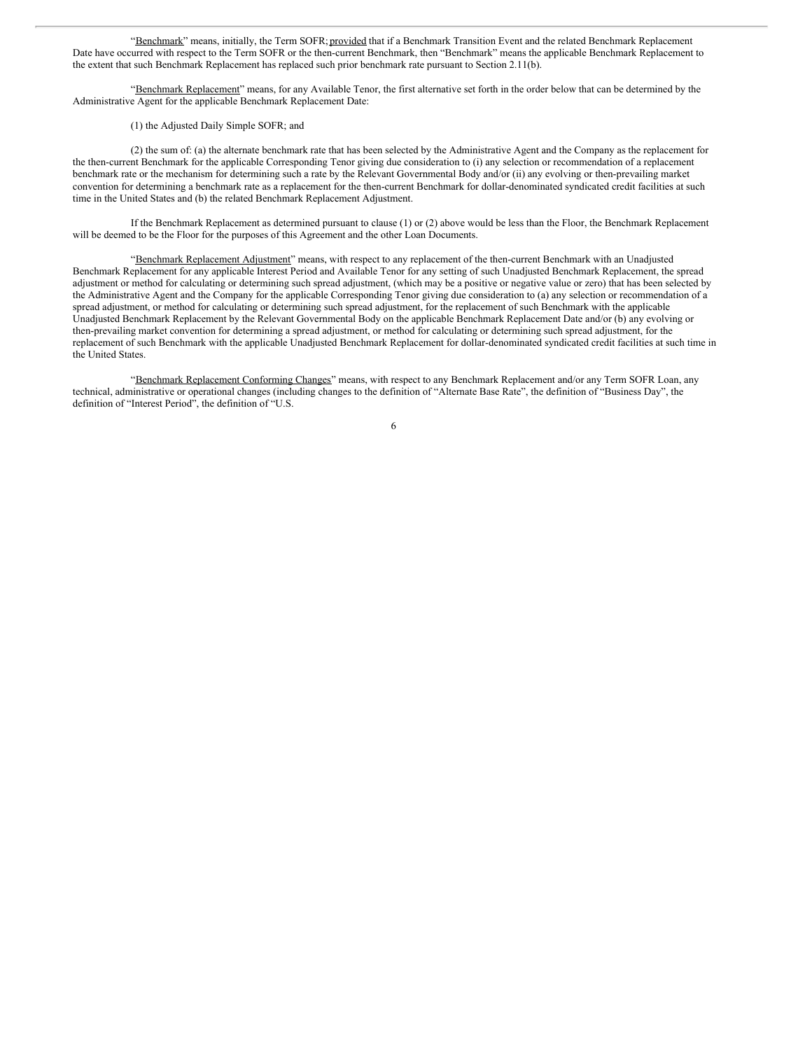"Benchmark" means, initially, the Term SOFR; provided that if a Benchmark Transition Event and the related Benchmark Replacement Date have occurred with respect to the Term SOFR or the then-current Benchmark, then "Benchmark" means the applicable Benchmark Replacement to the extent that such Benchmark Replacement has replaced such prior benchmark rate pursuant to Section 2.11(b).

"Benchmark Replacement" means, for any Available Tenor, the first alternative set forth in the order below that can be determined by the Administrative Agent for the applicable Benchmark Replacement Date:

(1) the Adjusted Daily Simple SOFR; and

(2) the sum of: (a) the alternate benchmark rate that has been selected by the Administrative Agent and the Company as the replacement for the then-current Benchmark for the applicable Corresponding Tenor giving due consideration to (i) any selection or recommendation of a replacement benchmark rate or the mechanism for determining such a rate by the Relevant Governmental Body and/or (ii) any evolving or then-prevailing market convention for determining a benchmark rate as a replacement for the then-current Benchmark for dollar-denominated syndicated credit facilities at such time in the United States and (b) the related Benchmark Replacement Adjustment.

If the Benchmark Replacement as determined pursuant to clause (1) or (2) above would be less than the Floor, the Benchmark Replacement will be deemed to be the Floor for the purposes of this Agreement and the other Loan Documents.

"Benchmark Replacement Adjustment" means, with respect to any replacement of the then-current Benchmark with an Unadjusted Benchmark Replacement for any applicable Interest Period and Available Tenor for any setting of such Unadjusted Benchmark Replacement, the spread adjustment or method for calculating or determining such spread adjustment, (which may be a positive or negative value or zero) that has been selected by the Administrative Agent and the Company for the applicable Corresponding Tenor giving due consideration to (a) any selection or recommendation of a spread adjustment, or method for calculating or determining such spread adjustment, for the replacement of such Benchmark with the applicable Unadjusted Benchmark Replacement by the Relevant Governmental Body on the applicable Benchmark Replacement Date and/or (b) any evolving or then-prevailing market convention for determining a spread adjustment, or method for calculating or determining such spread adjustment, for the replacement of such Benchmark with the applicable Unadjusted Benchmark Replacement for dollar-denominated syndicated credit facilities at such time in the United States.

"Benchmark Replacement Conforming Changes" means, with respect to any Benchmark Replacement and/or any Term SOFR Loan, any technical, administrative or operational changes (including changes to the definition of "Alternate Base Rate", the definition of "Business Day", the definition of "Interest Period", the definition of "U.S.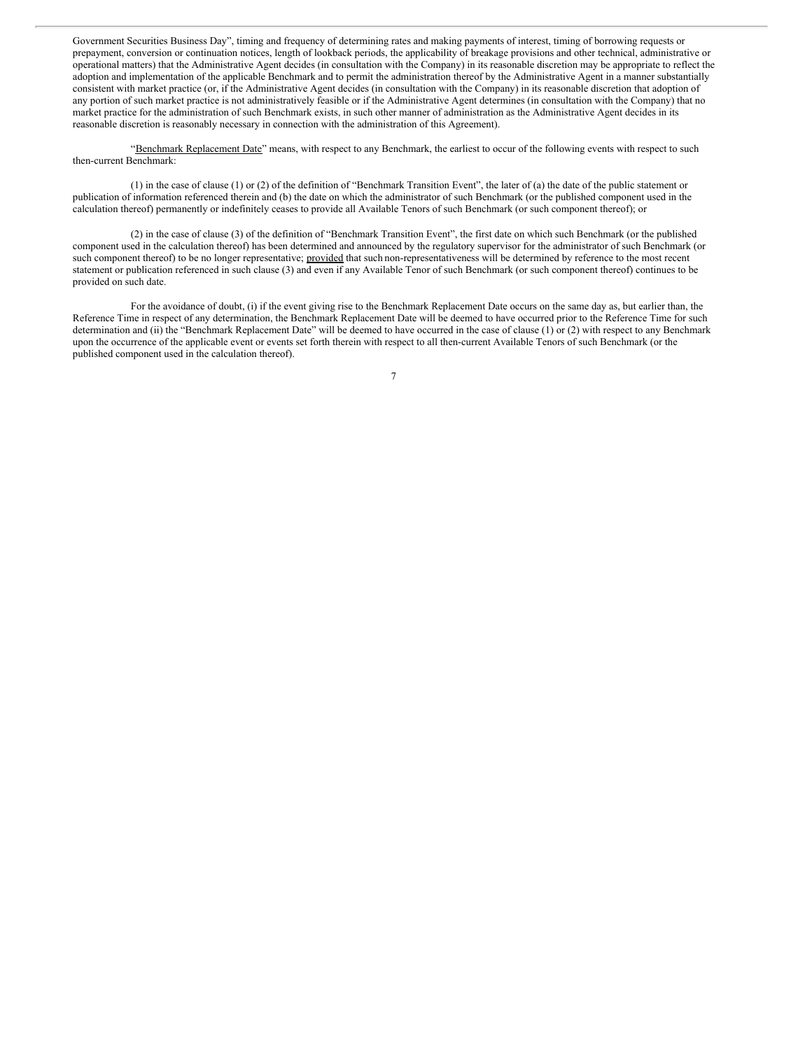Government Securities Business Day", timing and frequency of determining rates and making payments of interest, timing of borrowing requests or prepayment, conversion or continuation notices, length of lookback periods, the applicability of breakage provisions and other technical, administrative or operational matters) that the Administrative Agent decides (in consultation with the Company) in its reasonable discretion may be appropriate to reflect the adoption and implementation of the applicable Benchmark and to permit the administration thereof by the Administrative Agent in a manner substantially consistent with market practice (or, if the Administrative Agent decides (in consultation with the Company) in its reasonable discretion that adoption of any portion of such market practice is not administratively feasible or if the Administrative Agent determines (in consultation with the Company) that no market practice for the administration of such Benchmark exists, in such other manner of administration as the Administrative Agent decides in its reasonable discretion is reasonably necessary in connection with the administration of this Agreement).

"Benchmark Replacement Date" means, with respect to any Benchmark, the earliest to occur of the following events with respect to such then-current Benchmark:

(1) in the case of clause (1) or (2) of the definition of "Benchmark Transition Event", the later of (a) the date of the public statement or publication of information referenced therein and (b) the date on which the administrator of such Benchmark (or the published component used in the calculation thereof) permanently or indefinitely ceases to provide all Available Tenors of such Benchmark (or such component thereof); or

(2) in the case of clause (3) of the definition of "Benchmark Transition Event", the first date on which such Benchmark (or the published component used in the calculation thereof) has been determined and announced by the regulatory supervisor for the administrator of such Benchmark (or such component thereof) to be no longer representative; provided that such non-representativeness will be determined by reference to the most recent statement or publication referenced in such clause (3) and even if any Available Tenor of such Benchmark (or such component thereof) continues to be provided on such date.

For the avoidance of doubt, (i) if the event giving rise to the Benchmark Replacement Date occurs on the same day as, but earlier than, the Reference Time in respect of any determination, the Benchmark Replacement Date will be deemed to have occurred prior to the Reference Time for such determination and (ii) the "Benchmark Replacement Date" will be deemed to have occurred in the case of clause (1) or (2) with respect to any Benchmark upon the occurrence of the applicable event or events set forth therein with respect to all then-current Available Tenors of such Benchmark (or the published component used in the calculation thereof).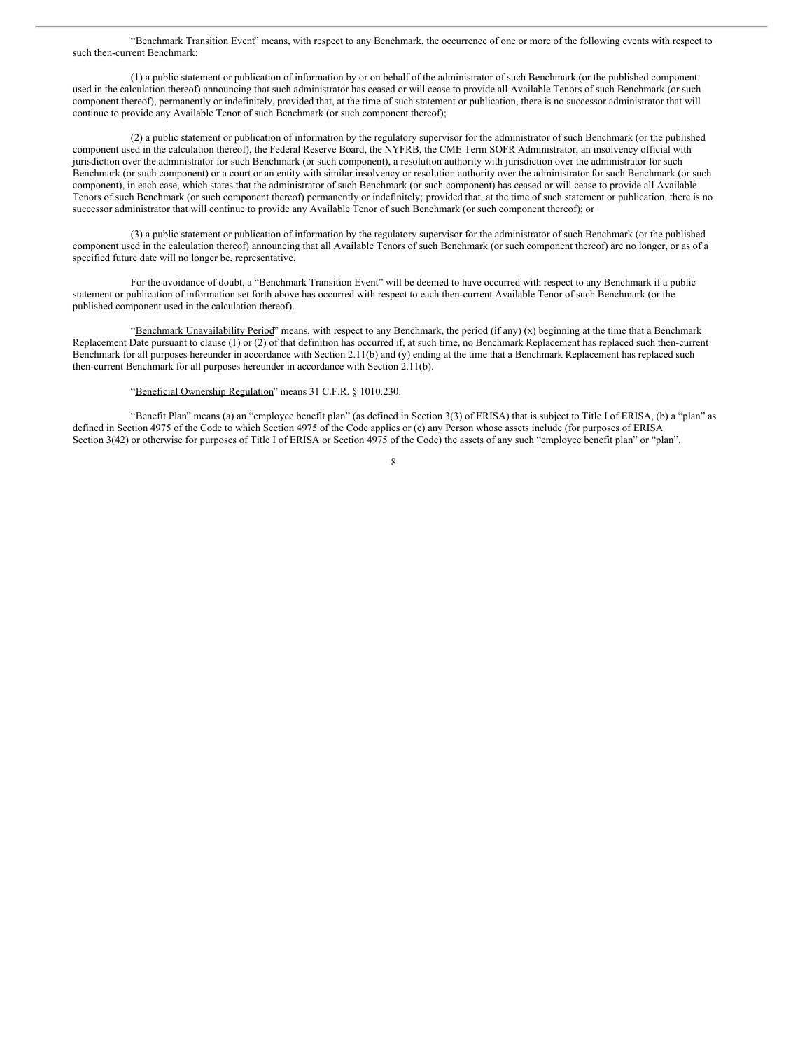"Benchmark Transition Event" means, with respect to any Benchmark, the occurrence of one or more of the following events with respect to such then-current Benchmark:

(1) a public statement or publication of information by or on behalf of the administrator of such Benchmark (or the published component used in the calculation thereof) announcing that such administrator has ceased or will cease to provide all Available Tenors of such Benchmark (or such component thereof), permanently or indefinitely, provided that, at the time of such statement or publication, there is no successor administrator that will continue to provide any Available Tenor of such Benchmark (or such component thereof);

(2) a public statement or publication of information by the regulatory supervisor for the administrator of such Benchmark (or the published component used in the calculation thereof), the Federal Reserve Board, the NYFRB, the CME Term SOFR Administrator, an insolvency official with jurisdiction over the administrator for such Benchmark (or such component), a resolution authority with jurisdiction over the administrator for such Benchmark (or such component) or a court or an entity with similar insolvency or resolution authority over the administrator for such Benchmark (or such component), in each case, which states that the administrator of such Benchmark (or such component) has ceased or will cease to provide all Available Tenors of such Benchmark (or such component thereof) permanently or indefinitely; provided that, at the time of such statement or publication, there is no successor administrator that will continue to provide any Available Tenor of such Benchmark (or such component thereof); or

(3) a public statement or publication of information by the regulatory supervisor for the administrator of such Benchmark (or the published component used in the calculation thereof) announcing that all Available Tenors of such Benchmark (or such component thereof) are no longer, or as of a specified future date will no longer be, representative.

For the avoidance of doubt, a "Benchmark Transition Event" will be deemed to have occurred with respect to any Benchmark if a public statement or publication of information set forth above has occurred with respect to each then-current Available Tenor of such Benchmark (or the published component used in the calculation thereof).

"Benchmark Unavailability Period" means, with respect to any Benchmark, the period (if any) (x) beginning at the time that a Benchmark Replacement Date pursuant to clause (1) or (2) of that definition has occurred if, at such time, no Benchmark Replacement has replaced such then-current Benchmark for all purposes hereunder in accordance with Section 2.11(b) and (y) ending at the time that a Benchmark Replacement has replaced such then-current Benchmark for all purposes hereunder in accordance with Section 2.11(b).

"Beneficial Ownership Regulation" means 31 C.F.R. § 1010.230.

"Benefit Plan" means (a) an "employee benefit plan" (as defined in Section 3(3) of ERISA) that is subject to Title I of ERISA, (b) a "plan" as defined in Section 4975 of the Code to which Section 4975 of the Code applies or (c) any Person whose assets include (for purposes of ERISA Section 3(42) or otherwise for purposes of Title I of ERISA or Section 4975 of the Code) the assets of any such "employee benefit plan" or "plan".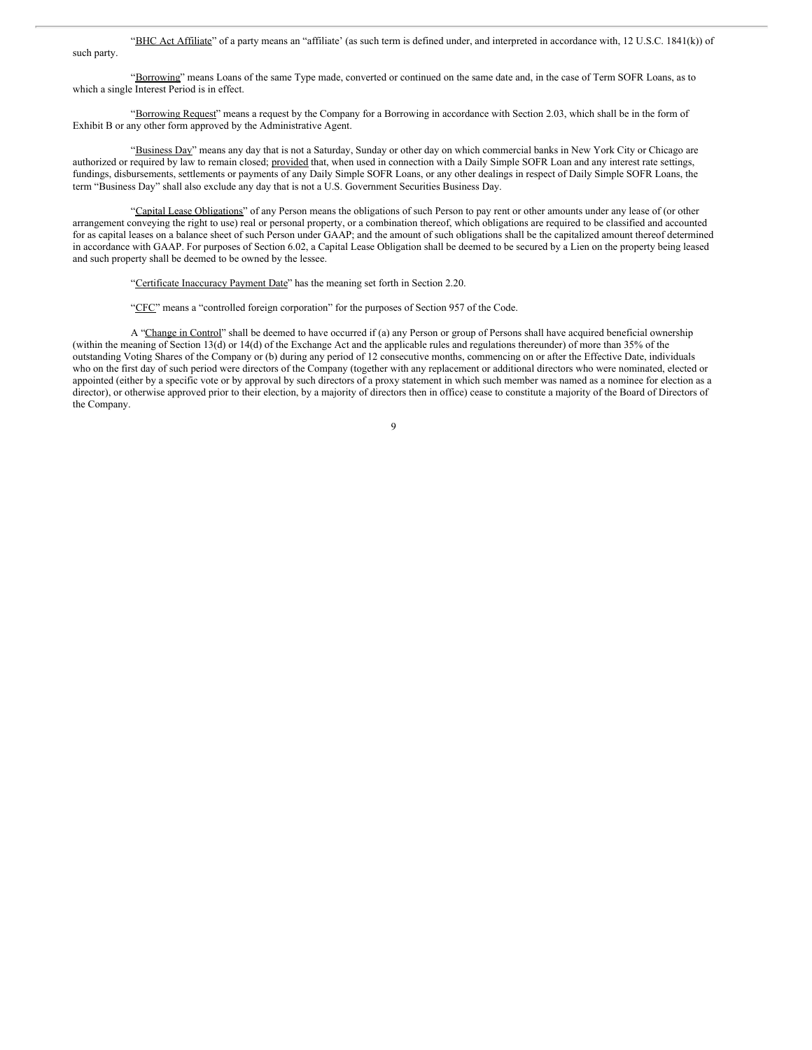"BHC Act Affiliate" of a party means an "affiliate" (as such term is defined under, and interpreted in accordance with, 12 U.S.C. 1841(k)) of such party.

"Borrowing" means Loans of the same Type made, converted or continued on the same date and, in the case of Term SOFR Loans, as to which a single Interest Period is in effect.

"Borrowing Request" means a request by the Company for a Borrowing in accordance with Section 2.03, which shall be in the form of Exhibit B or any other form approved by the Administrative Agent.

"Business Day" means any day that is not a Saturday, Sunday or other day on which commercial banks in New York City or Chicago are authorized or required by law to remain closed; provided that, when used in connection with a Daily Simple SOFR Loan and any interest rate settings, fundings, disbursements, settlements or payments of any Daily Simple SOFR Loans, or any other dealings in respect of Daily Simple SOFR Loans, the term "Business Day" shall also exclude any day that is not a U.S. Government Securities Business Day.

"Capital Lease Obligations" of any Person means the obligations of such Person to pay rent or other amounts under any lease of (or other arrangement conveying the right to use) real or personal property, or a combination thereof, which obligations are required to be classified and accounted for as capital leases on a balance sheet of such Person under GAAP; and the amount of such obligations shall be the capitalized amount thereof determined in accordance with GAAP. For purposes of Section 6.02, a Capital Lease Obligation shall be deemed to be secured by a Lien on the property being leased and such property shall be deemed to be owned by the lessee.

"Certificate Inaccuracy Payment Date" has the meaning set forth in Section 2.20.

"CFC" means a "controlled foreign corporation" for the purposes of Section 957 of the Code.

A "Change in Control" shall be deemed to have occurred if (a) any Person or group of Persons shall have acquired beneficial ownership (within the meaning of Section 13(d) or 14(d) of the Exchange Act and the applicable rules and regulations thereunder) of more than 35% of the outstanding Voting Shares of the Company or (b) during any period of 12 consecutive months, commencing on or after the Effective Date, individuals who on the first day of such period were directors of the Company (together with any replacement or additional directors who were nominated, elected or appointed (either by a specific vote or by approval by such directors of a proxy statement in which such member was named as a nominee for election as a director), or otherwise approved prior to their election, by a majority of directors then in office) cease to constitute a majority of the Board of Directors of the Company.

 $\overline{Q}$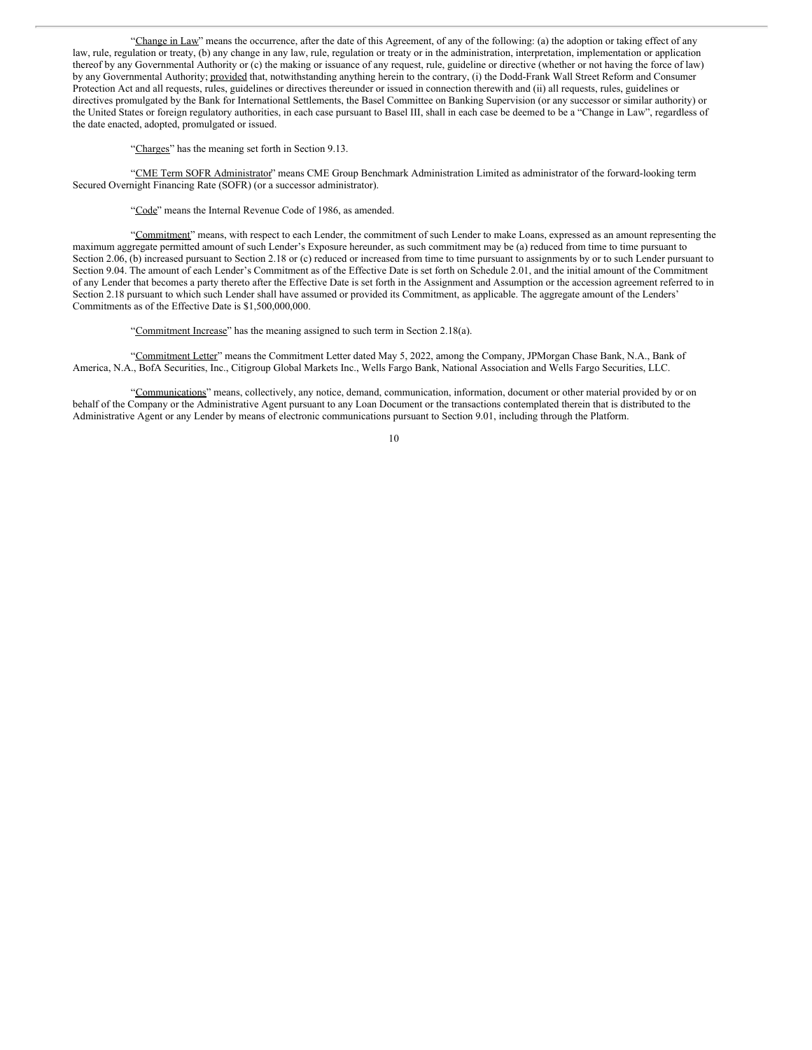"Change in Law" means the occurrence, after the date of this Agreement, of any of the following: (a) the adoption or taking effect of any law, rule, regulation or treaty, (b) any change in any law, rule, regulation or treaty or in the administration, interpretation, implementation or application thereof by any Governmental Authority or (c) the making or issuance of any request, rule, guideline or directive (whether or not having the force of law) by any Governmental Authority; provided that, notwithstanding anything herein to the contrary, (i) the Dodd-Frank Wall Street Reform and Consumer Protection Act and all requests, rules, guidelines or directives thereunder or issued in connection therewith and (ii) all requests, rules, guidelines or directives promulgated by the Bank for International Settlements, the Basel Committee on Banking Supervision (or any successor or similar authority) or the United States or foreign regulatory authorities, in each case pursuant to Basel III, shall in each case be deemed to be a "Change in Law", regardless of the date enacted, adopted, promulgated or issued.

"Charges" has the meaning set forth in Section 9.13.

"CME Term SOFR Administrator" means CME Group Benchmark Administration Limited as administrator of the forward-looking term Secured Overnight Financing Rate (SOFR) (or a successor administrator).

"Code" means the Internal Revenue Code of 1986, as amended.

"Commitment" means, with respect to each Lender, the commitment of such Lender to make Loans, expressed as an amount representing the maximum aggregate permitted amount of such Lender's Exposure hereunder, as such commitment may be (a) reduced from time to time pursuant to Section 2.06, (b) increased pursuant to Section 2.18 or (c) reduced or increased from time to time pursuant to assignments by or to such Lender pursuant to Section 9.04. The amount of each Lender's Commitment as of the Effective Date is set forth on Schedule 2.01, and the initial amount of the Commitment of any Lender that becomes a party thereto after the Effective Date is set forth in the Assignment and Assumption or the accession agreement referred to in Section 2.18 pursuant to which such Lender shall have assumed or provided its Commitment, as applicable. The aggregate amount of the Lenders' Commitments as of the Effective Date is \$1,500,000,000.

"Commitment Increase" has the meaning assigned to such term in Section 2.18(a).

"Commitment Letter" means the Commitment Letter dated May 5, 2022, among the Company, JPMorgan Chase Bank, N.A., Bank of America, N.A., BofA Securities, Inc., Citigroup Global Markets Inc., Wells Fargo Bank, National Association and Wells Fargo Securities, LLC.

"Communications" means, collectively, any notice, demand, communication, information, document or other material provided by or on behalf of the Company or the Administrative Agent pursuant to any Loan Document or the transactions contemplated therein that is distributed to the Administrative Agent or any Lender by means of electronic communications pursuant to Section 9.01, including through the Platform.

<sup>10</sup>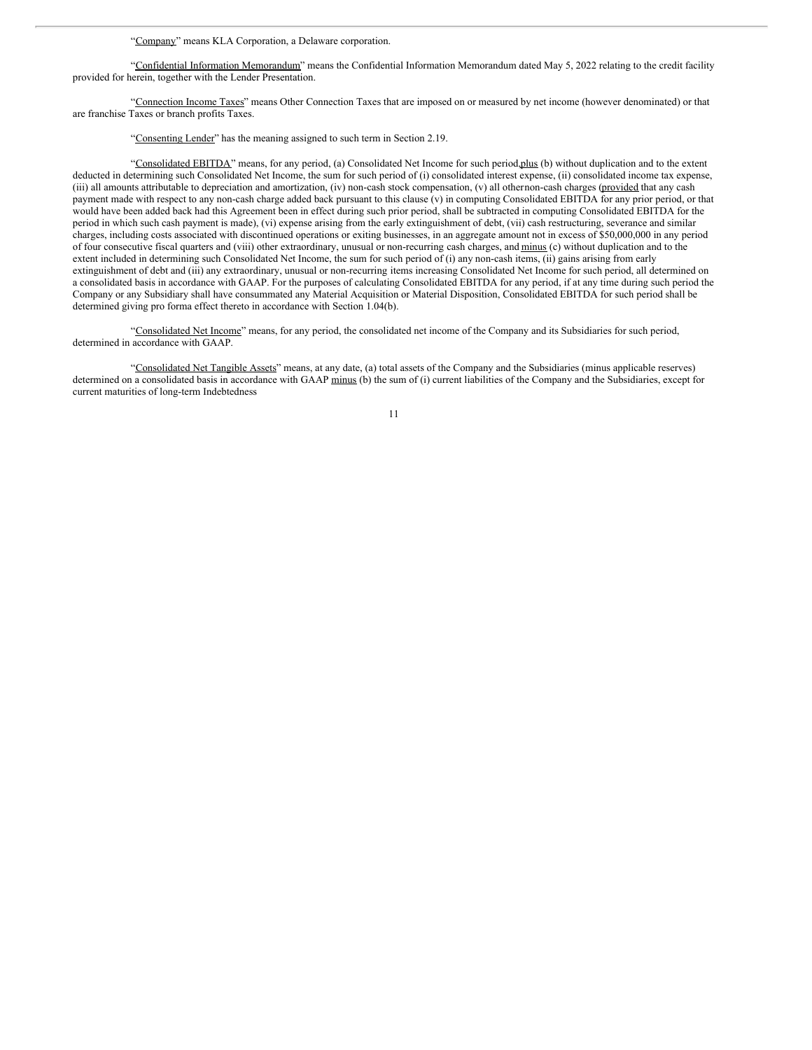"Company" means KLA Corporation, a Delaware corporation.

"Confidential Information Memorandum" means the Confidential Information Memorandum dated May 5, 2022 relating to the credit facility provided for herein, together with the Lender Presentation.

"Connection Income Taxes" means Other Connection Taxes that are imposed on or measured by net income (however denominated) or that are franchise Taxes or branch profits Taxes.

"Consenting Lender" has the meaning assigned to such term in Section 2.19.

"Consolidated EBITDA" means, for any period, (a) Consolidated Net Income for such period,plus (b) without duplication and to the extent deducted in determining such Consolidated Net Income, the sum for such period of (i) consolidated interest expense, (ii) consolidated income tax expense, (iii) all amounts attributable to depreciation and amortization, (iv) non-cash stock compensation, (v) all othernon-cash charges (provided that any cash payment made with respect to any non-cash charge added back pursuant to this clause (v) in computing Consolidated EBITDA for any prior period, or that would have been added back had this Agreement been in effect during such prior period, shall be subtracted in computing Consolidated EBITDA for the period in which such cash payment is made), (vi) expense arising from the early extinguishment of debt, (vii) cash restructuring, severance and similar charges, including costs associated with discontinued operations or exiting businesses, in an aggregate amount not in excess of \$50,000,000 in any period of four consecutive fiscal quarters and (viii) other extraordinary, unusual or non-recurring cash charges, and minus (c) without duplication and to the extent included in determining such Consolidated Net Income, the sum for such period of (i) any non-cash items, (ii) gains arising from early extinguishment of debt and (iii) any extraordinary, unusual or non-recurring items increasing Consolidated Net Income for such period, all determined on a consolidated basis in accordance with GAAP. For the purposes of calculating Consolidated EBITDA for any period, if at any time during such period the Company or any Subsidiary shall have consummated any Material Acquisition or Material Disposition, Consolidated EBITDA for such period shall be determined giving pro forma effect thereto in accordance with Section 1.04(b).

"Consolidated Net Income" means, for any period, the consolidated net income of the Company and its Subsidiaries for such period, determined in accordance with GAAP.

"Consolidated Net Tangible Assets" means, at any date, (a) total assets of the Company and the Subsidiaries (minus applicable reserves) determined on a consolidated basis in accordance with GAAP minus (b) the sum of (i) current liabilities of the Company and the Subsidiaries, except for current maturities of long-term Indebtedness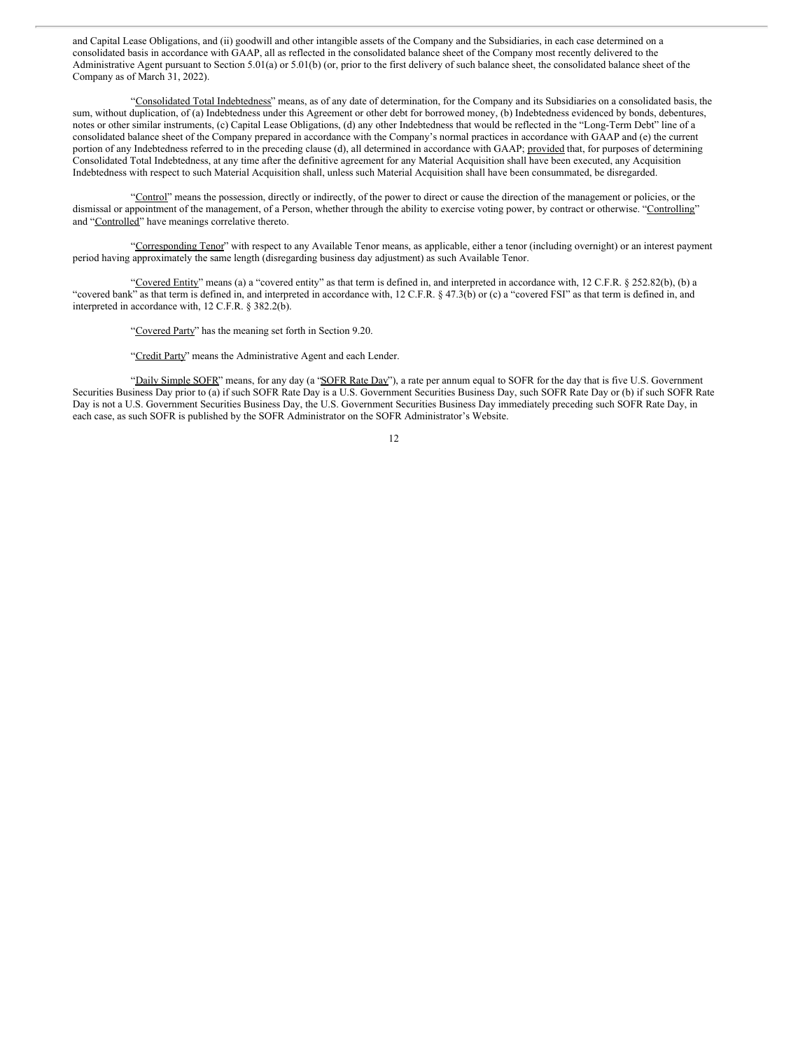and Capital Lease Obligations, and (ii) goodwill and other intangible assets of the Company and the Subsidiaries, in each case determined on a consolidated basis in accordance with GAAP, all as reflected in the consolidated balance sheet of the Company most recently delivered to the Administrative Agent pursuant to Section 5.01(a) or 5.01(b) (or, prior to the first delivery of such balance sheet, the consolidated balance sheet of the Company as of March 31, 2022).

"Consolidated Total Indebtedness" means, as of any date of determination, for the Company and its Subsidiaries on a consolidated basis, the sum, without duplication, of (a) Indebtedness under this Agreement or other debt for borrowed money, (b) Indebtedness evidenced by bonds, debentures, notes or other similar instruments, (c) Capital Lease Obligations, (d) any other Indebtedness that would be reflected in the "Long-Term Debt" line of a consolidated balance sheet of the Company prepared in accordance with the Company's normal practices in accordance with GAAP and (e) the current portion of any Indebtedness referred to in the preceding clause (d), all determined in accordance with GAAP; provided that, for purposes of determining Consolidated Total Indebtedness, at any time after the definitive agreement for any Material Acquisition shall have been executed, any Acquisition Indebtedness with respect to such Material Acquisition shall, unless such Material Acquisition shall have been consummated, be disregarded.

"Control" means the possession, directly or indirectly, of the power to direct or cause the direction of the management or policies, or the dismissal or appointment of the management, of a Person, whether through the ability to exercise voting power, by contract or otherwise. "Controlling" and "Controlled" have meanings correlative thereto.

"Corresponding Tenor" with respect to any Available Tenor means, as applicable, either a tenor (including overnight) or an interest payment period having approximately the same length (disregarding business day adjustment) as such Available Tenor.

"Covered Entity" means (a) a "covered entity" as that term is defined in, and interpreted in accordance with, 12 C.F.R. § 252.82(b), (b) a "covered bank" as that term is defined in, and interpreted in accordance with, 12 C.F.R. § 47.3(b) or (c) a "covered FSI" as that term is defined in, and interpreted in accordance with, 12 C.F.R. § 382.2(b).

"Covered Party" has the meaning set forth in Section 9.20.

"Credit Party" means the Administrative Agent and each Lender.

"Daily Simple SOFR" means, for any day (a "SOFR Rate Day"), a rate per annum equal to SOFR for the day that is five U.S. Government Securities Business Day prior to (a) if such SOFR Rate Day is a U.S. Government Securities Business Day, such SOFR Rate Day or (b) if such SOFR Rate Day is not a U.S. Government Securities Business Day, the U.S. Government Securities Business Day immediately preceding such SOFR Rate Day, in each case, as such SOFR is published by the SOFR Administrator on the SOFR Administrator's Website.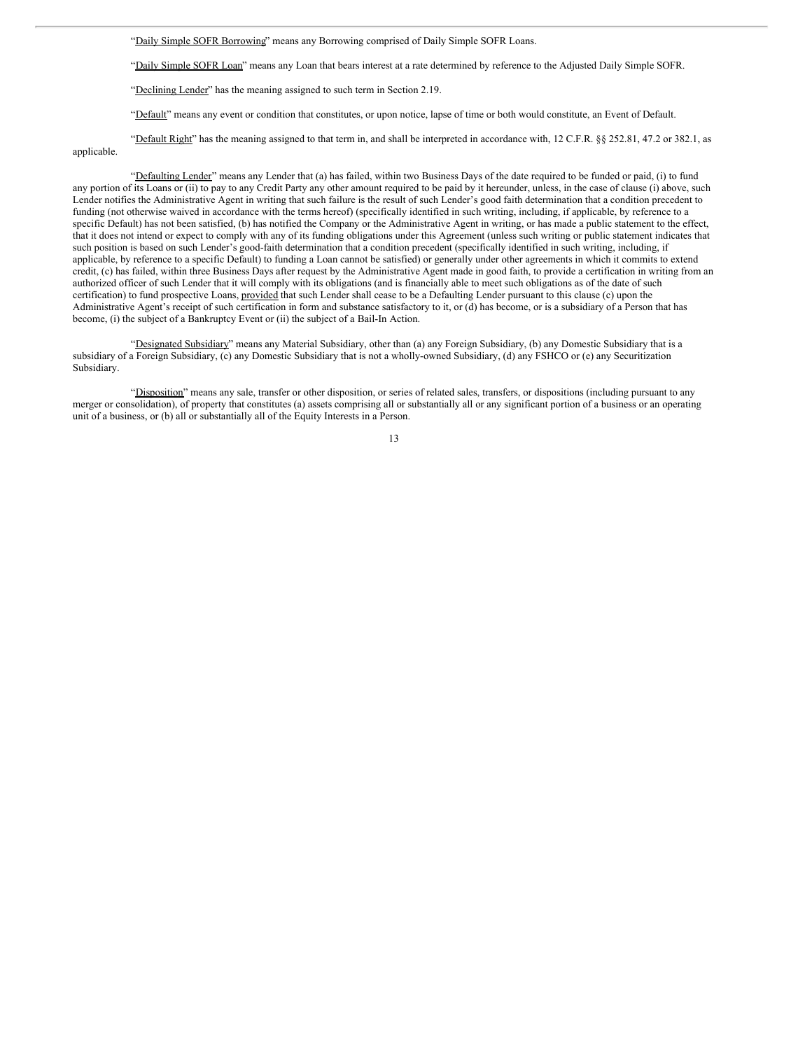"Daily Simple SOFR Borrowing" means any Borrowing comprised of Daily Simple SOFR Loans.

"Daily Simple SOFR Loan" means any Loan that bears interest at a rate determined by reference to the Adjusted Daily Simple SOFR.

"Declining Lender" has the meaning assigned to such term in Section 2.19.

"Default" means any event or condition that constitutes, or upon notice, lapse of time or both would constitute, an Event of Default.

"Default Right" has the meaning assigned to that term in, and shall be interpreted in accordance with, 12 C.F.R. §§ 252.81, 47.2 or 382.1, as applicable.

"Defaulting Lender" means any Lender that (a) has failed, within two Business Days of the date required to be funded or paid, (i) to fund any portion of its Loans or (ii) to pay to any Credit Party any other amount required to be paid by it hereunder, unless, in the case of clause (i) above, such Lender notifies the Administrative Agent in writing that such failure is the result of such Lender's good faith determination that a condition precedent to funding (not otherwise waived in accordance with the terms hereof) (specifically identified in such writing, including, if applicable, by reference to a specific Default) has not been satisfied, (b) has notified the Company or the Administrative Agent in writing, or has made a public statement to the effect, that it does not intend or expect to comply with any of its funding obligations under this Agreement (unless such writing or public statement indicates that such position is based on such Lender's good-faith determination that a condition precedent (specifically identified in such writing, including, if applicable, by reference to a specific Default) to funding a Loan cannot be satisfied) or generally under other agreements in which it commits to extend credit, (c) has failed, within three Business Days after request by the Administrative Agent made in good faith, to provide a certification in writing from an authorized officer of such Lender that it will comply with its obligations (and is financially able to meet such obligations as of the date of such certification) to fund prospective Loans, provided that such Lender shall cease to be a Defaulting Lender pursuant to this clause (c) upon the Administrative Agent's receipt of such certification in form and substance satisfactory to it, or (d) has become, or is a subsidiary of a Person that has become, (i) the subject of a Bankruptcy Event or (ii) the subject of a Bail-In Action.

"Designated Subsidiary" means any Material Subsidiary, other than (a) any Foreign Subsidiary, (b) any Domestic Subsidiary that is a subsidiary of a Foreign Subsidiary, (c) any Domestic Subsidiary that is not a wholly-owned Subsidiary, (d) any FSHCO or (e) any Securitization Subsidiary.

"Disposition" means any sale, transfer or other disposition, or series of related sales, transfers, or dispositions (including pursuant to any merger or consolidation), of property that constitutes (a) assets comprising all or substantially all or any significant portion of a business or an operating unit of a business, or (b) all or substantially all of the Equity Interests in a Person.

<sup>13</sup>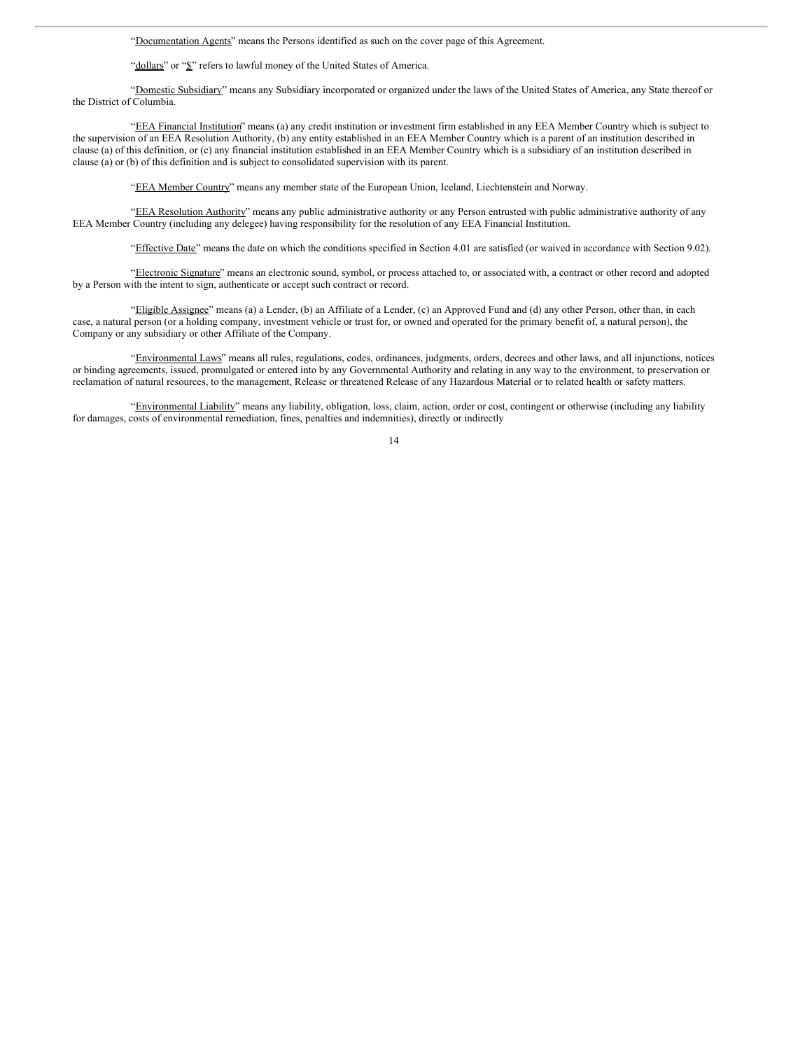"Documentation Agents" means the Persons identified as such on the cover page of this Agreement.

"dollars" or "\$" refers to lawful money of the United States of America.

"Domestic Subsidiary" means any Subsidiary incorporated or organized under the laws of the United States of America, any State thereof or the District of Columbia.

"EEA Financial Institution" means (a) any credit institution or investment firm established in any EEA Member Country which is subject to the supervision of an EEA Resolution Authority, (b) any entity established in an EEA Member Country which is a parent of an institution described in clause (a) of this definition, or (c) any financial institution established in an EEA Member Country which is a subsidiary of an institution described in clause (a) or (b) of this definition and is subject to consolidated supervision with its parent.

"EEA Member Country" means any member state of the European Union, Iceland, Liechtenstein and Norway.

"EEA Resolution Authority" means any public administrative authority or any Person entrusted with public administrative authority of any EEA Member Country (including any delegee) having responsibility for the resolution of any EEA Financial Institution.

"Effective Date" means the date on which the conditions specified in Section 4.01 are satisfied (or waived in accordance with Section 9.02).

"Electronic Signature" means an electronic sound, symbol, or process attached to, or associated with, a contract or other record and adopted by a Person with the intent to sign, authenticate or accept such contract or record.

"Eligible Assignee" means (a) a Lender, (b) an Affiliate of a Lender, (c) an Approved Fund and (d) any other Person, other than, in each case, a natural person (or a holding company, investment vehicle or trust for, or owned and operated for the primary benefit of, a natural person), the Company or any subsidiary or other Affiliate of the Company.

"Environmental Laws" means all rules, regulations, codes, ordinances, judgments, orders, decrees and other laws, and all injunctions, notices or binding agreements, issued, promulgated or entered into by any Governmental Authority and relating in any way to the environment, to preservation or reclamation of natural resources, to the management, Release or threatened Release of any Hazardous Material or to related health or safety matters.

"Environmental Liability" means any liability, obligation, loss, claim, action, order or cost, contingent or otherwise (including any liability for damages, costs of environmental remediation, fines, penalties and indemnities), directly or indirectly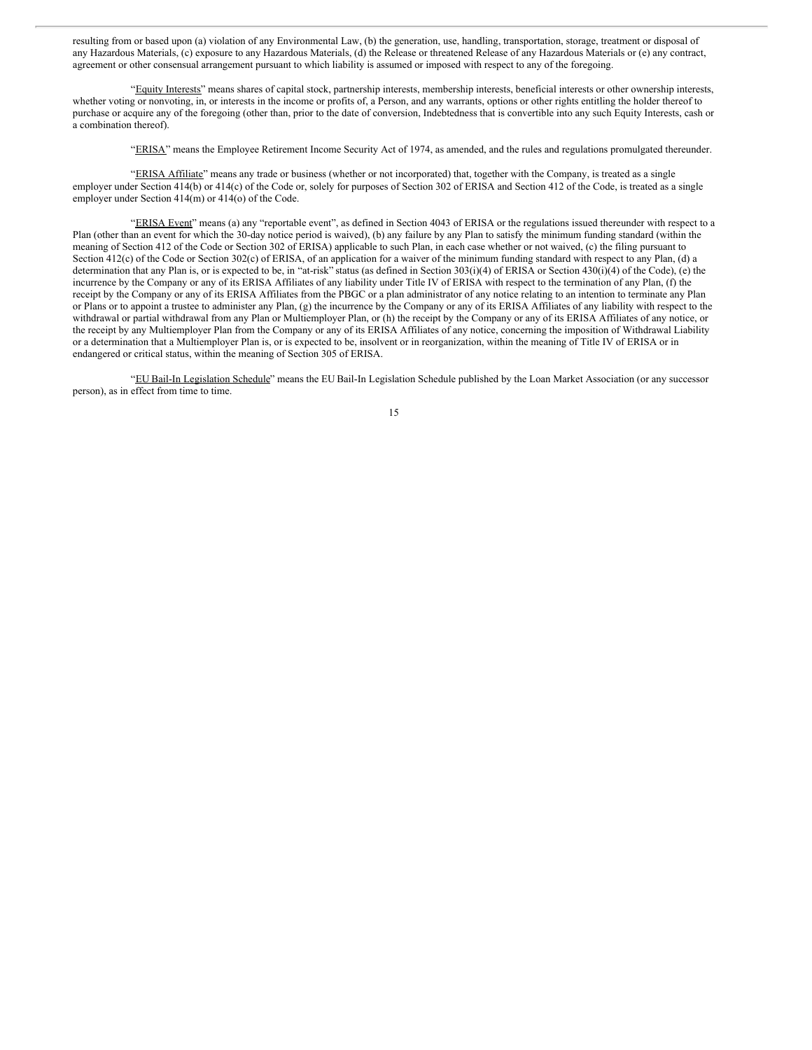resulting from or based upon (a) violation of any Environmental Law, (b) the generation, use, handling, transportation, storage, treatment or disposal of any Hazardous Materials, (c) exposure to any Hazardous Materials, (d) the Release or threatened Release of any Hazardous Materials or (e) any contract, agreement or other consensual arrangement pursuant to which liability is assumed or imposed with respect to any of the foregoing.

"Equity Interests" means shares of capital stock, partnership interests, membership interests, beneficial interests or other ownership interests, whether voting or nonvoting, in, or interests in the income or profits of, a Person, and any warrants, options or other rights entitling the holder thereof to purchase or acquire any of the foregoing (other than, prior to the date of conversion, Indebtedness that is convertible into any such Equity Interests, cash or a combination thereof).

"ERISA" means the Employee Retirement Income Security Act of 1974, as amended, and the rules and regulations promulgated thereunder.

"ERISA Affiliate" means any trade or business (whether or not incorporated) that, together with the Company, is treated as a single employer under Section 414(b) or 414(c) of the Code or, solely for purposes of Section 302 of ERISA and Section 412 of the Code, is treated as a single employer under Section 414(m) or 414(o) of the Code.

"ERISA Event" means (a) any "reportable event", as defined in Section 4043 of ERISA or the regulations issued thereunder with respect to a Plan (other than an event for which the 30-day notice period is waived), (b) any failure by any Plan to satisfy the minimum funding standard (within the meaning of Section 412 of the Code or Section 302 of ERISA) applicable to such Plan, in each case whether or not waived, (c) the filing pursuant to Section 412(c) of the Code or Section 302(c) of ERISA, of an application for a waiver of the minimum funding standard with respect to any Plan, (d) a determination that any Plan is, or is expected to be, in "at-risk" status (as defined in Section 303(i)(4) of ERISA or Section 430(i)(4) of the Code), (e) the incurrence by the Company or any of its ERISA Affiliates of any liability under Title IV of ERISA with respect to the termination of any Plan, (f) the receipt by the Company or any of its ERISA Affiliates from the PBGC or a plan administrator of any notice relating to an intention to terminate any Plan or Plans or to appoint a trustee to administer any Plan, (g) the incurrence by the Company or any of its ERISA Affiliates of any liability with respect to the withdrawal or partial withdrawal from any Plan or Multiemployer Plan, or (h) the receipt by the Company or any of its ERISA Affiliates of any notice, or the receipt by any Multiemployer Plan from the Company or any of its ERISA Affiliates of any notice, concerning the imposition of Withdrawal Liability or a determination that a Multiemployer Plan is, or is expected to be, insolvent or in reorganization, within the meaning of Title IV of ERISA or in endangered or critical status, within the meaning of Section 305 of ERISA.

"EU Bail-In Legislation Schedule" means the EU Bail-In Legislation Schedule published by the Loan Market Association (or any successor person), as in effect from time to time.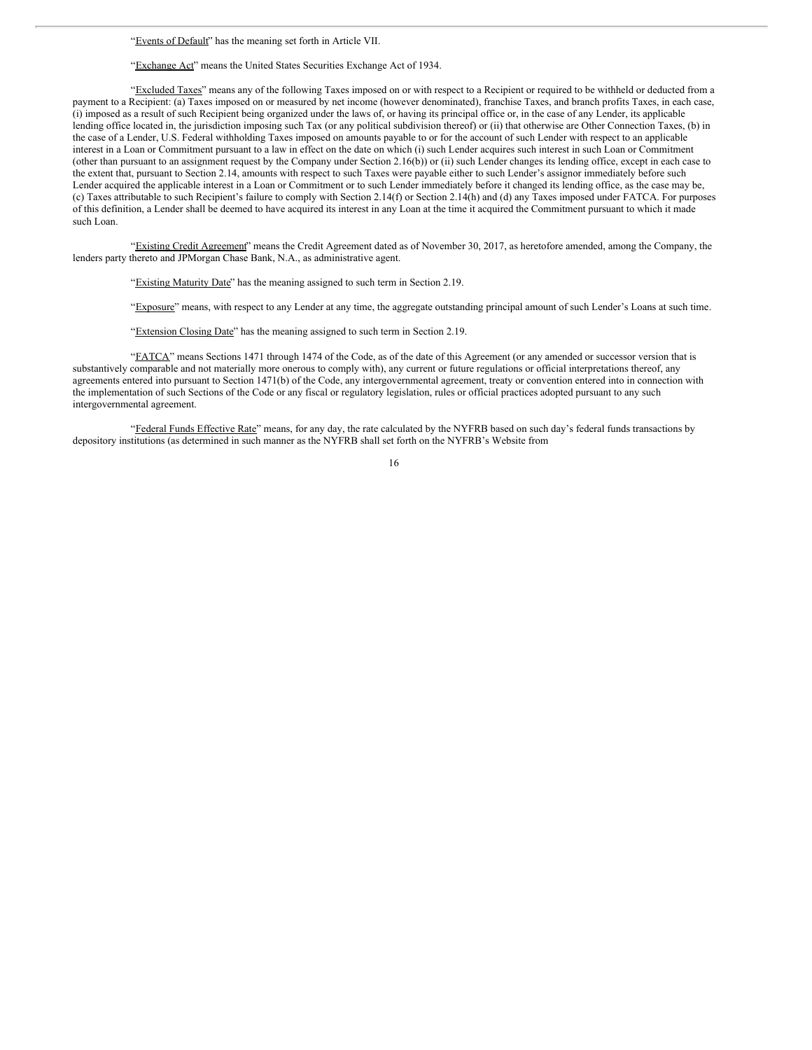### "Exchange Act" means the United States Securities Exchange Act of 1934.

"Excluded Taxes" means any of the following Taxes imposed on or with respect to a Recipient or required to be withheld or deducted from a payment to a Recipient: (a) Taxes imposed on or measured by net income (however denominated), franchise Taxes, and branch profits Taxes, in each case, (i) imposed as a result of such Recipient being organized under the laws of, or having its principal office or, in the case of any Lender, its applicable lending office located in, the jurisdiction imposing such Tax (or any political subdivision thereof) or (ii) that otherwise are Other Connection Taxes, (b) in the case of a Lender, U.S. Federal withholding Taxes imposed on amounts payable to or for the account of such Lender with respect to an applicable interest in a Loan or Commitment pursuant to a law in effect on the date on which (i) such Lender acquires such interest in such Loan or Commitment (other than pursuant to an assignment request by the Company under Section 2.16(b)) or (ii) such Lender changes its lending office, except in each case to the extent that, pursuant to Section 2.14, amounts with respect to such Taxes were payable either to such Lender's assignor immediately before such Lender acquired the applicable interest in a Loan or Commitment or to such Lender immediately before it changed its lending office, as the case may be, (c) Taxes attributable to such Recipient's failure to comply with Section 2.14(f) or Section 2.14(h) and (d) any Taxes imposed under FATCA. For purposes of this definition, a Lender shall be deemed to have acquired its interest in any Loan at the time it acquired the Commitment pursuant to which it made such Loan.

"Existing Credit Agreement" means the Credit Agreement dated as of November 30, 2017, as heretofore amended, among the Company, the lenders party thereto and JPMorgan Chase Bank, N.A., as administrative agent.

"Existing Maturity Date" has the meaning assigned to such term in Section 2.19.

"Exposure" means, with respect to any Lender at any time, the aggregate outstanding principal amount of such Lender's Loans at such time.

"Extension Closing Date" has the meaning assigned to such term in Section 2.19.

"FATCA" means Sections 1471 through 1474 of the Code, as of the date of this Agreement (or any amended or successor version that is substantively comparable and not materially more onerous to comply with), any current or future regulations or official interpretations thereof, any agreements entered into pursuant to Section 1471(b) of the Code, any intergovernmental agreement, treaty or convention entered into in connection with the implementation of such Sections of the Code or any fiscal or regulatory legislation, rules or official practices adopted pursuant to any such intergovernmental agreement.

"Federal Funds Effective Rate" means, for any day, the rate calculated by the NYFRB based on such day's federal funds transactions by depository institutions (as determined in such manner as the NYFRB shall set forth on the NYFRB's Website from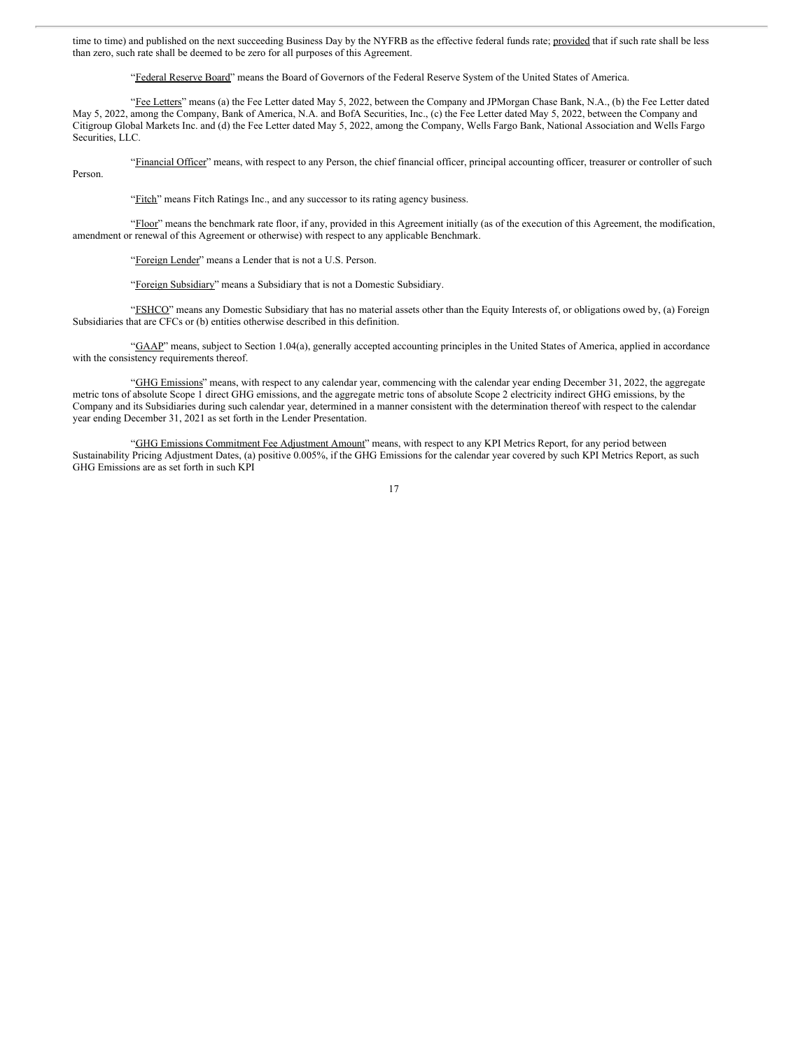time to time) and published on the next succeeding Business Day by the NYFRB as the effective federal funds rate; provided that if such rate shall be less than zero, such rate shall be deemed to be zero for all purposes of this Agreement.

"Federal Reserve Board" means the Board of Governors of the Federal Reserve System of the United States of America.

"Fee Letters" means (a) the Fee Letter dated May 5, 2022, between the Company and JPMorgan Chase Bank, N.A., (b) the Fee Letter dated May 5, 2022, among the Company, Bank of America, N.A. and BofA Securities, Inc., (c) the Fee Letter dated May 5, 2022, between the Company and Citigroup Global Markets Inc. and (d) the Fee Letter dated May 5, 2022, among the Company, Wells Fargo Bank, National Association and Wells Fargo Securities, LLC.

"Financial Officer" means, with respect to any Person, the chief financial officer, principal accounting officer, treasurer or controller of such Person.

"Fitch" means Fitch Ratings Inc., and any successor to its rating agency business.

"Floor" means the benchmark rate floor, if any, provided in this Agreement initially (as of the execution of this Agreement, the modification, amendment or renewal of this Agreement or otherwise) with respect to any applicable Benchmark.

"Foreign Lender" means a Lender that is not a U.S. Person.

"Foreign Subsidiary" means a Subsidiary that is not a Domestic Subsidiary.

"FSHCO" means any Domestic Subsidiary that has no material assets other than the Equity Interests of, or obligations owed by, (a) Foreign Subsidiaries that are CFCs or (b) entities otherwise described in this definition.

"GAAP" means, subject to Section 1.04(a), generally accepted accounting principles in the United States of America, applied in accordance with the consistency requirements thereof.

"GHG Emissions" means, with respect to any calendar year, commencing with the calendar year ending December 31, 2022, the aggregate metric tons of absolute Scope 1 direct GHG emissions, and the aggregate metric tons of absolute Scope 2 electricity indirect GHG emissions, by the Company and its Subsidiaries during such calendar year, determined in a manner consistent with the determination thereof with respect to the calendar year ending December 31, 2021 as set forth in the Lender Presentation.

"GHG Emissions Commitment Fee Adjustment Amount" means, with respect to any KPI Metrics Report, for any period between Sustainability Pricing Adjustment Dates, (a) positive 0.005%, if the GHG Emissions for the calendar year covered by such KPI Metrics Report, as such GHG Emissions are as set forth in such KPI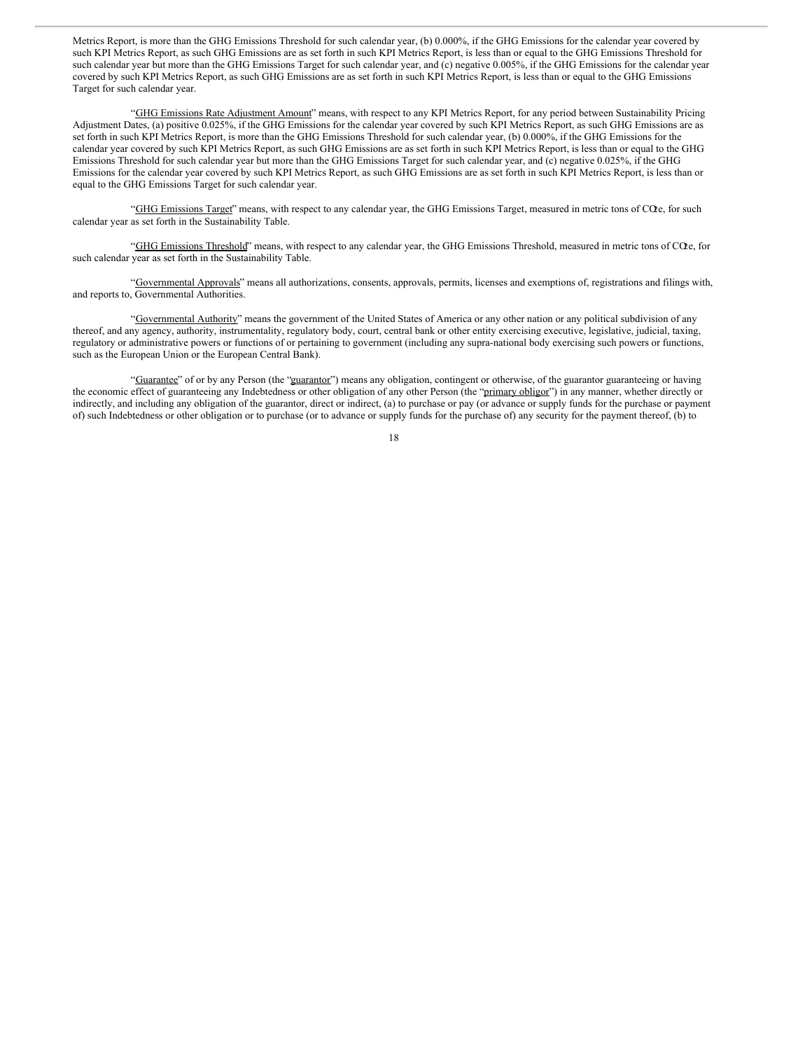Metrics Report, is more than the GHG Emissions Threshold for such calendar year, (b) 0.000%, if the GHG Emissions for the calendar year covered by such KPI Metrics Report, as such GHG Emissions are as set forth in such KPI Metrics Report, is less than or equal to the GHG Emissions Threshold for such calendar year but more than the GHG Emissions Target for such calendar year, and  $(c)$  negative 0.005%, if the GHG Emissions for the calendar year covered by such KPI Metrics Report, as such GHG Emissions are as set forth in such KPI Metrics Report, is less than or equal to the GHG Emissions Target for such calendar year.

"GHG Emissions Rate Adjustment Amount" means, with respect to any KPI Metrics Report, for any period between Sustainability Pricing Adjustment Dates, (a) positive 0.025%, if the GHG Emissions for the calendar year covered by such KPI Metrics Report, as such GHG Emissions are as set forth in such KPI Metrics Report, is more than the GHG Emissions Threshold for such calendar year, (b) 0.000%, if the GHG Emissions for the calendar year covered by such KPI Metrics Report, as such GHG Emissions are as set forth in such KPI Metrics Report, is less than or equal to the GHG Emissions Threshold for such calendar year but more than the GHG Emissions Target for such calendar year, and (c) negative 0.025%, if the GHG Emissions for the calendar year covered by such KPI Metrics Report, as such GHG Emissions are as set forth in such KPI Metrics Report, is less than or equal to the GHG Emissions Target for such calendar year.

"GHG Emissions Target" means, with respect to any calendar year, the GHG Emissions Target, measured in metric tons of COe, for such calendar year as set forth in the Sustainability Table.

"GHG Emissions Threshold" means, with respect to any calendar year, the GHG Emissions Threshold, measured in metric tons of CO<sub>2</sub>e, for such calendar year as set forth in the Sustainability Table.

"Governmental Approvals" means all authorizations, consents, approvals, permits, licenses and exemptions of, registrations and filings with, and reports to, Governmental Authorities.

"Governmental Authority" means the government of the United States of America or any other nation or any political subdivision of any thereof, and any agency, authority, instrumentality, regulatory body, court, central bank or other entity exercising executive, legislative, judicial, taxing, regulatory or administrative powers or functions of or pertaining to government (including any supra-national body exercising such powers or functions, such as the European Union or the European Central Bank).

"Guarantee" of or by any Person (the "guarantor") means any obligation, contingent or otherwise, of the guarantor guaranteeing or having the economic effect of guaranteeing any Indebtedness or other obligation of any other Person (the "primary obligor") in any manner, whether directly or indirectly, and including any obligation of the guarantor, direct or indirect, (a) to purchase or pay (or advance or supply funds for the purchase or payment of) such Indebtedness or other obligation or to purchase (or to advance or supply funds for the purchase of) any security for the payment thereof, (b) to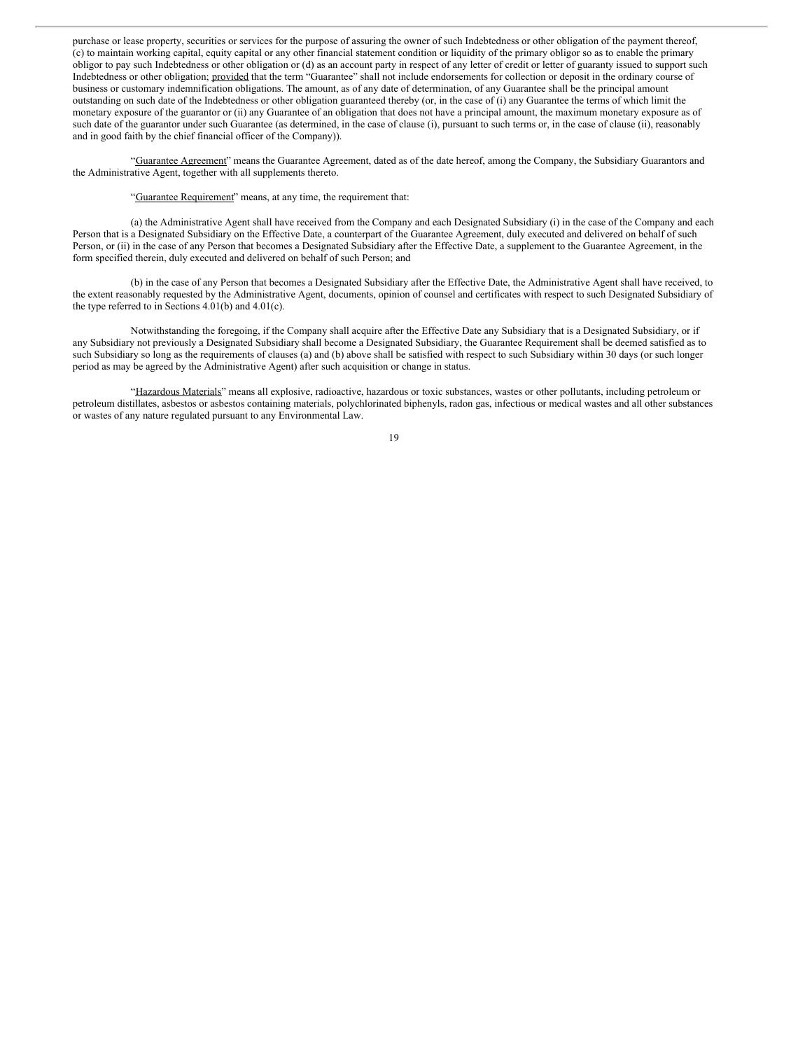purchase or lease property, securities or services for the purpose of assuring the owner of such Indebtedness or other obligation of the payment thereof, (c) to maintain working capital, equity capital or any other financial statement condition or liquidity of the primary obligor so as to enable the primary obligor to pay such Indebtedness or other obligation or (d) as an account party in respect of any letter of credit or letter of guaranty issued to support such Indebtedness or other obligation; provided that the term "Guarantee" shall not include endorsements for collection or deposit in the ordinary course of business or customary indemnification obligations. The amount, as of any date of determination, of any Guarantee shall be the principal amount outstanding on such date of the Indebtedness or other obligation guaranteed thereby (or, in the case of (i) any Guarantee the terms of which limit the monetary exposure of the guarantor or (ii) any Guarantee of an obligation that does not have a principal amount, the maximum monetary exposure as of such date of the guarantor under such Guarantee (as determined, in the case of clause (i), pursuant to such terms or, in the case of clause (ii), reasonably and in good faith by the chief financial officer of the Company)).

"Guarantee Agreement" means the Guarantee Agreement, dated as of the date hereof, among the Company, the Subsidiary Guarantors and the Administrative Agent, together with all supplements thereto.

### "Guarantee Requirement" means, at any time, the requirement that:

(a) the Administrative Agent shall have received from the Company and each Designated Subsidiary (i) in the case of the Company and each Person that is a Designated Subsidiary on the Effective Date, a counterpart of the Guarantee Agreement, duly executed and delivered on behalf of such Person, or (ii) in the case of any Person that becomes a Designated Subsidiary after the Effective Date, a supplement to the Guarantee Agreement, in the form specified therein, duly executed and delivered on behalf of such Person; and

(b) in the case of any Person that becomes a Designated Subsidiary after the Effective Date, the Administrative Agent shall have received, to the extent reasonably requested by the Administrative Agent, documents, opinion of counsel and certificates with respect to such Designated Subsidiary of the type referred to in Sections 4.01(b) and 4.01(c).

Notwithstanding the foregoing, if the Company shall acquire after the Effective Date any Subsidiary that is a Designated Subsidiary, or if any Subsidiary not previously a Designated Subsidiary shall become a Designated Subsidiary, the Guarantee Requirement shall be deemed satisfied as to such Subsidiary so long as the requirements of clauses (a) and (b) above shall be satisfied with respect to such Subsidiary within 30 days (or such longer period as may be agreed by the Administrative Agent) after such acquisition or change in status.

"Hazardous Materials" means all explosive, radioactive, hazardous or toxic substances, wastes or other pollutants, including petroleum or petroleum distillates, asbestos or asbestos containing materials, polychlorinated biphenyls, radon gas, infectious or medical wastes and all other substances or wastes of any nature regulated pursuant to any Environmental Law.

<sup>19</sup>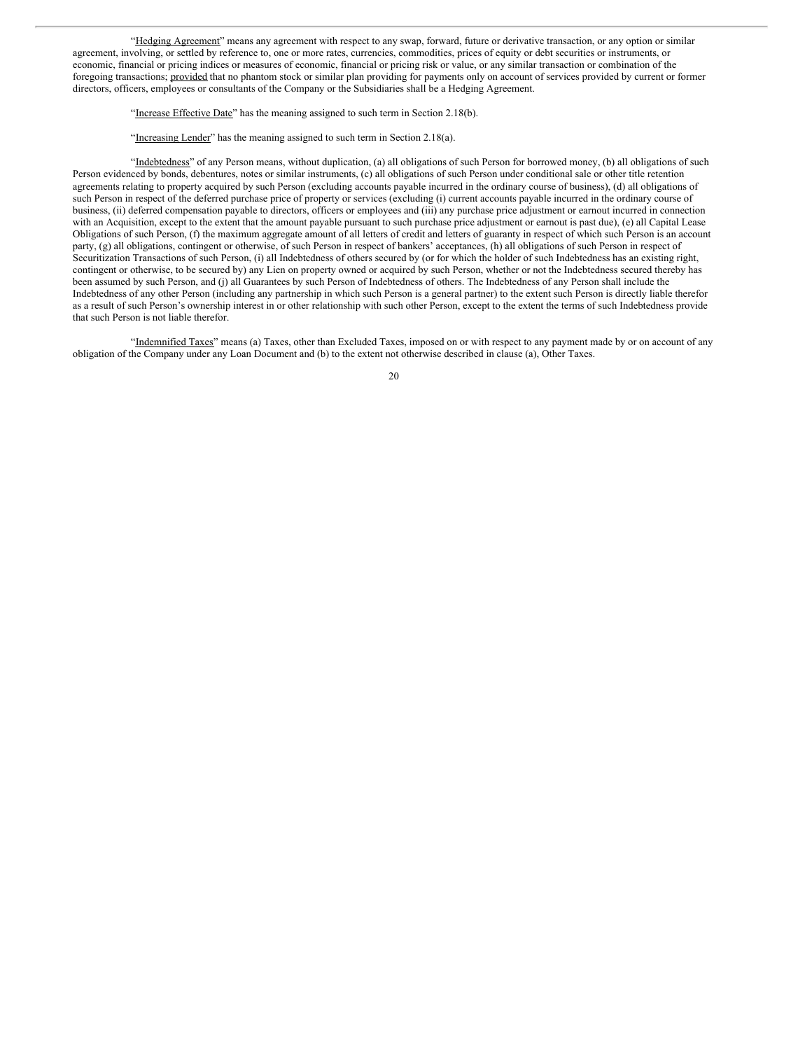"Hedging Agreement" means any agreement with respect to any swap, forward, future or derivative transaction, or any option or similar agreement, involving, or settled by reference to, one or more rates, currencies, commodities, prices of equity or debt securities or instruments, or economic, financial or pricing indices or measures of economic, financial or pricing risk or value, or any similar transaction or combination of the foregoing transactions; provided that no phantom stock or similar plan providing for payments only on account of services provided by current or former directors, officers, employees or consultants of the Company or the Subsidiaries shall be a Hedging Agreement.

"Increase Effective Date" has the meaning assigned to such term in Section 2.18(b).

"Increasing Lender" has the meaning assigned to such term in Section 2.18(a).

"Indebtedness" of any Person means, without duplication, (a) all obligations of such Person for borrowed money, (b) all obligations of such Person evidenced by bonds, debentures, notes or similar instruments, (c) all obligations of such Person under conditional sale or other title retention agreements relating to property acquired by such Person (excluding accounts payable incurred in the ordinary course of business), (d) all obligations of such Person in respect of the deferred purchase price of property or services (excluding (i) current accounts payable incurred in the ordinary course of business, (ii) deferred compensation payable to directors, officers or employees and (iii) any purchase price adjustment or earnout incurred in connection with an Acquisition, except to the extent that the amount payable pursuant to such purchase price adjustment or earnout is past due), (e) all Capital Lease Obligations of such Person, (f) the maximum aggregate amount of all letters of credit and letters of guaranty in respect of which such Person is an account party, (g) all obligations, contingent or otherwise, of such Person in respect of bankers' acceptances, (h) all obligations of such Person in respect of Securitization Transactions of such Person, (i) all Indebtedness of others secured by (or for which the holder of such Indebtedness has an existing right, contingent or otherwise, to be secured by) any Lien on property owned or acquired by such Person, whether or not the Indebtedness secured thereby has been assumed by such Person, and (j) all Guarantees by such Person of Indebtedness of others. The Indebtedness of any Person shall include the Indebtedness of any other Person (including any partnership in which such Person is a general partner) to the extent such Person is directly liable therefor as a result of such Person's ownership interest in or other relationship with such other Person, except to the extent the terms of such Indebtedness provide that such Person is not liable therefor.

"Indemnified Taxes" means (a) Taxes, other than Excluded Taxes, imposed on or with respect to any payment made by or on account of any obligation of the Company under any Loan Document and (b) to the extent not otherwise described in clause (a), Other Taxes.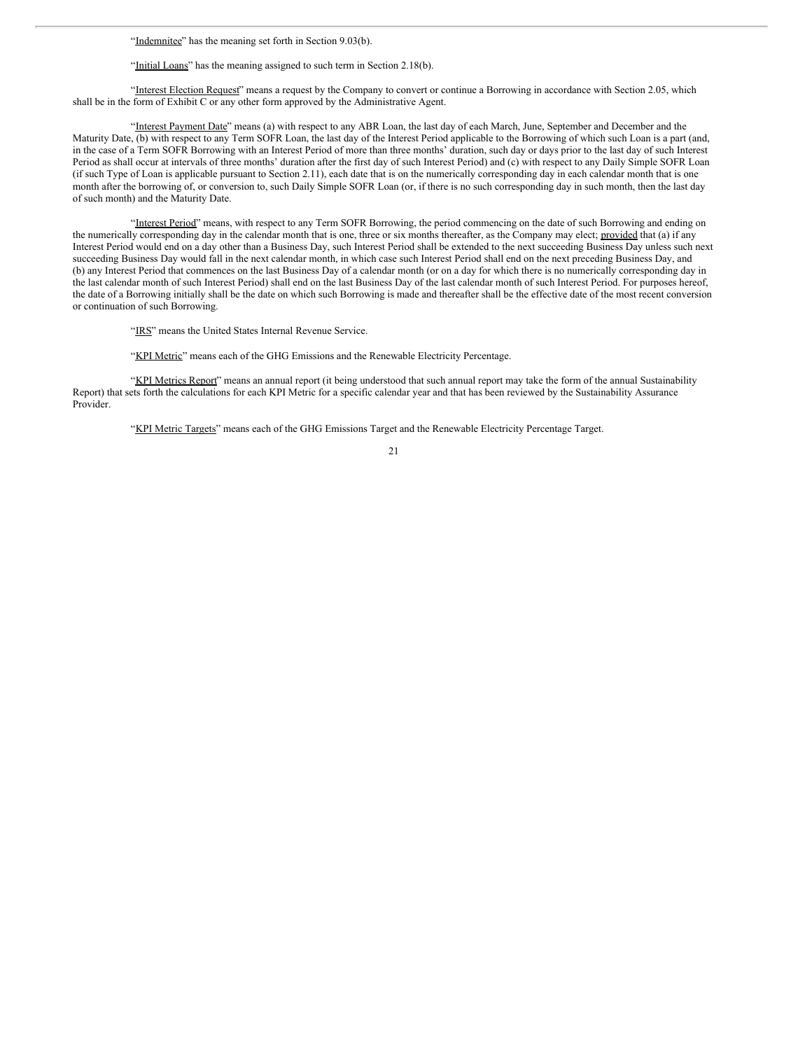"Indemnitee" has the meaning set forth in Section 9.03(b).

"Initial Loans" has the meaning assigned to such term in Section 2.18(b).

"Interest Election Request" means a request by the Company to convert or continue a Borrowing in accordance with Section 2.05, which shall be in the form of Exhibit C or any other form approved by the Administrative Agent.

"Interest Payment Date" means (a) with respect to any ABR Loan, the last day of each March, June, September and December and the Maturity Date, (b) with respect to any Term SOFR Loan, the last day of the Interest Period applicable to the Borrowing of which such Loan is a part (and, in the case of a Term SOFR Borrowing with an Interest Period of more than three months' duration, such day or days prior to the last day of such Interest Period as shall occur at intervals of three months' duration after the first day of such Interest Period) and (c) with respect to any Daily Simple SOFR Loan (if such Type of Loan is applicable pursuant to Section 2.11), each date that is on the numerically corresponding day in each calendar month that is one month after the borrowing of, or conversion to, such Daily Simple SOFR Loan (or, if there is no such corresponding day in such month, then the last day of such month) and the Maturity Date.

"Interest Period" means, with respect to any Term SOFR Borrowing, the period commencing on the date of such Borrowing and ending on the numerically corresponding day in the calendar month that is one, three or six months thereafter, as the Company may elect; provided that (a) if any Interest Period would end on a day other than a Business Day, such Interest Period shall be extended to the next succeeding Business Day unless such next succeeding Business Day would fall in the next calendar month, in which case such Interest Period shall end on the next preceding Business Day, and (b) any Interest Period that commences on the last Business Day of a calendar month (or on a day for which there is no numerically corresponding day in the last calendar month of such Interest Period) shall end on the last Business Day of the last calendar month of such Interest Period. For purposes hereof, the date of a Borrowing initially shall be the date on which such Borrowing is made and thereafter shall be the effective date of the most recent conversion or continuation of such Borrowing.

"IRS" means the United States Internal Revenue Service.

"KPI Metric" means each of the GHG Emissions and the Renewable Electricity Percentage.

"KPI Metrics Report" means an annual report (it being understood that such annual report may take the form of the annual Sustainability Report) that sets forth the calculations for each KPI Metric for a specific calendar year and that has been reviewed by the Sustainability Assurance Provider.

"KPI Metric Targets" means each of the GHG Emissions Target and the Renewable Electricity Percentage Target.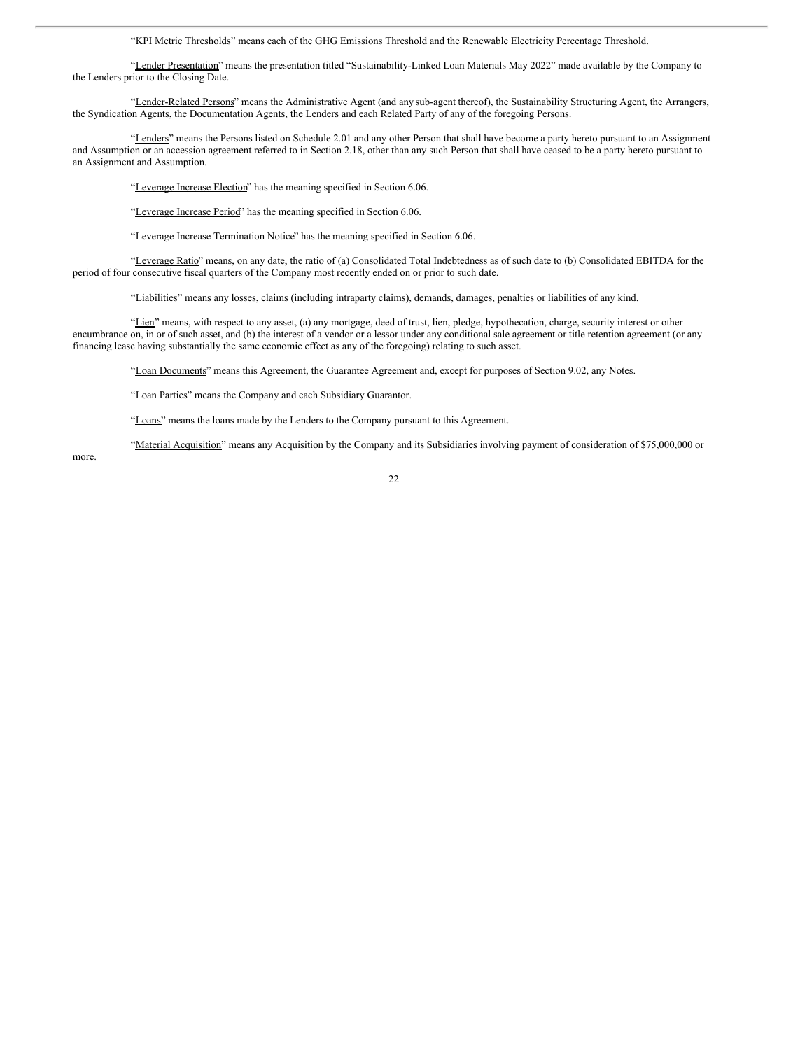"KPI Metric Thresholds" means each of the GHG Emissions Threshold and the Renewable Electricity Percentage Threshold.

"Lender Presentation" means the presentation titled "Sustainability-Linked Loan Materials May 2022" made available by the Company to the Lenders prior to the Closing Date.

"Lender-Related Persons" means the Administrative Agent (and any sub-agent thereof), the Sustainability Structuring Agent, the Arrangers, the Syndication Agents, the Documentation Agents, the Lenders and each Related Party of any of the foregoing Persons.

"Lenders" means the Persons listed on Schedule 2.01 and any other Person that shall have become a party hereto pursuant to an Assignment and Assumption or an accession agreement referred to in Section 2.18, other than any such Person that shall have ceased to be a party hereto pursuant to an Assignment and Assumption.

"Leverage Increase Election" has the meaning specified in Section 6.06.

"Leverage Increase Period" has the meaning specified in Section 6.06.

"Leverage Increase Termination Notice" has the meaning specified in Section 6.06.

"Leverage Ratio" means, on any date, the ratio of (a) Consolidated Total Indebtedness as of such date to (b) Consolidated EBITDA for the period of four consecutive fiscal quarters of the Company most recently ended on or prior to such date.

"Liabilities" means any losses, claims (including intraparty claims), demands, damages, penalties or liabilities of any kind.

"Lien" means, with respect to any asset, (a) any mortgage, deed of trust, lien, pledge, hypothecation, charge, security interest or other encumbrance on, in or of such asset, and (b) the interest of a vendor or a lessor under any conditional sale agreement or title retention agreement (or any financing lease having substantially the same economic effect as any of the foregoing) relating to such asset.

"Loan Documents" means this Agreement, the Guarantee Agreement and, except for purposes of Section 9.02, any Notes.

"Loan Parties" means the Company and each Subsidiary Guarantor.

"Loans" means the loans made by the Lenders to the Company pursuant to this Agreement.

"Material Acquisition" means any Acquisition by the Company and its Subsidiaries involving payment of consideration of \$75,000,000 or

more.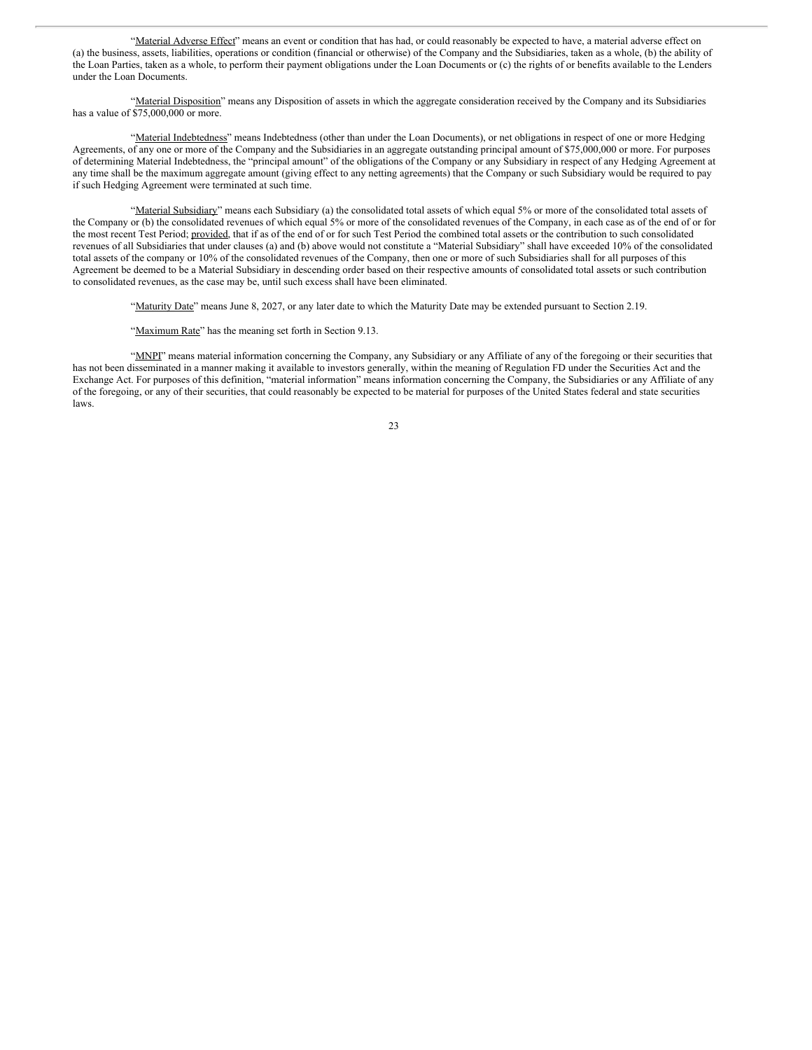"Material Adverse Effect" means an event or condition that has had, or could reasonably be expected to have, a material adverse effect on (a) the business, assets, liabilities, operations or condition (financial or otherwise) of the Company and the Subsidiaries, taken as a whole, (b) the ability of the Loan Parties, taken as a whole, to perform their payment obligations under the Loan Documents or (c) the rights of or benefits available to the Lenders under the Loan Documents.

"Material Disposition" means any Disposition of assets in which the aggregate consideration received by the Company and its Subsidiaries has a value of \$75,000,000 or more.

"Material Indebtedness" means Indebtedness (other than under the Loan Documents), or net obligations in respect of one or more Hedging Agreements, of any one or more of the Company and the Subsidiaries in an aggregate outstanding principal amount of \$75,000,000 or more. For purposes of determining Material Indebtedness, the "principal amount" of the obligations of the Company or any Subsidiary in respect of any Hedging Agreement at any time shall be the maximum aggregate amount (giving effect to any netting agreements) that the Company or such Subsidiary would be required to pay if such Hedging Agreement were terminated at such time.

"Material Subsidiary" means each Subsidiary (a) the consolidated total assets of which equal 5% or more of the consolidated total assets of the Company or (b) the consolidated revenues of which equal 5% or more of the consolidated revenues of the Company, in each case as of the end of or for the most recent Test Period; provided, that if as of the end of or for such Test Period the combined total assets or the contribution to such consolidated revenues of all Subsidiaries that under clauses (a) and (b) above would not constitute a "Material Subsidiary" shall have exceeded 10% of the consolidated total assets of the company or 10% of the consolidated revenues of the Company, then one or more of such Subsidiaries shall for all purposes of this Agreement be deemed to be a Material Subsidiary in descending order based on their respective amounts of consolidated total assets or such contribution to consolidated revenues, as the case may be, until such excess shall have been eliminated.

"Maturity Date" means June 8, 2027, or any later date to which the Maturity Date may be extended pursuant to Section 2.19.

"Maximum Rate" has the meaning set forth in Section 9.13.

"MNPI" means material information concerning the Company, any Subsidiary or any Affiliate of any of the foregoing or their securities that has not been disseminated in a manner making it available to investors generally, within the meaning of Regulation FD under the Securities Act and the Exchange Act. For purposes of this definition, "material information" means information concerning the Company, the Subsidiaries or any Affiliate of any of the foregoing, or any of their securities, that could reasonably be expected to be material for purposes of the United States federal and state securities laws.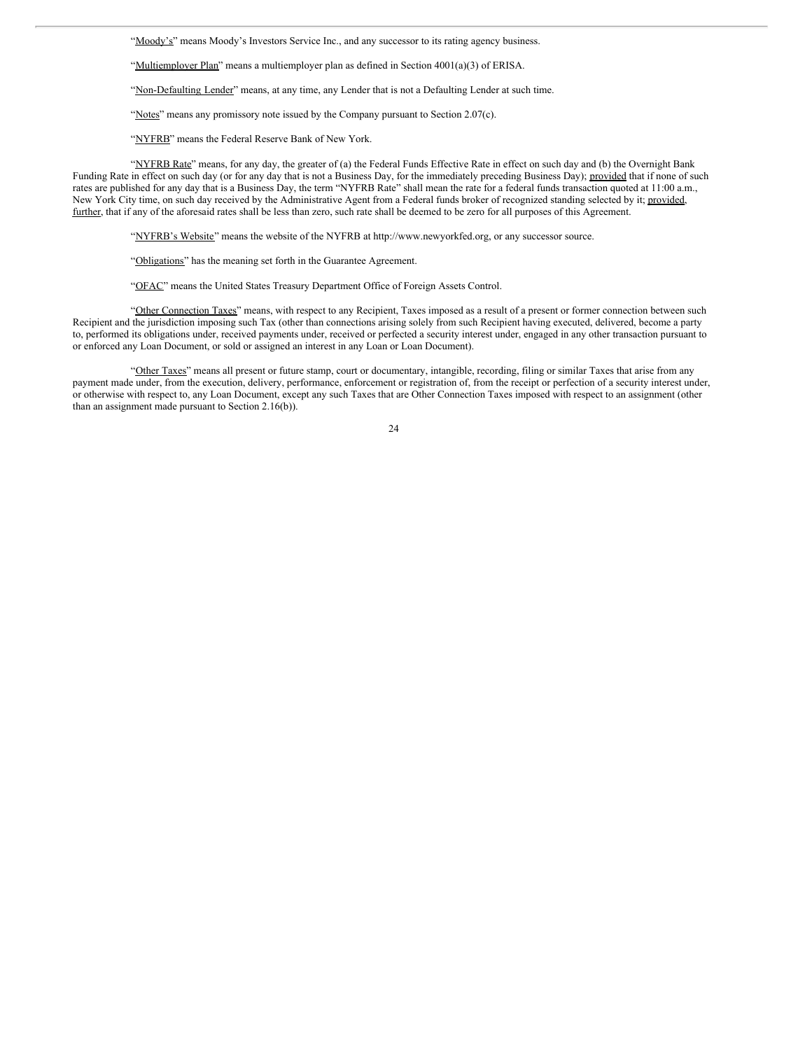"Moody's" means Moody's Investors Service Inc., and any successor to its rating agency business.

"Multiemployer Plan" means a multiemployer plan as defined in Section 4001(a)(3) of ERISA.

"Non-Defaulting Lender" means, at any time, any Lender that is not a Defaulting Lender at such time.

"Notes" means any promissory note issued by the Company pursuant to Section 2.07(c).

"NYFRB" means the Federal Reserve Bank of New York.

"NYFRB Rate" means, for any day, the greater of (a) the Federal Funds Effective Rate in effect on such day and (b) the Overnight Bank Funding Rate in effect on such day (or for any day that is not a Business Day, for the immediately preceding Business Day); provided that if none of such rates are published for any day that is a Business Day, the term "NYFRB Rate" shall mean the rate for a federal funds transaction quoted at 11:00 a.m., New York City time, on such day received by the Administrative Agent from a Federal funds broker of recognized standing selected by it; provided, further, that if any of the aforesaid rates shall be less than zero, such rate shall be deemed to be zero for all purposes of this Agreement.

"NYFRB's Website" means the website of the NYFRB at http://www.newyorkfed.org, or any successor source.

"Obligations" has the meaning set forth in the Guarantee Agreement.

"OFAC" means the United States Treasury Department Office of Foreign Assets Control.

"Other Connection Taxes" means, with respect to any Recipient, Taxes imposed as a result of a present or former connection between such Recipient and the jurisdiction imposing such Tax (other than connections arising solely from such Recipient having executed, delivered, become a party to, performed its obligations under, received payments under, received or perfected a security interest under, engaged in any other transaction pursuant to or enforced any Loan Document, or sold or assigned an interest in any Loan or Loan Document).

"Other Taxes" means all present or future stamp, court or documentary, intangible, recording, filing or similar Taxes that arise from any payment made under, from the execution, delivery, performance, enforcement or registration of, from the receipt or perfection of a security interest under, or otherwise with respect to, any Loan Document, except any such Taxes that are Other Connection Taxes imposed with respect to an assignment (other than an assignment made pursuant to Section 2.16(b)).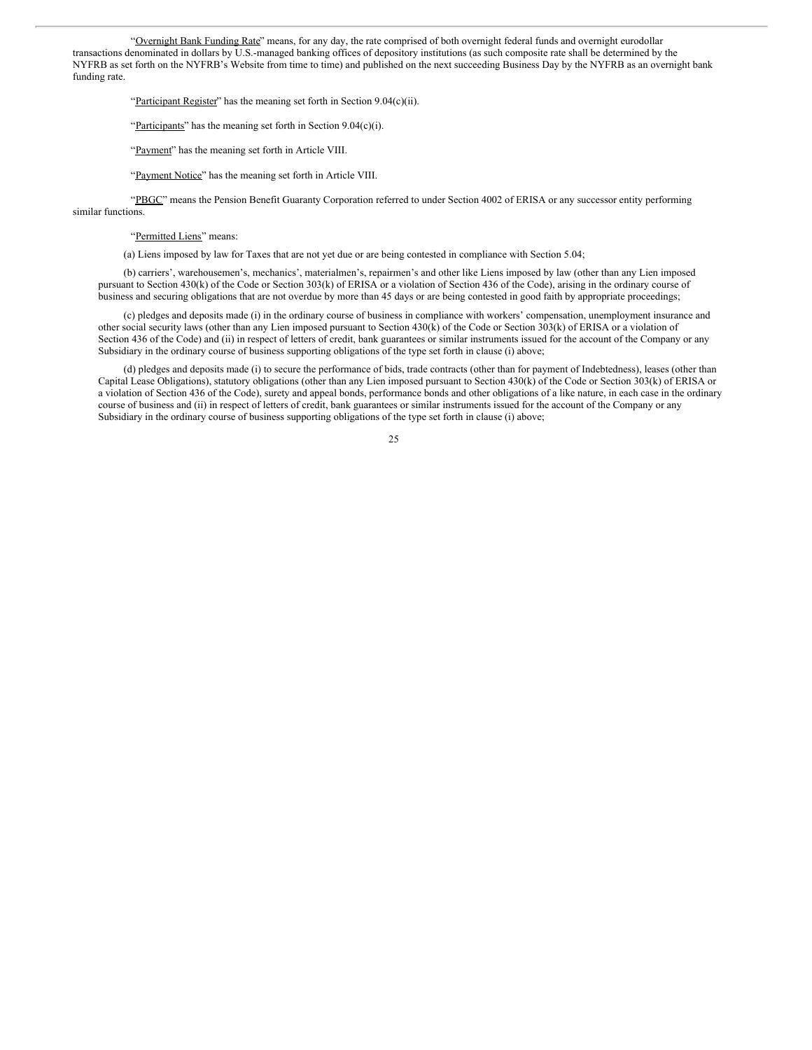"Overnight Bank Funding Rate" means, for any day, the rate comprised of both overnight federal funds and overnight eurodollar transactions denominated in dollars by U.S.-managed banking offices of depository institutions (as such composite rate shall be determined by the NYFRB as set forth on the NYFRB's Website from time to time) and published on the next succeeding Business Day by the NYFRB as an overnight bank funding rate.

"Participant Register" has the meaning set forth in Section 9.04(c)(ii).

"Participants" has the meaning set forth in Section  $9.04(c)(i)$ .

"Payment" has the meaning set forth in Article VIII.

"Payment Notice" has the meaning set forth in Article VIII.

"PBGC" means the Pension Benefit Guaranty Corporation referred to under Section 4002 of ERISA or any successor entity performing similar functions.

"Permitted Liens" means:

(a) Liens imposed by law for Taxes that are not yet due or are being contested in compliance with Section 5.04;

(b) carriers', warehousemen's, mechanics', materialmen's, repairmen's and other like Liens imposed by law (other than any Lien imposed pursuant to Section 430(k) of the Code or Section 303(k) of ERISA or a violation of Section 436 of the Code), arising in the ordinary course of business and securing obligations that are not overdue by more than 45 days or are being contested in good faith by appropriate proceedings;

(c) pledges and deposits made (i) in the ordinary course of business in compliance with workers' compensation, unemployment insurance and other social security laws (other than any Lien imposed pursuant to Section 430(k) of the Code or Section 303(k) of ERISA or a violation of Section 436 of the Code) and (ii) in respect of letters of credit, bank guarantees or similar instruments issued for the account of the Company or any Subsidiary in the ordinary course of business supporting obligations of the type set forth in clause (i) above;

(d) pledges and deposits made (i) to secure the performance of bids, trade contracts (other than for payment of Indebtedness), leases (other than Capital Lease Obligations), statutory obligations (other than any Lien imposed pursuant to Section 430(k) of the Code or Section 303(k) of ERISA or a violation of Section 436 of the Code), surety and appeal bonds, performance bonds and other obligations of a like nature, in each case in the ordinary course of business and (ii) in respect of letters of credit, bank guarantees or similar instruments issued for the account of the Company or any Subsidiary in the ordinary course of business supporting obligations of the type set forth in clause (i) above;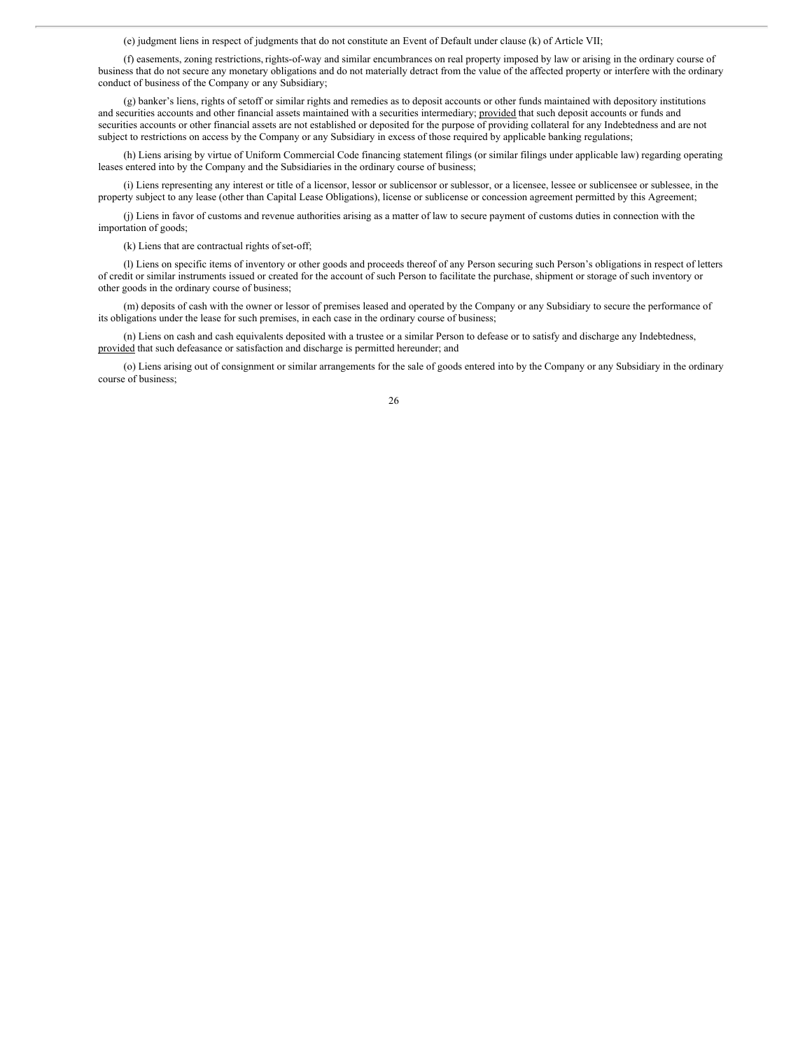(e) judgment liens in respect of judgments that do not constitute an Event of Default under clause (k) of Article VII;

(f) easements, zoning restrictions, rights-of-way and similar encumbrances on real property imposed by law or arising in the ordinary course of business that do not secure any monetary obligations and do not materially detract from the value of the affected property or interfere with the ordinary conduct of business of the Company or any Subsidiary;

(g) banker's liens, rights of setoff or similar rights and remedies as to deposit accounts or other funds maintained with depository institutions and securities accounts and other financial assets maintained with a securities intermediary; provided that such deposit accounts or funds and securities accounts or other financial assets are not established or deposited for the purpose of providing collateral for any Indebtedness and are not subject to restrictions on access by the Company or any Subsidiary in excess of those required by applicable banking regulations;

(h) Liens arising by virtue of Uniform Commercial Code financing statement filings (or similar filings under applicable law) regarding operating leases entered into by the Company and the Subsidiaries in the ordinary course of business;

(i) Liens representing any interest or title of a licensor, lessor or sublicensor or sublessor, or a licensee, lessee or sublicensee or sublessee, in the property subject to any lease (other than Capital Lease Obligations), license or sublicense or concession agreement permitted by this Agreement;

(j) Liens in favor of customs and revenue authorities arising as a matter of law to secure payment of customs duties in connection with the importation of goods;

(k) Liens that are contractual rights ofset-off;

(l) Liens on specific items of inventory or other goods and proceeds thereof of any Person securing such Person's obligations in respect of letters of credit or similar instruments issued or created for the account of such Person to facilitate the purchase, shipment or storage of such inventory or other goods in the ordinary course of business;

(m) deposits of cash with the owner or lessor of premises leased and operated by the Company or any Subsidiary to secure the performance of its obligations under the lease for such premises, in each case in the ordinary course of business;

(n) Liens on cash and cash equivalents deposited with a trustee or a similar Person to defease or to satisfy and discharge any Indebtedness, provided that such defeasance or satisfaction and discharge is permitted hereunder; and

(o) Liens arising out of consignment or similar arrangements for the sale of goods entered into by the Company or any Subsidiary in the ordinary course of business;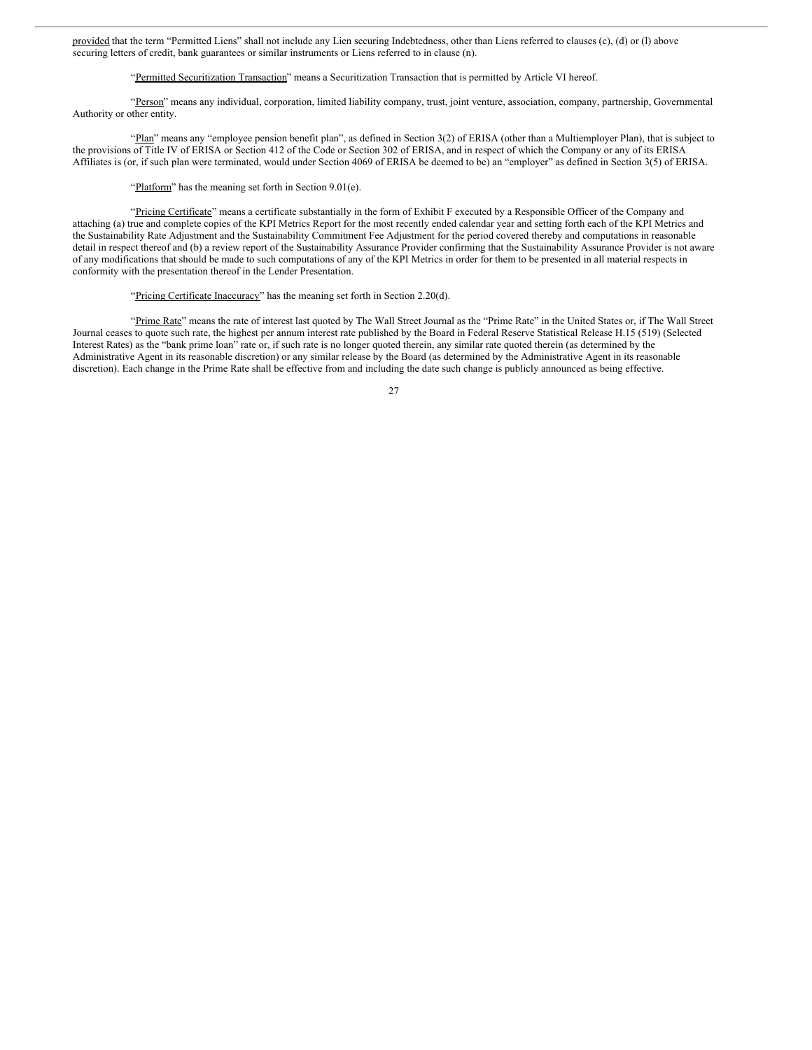provided that the term "Permitted Liens" shall not include any Lien securing Indebtedness, other than Liens referred to clauses (c), (d) or (l) above securing letters of credit, bank guarantees or similar instruments or Liens referred to in clause (n).

### "Permitted Securitization Transaction" means a Securitization Transaction that is permitted by Article VI hereof.

"Person" means any individual, corporation, limited liability company, trust, joint venture, association, company, partnership, Governmental Authority or other entity.

"Plan" means any "employee pension benefit plan", as defined in Section 3(2) of ERISA (other than a Multiemployer Plan), that is subject to the provisions of Title IV of ERISA or Section 412 of the Code or Section 302 of ERISA, and in respect of which the Company or any of its ERISA Affiliates is (or, if such plan were terminated, would under Section 4069 of ERISA be deemed to be) an "employer" as defined in Section 3(5) of ERISA.

"Platform" has the meaning set forth in Section 9.01(e).

"Pricing Certificate" means a certificate substantially in the form of Exhibit F executed by a Responsible Officer of the Company and attaching (a) true and complete copies of the KPI Metrics Report for the most recently ended calendar year and setting forth each of the KPI Metrics and the Sustainability Rate Adjustment and the Sustainability Commitment Fee Adjustment for the period covered thereby and computations in reasonable detail in respect thereof and (b) a review report of the Sustainability Assurance Provider confirming that the Sustainability Assurance Provider is not aware of any modifications that should be made to such computations of any of the KPI Metrics in order for them to be presented in all material respects in conformity with the presentation thereof in the Lender Presentation.

#### "Pricing Certificate Inaccuracy" has the meaning set forth in Section 2.20(d).

"Prime Rate" means the rate of interest last quoted by The Wall Street Journal as the "Prime Rate" in the United States or, if The Wall Street Journal ceases to quote such rate, the highest per annum interest rate published by the Board in Federal Reserve Statistical Release H.15 (519) (Selected Interest Rates) as the "bank prime loan" rate or, if such rate is no longer quoted therein, any similar rate quoted therein (as determined by the Administrative Agent in its reasonable discretion) or any similar release by the Board (as determined by the Administrative Agent in its reasonable discretion). Each change in the Prime Rate shall be effective from and including the date such change is publicly announced as being effective.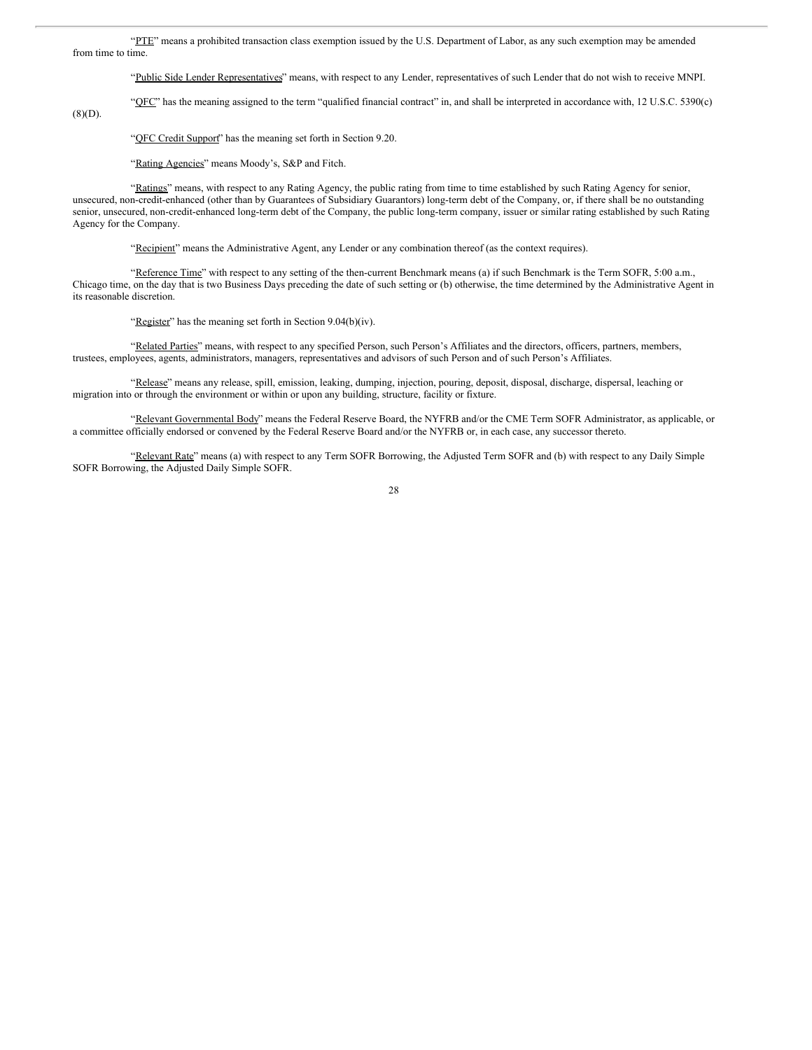"PTE" means a prohibited transaction class exemption issued by the U.S. Department of Labor, as any such exemption may be amended from time to time.

"Public Side Lender Representatives" means, with respect to any Lender, representatives of such Lender that do not wish to receive MNPI.

"OFC" has the meaning assigned to the term "qualified financial contract" in, and shall be interpreted in accordance with, 12 U.S.C. 5390(c)

 $(8)(D).$ 

#### "OFC Credit Support" has the meaning set forth in Section 9.20.

"Rating Agencies" means Moody's, S&P and Fitch.

"Ratings" means, with respect to any Rating Agency, the public rating from time to time established by such Rating Agency for senior, unsecured, non-credit-enhanced (other than by Guarantees of Subsidiary Guarantors) long-term debt of the Company, or, if there shall be no outstanding senior, unsecured, non-credit-enhanced long-term debt of the Company, the public long-term company, issuer or similar rating established by such Rating Agency for the Company.

"Recipient" means the Administrative Agent, any Lender or any combination thereof (as the context requires).

"Reference Time" with respect to any setting of the then-current Benchmark means (a) if such Benchmark is the Term SOFR, 5:00 a.m., Chicago time, on the day that is two Business Days preceding the date of such setting or (b) otherwise, the time determined by the Administrative Agent in its reasonable discretion.

"Register" has the meaning set forth in Section 9.04(b)(iv).

"Related Parties" means, with respect to any specified Person, such Person's Affiliates and the directors, officers, partners, members, trustees, employees, agents, administrators, managers, representatives and advisors of such Person and of such Person's Affiliates.

"Release" means any release, spill, emission, leaking, dumping, injection, pouring, deposit, disposal, discharge, dispersal, leaching or migration into or through the environment or within or upon any building, structure, facility or fixture.

"Relevant Governmental Body" means the Federal Reserve Board, the NYFRB and/or the CME Term SOFR Administrator, as applicable, or a committee officially endorsed or convened by the Federal Reserve Board and/or the NYFRB or, in each case, any successor thereto.

"Relevant Rate" means (a) with respect to any Term SOFR Borrowing, the Adjusted Term SOFR and (b) with respect to any Daily Simple SOFR Borrowing, the Adjusted Daily Simple SOFR.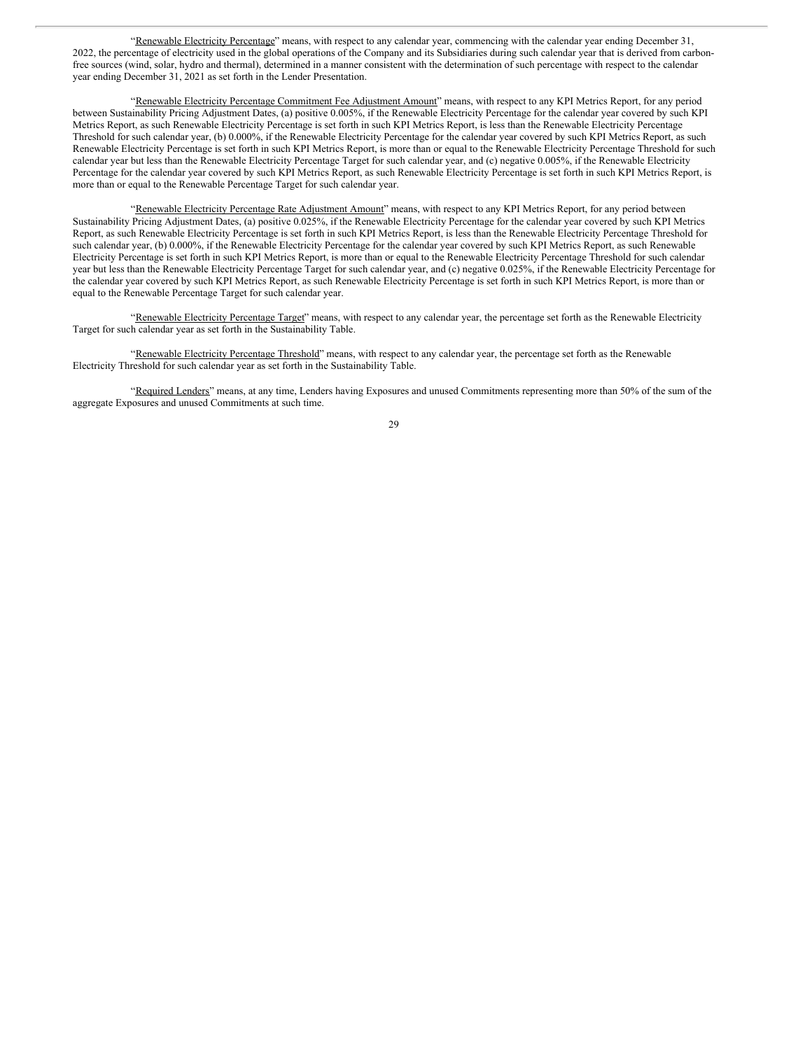"Renewable Electricity Percentage" means, with respect to any calendar year, commencing with the calendar year ending December 31, 2022, the percentage of electricity used in the global operations of the Company and its Subsidiaries during such calendar year that is derived from carbonfree sources (wind, solar, hydro and thermal), determined in a manner consistent with the determination of such percentage with respect to the calendar year ending December 31, 2021 as set forth in the Lender Presentation.

"Renewable Electricity Percentage Commitment Fee Adjustment Amount" means, with respect to any KPI Metrics Report, for any period between Sustainability Pricing Adjustment Dates, (a) positive 0.005%, if the Renewable Electricity Percentage for the calendar year covered by such KPI Metrics Report, as such Renewable Electricity Percentage is set forth in such KPI Metrics Report, is less than the Renewable Electricity Percentage Threshold for such calendar year, (b) 0.000%, if the Renewable Electricity Percentage for the calendar year covered by such KPI Metrics Report, as such Renewable Electricity Percentage is set forth in such KPI Metrics Report, is more than or equal to the Renewable Electricity Percentage Threshold for such calendar year but less than the Renewable Electricity Percentage Target for such calendar year, and (c) negative 0.005%, if the Renewable Electricity Percentage for the calendar year covered by such KPI Metrics Report, as such Renewable Electricity Percentage is set forth in such KPI Metrics Report, is more than or equal to the Renewable Percentage Target for such calendar year.

"Renewable Electricity Percentage Rate Adjustment Amount" means, with respect to any KPI Metrics Report, for any period between Sustainability Pricing Adjustment Dates, (a) positive 0.025%, if the Renewable Electricity Percentage for the calendar year covered by such KPI Metrics Report, as such Renewable Electricity Percentage is set forth in such KPI Metrics Report, is less than the Renewable Electricity Percentage Threshold for such calendar year, (b) 0.000%, if the Renewable Electricity Percentage for the calendar year covered by such KPI Metrics Report, as such Renewable Electricity Percentage is set forth in such KPI Metrics Report, is more than or equal to the Renewable Electricity Percentage Threshold for such calendar year but less than the Renewable Electricity Percentage Target for such calendar year, and (c) negative 0.025%, if the Renewable Electricity Percentage for the calendar year covered by such KPI Metrics Report, as such Renewable Electricity Percentage is set forth in such KPI Metrics Report, is more than or equal to the Renewable Percentage Target for such calendar year.

"Renewable Electricity Percentage Target" means, with respect to any calendar year, the percentage set forth as the Renewable Electricity Target for such calendar year as set forth in the Sustainability Table.

"Renewable Electricity Percentage Threshold" means, with respect to any calendar year, the percentage set forth as the Renewable Electricity Threshold for such calendar year as set forth in the Sustainability Table.

"Required Lenders" means, at any time, Lenders having Exposures and unused Commitments representing more than 50% of the sum of the aggregate Exposures and unused Commitments at such time.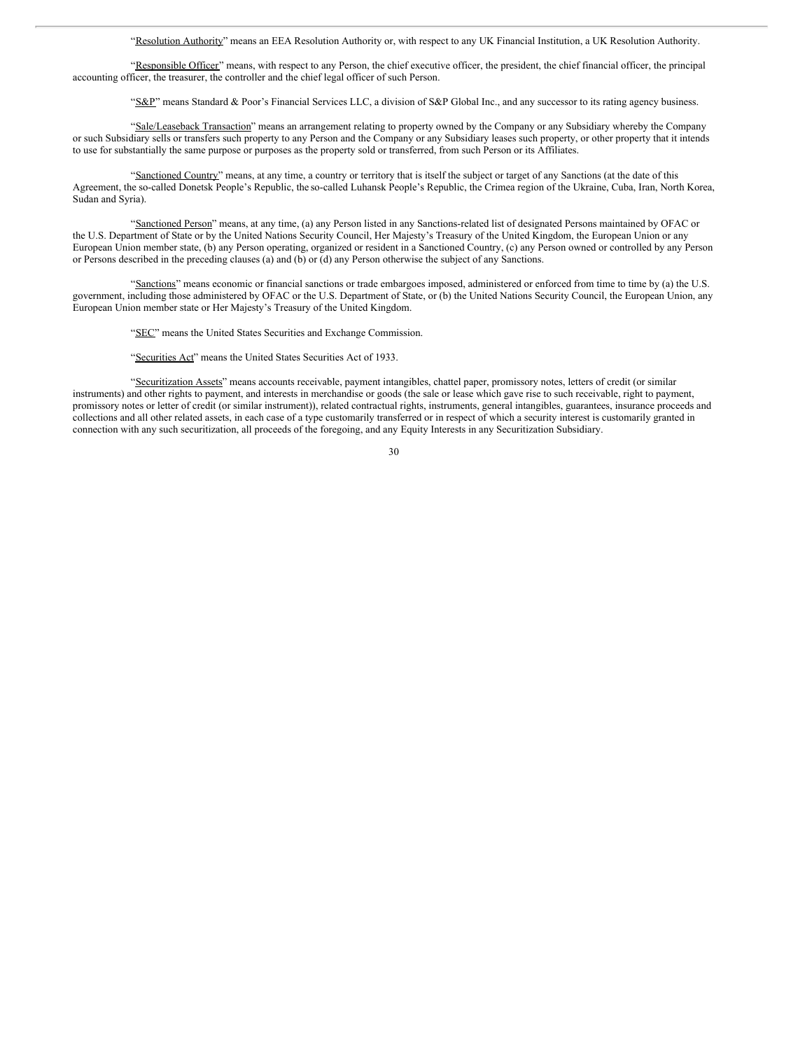"Resolution Authority" means an EEA Resolution Authority or, with respect to any UK Financial Institution, a UK Resolution Authority.

"Responsible Officer" means, with respect to any Person, the chief executive officer, the president, the chief financial officer, the principal accounting officer, the treasurer, the controller and the chief legal officer of such Person.

"S&P" means Standard & Poor's Financial Services LLC, a division of S&P Global Inc., and any successor to its rating agency business.

"Sale/Leaseback Transaction" means an arrangement relating to property owned by the Company or any Subsidiary whereby the Company or such Subsidiary sells or transfers such property to any Person and the Company or any Subsidiary leases such property, or other property that it intends to use for substantially the same purpose or purposes as the property sold or transferred, from such Person or its Affiliates.

"Sanctioned Country" means, at any time, a country or territory that is itself the subject or target of any Sanctions (at the date of this Agreement, the so-called Donetsk People's Republic, the so-called Luhansk People's Republic, the Crimea region of the Ukraine, Cuba, Iran, North Korea, Sudan and Syria).

"Sanctioned Person" means, at any time, (a) any Person listed in any Sanctions-related list of designated Persons maintained by OFAC or the U.S. Department of State or by the United Nations Security Council, Her Majesty's Treasury of the United Kingdom, the European Union or any European Union member state, (b) any Person operating, organized or resident in a Sanctioned Country, (c) any Person owned or controlled by any Person or Persons described in the preceding clauses (a) and (b) or (d) any Person otherwise the subject of any Sanctions.

"Sanctions" means economic or financial sanctions or trade embargoes imposed, administered or enforced from time to time by (a) the U.S. government, including those administered by OFAC or the U.S. Department of State, or (b) the United Nations Security Council, the European Union, any European Union member state or Her Majesty's Treasury of the United Kingdom.

"SEC" means the United States Securities and Exchange Commission.

"Securities Act" means the United States Securities Act of 1933.

"Securitization Assets" means accounts receivable, payment intangibles, chattel paper, promissory notes, letters of credit (or similar instruments) and other rights to payment, and interests in merchandise or goods (the sale or lease which gave rise to such receivable, right to payment, promissory notes or letter of credit (or similar instrument)), related contractual rights, instruments, general intangibles, guarantees, insurance proceeds and collections and all other related assets, in each case of a type customarily transferred or in respect of which a security interest is customarily granted in connection with any such securitization, all proceeds of the foregoing, and any Equity Interests in any Securitization Subsidiary.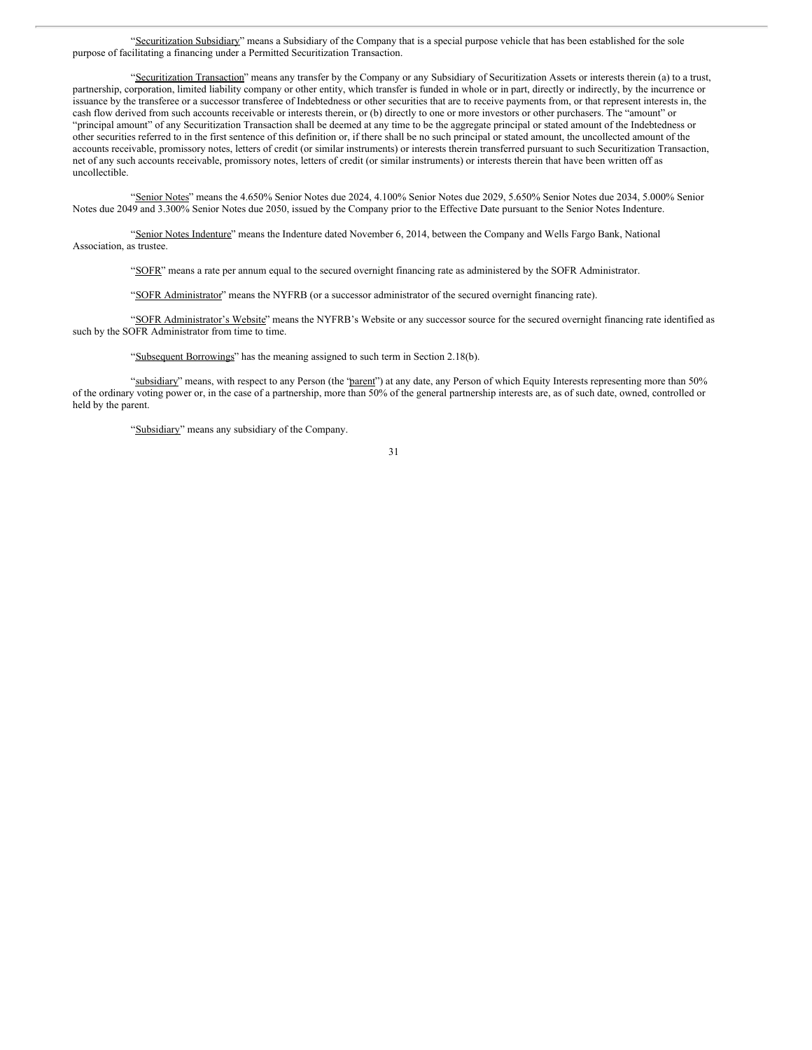"Securitization Subsidiary" means a Subsidiary of the Company that is a special purpose vehicle that has been established for the sole purpose of facilitating a financing under a Permitted Securitization Transaction.

"Securitization Transaction" means any transfer by the Company or any Subsidiary of Securitization Assets or interests therein (a) to a trust, partnership, corporation, limited liability company or other entity, which transfer is funded in whole or in part, directly or indirectly, by the incurrence or issuance by the transferee or a successor transferee of Indebtedness or other securities that are to receive payments from, or that represent interests in, the cash flow derived from such accounts receivable or interests therein, or (b) directly to one or more investors or other purchasers. The "amount" or "principal amount" of any Securitization Transaction shall be deemed at any time to be the aggregate principal or stated amount of the Indebtedness or other securities referred to in the first sentence of this definition or, if there shall be no such principal or stated amount, the uncollected amount of the accounts receivable, promissory notes, letters of credit (or similar instruments) or interests therein transferred pursuant to such Securitization Transaction, net of any such accounts receivable, promissory notes, letters of credit (or similar instruments) or interests therein that have been written off as uncollectible.

"Senior Notes" means the 4.650% Senior Notes due 2024, 4.100% Senior Notes due 2029, 5.650% Senior Notes due 2034, 5.000% Senior Notes due 2049 and 3.300% Senior Notes due 2050, issued by the Company prior to the Effective Date pursuant to the Senior Notes Indenture.

"Senior Notes Indenture" means the Indenture dated November 6, 2014, between the Company and Wells Fargo Bank, National Association, as trustee.

"SOFR" means a rate per annum equal to the secured overnight financing rate as administered by the SOFR Administrator.

"SOFR Administrator" means the NYFRB (or a successor administrator of the secured overnight financing rate).

"SOFR Administrator's Website" means the NYFRB's Website or any successor source for the secured overnight financing rate identified as such by the SOFR Administrator from time to time.

"Subsequent Borrowings" has the meaning assigned to such term in Section 2.18(b).

"subsidiary" means, with respect to any Person (the "parent") at any date, any Person of which Equity Interests representing more than 50% of the ordinary voting power or, in the case of a partnership, more than 50% of the general partnership interests are, as of such date, owned, controlled or held by the parent.

"Subsidiary" means any subsidiary of the Company.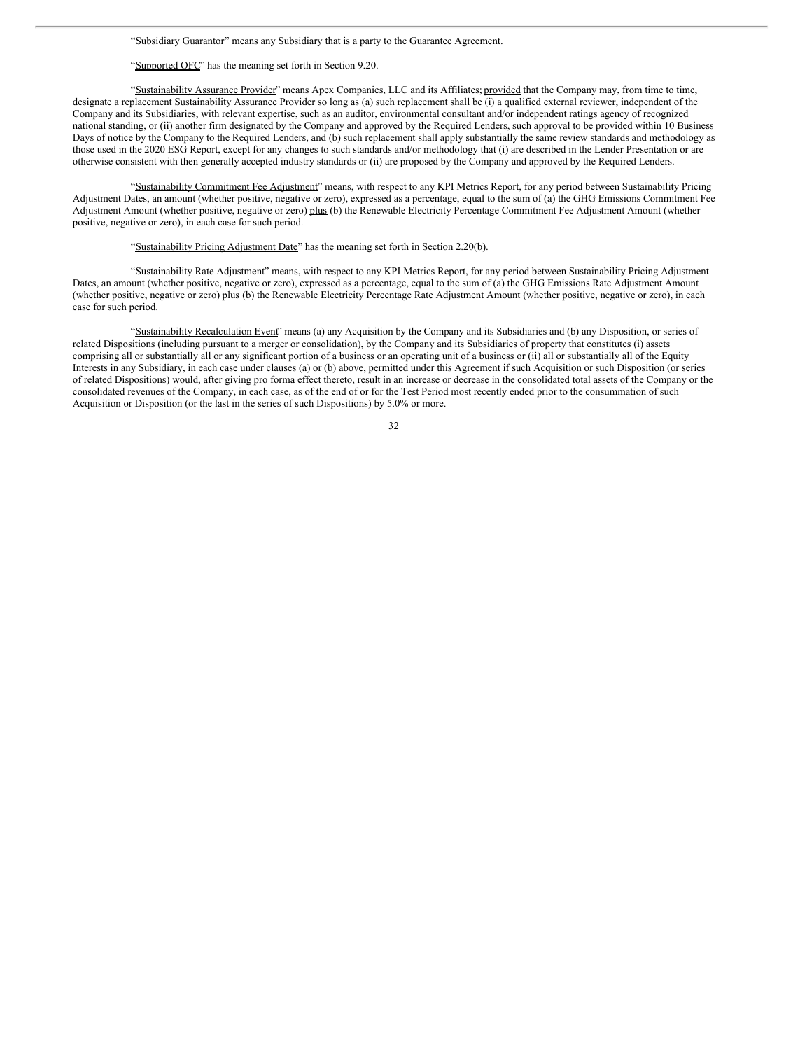"Subsidiary Guarantor" means any Subsidiary that is a party to the Guarantee Agreement.

"Supported QFC" has the meaning set forth in Section 9.20.

"Sustainability Assurance Provider" means Apex Companies, LLC and its Affiliates; provided that the Company may, from time to time, designate a replacement Sustainability Assurance Provider so long as (a) such replacement shall be (i) a qualified external reviewer, independent of the Company and its Subsidiaries, with relevant expertise, such as an auditor, environmental consultant and/or independent ratings agency of recognized national standing, or (ii) another firm designated by the Company and approved by the Required Lenders, such approval to be provided within 10 Business Days of notice by the Company to the Required Lenders, and (b) such replacement shall apply substantially the same review standards and methodology as those used in the 2020 ESG Report, except for any changes to such standards and/or methodology that (i) are described in the Lender Presentation or are otherwise consistent with then generally accepted industry standards or (ii) are proposed by the Company and approved by the Required Lenders.

"Sustainability Commitment Fee Adjustment" means, with respect to any KPI Metrics Report, for any period between Sustainability Pricing Adjustment Dates, an amount (whether positive, negative or zero), expressed as a percentage, equal to the sum of (a) the GHG Emissions Commitment Fee Adjustment Amount (whether positive, negative or zero) plus (b) the Renewable Electricity Percentage Commitment Fee Adjustment Amount (whether positive, negative or zero), in each case for such period.

"Sustainability Pricing Adjustment Date" has the meaning set forth in Section 2.20(b).

"Sustainability Rate Adjustment" means, with respect to any KPI Metrics Report, for any period between Sustainability Pricing Adjustment Dates, an amount (whether positive, negative or zero), expressed as a percentage, equal to the sum of (a) the GHG Emissions Rate Adjustment Amount (whether positive, negative or zero) plus (b) the Renewable Electricity Percentage Rate Adjustment Amount (whether positive, negative or zero), in each case for such period.

"Sustainability Recalculation Event" means (a) any Acquisition by the Company and its Subsidiaries and (b) any Disposition, or series of related Dispositions (including pursuant to a merger or consolidation), by the Company and its Subsidiaries of property that constitutes (i) assets comprising all or substantially all or any significant portion of a business or an operating unit of a business or (ii) all or substantially all of the Equity Interests in any Subsidiary, in each case under clauses (a) or (b) above, permitted under this Agreement if such Acquisition or such Disposition (or series of related Dispositions) would, after giving pro forma effect thereto, result in an increase or decrease in the consolidated total assets of the Company or the consolidated revenues of the Company, in each case, as of the end of or for the Test Period most recently ended prior to the consummation of such Acquisition or Disposition (or the last in the series of such Dispositions) by 5.0% or more.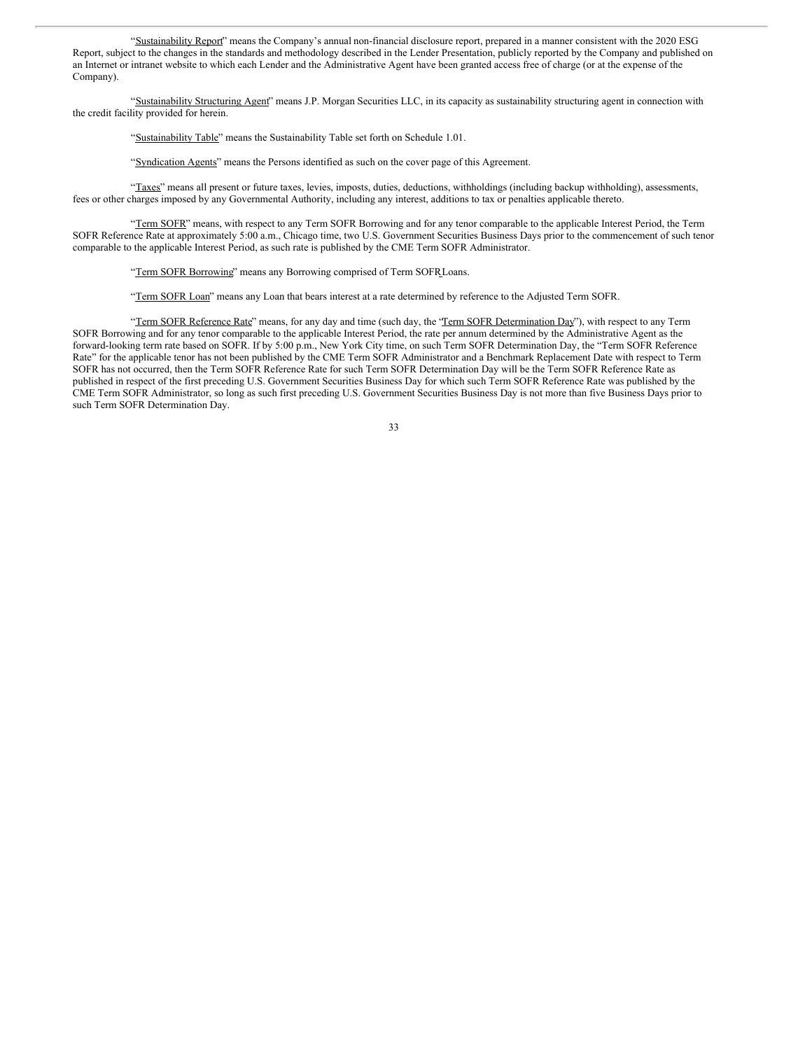"Sustainability Report" means the Company's annual non-financial disclosure report, prepared in a manner consistent with the 2020 ESG Report, subject to the changes in the standards and methodology described in the Lender Presentation, publicly reported by the Company and published on an Internet or intranet website to which each Lender and the Administrative Agent have been granted access free of charge (or at the expense of the Company).

"Sustainability Structuring Agent" means J.P. Morgan Securities LLC, in its capacity as sustainability structuring agent in connection with the credit facility provided for herein.

"Sustainability Table" means the Sustainability Table set forth on Schedule 1.01.

"Syndication Agents" means the Persons identified as such on the cover page of this Agreement.

"Taxes" means all present or future taxes, levies, imposts, duties, deductions, withholdings (including backup withholding), assessments, fees or other charges imposed by any Governmental Authority, including any interest, additions to tax or penalties applicable thereto.

"Term SOFR" means, with respect to any Term SOFR Borrowing and for any tenor comparable to the applicable Interest Period, the Term SOFR Reference Rate at approximately 5:00 a.m., Chicago time, two U.S. Government Securities Business Days prior to the commencement of such tenor comparable to the applicable Interest Period, as such rate is published by the CME Term SOFR Administrator.

"Term SOFR Borrowing" means any Borrowing comprised of Term SOFRLoans.

"Term SOFR Loan" means any Loan that bears interest at a rate determined by reference to the Adjusted Term SOFR.

"Term SOFR Reference Rate" means, for any day and time (such day, the "Term SOFR Determination Day"), with respect to any Term SOFR Borrowing and for any tenor comparable to the applicable Interest Period, the rate per annum determined by the Administrative Agent as the forward-looking term rate based on SOFR. If by 5:00 p.m., New York City time, on such Term SOFR Determination Day, the "Term SOFR Reference Rate" for the applicable tenor has not been published by the CME Term SOFR Administrator and a Benchmark Replacement Date with respect to Term SOFR has not occurred, then the Term SOFR Reference Rate for such Term SOFR Determination Day will be the Term SOFR Reference Rate as published in respect of the first preceding U.S. Government Securities Business Day for which such Term SOFR Reference Rate was published by the CME Term SOFR Administrator, so long as such first preceding U.S. Government Securities Business Day is not more than five Business Days prior to such Term SOFR Determination Day.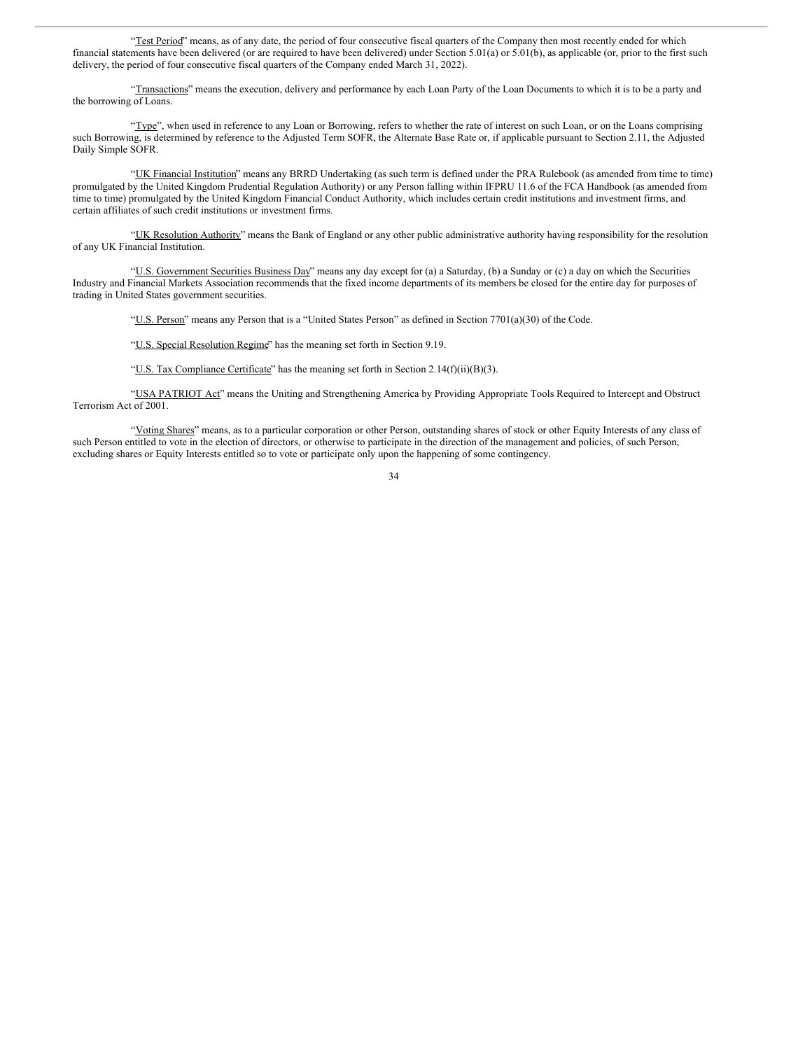"Test Period" means, as of any date, the period of four consecutive fiscal quarters of the Company then most recently ended for which financial statements have been delivered (or are required to have been delivered) under Section 5.01(a) or 5.01(b), as applicable (or, prior to the first such delivery, the period of four consecutive fiscal quarters of the Company ended March 31, 2022).

"Transactions" means the execution, delivery and performance by each Loan Party of the Loan Documents to which it is to be a party and the borrowing of Loans.

"Type", when used in reference to any Loan or Borrowing, refers to whether the rate of interest on such Loan, or on the Loans comprising such Borrowing, is determined by reference to the Adjusted Term SOFR, the Alternate Base Rate or, if applicable pursuant to Section 2.11, the Adjusted Daily Simple SOFR.

"UK Financial Institution" means any BRRD Undertaking (as such term is defined under the PRA Rulebook (as amended from time to time) promulgated by the United Kingdom Prudential Regulation Authority) or any Person falling within IFPRU 11.6 of the FCA Handbook (as amended from time to time) promulgated by the United Kingdom Financial Conduct Authority, which includes certain credit institutions and investment firms, and certain affiliates of such credit institutions or investment firms.

"UK Resolution Authority" means the Bank of England or any other public administrative authority having responsibility for the resolution of any UK Financial Institution.

"U.S. Government Securities Business Day" means any day except for (a) a Saturday, (b) a Sunday or (c) a day on which the Securities Industry and Financial Markets Association recommends that the fixed income departments of its members be closed for the entire day for purposes of trading in United States government securities.

"U.S. Person" means any Person that is a "United States Person" as defined in Section 7701(a)(30) of the Code.

"U.S. Special Resolution Regime" has the meaning set forth in Section 9.19.

"U.S. Tax Compliance Certificate" has the meaning set forth in Section 2.14(f)(ii)(B)(3).

"USA PATRIOT Act" means the Uniting and Strengthening America by Providing Appropriate Tools Required to Intercept and Obstruct Terrorism Act of 2001.

"Voting Shares" means, as to a particular corporation or other Person, outstanding shares of stock or other Equity Interests of any class of such Person entitled to vote in the election of directors, or otherwise to participate in the direction of the management and policies, of such Person, excluding shares or Equity Interests entitled so to vote or participate only upon the happening of some contingency.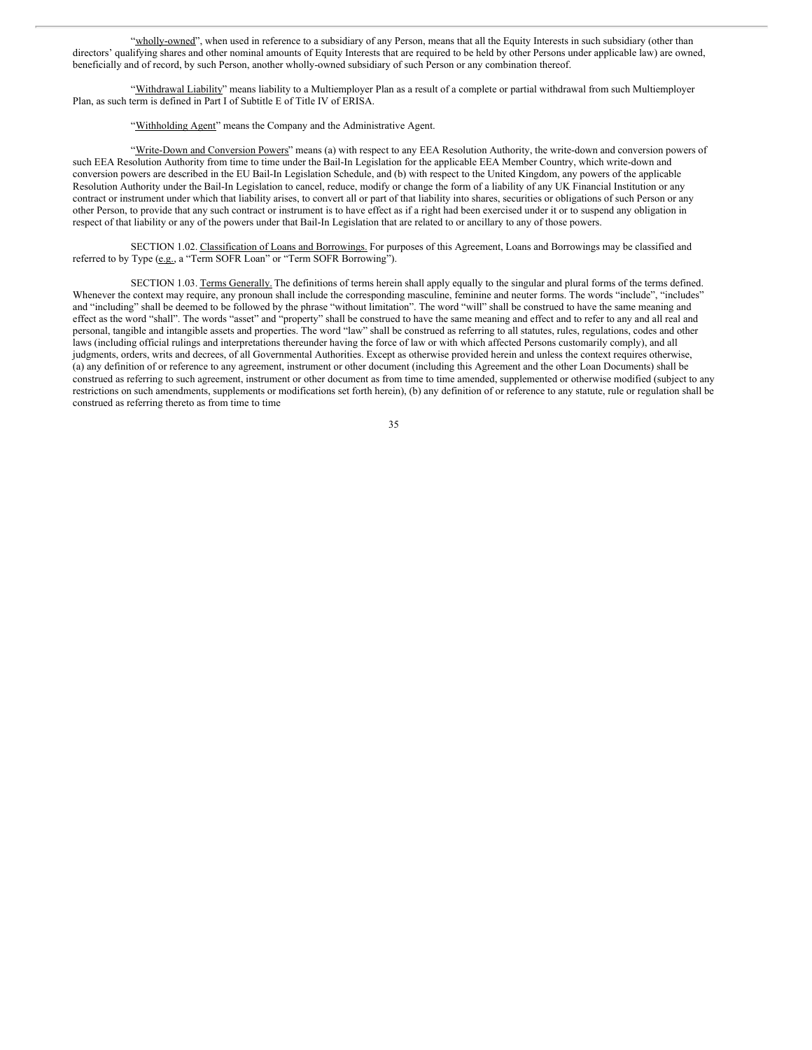"wholly-owned", when used in reference to a subsidiary of any Person, means that all the Equity Interests in such subsidiary (other than directors' qualifying shares and other nominal amounts of Equity Interests that are required to be held by other Persons under applicable law) are owned, beneficially and of record, by such Person, another wholly-owned subsidiary of such Person or any combination thereof.

"Withdrawal Liability" means liability to a Multiemployer Plan as a result of a complete or partial withdrawal from such Multiemployer Plan, as such term is defined in Part I of Subtitle E of Title IV of ERISA.

"Withholding Agent" means the Company and the Administrative Agent.

"Write-Down and Conversion Powers" means (a) with respect to any EEA Resolution Authority, the write-down and conversion powers of such EEA Resolution Authority from time to time under the Bail-In Legislation for the applicable EEA Member Country, which write-down and conversion powers are described in the EU Bail-In Legislation Schedule, and (b) with respect to the United Kingdom, any powers of the applicable Resolution Authority under the Bail-In Legislation to cancel, reduce, modify or change the form of a liability of any UK Financial Institution or any contract or instrument under which that liability arises, to convert all or part of that liability into shares, securities or obligations of such Person or any other Person, to provide that any such contract or instrument is to have effect as if a right had been exercised under it or to suspend any obligation in respect of that liability or any of the powers under that Bail-In Legislation that are related to or ancillary to any of those powers.

SECTION 1.02. Classification of Loans and Borrowings. For purposes of this Agreement, Loans and Borrowings may be classified and referred to by Type (e.g., a "Term SOFR Loan" or "Term SOFR Borrowing").

SECTION 1.03. Terms Generally. The definitions of terms herein shall apply equally to the singular and plural forms of the terms defined. Whenever the context may require, any pronoun shall include the corresponding masculine, feminine and neuter forms. The words "include", "includes" and "including" shall be deemed to be followed by the phrase "without limitation". The word "will" shall be construed to have the same meaning and effect as the word "shall". The words "asset" and "property" shall be construed to have the same meaning and effect and to refer to any and all real and personal, tangible and intangible assets and properties. The word "law" shall be construed as referring to all statutes, rules, regulations, codes and other laws (including official rulings and interpretations thereunder having the force of law or with which affected Persons customarily comply), and all judgments, orders, writs and decrees, of all Governmental Authorities. Except as otherwise provided herein and unless the context requires otherwise, (a) any definition of or reference to any agreement, instrument or other document (including this Agreement and the other Loan Documents) shall be construed as referring to such agreement, instrument or other document as from time to time amended, supplemented or otherwise modified (subject to any restrictions on such amendments, supplements or modifications set forth herein), (b) any definition of or reference to any statute, rule or regulation shall be construed as referring thereto as from time to time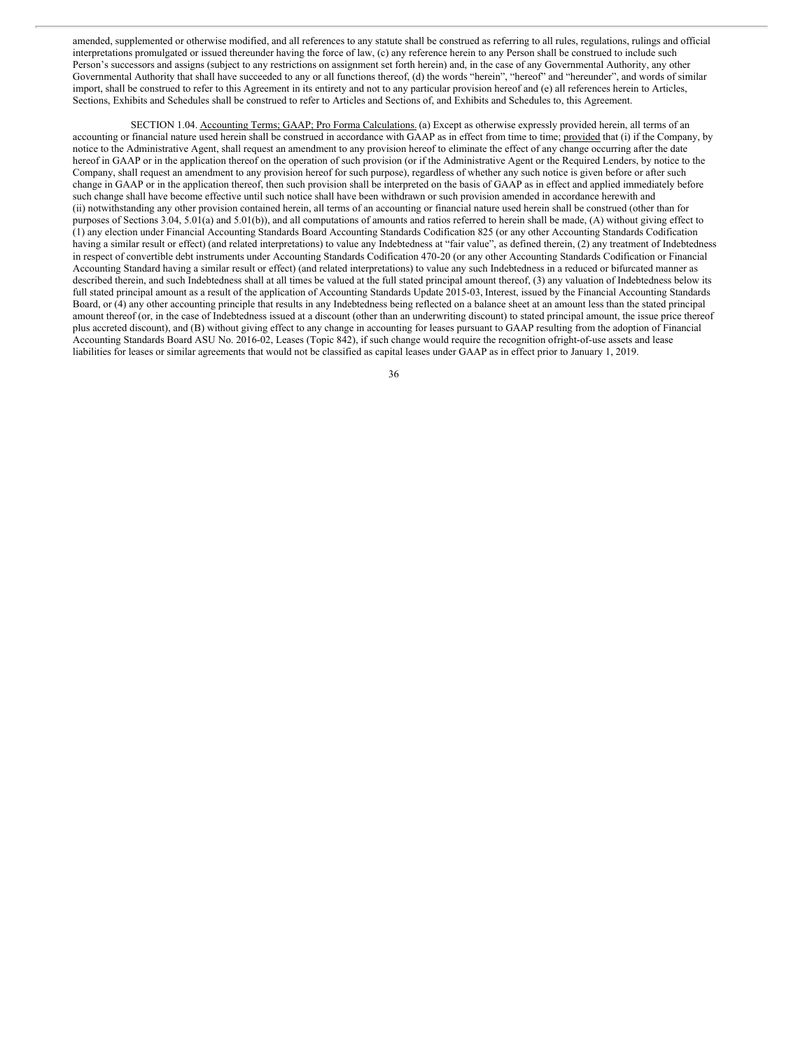amended, supplemented or otherwise modified, and all references to any statute shall be construed as referring to all rules, regulations, rulings and official interpretations promulgated or issued thereunder having the force of law, (c) any reference herein to any Person shall be construed to include such Person's successors and assigns (subject to any restrictions on assignment set forth herein) and, in the case of any Governmental Authority, any other Governmental Authority that shall have succeeded to any or all functions thereof, (d) the words "herein", "hereof" and "hereunder", and words of similar import, shall be construed to refer to this Agreement in its entirety and not to any particular provision hereof and (e) all references herein to Articles, Sections, Exhibits and Schedules shall be construed to refer to Articles and Sections of, and Exhibits and Schedules to, this Agreement.

SECTION 1.04. Accounting Terms; GAAP; Pro Forma Calculations. (a) Except as otherwise expressly provided herein, all terms of an accounting or financial nature used herein shall be construed in accordance with GAAP as in effect from time to time; provided that (i) if the Company, by notice to the Administrative Agent, shall request an amendment to any provision hereof to eliminate the effect of any change occurring after the date hereof in GAAP or in the application thereof on the operation of such provision (or if the Administrative Agent or the Required Lenders, by notice to the Company, shall request an amendment to any provision hereof for such purpose), regardless of whether any such notice is given before or after such change in GAAP or in the application thereof, then such provision shall be interpreted on the basis of GAAP as in effect and applied immediately before such change shall have become effective until such notice shall have been withdrawn or such provision amended in accordance herewith and (ii) notwithstanding any other provision contained herein, all terms of an accounting or financial nature used herein shall be construed (other than for purposes of Sections 3.04, 5.01(a) and 5.01(b)), and all computations of amounts and ratios referred to herein shall be made, (A) without giving effect to (1) any election under Financial Accounting Standards Board Accounting Standards Codification 825 (or any other Accounting Standards Codification having a similar result or effect) (and related interpretations) to value any Indebtedness at "fair value", as defined therein, (2) any treatment of Indebtedness in respect of convertible debt instruments under Accounting Standards Codification 470-20 (or any other Accounting Standards Codification or Financial Accounting Standard having a similar result or effect) (and related interpretations) to value any such Indebtedness in a reduced or bifurcated manner as described therein, and such Indebtedness shall at all times be valued at the full stated principal amount thereof, (3) any valuation of Indebtedness below its full stated principal amount as a result of the application of Accounting Standards Update 2015-03, Interest, issued by the Financial Accounting Standards Board, or (4) any other accounting principle that results in any Indebtedness being reflected on a balance sheet at an amount less than the stated principal amount thereof (or, in the case of Indebtedness issued at a discount (other than an underwriting discount) to stated principal amount, the issue price thereof plus accreted discount), and (B) without giving effect to any change in accounting for leases pursuant to GAAP resulting from the adoption of Financial Accounting Standards Board ASU No. 2016-02, Leases (Topic 842), if such change would require the recognition ofright-of-use assets and lease liabilities for leases or similar agreements that would not be classified as capital leases under GAAP as in effect prior to January 1, 2019.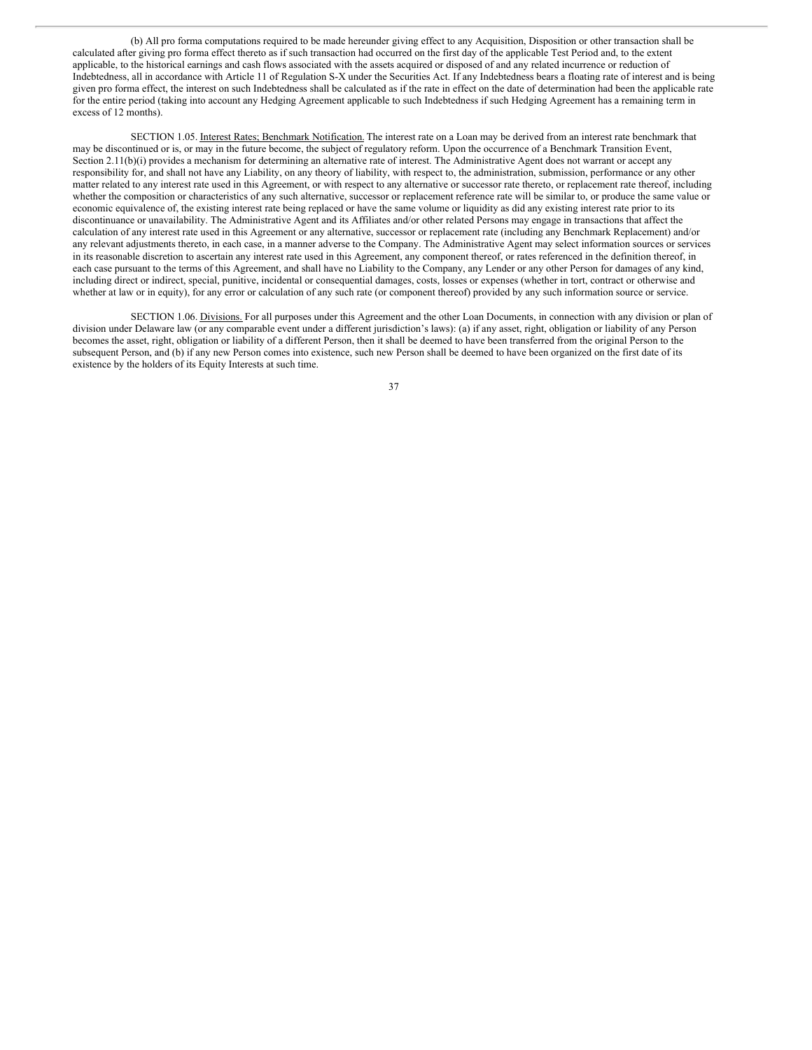(b) All pro forma computations required to be made hereunder giving effect to any Acquisition, Disposition or other transaction shall be calculated after giving pro forma effect thereto as if such transaction had occurred on the first day of the applicable Test Period and, to the extent applicable, to the historical earnings and cash flows associated with the assets acquired or disposed of and any related incurrence or reduction of Indebtedness, all in accordance with Article 11 of Regulation S-X under the Securities Act. If any Indebtedness bears a floating rate of interest and is being given pro forma effect, the interest on such Indebtedness shall be calculated as if the rate in effect on the date of determination had been the applicable rate for the entire period (taking into account any Hedging Agreement applicable to such Indebtedness if such Hedging Agreement has a remaining term in excess of 12 months).

SECTION 1.05. Interest Rates; Benchmark Notification. The interest rate on a Loan may be derived from an interest rate benchmark that may be discontinued or is, or may in the future become, the subject of regulatory reform. Upon the occurrence of a Benchmark Transition Event, Section 2.11(b)(i) provides a mechanism for determining an alternative rate of interest. The Administrative Agent does not warrant or accept any responsibility for, and shall not have any Liability, on any theory of liability, with respect to, the administration, submission, performance or any other matter related to any interest rate used in this Agreement, or with respect to any alternative or successor rate thereto, or replacement rate thereof, including whether the composition or characteristics of any such alternative, successor or replacement reference rate will be similar to, or produce the same value or economic equivalence of, the existing interest rate being replaced or have the same volume or liquidity as did any existing interest rate prior to its discontinuance or unavailability. The Administrative Agent and its Affiliates and/or other related Persons may engage in transactions that affect the calculation of any interest rate used in this Agreement or any alternative, successor or replacement rate (including any Benchmark Replacement) and/or any relevant adjustments thereto, in each case, in a manner adverse to the Company. The Administrative Agent may select information sources or services in its reasonable discretion to ascertain any interest rate used in this Agreement, any component thereof, or rates referenced in the definition thereof, in each case pursuant to the terms of this Agreement, and shall have no Liability to the Company, any Lender or any other Person for damages of any kind, including direct or indirect, special, punitive, incidental or consequential damages, costs, losses or expenses (whether in tort, contract or otherwise and whether at law or in equity), for any error or calculation of any such rate (or component thereof) provided by any such information source or service.

SECTION 1.06. Divisions. For all purposes under this Agreement and the other Loan Documents, in connection with any division or plan of division under Delaware law (or any comparable event under a different jurisdiction's laws): (a) if any asset, right, obligation or liability of any Person becomes the asset, right, obligation or liability of a different Person, then it shall be deemed to have been transferred from the original Person to the subsequent Person, and (b) if any new Person comes into existence, such new Person shall be deemed to have been organized on the first date of its existence by the holders of its Equity Interests at such time.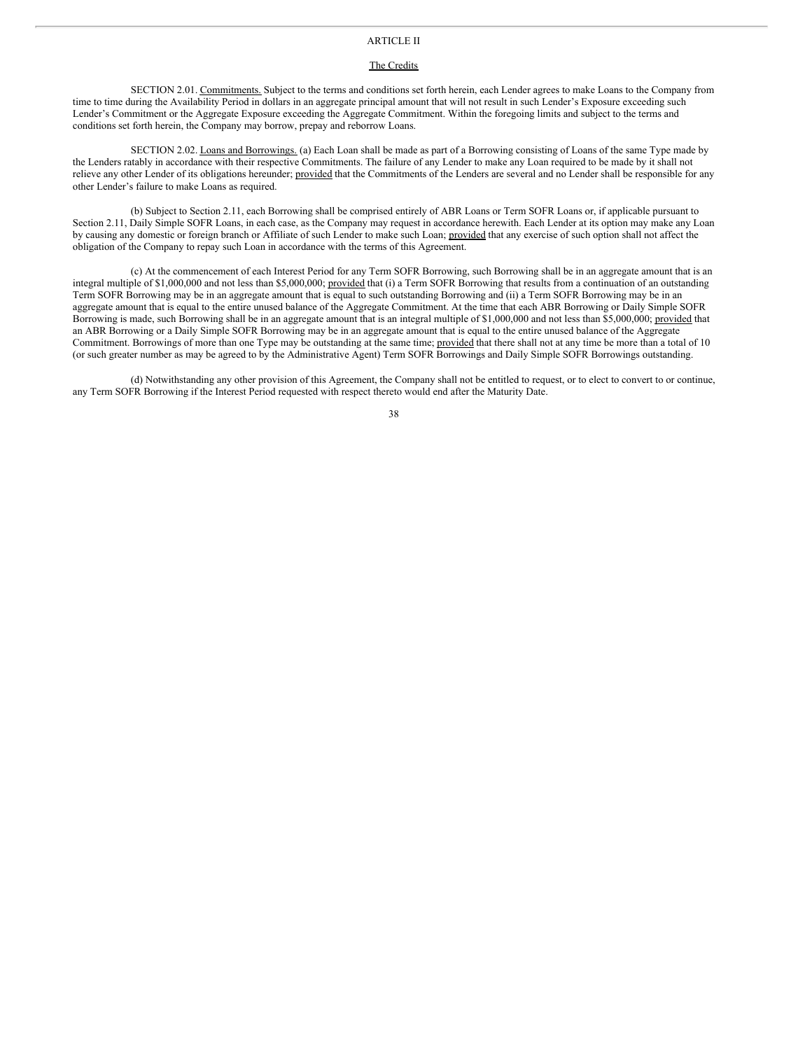# ARTICLE II

### The Credits

SECTION 2.01. Commitments. Subject to the terms and conditions set forth herein, each Lender agrees to make Loans to the Company from time to time during the Availability Period in dollars in an aggregate principal amount that will not result in such Lender's Exposure exceeding such Lender's Commitment or the Aggregate Exposure exceeding the Aggregate Commitment. Within the foregoing limits and subject to the terms and conditions set forth herein, the Company may borrow, prepay and reborrow Loans.

SECTION 2.02. Loans and Borrowings. (a) Each Loan shall be made as part of a Borrowing consisting of Loans of the same Type made by the Lenders ratably in accordance with their respective Commitments. The failure of any Lender to make any Loan required to be made by it shall not relieve any other Lender of its obligations hereunder; provided that the Commitments of the Lenders are several and no Lender shall be responsible for any other Lender's failure to make Loans as required.

(b) Subject to Section 2.11, each Borrowing shall be comprised entirely of ABR Loans or Term SOFR Loans or, if applicable pursuant to Section 2.11, Daily Simple SOFR Loans, in each case, as the Company may request in accordance herewith. Each Lender at its option may make any Loan by causing any domestic or foreign branch or Affiliate of such Lender to make such Loan; provided that any exercise of such option shall not affect the obligation of the Company to repay such Loan in accordance with the terms of this Agreement.

(c) At the commencement of each Interest Period for any Term SOFR Borrowing, such Borrowing shall be in an aggregate amount that is an integral multiple of \$1,000,000 and not less than \$5,000,000; provided that (i) a Term SOFR Borrowing that results from a continuation of an outstanding Term SOFR Borrowing may be in an aggregate amount that is equal to such outstanding Borrowing and (ii) a Term SOFR Borrowing may be in an aggregate amount that is equal to the entire unused balance of the Aggregate Commitment. At the time that each ABR Borrowing or Daily Simple SOFR Borrowing is made, such Borrowing shall be in an aggregate amount that is an integral multiple of \$1,000,000 and not less than \$5,000,000; provided that an ABR Borrowing or a Daily Simple SOFR Borrowing may be in an aggregate amount that is equal to the entire unused balance of the Aggregate Commitment. Borrowings of more than one Type may be outstanding at the same time; provided that there shall not at any time be more than a total of 10 (or such greater number as may be agreed to by the Administrative Agent) Term SOFR Borrowings and Daily Simple SOFR Borrowings outstanding.

(d) Notwithstanding any other provision of this Agreement, the Company shall not be entitled to request, or to elect to convert to or continue, any Term SOFR Borrowing if the Interest Period requested with respect thereto would end after the Maturity Date.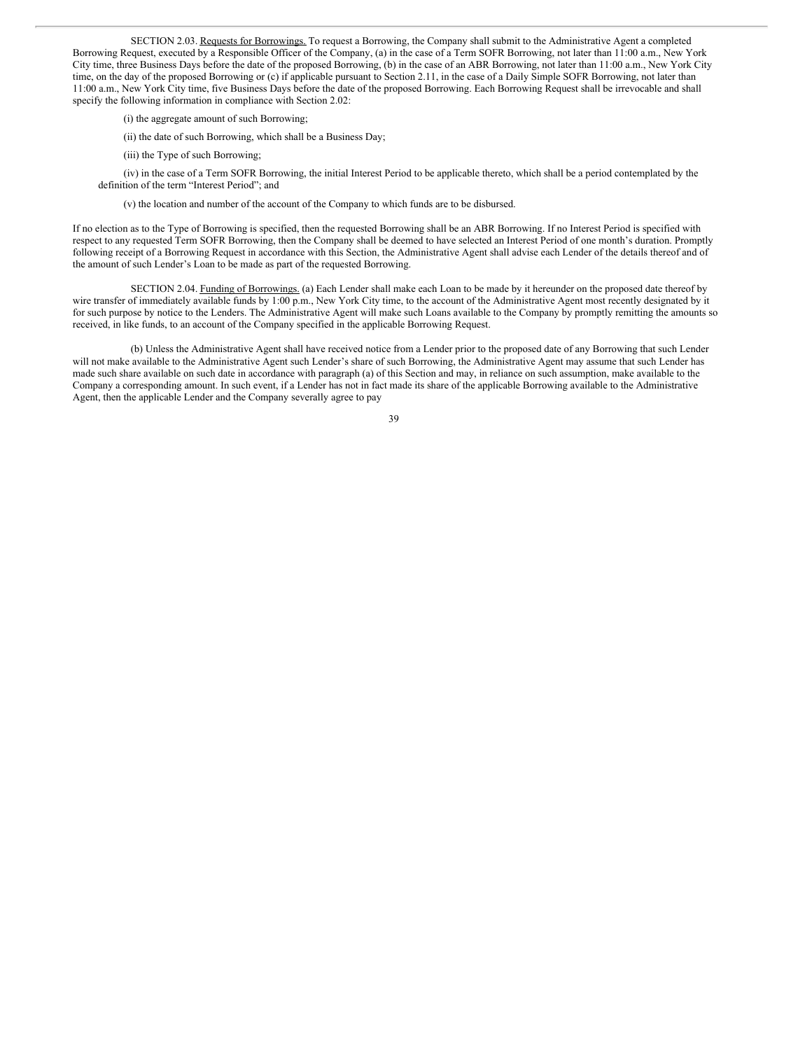SECTION 2.03. Requests for Borrowings. To request a Borrowing, the Company shall submit to the Administrative Agent a completed Borrowing Request, executed by a Responsible Officer of the Company, (a) in the case of a Term SOFR Borrowing, not later than 11:00 a.m., New York City time, three Business Days before the date of the proposed Borrowing, (b) in the case of an ABR Borrowing, not later than 11:00 a.m., New York City time, on the day of the proposed Borrowing or (c) if applicable pursuant to Section 2.11, in the case of a Daily Simple SOFR Borrowing, not later than 11:00 a.m., New York City time, five Business Days before the date of the proposed Borrowing. Each Borrowing Request shall be irrevocable and shall specify the following information in compliance with Section 2.02:

- (i) the aggregate amount of such Borrowing;
- (ii) the date of such Borrowing, which shall be a Business Day;
- (iii) the Type of such Borrowing;

(iv) in the case of a Term SOFR Borrowing, the initial Interest Period to be applicable thereto, which shall be a period contemplated by the definition of the term "Interest Period"; and

(v) the location and number of the account of the Company to which funds are to be disbursed.

If no election as to the Type of Borrowing is specified, then the requested Borrowing shall be an ABR Borrowing. If no Interest Period is specified with respect to any requested Term SOFR Borrowing, then the Company shall be deemed to have selected an Interest Period of one month's duration. Promptly following receipt of a Borrowing Request in accordance with this Section, the Administrative Agent shall advise each Lender of the details thereof and of the amount of such Lender's Loan to be made as part of the requested Borrowing.

SECTION 2.04. Funding of Borrowings. (a) Each Lender shall make each Loan to be made by it hereunder on the proposed date thereof by wire transfer of immediately available funds by 1:00 p.m., New York City time, to the account of the Administrative Agent most recently designated by it for such purpose by notice to the Lenders. The Administrative Agent will make such Loans available to the Company by promptly remitting the amounts so received, in like funds, to an account of the Company specified in the applicable Borrowing Request.

(b) Unless the Administrative Agent shall have received notice from a Lender prior to the proposed date of any Borrowing that such Lender will not make available to the Administrative Agent such Lender's share of such Borrowing, the Administrative Agent may assume that such Lender has made such share available on such date in accordance with paragraph (a) of this Section and may, in reliance on such assumption, make available to the Company a corresponding amount. In such event, if a Lender has not in fact made its share of the applicable Borrowing available to the Administrative Agent, then the applicable Lender and the Company severally agree to pay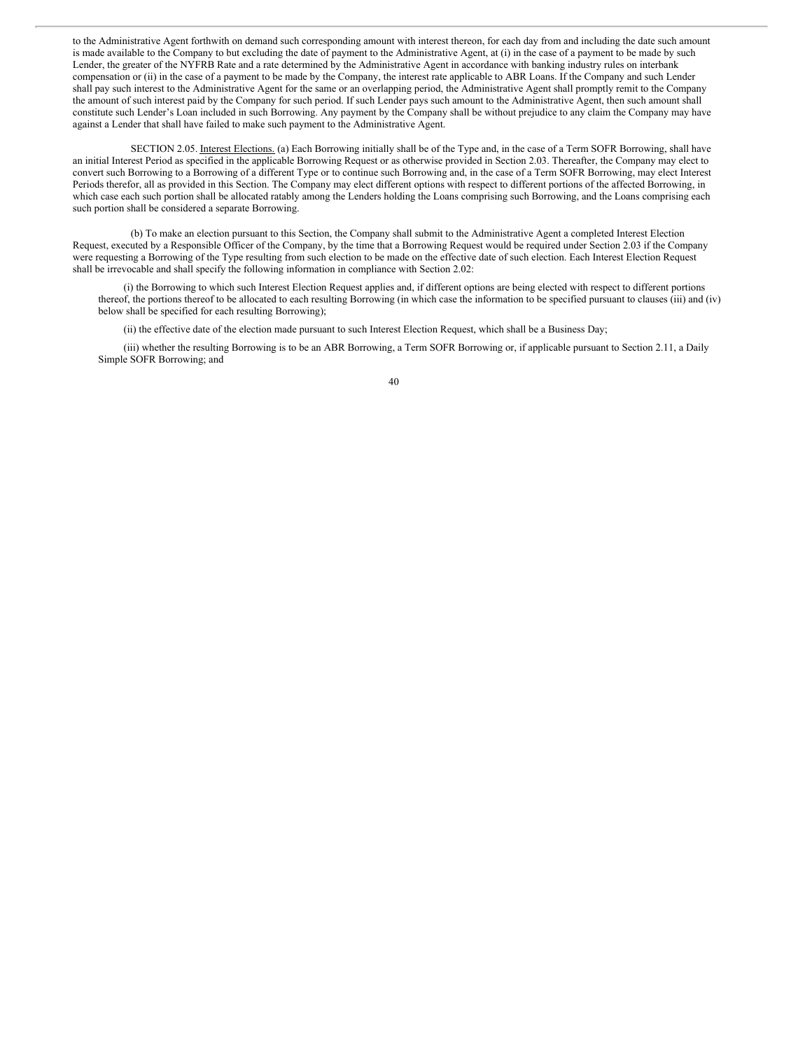to the Administrative Agent forthwith on demand such corresponding amount with interest thereon, for each day from and including the date such amount is made available to the Company to but excluding the date of payment to the Administrative Agent, at (i) in the case of a payment to be made by such Lender, the greater of the NYFRB Rate and a rate determined by the Administrative Agent in accordance with banking industry rules on interbank compensation or (ii) in the case of a payment to be made by the Company, the interest rate applicable to ABR Loans. If the Company and such Lender shall pay such interest to the Administrative Agent for the same or an overlapping period, the Administrative Agent shall promptly remit to the Company the amount of such interest paid by the Company for such period. If such Lender pays such amount to the Administrative Agent, then such amount shall constitute such Lender's Loan included in such Borrowing. Any payment by the Company shall be without prejudice to any claim the Company may have against a Lender that shall have failed to make such payment to the Administrative Agent.

SECTION 2.05. Interest Elections. (a) Each Borrowing initially shall be of the Type and, in the case of a Term SOFR Borrowing, shall have an initial Interest Period as specified in the applicable Borrowing Request or as otherwise provided in Section 2.03. Thereafter, the Company may elect to convert such Borrowing to a Borrowing of a different Type or to continue such Borrowing and, in the case of a Term SOFR Borrowing, may elect Interest Periods therefor, all as provided in this Section. The Company may elect different options with respect to different portions of the affected Borrowing, in which case each such portion shall be allocated ratably among the Lenders holding the Loans comprising such Borrowing, and the Loans comprising each such portion shall be considered a separate Borrowing.

(b) To make an election pursuant to this Section, the Company shall submit to the Administrative Agent a completed Interest Election Request, executed by a Responsible Officer of the Company, by the time that a Borrowing Request would be required under Section 2.03 if the Company were requesting a Borrowing of the Type resulting from such election to be made on the effective date of such election. Each Interest Election Request shall be irrevocable and shall specify the following information in compliance with Section 2.02:

(i) the Borrowing to which such Interest Election Request applies and, if different options are being elected with respect to different portions thereof, the portions thereof to be allocated to each resulting Borrowing (in which case the information to be specified pursuant to clauses (iii) and (iv) below shall be specified for each resulting Borrowing);

(ii) the effective date of the election made pursuant to such Interest Election Request, which shall be a Business Day;

(iii) whether the resulting Borrowing is to be an ABR Borrowing, a Term SOFR Borrowing or, if applicable pursuant to Section 2.11, a Daily Simple SOFR Borrowing; and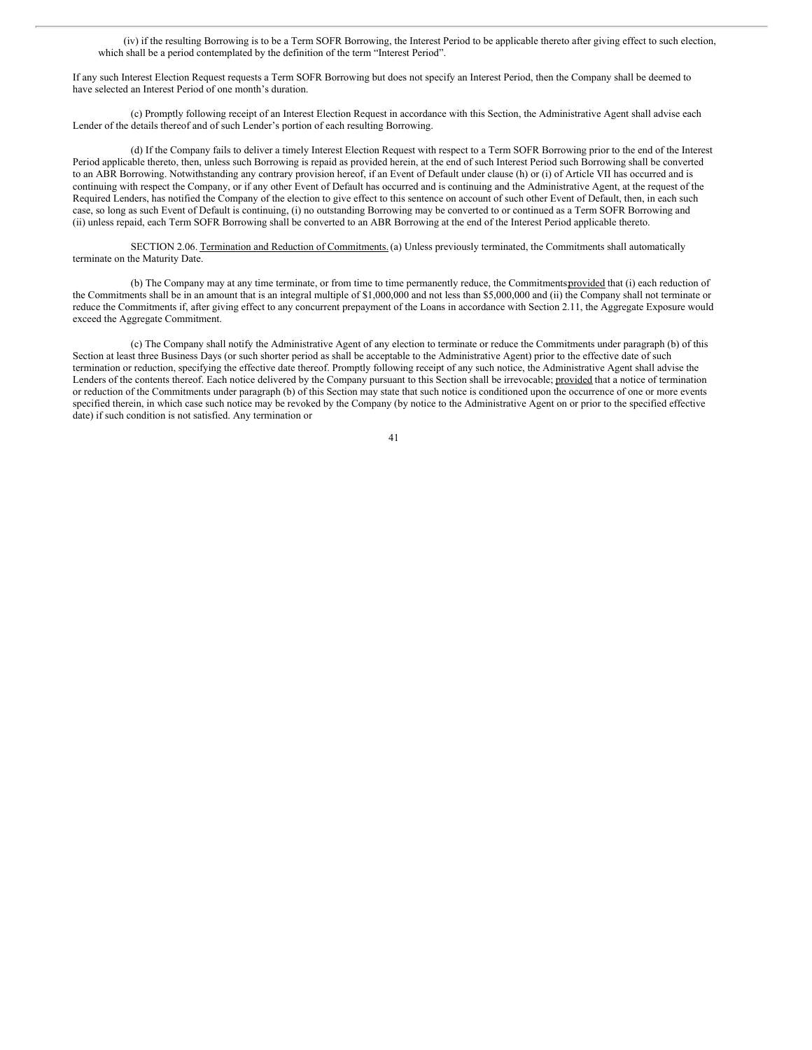(iv) if the resulting Borrowing is to be a Term SOFR Borrowing, the Interest Period to be applicable thereto after giving effect to such election, which shall be a period contemplated by the definition of the term "Interest Period".

If any such Interest Election Request requests a Term SOFR Borrowing but does not specify an Interest Period, then the Company shall be deemed to have selected an Interest Period of one month's duration.

(c) Promptly following receipt of an Interest Election Request in accordance with this Section, the Administrative Agent shall advise each Lender of the details thereof and of such Lender's portion of each resulting Borrowing.

(d) If the Company fails to deliver a timely Interest Election Request with respect to a Term SOFR Borrowing prior to the end of the Interest Period applicable thereto, then, unless such Borrowing is repaid as provided herein, at the end of such Interest Period such Borrowing shall be converted to an ABR Borrowing. Notwithstanding any contrary provision hereof, if an Event of Default under clause (h) or (i) of Article VII has occurred and is continuing with respect the Company, or if any other Event of Default has occurred and is continuing and the Administrative Agent, at the request of the Required Lenders, has notified the Company of the election to give effect to this sentence on account of such other Event of Default, then, in each such case, so long as such Event of Default is continuing, (i) no outstanding Borrowing may be converted to or continued as a Term SOFR Borrowing and (ii) unless repaid, each Term SOFR Borrowing shall be converted to an ABR Borrowing at the end of the Interest Period applicable thereto.

SECTION 2.06. Termination and Reduction of Commitments. (a) Unless previously terminated, the Commitments shall automatically terminate on the Maturity Date.

(b) The Company may at any time terminate, or from time to time permanently reduce, the Commitmentsprovided that (i) each reduction of the Commitments shall be in an amount that is an integral multiple of \$1,000,000 and not less than \$5,000,000 and (ii) the Company shall not terminate or reduce the Commitments if, after giving effect to any concurrent prepayment of the Loans in accordance with Section 2.11, the Aggregate Exposure would exceed the Aggregate Commitment.

(c) The Company shall notify the Administrative Agent of any election to terminate or reduce the Commitments under paragraph (b) of this Section at least three Business Days (or such shorter period as shall be acceptable to the Administrative Agent) prior to the effective date of such termination or reduction, specifying the effective date thereof. Promptly following receipt of any such notice, the Administrative Agent shall advise the Lenders of the contents thereof. Each notice delivered by the Company pursuant to this Section shall be irrevocable; provided that a notice of termination or reduction of the Commitments under paragraph (b) of this Section may state that such notice is conditioned upon the occurrence of one or more events specified therein, in which case such notice may be revoked by the Company (by notice to the Administrative Agent on or prior to the specified effective date) if such condition is not satisfied. Any termination or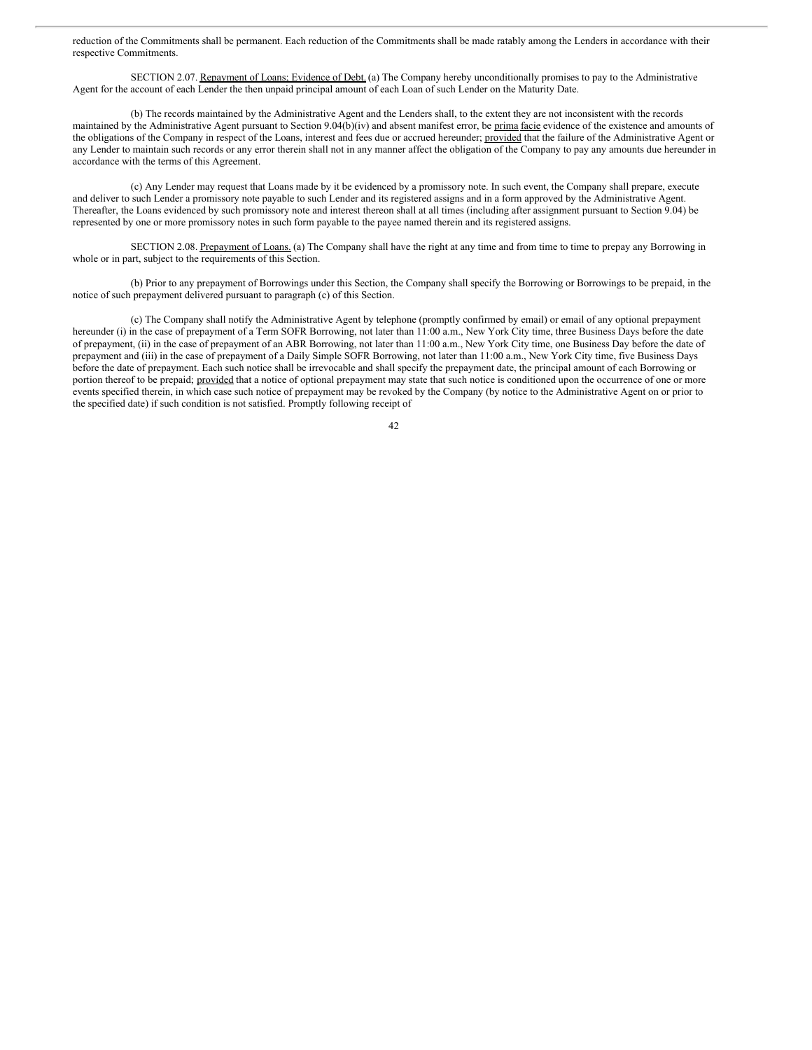reduction of the Commitments shall be permanent. Each reduction of the Commitments shall be made ratably among the Lenders in accordance with their respective Commitments.

SECTION 2.07. Repayment of Loans; Evidence of Debt. (a) The Company hereby unconditionally promises to pay to the Administrative Agent for the account of each Lender the then unpaid principal amount of each Loan of such Lender on the Maturity Date.

(b) The records maintained by the Administrative Agent and the Lenders shall, to the extent they are not inconsistent with the records maintained by the Administrative Agent pursuant to Section 9.04(b)(iv) and absent manifest error, be prima facie evidence of the existence and amounts of the obligations of the Company in respect of the Loans, interest and fees due or accrued hereunder; provided that the failure of the Administrative Agent or any Lender to maintain such records or any error therein shall not in any manner affect the obligation of the Company to pay any amounts due hereunder in accordance with the terms of this Agreement.

(c) Any Lender may request that Loans made by it be evidenced by a promissory note. In such event, the Company shall prepare, execute and deliver to such Lender a promissory note payable to such Lender and its registered assigns and in a form approved by the Administrative Agent. Thereafter, the Loans evidenced by such promissory note and interest thereon shall at all times (including after assignment pursuant to Section 9.04) be represented by one or more promissory notes in such form payable to the payee named therein and its registered assigns.

SECTION 2.08. Prepayment of Loans. (a) The Company shall have the right at any time and from time to time to prepay any Borrowing in whole or in part, subject to the requirements of this Section.

(b) Prior to any prepayment of Borrowings under this Section, the Company shall specify the Borrowing or Borrowings to be prepaid, in the notice of such prepayment delivered pursuant to paragraph (c) of this Section.

(c) The Company shall notify the Administrative Agent by telephone (promptly confirmed by email) or email of any optional prepayment hereunder (i) in the case of prepayment of a Term SOFR Borrowing, not later than 11:00 a.m., New York City time, three Business Days before the date of prepayment, (ii) in the case of prepayment of an ABR Borrowing, not later than 11:00 a.m., New York City time, one Business Day before the date of prepayment and (iii) in the case of prepayment of a Daily Simple SOFR Borrowing, not later than 11:00 a.m., New York City time, five Business Days before the date of prepayment. Each such notice shall be irrevocable and shall specify the prepayment date, the principal amount of each Borrowing or portion thereof to be prepaid; provided that a notice of optional prepayment may state that such notice is conditioned upon the occurrence of one or more events specified therein, in which case such notice of prepayment may be revoked by the Company (by notice to the Administrative Agent on or prior to the specified date) if such condition is not satisfied. Promptly following receipt of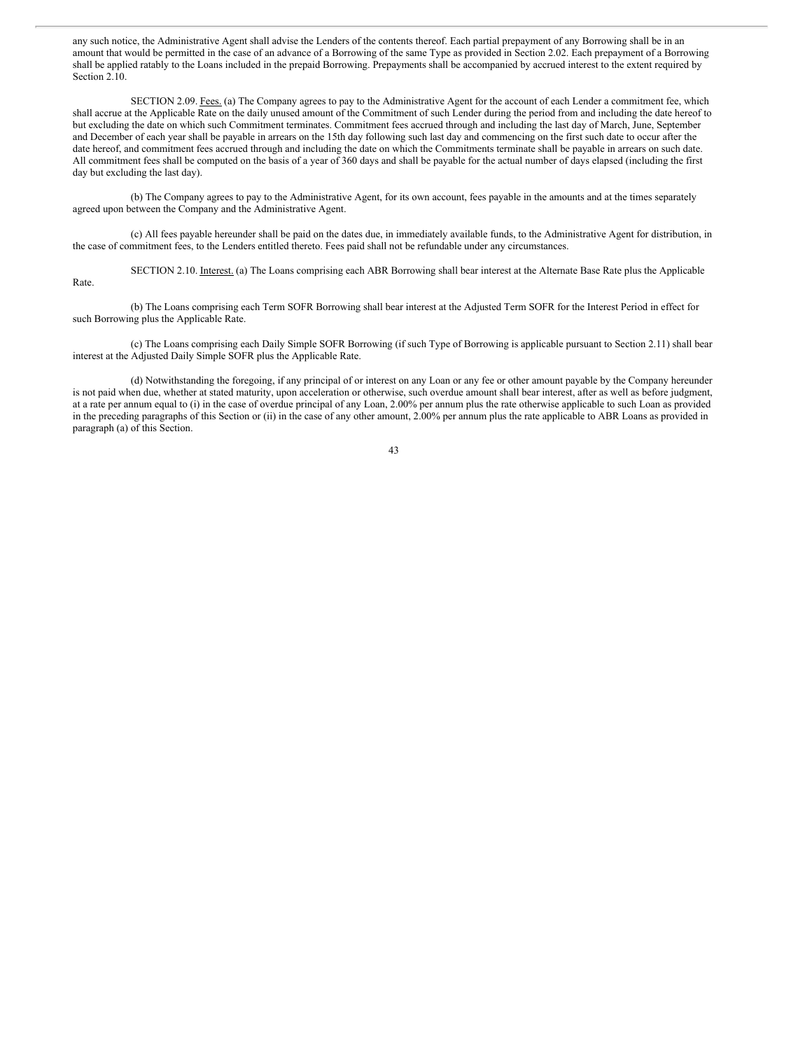any such notice, the Administrative Agent shall advise the Lenders of the contents thereof. Each partial prepayment of any Borrowing shall be in an amount that would be permitted in the case of an advance of a Borrowing of the same Type as provided in Section 2.02. Each prepayment of a Borrowing shall be applied ratably to the Loans included in the prepaid Borrowing. Prepayments shall be accompanied by accrued interest to the extent required by Section 2.10.

SECTION 2.09. Fees. (a) The Company agrees to pay to the Administrative Agent for the account of each Lender a commitment fee, which shall accrue at the Applicable Rate on the daily unused amount of the Commitment of such Lender during the period from and including the date hereof to but excluding the date on which such Commitment terminates. Commitment fees accrued through and including the last day of March, June, September and December of each year shall be payable in arrears on the 15th day following such last day and commencing on the first such date to occur after the date hereof, and commitment fees accrued through and including the date on which the Commitments terminate shall be payable in arrears on such date. All commitment fees shall be computed on the basis of a year of 360 days and shall be payable for the actual number of days elapsed (including the first day but excluding the last day).

(b) The Company agrees to pay to the Administrative Agent, for its own account, fees payable in the amounts and at the times separately agreed upon between the Company and the Administrative Agent.

(c) All fees payable hereunder shall be paid on the dates due, in immediately available funds, to the Administrative Agent for distribution, in the case of commitment fees, to the Lenders entitled thereto. Fees paid shall not be refundable under any circumstances.

SECTION 2.10. Interest. (a) The Loans comprising each ABR Borrowing shall bear interest at the Alternate Base Rate plus the Applicable Rate.

(b) The Loans comprising each Term SOFR Borrowing shall bear interest at the Adjusted Term SOFR for the Interest Period in effect for such Borrowing plus the Applicable Rate.

(c) The Loans comprising each Daily Simple SOFR Borrowing (if such Type of Borrowing is applicable pursuant to Section 2.11) shall bear interest at the Adjusted Daily Simple SOFR plus the Applicable Rate.

(d) Notwithstanding the foregoing, if any principal of or interest on any Loan or any fee or other amount payable by the Company hereunder is not paid when due, whether at stated maturity, upon acceleration or otherwise, such overdue amount shall bear interest, after as well as before judgment, at a rate per annum equal to (i) in the case of overdue principal of any Loan, 2.00% per annum plus the rate otherwise applicable to such Loan as provided in the preceding paragraphs of this Section or (ii) in the case of any other amount, 2.00% per annum plus the rate applicable to ABR Loans as provided in paragraph (a) of this Section.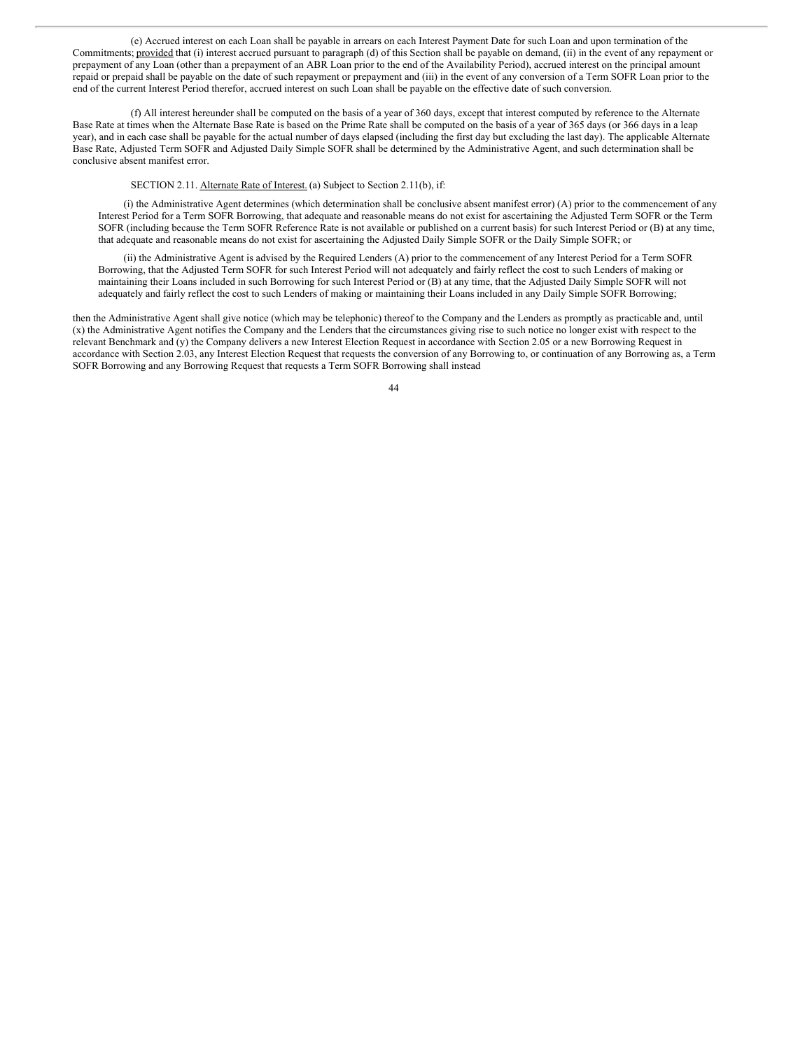(e) Accrued interest on each Loan shall be payable in arrears on each Interest Payment Date for such Loan and upon termination of the Commitments; provided that (i) interest accrued pursuant to paragraph (d) of this Section shall be payable on demand, (ii) in the event of any repayment or prepayment of any Loan (other than a prepayment of an ABR Loan prior to the end of the Availability Period), accrued interest on the principal amount repaid or prepaid shall be payable on the date of such repayment or prepayment and (iii) in the event of any conversion of a Term SOFR Loan prior to the end of the current Interest Period therefor, accrued interest on such Loan shall be payable on the effective date of such conversion.

(f) All interest hereunder shall be computed on the basis of a year of 360 days, except that interest computed by reference to the Alternate Base Rate at times when the Alternate Base Rate is based on the Prime Rate shall be computed on the basis of a year of 365 days (or 366 days in a leap year), and in each case shall be payable for the actual number of days elapsed (including the first day but excluding the last day). The applicable Alternate Base Rate, Adjusted Term SOFR and Adjusted Daily Simple SOFR shall be determined by the Administrative Agent, and such determination shall be conclusive absent manifest error.

#### SECTION 2.11. Alternate Rate of Interest. (a) Subject to Section 2.11(b), if:

(i) the Administrative Agent determines (which determination shall be conclusive absent manifest error) (A) prior to the commencement of any Interest Period for a Term SOFR Borrowing, that adequate and reasonable means do not exist for ascertaining the Adjusted Term SOFR or the Term SOFR (including because the Term SOFR Reference Rate is not available or published on a current basis) for such Interest Period or (B) at any time, that adequate and reasonable means do not exist for ascertaining the Adjusted Daily Simple SOFR or the Daily Simple SOFR; or

(ii) the Administrative Agent is advised by the Required Lenders (A) prior to the commencement of any Interest Period for a Term SOFR Borrowing, that the Adjusted Term SOFR for such Interest Period will not adequately and fairly reflect the cost to such Lenders of making or maintaining their Loans included in such Borrowing for such Interest Period or (B) at any time, that the Adjusted Daily Simple SOFR will not adequately and fairly reflect the cost to such Lenders of making or maintaining their Loans included in any Daily Simple SOFR Borrowing;

then the Administrative Agent shall give notice (which may be telephonic) thereof to the Company and the Lenders as promptly as practicable and, until (x) the Administrative Agent notifies the Company and the Lenders that the circumstances giving rise to such notice no longer exist with respect to the relevant Benchmark and (y) the Company delivers a new Interest Election Request in accordance with Section 2.05 or a new Borrowing Request in accordance with Section 2.03, any Interest Election Request that requests the conversion of any Borrowing to, or continuation of any Borrowing as, a Term SOFR Borrowing and any Borrowing Request that requests a Term SOFR Borrowing shall instead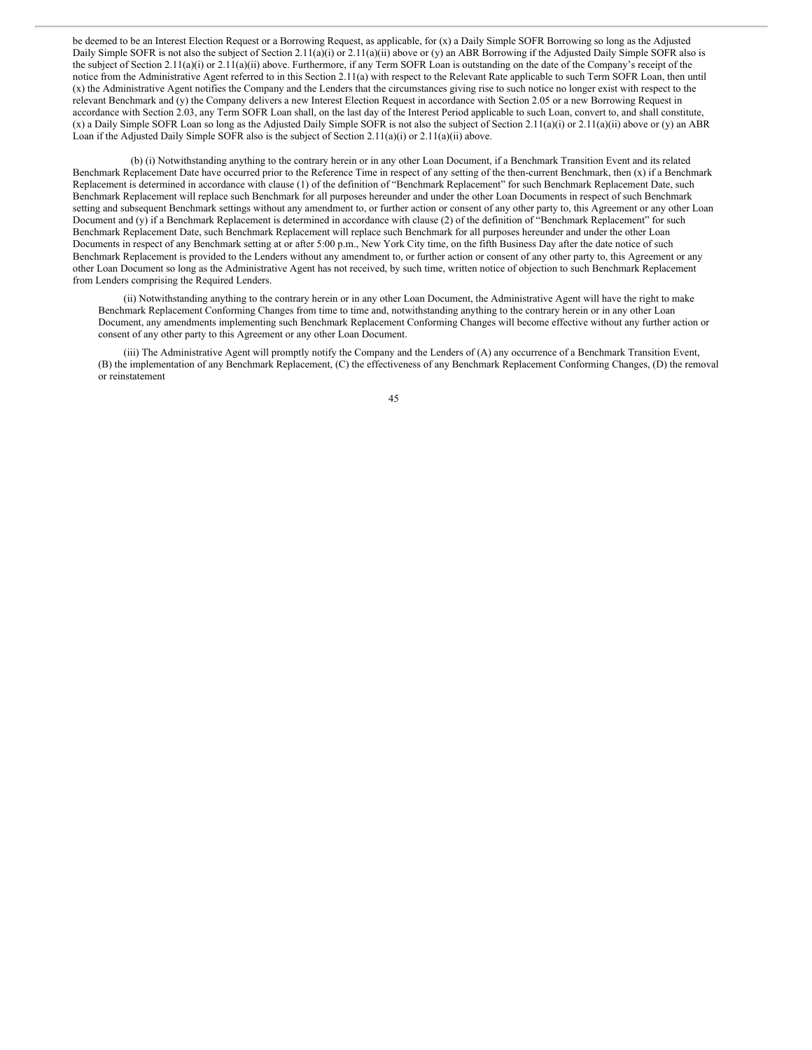be deemed to be an Interest Election Request or a Borrowing Request, as applicable, for (x) a Daily Simple SOFR Borrowing so long as the Adjusted Daily Simple SOFR is not also the subject of Section 2.11(a)(i) or 2.11(a)(ii) above or (y) an ABR Borrowing if the Adjusted Daily Simple SOFR also is the subject of Section 2.11(a)(i) or 2.11(a)(ii) above. Furthermore, if any Term SOFR Loan is outstanding on the date of the Company's receipt of the notice from the Administrative Agent referred to in this Section 2.11(a) with respect to the Relevant Rate applicable to such Term SOFR Loan, then until (x) the Administrative Agent notifies the Company and the Lenders that the circumstances giving rise to such notice no longer exist with respect to the relevant Benchmark and (y) the Company delivers a new Interest Election Request in accordance with Section 2.05 or a new Borrowing Request in accordance with Section 2.03, any Term SOFR Loan shall, on the last day of the Interest Period applicable to such Loan, convert to, and shall constitute, (x) a Daily Simple SOFR Loan so long as the Adjusted Daily Simple SOFR is not also the subject of Section 2.11(a)(i) or 2.11(a)(ii) above or (y) an ABR Loan if the Adjusted Daily Simple SOFR also is the subject of Section 2.11(a)(i) or 2.11(a)(ii) above.

(b) (i) Notwithstanding anything to the contrary herein or in any other Loan Document, if a Benchmark Transition Event and its related Benchmark Replacement Date have occurred prior to the Reference Time in respect of any setting of the then-current Benchmark, then (x) if a Benchmark Replacement is determined in accordance with clause (1) of the definition of "Benchmark Replacement" for such Benchmark Replacement Date, such Benchmark Replacement will replace such Benchmark for all purposes hereunder and under the other Loan Documents in respect of such Benchmark setting and subsequent Benchmark settings without any amendment to, or further action or consent of any other party to, this Agreement or any other Loan Document and (y) if a Benchmark Replacement is determined in accordance with clause (2) of the definition of "Benchmark Replacement" for such Benchmark Replacement Date, such Benchmark Replacement will replace such Benchmark for all purposes hereunder and under the other Loan Documents in respect of any Benchmark setting at or after 5:00 p.m., New York City time, on the fifth Business Day after the date notice of such Benchmark Replacement is provided to the Lenders without any amendment to, or further action or consent of any other party to, this Agreement or any other Loan Document so long as the Administrative Agent has not received, by such time, written notice of objection to such Benchmark Replacement from Lenders comprising the Required Lenders.

(ii) Notwithstanding anything to the contrary herein or in any other Loan Document, the Administrative Agent will have the right to make Benchmark Replacement Conforming Changes from time to time and, notwithstanding anything to the contrary herein or in any other Loan Document, any amendments implementing such Benchmark Replacement Conforming Changes will become effective without any further action or consent of any other party to this Agreement or any other Loan Document.

(iii) The Administrative Agent will promptly notify the Company and the Lenders of (A) any occurrence of a Benchmark Transition Event, (B) the implementation of any Benchmark Replacement, (C) the effectiveness of any Benchmark Replacement Conforming Changes, (D) the removal or reinstatement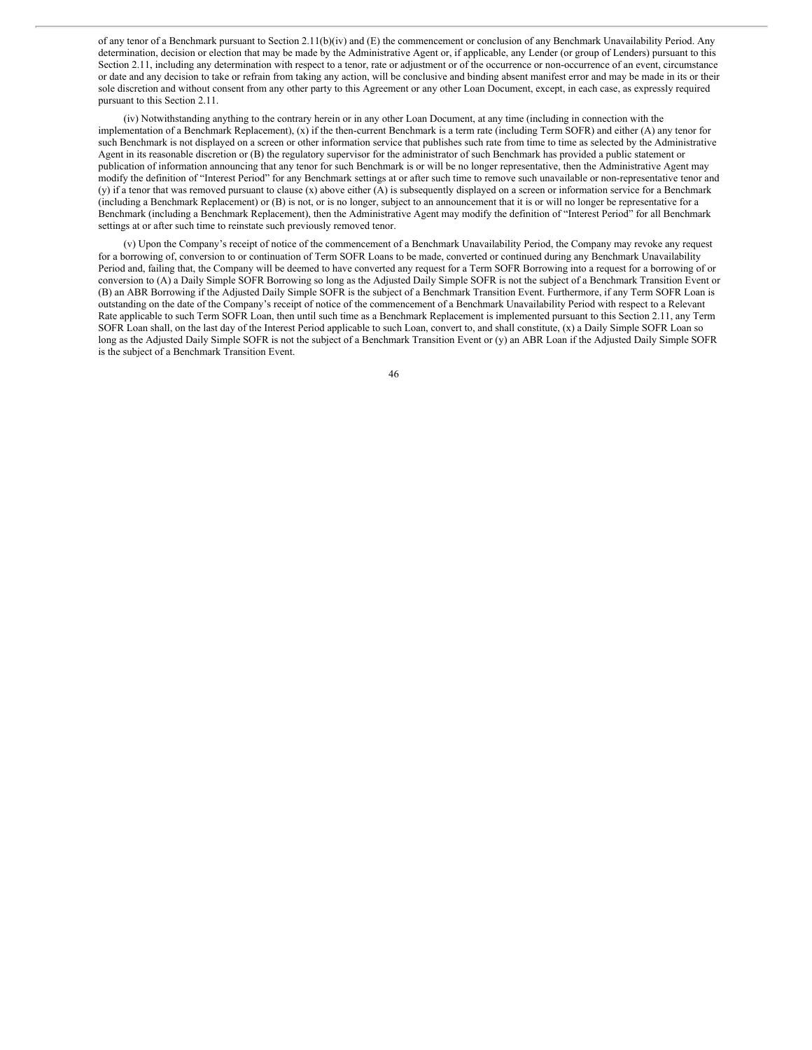of any tenor of a Benchmark pursuant to Section 2.11(b)(iv) and (E) the commencement or conclusion of any Benchmark Unavailability Period. Any determination, decision or election that may be made by the Administrative Agent or, if applicable, any Lender (or group of Lenders) pursuant to this Section 2.11, including any determination with respect to a tenor, rate or adjustment or of the occurrence or non-occurrence of an event, circumstance or date and any decision to take or refrain from taking any action, will be conclusive and binding absent manifest error and may be made in its or their sole discretion and without consent from any other party to this Agreement or any other Loan Document, except, in each case, as expressly required pursuant to this Section 2.11.

(iv) Notwithstanding anything to the contrary herein or in any other Loan Document, at any time (including in connection with the implementation of a Benchmark Replacement),  $(x)$  if the then-current Benchmark is a term rate (including Term SOFR) and either  $(A)$  any tenor for such Benchmark is not displayed on a screen or other information service that publishes such rate from time to time as selected by the Administrative Agent in its reasonable discretion or (B) the regulatory supervisor for the administrator of such Benchmark has provided a public statement or publication of information announcing that any tenor for such Benchmark is or will be no longer representative, then the Administrative Agent may modify the definition of "Interest Period" for any Benchmark settings at or after such time to remove such unavailable or non-representative tenor and (y) if a tenor that was removed pursuant to clause (x) above either (A) is subsequently displayed on a screen or information service for a Benchmark (including a Benchmark Replacement) or (B) is not, or is no longer, subject to an announcement that it is or will no longer be representative for a Benchmark (including a Benchmark Replacement), then the Administrative Agent may modify the definition of "Interest Period" for all Benchmark settings at or after such time to reinstate such previously removed tenor.

(v) Upon the Company's receipt of notice of the commencement of a Benchmark Unavailability Period, the Company may revoke any request for a borrowing of, conversion to or continuation of Term SOFR Loans to be made, converted or continued during any Benchmark Unavailability Period and, failing that, the Company will be deemed to have converted any request for a Term SOFR Borrowing into a request for a borrowing of or conversion to (A) a Daily Simple SOFR Borrowing so long as the Adjusted Daily Simple SOFR is not the subject of a Benchmark Transition Event or (B) an ABR Borrowing if the Adjusted Daily Simple SOFR is the subject of a Benchmark Transition Event. Furthermore, if any Term SOFR Loan is outstanding on the date of the Company's receipt of notice of the commencement of a Benchmark Unavailability Period with respect to a Relevant Rate applicable to such Term SOFR Loan, then until such time as a Benchmark Replacement is implemented pursuant to this Section 2.11, any Term SOFR Loan shall, on the last day of the Interest Period applicable to such Loan, convert to, and shall constitute, (x) a Daily Simple SOFR Loan so long as the Adjusted Daily Simple SOFR is not the subject of a Benchmark Transition Event or (y) an ABR Loan if the Adjusted Daily Simple SOFR is the subject of a Benchmark Transition Event.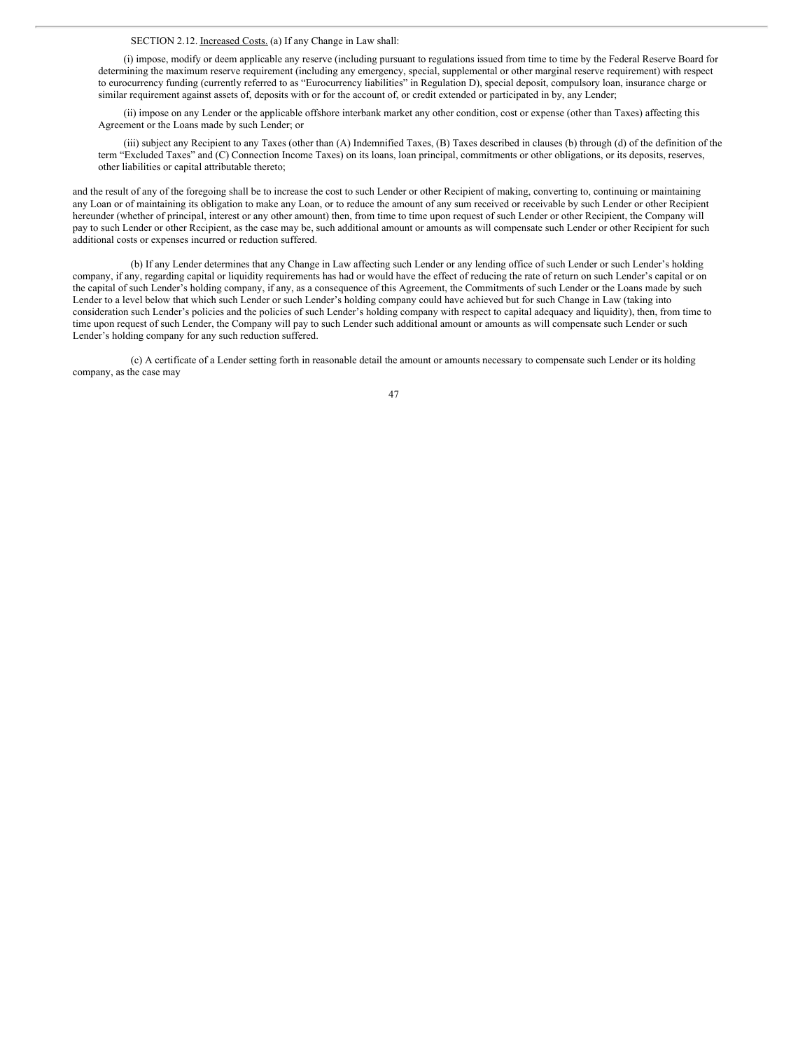SECTION 2.12. Increased Costs. (a) If any Change in Law shall:

(i) impose, modify or deem applicable any reserve (including pursuant to regulations issued from time to time by the Federal Reserve Board for determining the maximum reserve requirement (including any emergency, special, supplemental or other marginal reserve requirement) with respect to eurocurrency funding (currently referred to as "Eurocurrency liabilities" in Regulation D), special deposit, compulsory loan, insurance charge or similar requirement against assets of, deposits with or for the account of, or credit extended or participated in by, any Lender;

(ii) impose on any Lender or the applicable offshore interbank market any other condition, cost or expense (other than Taxes) affecting this Agreement or the Loans made by such Lender; or

(iii) subject any Recipient to any Taxes (other than (A) Indemnified Taxes, (B) Taxes described in clauses (b) through (d) of the definition of the term "Excluded Taxes" and (C) Connection Income Taxes) on its loans, loan principal, commitments or other obligations, or its deposits, reserves, other liabilities or capital attributable thereto;

and the result of any of the foregoing shall be to increase the cost to such Lender or other Recipient of making, converting to, continuing or maintaining any Loan or of maintaining its obligation to make any Loan, or to reduce the amount of any sum received or receivable by such Lender or other Recipient hereunder (whether of principal, interest or any other amount) then, from time to time upon request of such Lender or other Recipient, the Company will pay to such Lender or other Recipient, as the case may be, such additional amount or amounts as will compensate such Lender or other Recipient for such additional costs or expenses incurred or reduction suffered.

(b) If any Lender determines that any Change in Law affecting such Lender or any lending office of such Lender or such Lender's holding company, if any, regarding capital or liquidity requirements has had or would have the effect of reducing the rate of return on such Lender's capital or on the capital of such Lender's holding company, if any, as a consequence of this Agreement, the Commitments of such Lender or the Loans made by such Lender to a level below that which such Lender or such Lender's holding company could have achieved but for such Change in Law (taking into consideration such Lender's policies and the policies of such Lender's holding company with respect to capital adequacy and liquidity), then, from time to time upon request of such Lender, the Company will pay to such Lender such additional amount or amounts as will compensate such Lender or such Lender's holding company for any such reduction suffered.

(c) A certificate of a Lender setting forth in reasonable detail the amount or amounts necessary to compensate such Lender or its holding company, as the case may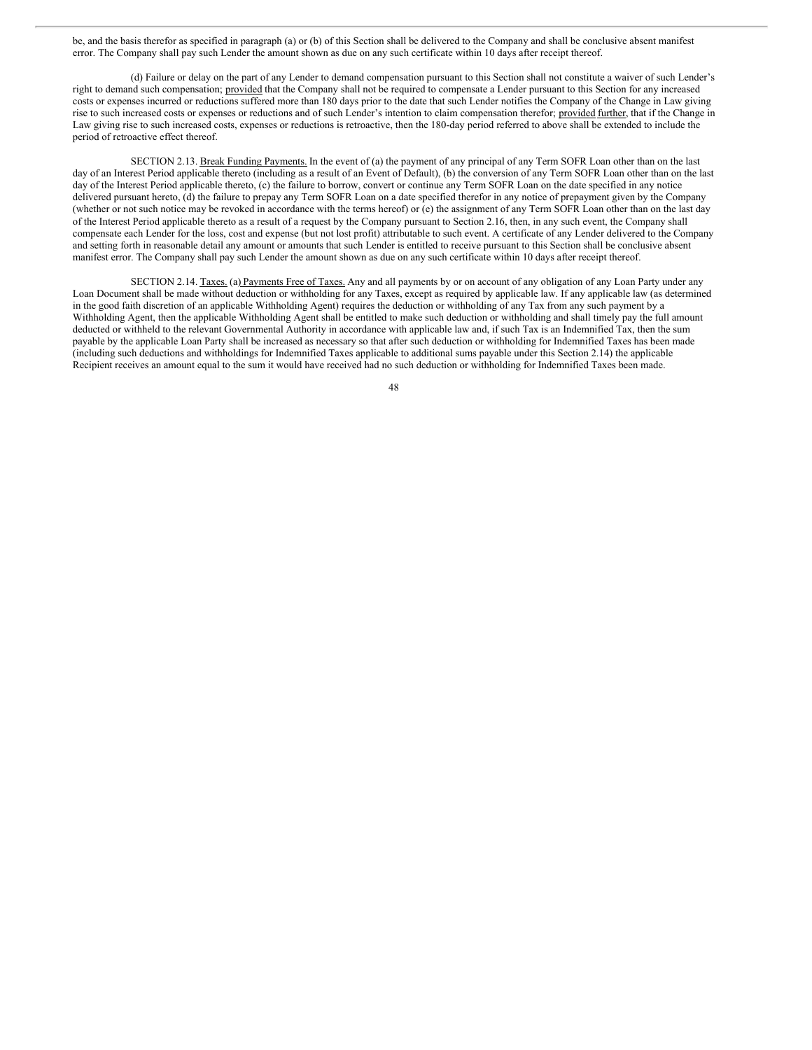be, and the basis therefor as specified in paragraph (a) or (b) of this Section shall be delivered to the Company and shall be conclusive absent manifest error. The Company shall pay such Lender the amount shown as due on any such certificate within 10 days after receipt thereof.

(d) Failure or delay on the part of any Lender to demand compensation pursuant to this Section shall not constitute a waiver of such Lender's right to demand such compensation; provided that the Company shall not be required to compensate a Lender pursuant to this Section for any increased costs or expenses incurred or reductions suffered more than 180 days prior to the date that such Lender notifies the Company of the Change in Law giving rise to such increased costs or expenses or reductions and of such Lender's intention to claim compensation therefor; provided further, that if the Change in Law giving rise to such increased costs, expenses or reductions is retroactive, then the 180-day period referred to above shall be extended to include the period of retroactive effect thereof.

SECTION 2.13. Break Funding Payments. In the event of (a) the payment of any principal of any Term SOFR Loan other than on the last day of an Interest Period applicable thereto (including as a result of an Event of Default), (b) the conversion of any Term SOFR Loan other than on the last day of the Interest Period applicable thereto, (c) the failure to borrow, convert or continue any Term SOFR Loan on the date specified in any notice delivered pursuant hereto, (d) the failure to prepay any Term SOFR Loan on a date specified therefor in any notice of prepayment given by the Company (whether or not such notice may be revoked in accordance with the terms hereof) or (e) the assignment of any Term SOFR Loan other than on the last day of the Interest Period applicable thereto as a result of a request by the Company pursuant to Section 2.16, then, in any such event, the Company shall compensate each Lender for the loss, cost and expense (but not lost profit) attributable to such event. A certificate of any Lender delivered to the Company and setting forth in reasonable detail any amount or amounts that such Lender is entitled to receive pursuant to this Section shall be conclusive absent manifest error. The Company shall pay such Lender the amount shown as due on any such certificate within 10 days after receipt thereof.

SECTION 2.14. Taxes. (a) Payments Free of Taxes. Any and all payments by or on account of any obligation of any Loan Party under any Loan Document shall be made without deduction or withholding for any Taxes, except as required by applicable law. If any applicable law (as determined in the good faith discretion of an applicable Withholding Agent) requires the deduction or withholding of any Tax from any such payment by a Withholding Agent, then the applicable Withholding Agent shall be entitled to make such deduction or withholding and shall timely pay the full amount deducted or withheld to the relevant Governmental Authority in accordance with applicable law and, if such Tax is an Indemnified Tax, then the sum payable by the applicable Loan Party shall be increased as necessary so that after such deduction or withholding for Indemnified Taxes has been made (including such deductions and withholdings for Indemnified Taxes applicable to additional sums payable under this Section 2.14) the applicable Recipient receives an amount equal to the sum it would have received had no such deduction or withholding for Indemnified Taxes been made.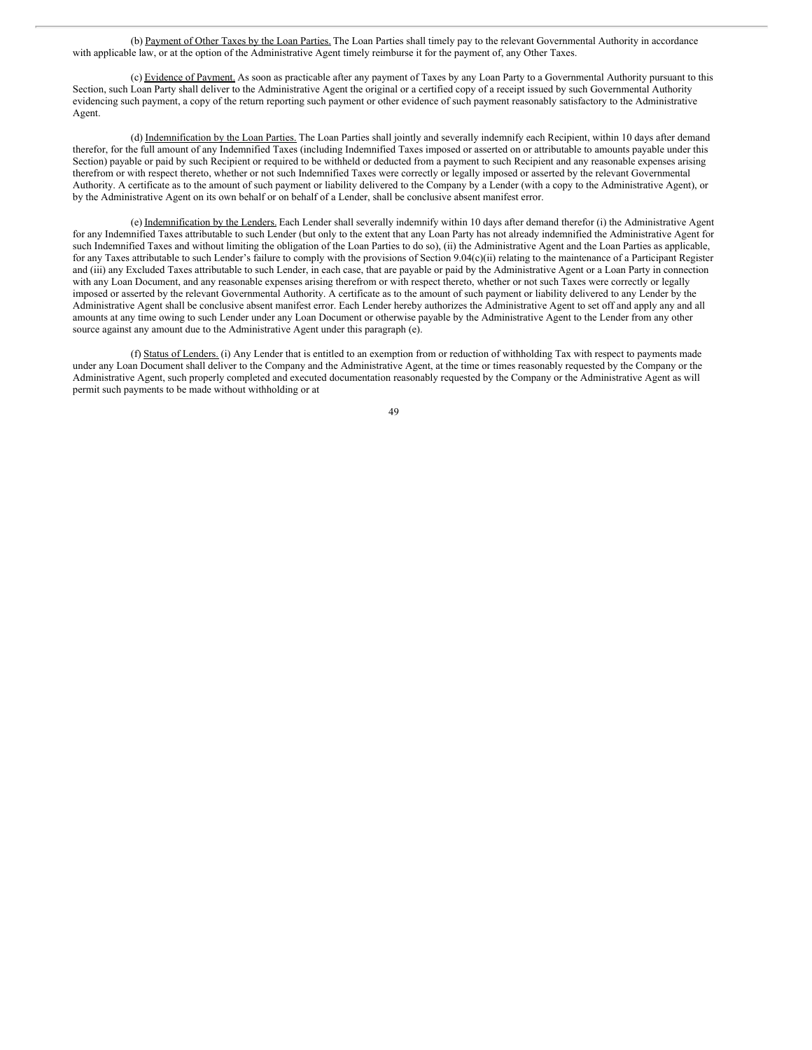(b) Payment of Other Taxes by the Loan Parties. The Loan Parties shall timely pay to the relevant Governmental Authority in accordance with applicable law, or at the option of the Administrative Agent timely reimburse it for the payment of, any Other Taxes.

(c) Evidence of Payment. As soon as practicable after any payment of Taxes by any Loan Party to a Governmental Authority pursuant to this Section, such Loan Party shall deliver to the Administrative Agent the original or a certified copy of a receipt issued by such Governmental Authority evidencing such payment, a copy of the return reporting such payment or other evidence of such payment reasonably satisfactory to the Administrative Agent.

(d) Indemnification by the Loan Parties. The Loan Parties shall jointly and severally indemnify each Recipient, within 10 days after demand therefor, for the full amount of any Indemnified Taxes (including Indemnified Taxes imposed or asserted on or attributable to amounts payable under this Section) payable or paid by such Recipient or required to be withheld or deducted from a payment to such Recipient and any reasonable expenses arising therefrom or with respect thereto, whether or not such Indemnified Taxes were correctly or legally imposed or asserted by the relevant Governmental Authority. A certificate as to the amount of such payment or liability delivered to the Company by a Lender (with a copy to the Administrative Agent), or by the Administrative Agent on its own behalf or on behalf of a Lender, shall be conclusive absent manifest error.

(e) Indemnification by the Lenders. Each Lender shall severally indemnify within 10 days after demand therefor (i) the Administrative Agent for any Indemnified Taxes attributable to such Lender (but only to the extent that any Loan Party has not already indemnified the Administrative Agent for such Indemnified Taxes and without limiting the obligation of the Loan Parties to do so), (ii) the Administrative Agent and the Loan Parties as applicable, for any Taxes attributable to such Lender's failure to comply with the provisions of Section 9.04(c)(ii) relating to the maintenance of a Participant Register and (iii) any Excluded Taxes attributable to such Lender, in each case, that are payable or paid by the Administrative Agent or a Loan Party in connection with any Loan Document, and any reasonable expenses arising therefrom or with respect thereto, whether or not such Taxes were correctly or legally imposed or asserted by the relevant Governmental Authority. A certificate as to the amount of such payment or liability delivered to any Lender by the Administrative Agent shall be conclusive absent manifest error. Each Lender hereby authorizes the Administrative Agent to set off and apply any and all amounts at any time owing to such Lender under any Loan Document or otherwise payable by the Administrative Agent to the Lender from any other source against any amount due to the Administrative Agent under this paragraph (e).

(f) Status of Lenders. (i) Any Lender that is entitled to an exemption from or reduction of withholding Tax with respect to payments made under any Loan Document shall deliver to the Company and the Administrative Agent, at the time or times reasonably requested by the Company or the Administrative Agent, such properly completed and executed documentation reasonably requested by the Company or the Administrative Agent as will permit such payments to be made without withholding or at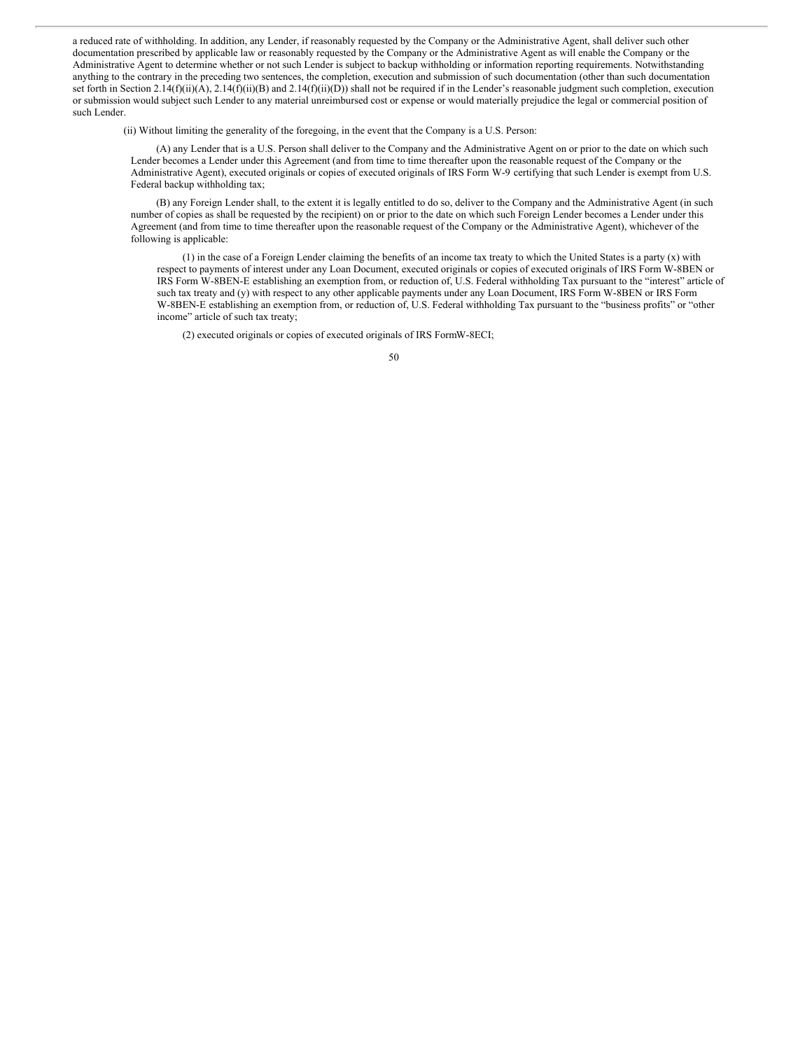a reduced rate of withholding. In addition, any Lender, if reasonably requested by the Company or the Administrative Agent, shall deliver such other documentation prescribed by applicable law or reasonably requested by the Company or the Administrative Agent as will enable the Company or the Administrative Agent to determine whether or not such Lender is subject to backup withholding or information reporting requirements. Notwithstanding anything to the contrary in the preceding two sentences, the completion, execution and submission of such documentation (other than such documentation set forth in Section 2.14(f)(ii)(A), 2.14(f)(ii)(B) and 2.14(f)(ii)(D)) shall not be required if in the Lender's reasonable judgment such completion, execution or submission would subject such Lender to any material unreimbursed cost or expense or would materially prejudice the legal or commercial position of such Lender.

(ii) Without limiting the generality of the foregoing, in the event that the Company is a U.S. Person:

(A) any Lender that is a U.S. Person shall deliver to the Company and the Administrative Agent on or prior to the date on which such Lender becomes a Lender under this Agreement (and from time to time thereafter upon the reasonable request of the Company or the Administrative Agent), executed originals or copies of executed originals of IRS Form W-9 certifying that such Lender is exempt from U.S. Federal backup withholding tax;

(B) any Foreign Lender shall, to the extent it is legally entitled to do so, deliver to the Company and the Administrative Agent (in such number of copies as shall be requested by the recipient) on or prior to the date on which such Foreign Lender becomes a Lender under this Agreement (and from time to time thereafter upon the reasonable request of the Company or the Administrative Agent), whichever of the following is applicable:

(1) in the case of a Foreign Lender claiming the benefits of an income tax treaty to which the United States is a party (x) with respect to payments of interest under any Loan Document, executed originals or copies of executed originals of IRS Form W-8BEN or IRS Form W-8BEN-E establishing an exemption from, or reduction of, U.S. Federal withholding Tax pursuant to the "interest" article of such tax treaty and (y) with respect to any other applicable payments under any Loan Document, IRS Form W-8BEN or IRS Form W-8BEN-E establishing an exemption from, or reduction of, U.S. Federal withholding Tax pursuant to the "business profits" or "other income" article of such tax treaty;

(2) executed originals or copies of executed originals of IRS FormW-8ECI;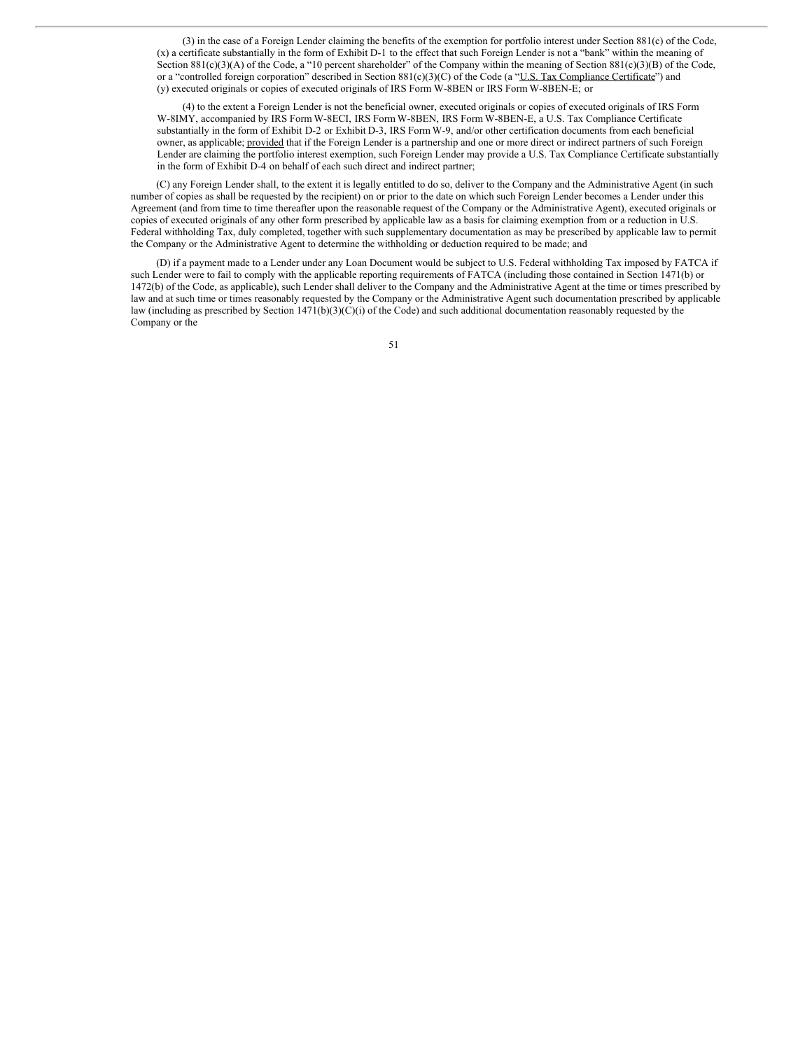(3) in the case of a Foreign Lender claiming the benefits of the exemption for portfolio interest under Section 881(c) of the Code, (x) a certificate substantially in the form of Exhibit D-1 to the effect that such Foreign Lender is not a "bank" within the meaning of Section 881(c)(3)(A) of the Code, a "10 percent shareholder" of the Company within the meaning of Section 881(c)(3)(B) of the Code, or a "controlled foreign corporation" described in Section 881(c)(3)(C) of the Code (a "<u>U.S. Tax Compliance Certificate</u>") and (y) executed originals or copies of executed originals of IRS Form W-8BEN or IRS Form W-8BEN-E; or

(4) to the extent a Foreign Lender is not the beneficial owner, executed originals or copies of executed originals of IRS Form W-8IMY, accompanied by IRS Form W-8ECI, IRS Form W-8BEN, IRS Form W-8BEN-E, a U.S. Tax Compliance Certificate substantially in the form of Exhibit D-2 or Exhibit D-3, IRS Form W-9, and/or other certification documents from each beneficial owner, as applicable; provided that if the Foreign Lender is a partnership and one or more direct or indirect partners of such Foreign Lender are claiming the portfolio interest exemption, such Foreign Lender may provide a U.S. Tax Compliance Certificate substantially in the form of Exhibit D-4 on behalf of each such direct and indirect partner;

(C) any Foreign Lender shall, to the extent it is legally entitled to do so, deliver to the Company and the Administrative Agent (in such number of copies as shall be requested by the recipient) on or prior to the date on which such Foreign Lender becomes a Lender under this Agreement (and from time to time thereafter upon the reasonable request of the Company or the Administrative Agent), executed originals or copies of executed originals of any other form prescribed by applicable law as a basis for claiming exemption from or a reduction in U.S. Federal withholding Tax, duly completed, together with such supplementary documentation as may be prescribed by applicable law to permit the Company or the Administrative Agent to determine the withholding or deduction required to be made; and

(D) if a payment made to a Lender under any Loan Document would be subject to U.S. Federal withholding Tax imposed by FATCA if such Lender were to fail to comply with the applicable reporting requirements of FATCA (including those contained in Section 1471(b) or 1472(b) of the Code, as applicable), such Lender shall deliver to the Company and the Administrative Agent at the time or times prescribed by law and at such time or times reasonably requested by the Company or the Administrative Agent such documentation prescribed by applicable law (including as prescribed by Section 1471(b)(3)(C)(i) of the Code) and such additional documentation reasonably requested by the Company or the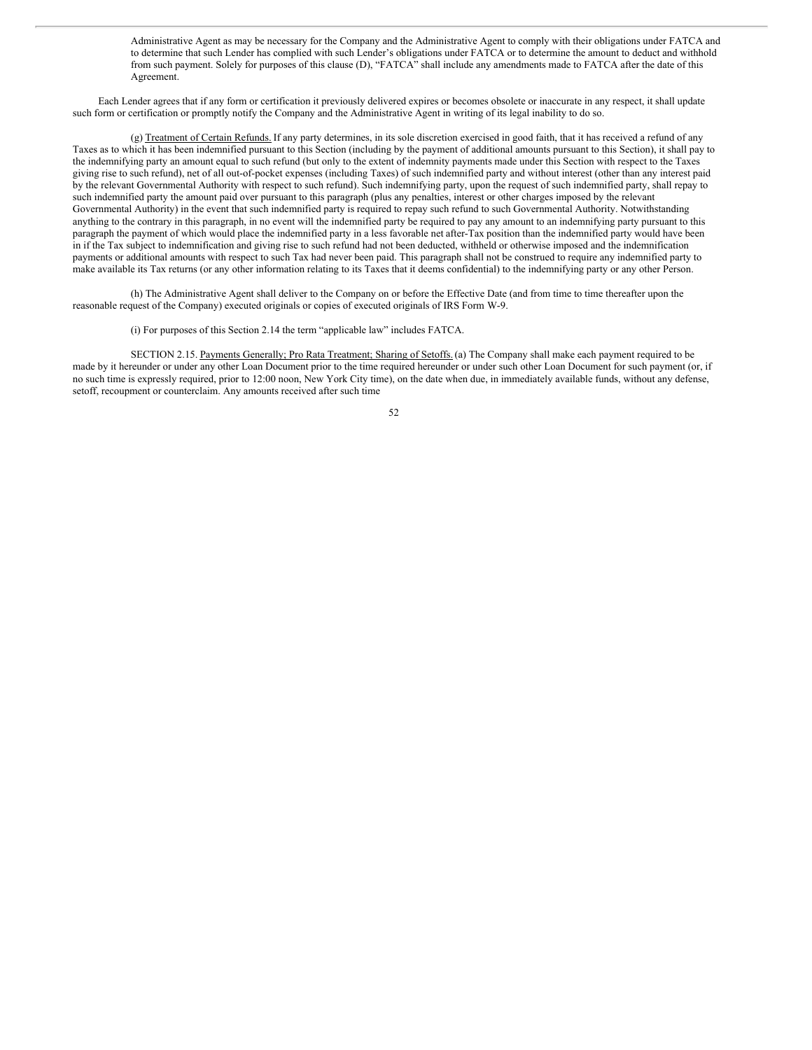Administrative Agent as may be necessary for the Company and the Administrative Agent to comply with their obligations under FATCA and to determine that such Lender has complied with such Lender's obligations under FATCA or to determine the amount to deduct and withhold from such payment. Solely for purposes of this clause (D), "FATCA" shall include any amendments made to FATCA after the date of this Agreement.

Each Lender agrees that if any form or certification it previously delivered expires or becomes obsolete or inaccurate in any respect, it shall update such form or certification or promptly notify the Company and the Administrative Agent in writing of its legal inability to do so.

(g) Treatment of Certain Refunds. If any party determines, in its sole discretion exercised in good faith, that it has received a refund of any Taxes as to which it has been indemnified pursuant to this Section (including by the payment of additional amounts pursuant to this Section), it shall pay to the indemnifying party an amount equal to such refund (but only to the extent of indemnity payments made under this Section with respect to the Taxes giving rise to such refund), net of all out-of-pocket expenses (including Taxes) of such indemnified party and without interest (other than any interest paid by the relevant Governmental Authority with respect to such refund). Such indemnifying party, upon the request of such indemnified party, shall repay to such indemnified party the amount paid over pursuant to this paragraph (plus any penalties, interest or other charges imposed by the relevant Governmental Authority) in the event that such indemnified party is required to repay such refund to such Governmental Authority. Notwithstanding anything to the contrary in this paragraph, in no event will the indemnified party be required to pay any amount to an indemnifying party pursuant to this paragraph the payment of which would place the indemnified party in a less favorable net after-Tax position than the indemnified party would have been in if the Tax subject to indemnification and giving rise to such refund had not been deducted, withheld or otherwise imposed and the indemnification payments or additional amounts with respect to such Tax had never been paid. This paragraph shall not be construed to require any indemnified party to make available its Tax returns (or any other information relating to its Taxes that it deems confidential) to the indemnifying party or any other Person.

(h) The Administrative Agent shall deliver to the Company on or before the Effective Date (and from time to time thereafter upon the reasonable request of the Company) executed originals or copies of executed originals of IRS Form W-9.

#### (i) For purposes of this Section 2.14 the term "applicable law" includes FATCA.

SECTION 2.15. Payments Generally; Pro Rata Treatment; Sharing of Setoffs.(a) The Company shall make each payment required to be made by it hereunder or under any other Loan Document prior to the time required hereunder or under such other Loan Document for such payment (or, if no such time is expressly required, prior to 12:00 noon, New York City time), on the date when due, in immediately available funds, without any defense, setoff, recoupment or counterclaim. Any amounts received after such time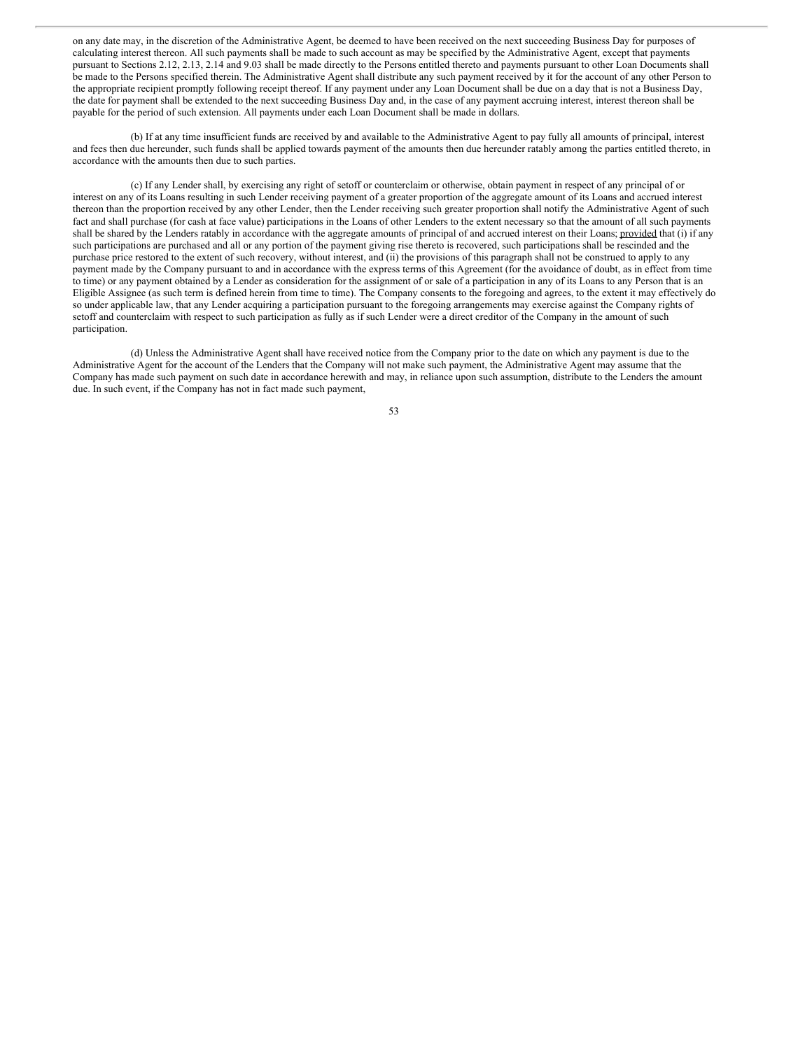on any date may, in the discretion of the Administrative Agent, be deemed to have been received on the next succeeding Business Day for purposes of calculating interest thereon. All such payments shall be made to such account as may be specified by the Administrative Agent, except that payments pursuant to Sections 2.12, 2.13, 2.14 and 9.03 shall be made directly to the Persons entitled thereto and payments pursuant to other Loan Documents shall be made to the Persons specified therein. The Administrative Agent shall distribute any such payment received by it for the account of any other Person to the appropriate recipient promptly following receipt thereof. If any payment under any Loan Document shall be due on a day that is not a Business Day, the date for payment shall be extended to the next succeeding Business Day and, in the case of any payment accruing interest, interest thereon shall be payable for the period of such extension. All payments under each Loan Document shall be made in dollars.

(b) If at any time insufficient funds are received by and available to the Administrative Agent to pay fully all amounts of principal, interest and fees then due hereunder, such funds shall be applied towards payment of the amounts then due hereunder ratably among the parties entitled thereto, in accordance with the amounts then due to such parties.

(c) If any Lender shall, by exercising any right of setoff or counterclaim or otherwise, obtain payment in respect of any principal of or interest on any of its Loans resulting in such Lender receiving payment of a greater proportion of the aggregate amount of its Loans and accrued interest thereon than the proportion received by any other Lender, then the Lender receiving such greater proportion shall notify the Administrative Agent of such fact and shall purchase (for cash at face value) participations in the Loans of other Lenders to the extent necessary so that the amount of all such payments shall be shared by the Lenders ratably in accordance with the aggregate amounts of principal of and accrued interest on their Loans; provided that (i) if any such participations are purchased and all or any portion of the payment giving rise thereto is recovered, such participations shall be rescinded and the purchase price restored to the extent of such recovery, without interest, and (ii) the provisions of this paragraph shall not be construed to apply to any payment made by the Company pursuant to and in accordance with the express terms of this Agreement (for the avoidance of doubt, as in effect from time to time) or any payment obtained by a Lender as consideration for the assignment of or sale of a participation in any of its Loans to any Person that is an Eligible Assignee (as such term is defined herein from time to time). The Company consents to the foregoing and agrees, to the extent it may effectively do so under applicable law, that any Lender acquiring a participation pursuant to the foregoing arrangements may exercise against the Company rights of setoff and counterclaim with respect to such participation as fully as if such Lender were a direct creditor of the Company in the amount of such participation.

(d) Unless the Administrative Agent shall have received notice from the Company prior to the date on which any payment is due to the Administrative Agent for the account of the Lenders that the Company will not make such payment, the Administrative Agent may assume that the Company has made such payment on such date in accordance herewith and may, in reliance upon such assumption, distribute to the Lenders the amount due. In such event, if the Company has not in fact made such payment,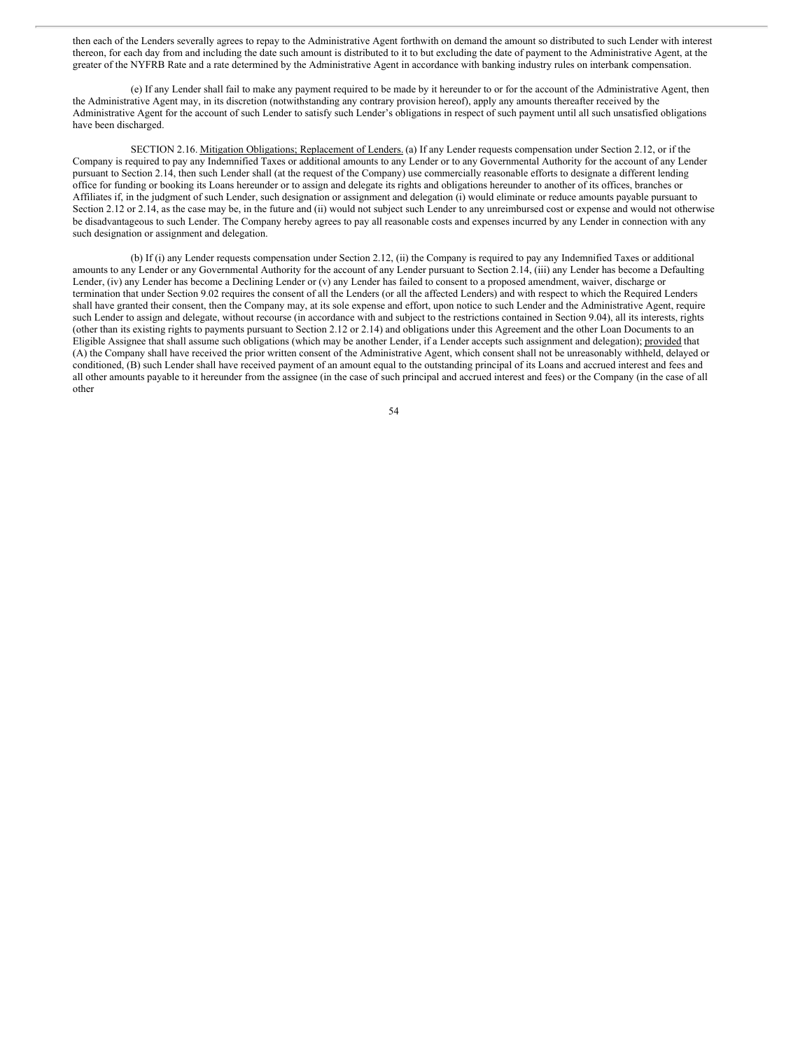then each of the Lenders severally agrees to repay to the Administrative Agent forthwith on demand the amount so distributed to such Lender with interest thereon, for each day from and including the date such amount is distributed to it to but excluding the date of payment to the Administrative Agent, at the greater of the NYFRB Rate and a rate determined by the Administrative Agent in accordance with banking industry rules on interbank compensation.

(e) If any Lender shall fail to make any payment required to be made by it hereunder to or for the account of the Administrative Agent, then the Administrative Agent may, in its discretion (notwithstanding any contrary provision hereof), apply any amounts thereafter received by the Administrative Agent for the account of such Lender to satisfy such Lender's obligations in respect of such payment until all such unsatisfied obligations have been discharged.

SECTION 2.16. Mitigation Obligations; Replacement of Lenders. (a) If any Lender requests compensation under Section 2.12, or if the Company is required to pay any Indemnified Taxes or additional amounts to any Lender or to any Governmental Authority for the account of any Lender pursuant to Section 2.14, then such Lender shall (at the request of the Company) use commercially reasonable efforts to designate a different lending office for funding or booking its Loans hereunder or to assign and delegate its rights and obligations hereunder to another of its offices, branches or Affiliates if, in the judgment of such Lender, such designation or assignment and delegation (i) would eliminate or reduce amounts payable pursuant to Section 2.12 or 2.14, as the case may be, in the future and (ii) would not subject such Lender to any unreimbursed cost or expense and would not otherwise be disadvantageous to such Lender. The Company hereby agrees to pay all reasonable costs and expenses incurred by any Lender in connection with any such designation or assignment and delegation.

(b) If (i) any Lender requests compensation under Section 2.12, (ii) the Company is required to pay any Indemnified Taxes or additional amounts to any Lender or any Governmental Authority for the account of any Lender pursuant to Section 2.14, (iii) any Lender has become a Defaulting Lender, (iv) any Lender has become a Declining Lender or (v) any Lender has failed to consent to a proposed amendment, waiver, discharge or termination that under Section 9.02 requires the consent of all the Lenders (or all the affected Lenders) and with respect to which the Required Lenders shall have granted their consent, then the Company may, at its sole expense and effort, upon notice to such Lender and the Administrative Agent, require such Lender to assign and delegate, without recourse (in accordance with and subject to the restrictions contained in Section 9.04), all its interests, rights (other than its existing rights to payments pursuant to Section 2.12 or 2.14) and obligations under this Agreement and the other Loan Documents to an Eligible Assignee that shall assume such obligations (which may be another Lender, if a Lender accepts such assignment and delegation); provided that (A) the Company shall have received the prior written consent of the Administrative Agent, which consent shall not be unreasonably withheld, delayed or conditioned, (B) such Lender shall have received payment of an amount equal to the outstanding principal of its Loans and accrued interest and fees and all other amounts payable to it hereunder from the assignee (in the case of such principal and accrued interest and fees) or the Company (in the case of all other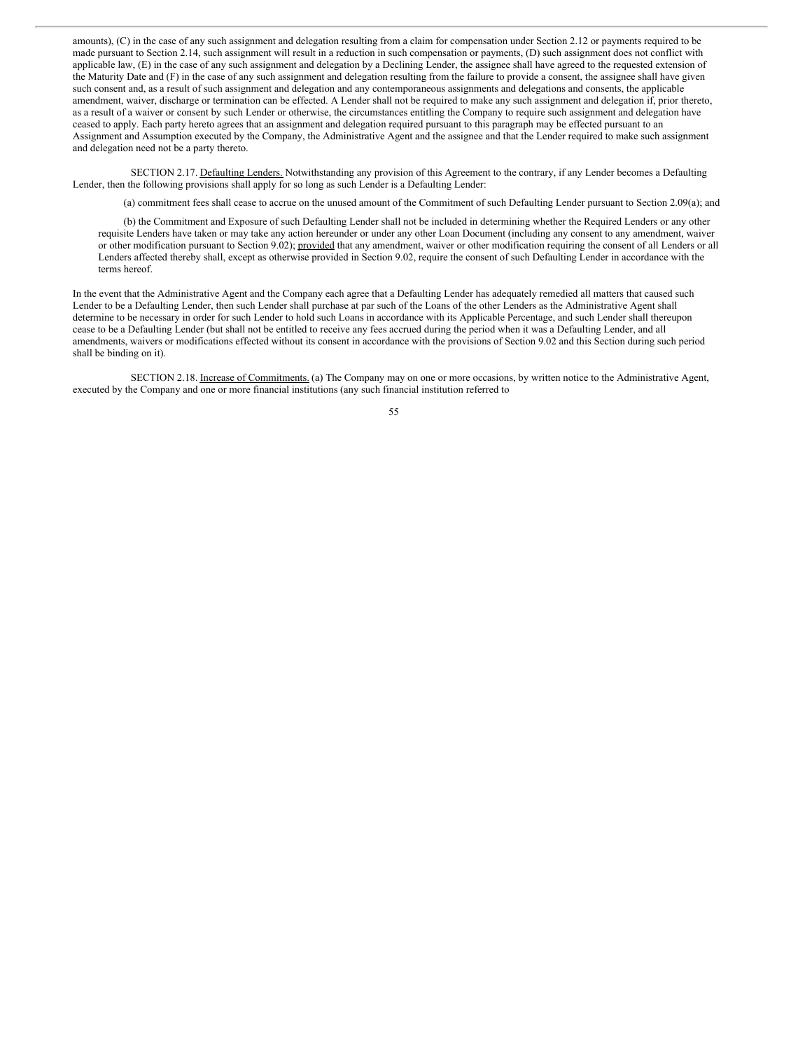amounts), (C) in the case of any such assignment and delegation resulting from a claim for compensation under Section 2.12 or payments required to be made pursuant to Section 2.14, such assignment will result in a reduction in such compensation or payments, (D) such assignment does not conflict with applicable law, (E) in the case of any such assignment and delegation by a Declining Lender, the assignee shall have agreed to the requested extension of the Maturity Date and (F) in the case of any such assignment and delegation resulting from the failure to provide a consent, the assignee shall have given such consent and, as a result of such assignment and delegation and any contemporaneous assignments and delegations and consents, the applicable amendment, waiver, discharge or termination can be effected. A Lender shall not be required to make any such assignment and delegation if, prior thereto, as a result of a waiver or consent by such Lender or otherwise, the circumstances entitling the Company to require such assignment and delegation have ceased to apply. Each party hereto agrees that an assignment and delegation required pursuant to this paragraph may be effected pursuant to an Assignment and Assumption executed by the Company, the Administrative Agent and the assignee and that the Lender required to make such assignment and delegation need not be a party thereto.

SECTION 2.17. Defaulting Lenders. Notwithstanding any provision of this Agreement to the contrary, if any Lender becomes a Defaulting Lender, then the following provisions shall apply for so long as such Lender is a Defaulting Lender:

(a) commitment fees shall cease to accrue on the unused amount of the Commitment of such Defaulting Lender pursuant to Section 2.09(a); and

(b) the Commitment and Exposure of such Defaulting Lender shall not be included in determining whether the Required Lenders or any other requisite Lenders have taken or may take any action hereunder or under any other Loan Document (including any consent to any amendment, waiver or other modification pursuant to Section 9.02); provided that any amendment, waiver or other modification requiring the consent of all Lenders or all Lenders affected thereby shall, except as otherwise provided in Section 9.02, require the consent of such Defaulting Lender in accordance with the terms hereof.

In the event that the Administrative Agent and the Company each agree that a Defaulting Lender has adequately remedied all matters that caused such Lender to be a Defaulting Lender, then such Lender shall purchase at par such of the Loans of the other Lenders as the Administrative Agent shall determine to be necessary in order for such Lender to hold such Loans in accordance with its Applicable Percentage, and such Lender shall thereupon cease to be a Defaulting Lender (but shall not be entitled to receive any fees accrued during the period when it was a Defaulting Lender, and all amendments, waivers or modifications effected without its consent in accordance with the provisions of Section 9.02 and this Section during such period shall be binding on it).

SECTION 2.18. Increase of Commitments. (a) The Company may on one or more occasions, by written notice to the Administrative Agent, executed by the Company and one or more financial institutions (any such financial institution referred to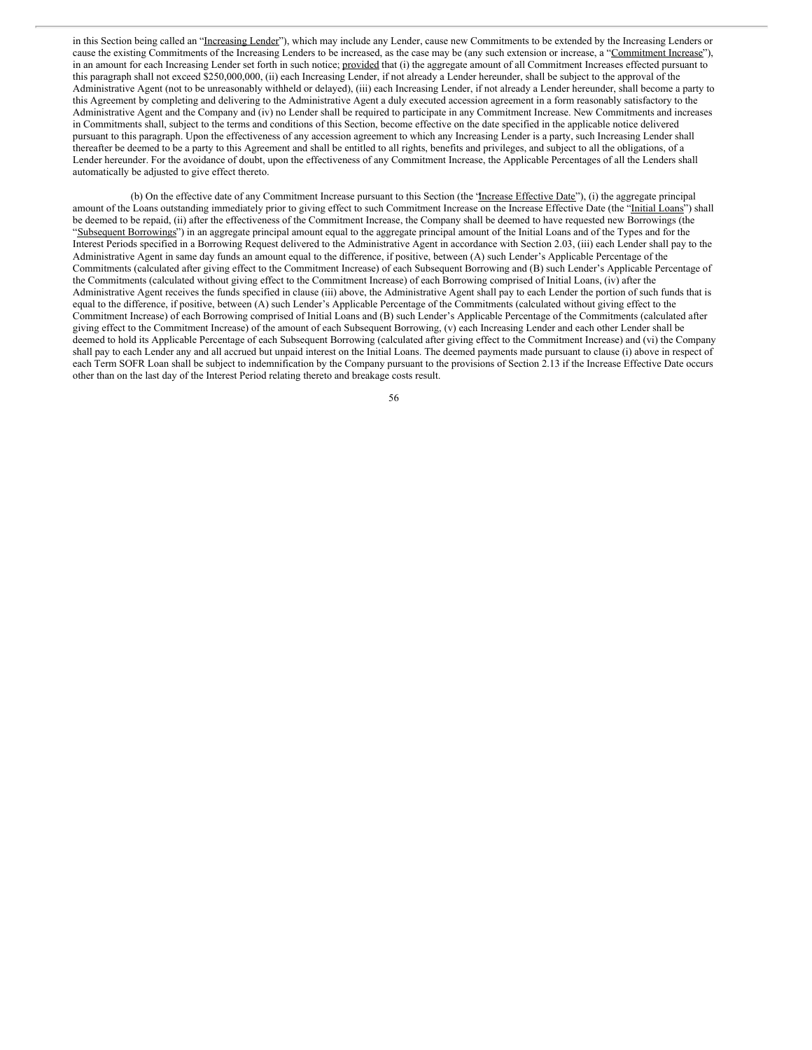in this Section being called an "Increasing Lender"), which may include any Lender, cause new Commitments to be extended by the Increasing Lenders or cause the existing Commitments of the Increasing Lenders to be increased, as the case may be (any such extension or increase, a "Commitment Increase"), in an amount for each Increasing Lender set forth in such notice; provided that (i) the aggregate amount of all Commitment Increases effected pursuant to this paragraph shall not exceed \$250,000,000, (ii) each Increasing Lender, if not already a Lender hereunder, shall be subject to the approval of the Administrative Agent (not to be unreasonably withheld or delayed), (iii) each Increasing Lender, if not already a Lender hereunder, shall become a party to this Agreement by completing and delivering to the Administrative Agent a duly executed accession agreement in a form reasonably satisfactory to the Administrative Agent and the Company and (iv) no Lender shall be required to participate in any Commitment Increase. New Commitments and increases in Commitments shall, subject to the terms and conditions of this Section, become effective on the date specified in the applicable notice delivered pursuant to this paragraph. Upon the effectiveness of any accession agreement to which any Increasing Lender is a party, such Increasing Lender shall thereafter be deemed to be a party to this Agreement and shall be entitled to all rights, benefits and privileges, and subject to all the obligations, of a Lender hereunder. For the avoidance of doubt, upon the effectiveness of any Commitment Increase, the Applicable Percentages of all the Lenders shall automatically be adjusted to give effect thereto.

(b) On the effective date of any Commitment Increase pursuant to this Section (the "Increase Effective Date"), (i) the aggregate principal amount of the Loans outstanding immediately prior to giving effect to such Commitment Increase on the Increase Effective Date (the "Initial Loans") shall be deemed to be repaid, (ii) after the effectiveness of the Commitment Increase, the Company shall be deemed to have requested new Borrowings (the "Subsequent Borrowings") in an aggregate principal amount equal to the aggregate principal amount of the Initial Loans and of the Types and for the Interest Periods specified in a Borrowing Request delivered to the Administrative Agent in accordance with Section 2.03, (iii) each Lender shall pay to the Administrative Agent in same day funds an amount equal to the difference, if positive, between (A) such Lender's Applicable Percentage of the Commitments (calculated after giving effect to the Commitment Increase) of each Subsequent Borrowing and (B) such Lender's Applicable Percentage of the Commitments (calculated without giving effect to the Commitment Increase) of each Borrowing comprised of Initial Loans, (iv) after the Administrative Agent receives the funds specified in clause (iii) above, the Administrative Agent shall pay to each Lender the portion of such funds that is equal to the difference, if positive, between (A) such Lender's Applicable Percentage of the Commitments (calculated without giving effect to the Commitment Increase) of each Borrowing comprised of Initial Loans and (B) such Lender's Applicable Percentage of the Commitments (calculated after giving effect to the Commitment Increase) of the amount of each Subsequent Borrowing, (v) each Increasing Lender and each other Lender shall be deemed to hold its Applicable Percentage of each Subsequent Borrowing (calculated after giving effect to the Commitment Increase) and (vi) the Company shall pay to each Lender any and all accrued but unpaid interest on the Initial Loans. The deemed payments made pursuant to clause (i) above in respect of each Term SOFR Loan shall be subject to indemnification by the Company pursuant to the provisions of Section 2.13 if the Increase Effective Date occurs other than on the last day of the Interest Period relating thereto and breakage costs result.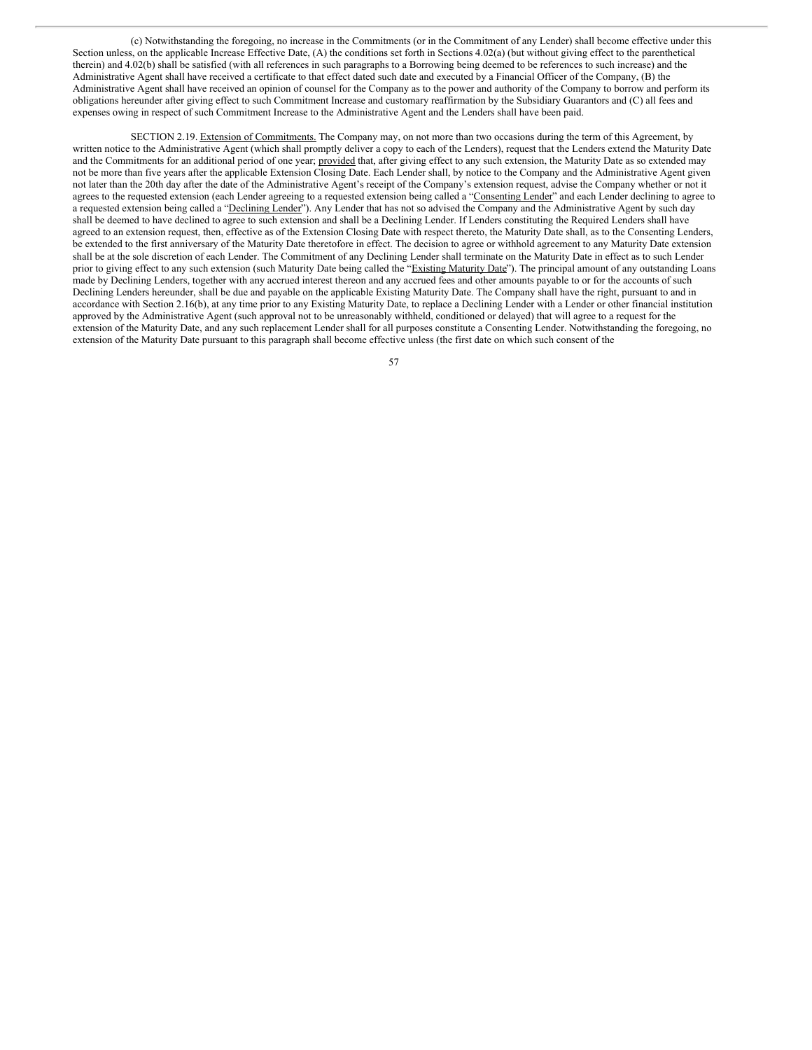(c) Notwithstanding the foregoing, no increase in the Commitments (or in the Commitment of any Lender) shall become effective under this Section unless, on the applicable Increase Effective Date, (A) the conditions set forth in Sections 4.02(a) (but without giving effect to the parenthetical therein) and 4.02(b) shall be satisfied (with all references in such paragraphs to a Borrowing being deemed to be references to such increase) and the Administrative Agent shall have received a certificate to that effect dated such date and executed by a Financial Officer of the Company, (B) the Administrative Agent shall have received an opinion of counsel for the Company as to the power and authority of the Company to borrow and perform its obligations hereunder after giving effect to such Commitment Increase and customary reaffirmation by the Subsidiary Guarantors and (C) all fees and expenses owing in respect of such Commitment Increase to the Administrative Agent and the Lenders shall have been paid.

SECTION 2.19. Extension of Commitments. The Company may, on not more than two occasions during the term of this Agreement, by written notice to the Administrative Agent (which shall promptly deliver a copy to each of the Lenders), request that the Lenders extend the Maturity Date and the Commitments for an additional period of one year; provided that, after giving effect to any such extension, the Maturity Date as so extended may not be more than five years after the applicable Extension Closing Date. Each Lender shall, by notice to the Company and the Administrative Agent given not later than the 20th day after the date of the Administrative Agent's receipt of the Company's extension request, advise the Company whether or not it agrees to the requested extension (each Lender agreeing to a requested extension being called a "Consenting Lender" and each Lender declining to agree to a requested extension being called a "Declining Lender"). Any Lender that has not so advised the Company and the Administrative Agent by such day shall be deemed to have declined to agree to such extension and shall be a Declining Lender. If Lenders constituting the Required Lenders shall have agreed to an extension request, then, effective as of the Extension Closing Date with respect thereto, the Maturity Date shall, as to the Consenting Lenders, be extended to the first anniversary of the Maturity Date theretofore in effect. The decision to agree or withhold agreement to any Maturity Date extension shall be at the sole discretion of each Lender. The Commitment of any Declining Lender shall terminate on the Maturity Date in effect as to such Lender prior to giving effect to any such extension (such Maturity Date being called the "Existing Maturity Date"). The principal amount of any outstanding Loans made by Declining Lenders, together with any accrued interest thereon and any accrued fees and other amounts payable to or for the accounts of such Declining Lenders hereunder, shall be due and payable on the applicable Existing Maturity Date. The Company shall have the right, pursuant to and in accordance with Section 2.16(b), at any time prior to any Existing Maturity Date, to replace a Declining Lender with a Lender or other financial institution approved by the Administrative Agent (such approval not to be unreasonably withheld, conditioned or delayed) that will agree to a request for the extension of the Maturity Date, and any such replacement Lender shall for all purposes constitute a Consenting Lender. Notwithstanding the foregoing, no extension of the Maturity Date pursuant to this paragraph shall become effective unless (the first date on which such consent of the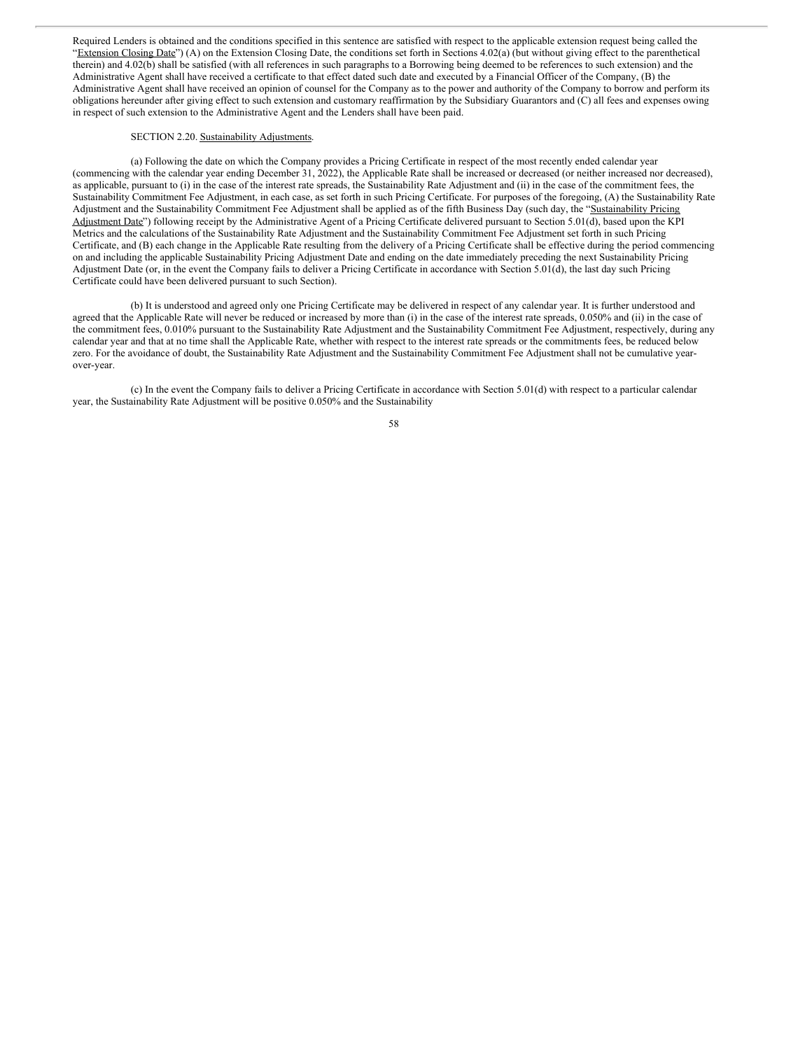Required Lenders is obtained and the conditions specified in this sentence are satisfied with respect to the applicable extension request being called the "Extension Closing Date") (A) on the Extension Closing Date, the conditions set forth in Sections 4.02(a) (but without giving effect to the parenthetical therein) and 4.02(b) shall be satisfied (with all references in such paragraphs to a Borrowing being deemed to be references to such extension) and the Administrative Agent shall have received a certificate to that effect dated such date and executed by a Financial Officer of the Company, (B) the Administrative Agent shall have received an opinion of counsel for the Company as to the power and authority of the Company to borrow and perform its obligations hereunder after giving effect to such extension and customary reaffirmation by the Subsidiary Guarantors and (C) all fees and expenses owing in respect of such extension to the Administrative Agent and the Lenders shall have been paid.

### SECTION 2.20. Sustainability Adjustments.

(a) Following the date on which the Company provides a Pricing Certificate in respect of the most recently ended calendar year (commencing with the calendar year ending December 31, 2022), the Applicable Rate shall be increased or decreased (or neither increased nor decreased), as applicable, pursuant to (i) in the case of the interest rate spreads, the Sustainability Rate Adjustment and (ii) in the case of the commitment fees, the Sustainability Commitment Fee Adjustment, in each case, as set forth in such Pricing Certificate. For purposes of the foregoing, (A) the Sustainability Rate Adjustment and the Sustainability Commitment Fee Adjustment shall be applied as of the fifth Business Day (such day, the "Sustainability Pricing Adjustment Date") following receipt by the Administrative Agent of a Pricing Certificate delivered pursuant to Section 5.01(d), based upon the KPI Metrics and the calculations of the Sustainability Rate Adjustment and the Sustainability Commitment Fee Adjustment set forth in such Pricing Certificate, and (B) each change in the Applicable Rate resulting from the delivery of a Pricing Certificate shall be effective during the period commencing on and including the applicable Sustainability Pricing Adjustment Date and ending on the date immediately preceding the next Sustainability Pricing Adjustment Date (or, in the event the Company fails to deliver a Pricing Certificate in accordance with Section 5.01(d), the last day such Pricing Certificate could have been delivered pursuant to such Section).

(b) It is understood and agreed only one Pricing Certificate may be delivered in respect of any calendar year. It is further understood and agreed that the Applicable Rate will never be reduced or increased by more than (i) in the case of the interest rate spreads, 0.050% and (ii) in the case of the commitment fees, 0.010% pursuant to the Sustainability Rate Adjustment and the Sustainability Commitment Fee Adjustment, respectively, during any calendar year and that at no time shall the Applicable Rate, whether with respect to the interest rate spreads or the commitments fees, be reduced below zero. For the avoidance of doubt, the Sustainability Rate Adjustment and the Sustainability Commitment Fee Adjustment shall not be cumulative yearover-year.

(c) In the event the Company fails to deliver a Pricing Certificate in accordance with Section 5.01(d) with respect to a particular calendar year, the Sustainability Rate Adjustment will be positive 0.050% and the Sustainability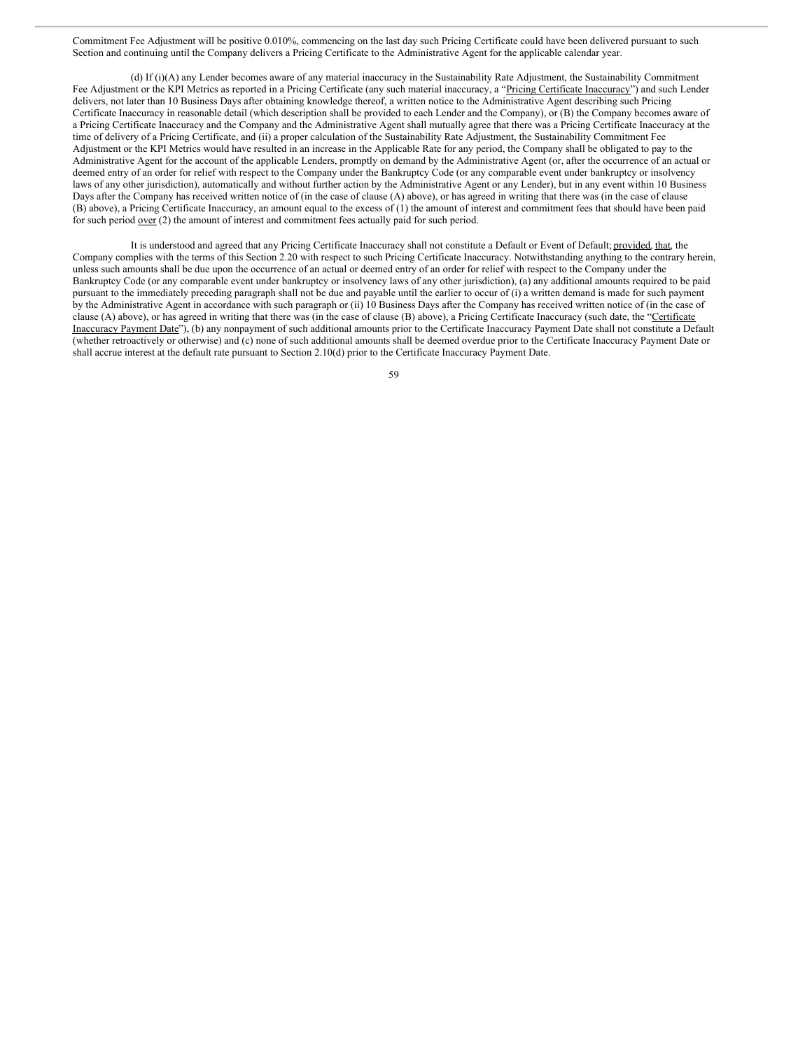Commitment Fee Adjustment will be positive 0.010%, commencing on the last day such Pricing Certificate could have been delivered pursuant to such Section and continuing until the Company delivers a Pricing Certificate to the Administrative Agent for the applicable calendar year.

(d) If (i)(A) any Lender becomes aware of any material inaccuracy in the Sustainability Rate Adjustment, the Sustainability Commitment Fee Adjustment or the KPI Metrics as reported in a Pricing Certificate (any such material inaccuracy, a "Pricing Certificate Inaccuracy") and such Lender delivers, not later than 10 Business Days after obtaining knowledge thereof, a written notice to the Administrative Agent describing such Pricing Certificate Inaccuracy in reasonable detail (which description shall be provided to each Lender and the Company), or (B) the Company becomes aware of a Pricing Certificate Inaccuracy and the Company and the Administrative Agent shall mutually agree that there was a Pricing Certificate Inaccuracy at the time of delivery of a Pricing Certificate, and (ii) a proper calculation of the Sustainability Rate Adjustment, the Sustainability Commitment Fee Adjustment or the KPI Metrics would have resulted in an increase in the Applicable Rate for any period, the Company shall be obligated to pay to the Administrative Agent for the account of the applicable Lenders, promptly on demand by the Administrative Agent (or, after the occurrence of an actual or deemed entry of an order for relief with respect to the Company under the Bankruptcy Code (or any comparable event under bankruptcy or insolvency laws of any other jurisdiction), automatically and without further action by the Administrative Agent or any Lender), but in any event within 10 Business Days after the Company has received written notice of (in the case of clause (A) above), or has agreed in writing that there was (in the case of clause (B) above), a Pricing Certificate Inaccuracy, an amount equal to the excess of (1) the amount of interest and commitment fees that should have been paid for such period <u>over</u> (2) the amount of interest and commitment fees actually paid for such period.

It is understood and agreed that any Pricing Certificate Inaccuracy shall not constitute a Default or Event of Default; provided, that, the Company complies with the terms of this Section 2.20 with respect to such Pricing Certificate Inaccuracy. Notwithstanding anything to the contrary herein, unless such amounts shall be due upon the occurrence of an actual or deemed entry of an order for relief with respect to the Company under the Bankruptcy Code (or any comparable event under bankruptcy or insolvency laws of any other jurisdiction), (a) any additional amounts required to be paid pursuant to the immediately preceding paragraph shall not be due and payable until the earlier to occur of (i) a written demand is made for such payment by the Administrative Agent in accordance with such paragraph or (ii) 10 Business Days after the Company has received written notice of (in the case of clause (A) above), or has agreed in writing that there was (in the case of clause (B) above), a Pricing Certificate Inaccuracy (such date, the "Certificate Inaccuracy Payment Date"), (b) any nonpayment of such additional amounts prior to the Certificate Inaccuracy Payment Date shall not constitute a Default (whether retroactively or otherwise) and (c) none of such additional amounts shall be deemed overdue prior to the Certificate Inaccuracy Payment Date or shall accrue interest at the default rate pursuant to Section 2.10(d) prior to the Certificate Inaccuracy Payment Date.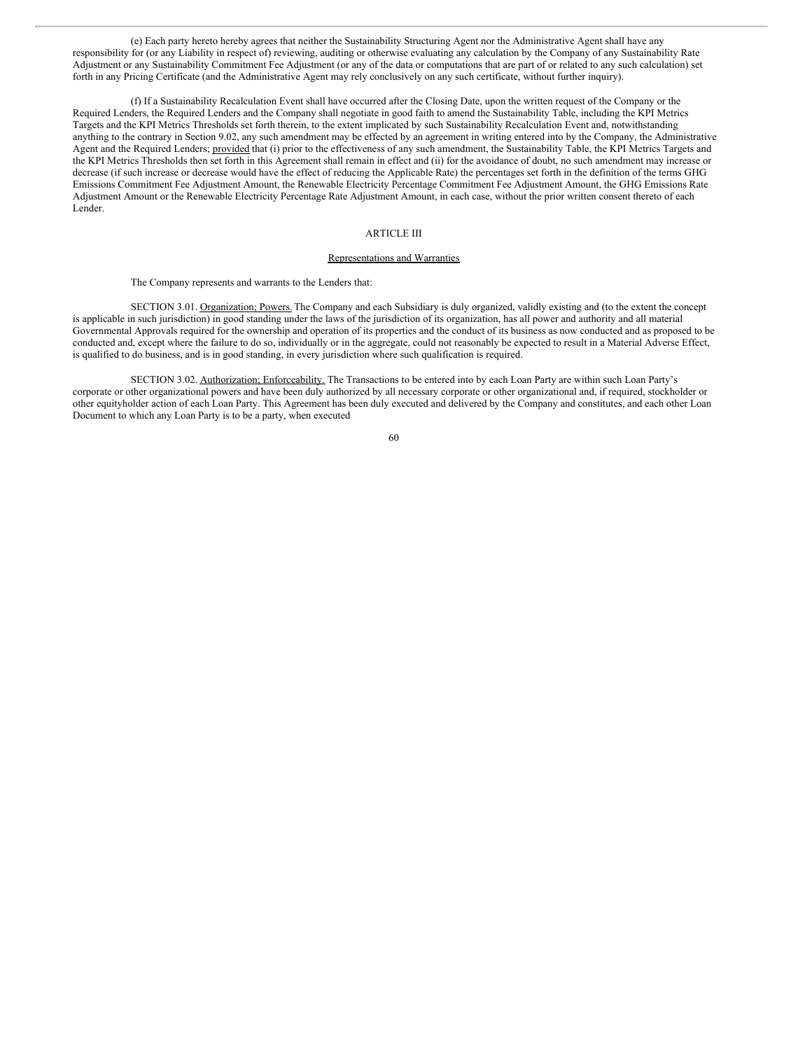(e) Each party hereto hereby agrees that neither the Sustainability Structuring Agent nor the Administrative Agent shall have any responsibility for (or any Liability in respect of) reviewing, auditing or otherwise evaluating any calculation by the Company of any Sustainability Rate Adjustment or any Sustainability Commitment Fee Adjustment (or any of the data or computations that are part of or related to any such calculation) set forth in any Pricing Certificate (and the Administrative Agent may rely conclusively on any such certificate, without further inquiry).

(f) If a Sustainability Recalculation Event shall have occurred after the Closing Date, upon the written request of the Company or the Required Lenders, the Required Lenders and the Company shall negotiate in good faith to amend the Sustainability Table, including the KPI Metrics Targets and the KPI Metrics Thresholds set forth therein, to the extent implicated by such Sustainability Recalculation Event and, notwithstanding anything to the contrary in Section 9.02, any such amendment may be effected by an agreement in writing entered into by the Company, the Administrative Agent and the Required Lenders; provided that (i) prior to the effectiveness of any such amendment, the Sustainability Table, the KPI Metrics Targets and the KPI Metrics Thresholds then set forth in this Agreement shall remain in effect and (ii) for the avoidance of doubt, no such amendment may increase or decrease (if such increase or decrease would have the effect of reducing the Applicable Rate) the percentages set forth in the definition of the terms GHG Emissions Commitment Fee Adjustment Amount, the Renewable Electricity Percentage Commitment Fee Adjustment Amount, the GHG Emissions Rate Adjustment Amount or the Renewable Electricity Percentage Rate Adjustment Amount, in each case, without the prior written consent thereto of each Lender.

#### ARTICLE III

#### Representations and Warranties

#### The Company represents and warrants to the Lenders that:

SECTION 3.01. Organization; Powers. The Company and each Subsidiary is duly organized, validly existing and (to the extent the concept is applicable in such jurisdiction) in good standing under the laws of the jurisdiction of its organization, has all power and authority and all material Governmental Approvals required for the ownership and operation of its properties and the conduct of its business as now conducted and as proposed to be conducted and, except where the failure to do so, individually or in the aggregate, could not reasonably be expected to result in a Material Adverse Effect, is qualified to do business, and is in good standing, in every jurisdiction where such qualification is required.

SECTION 3.02. Authorization; Enforceability. The Transactions to be entered into by each Loan Party are within such Loan Party's corporate or other organizational powers and have been duly authorized by all necessary corporate or other organizational and, if required, stockholder or other equityholder action of each Loan Party. This Agreement has been duly executed and delivered by the Company and constitutes, and each other Loan Document to which any Loan Party is to be a party, when executed

<sup>60</sup>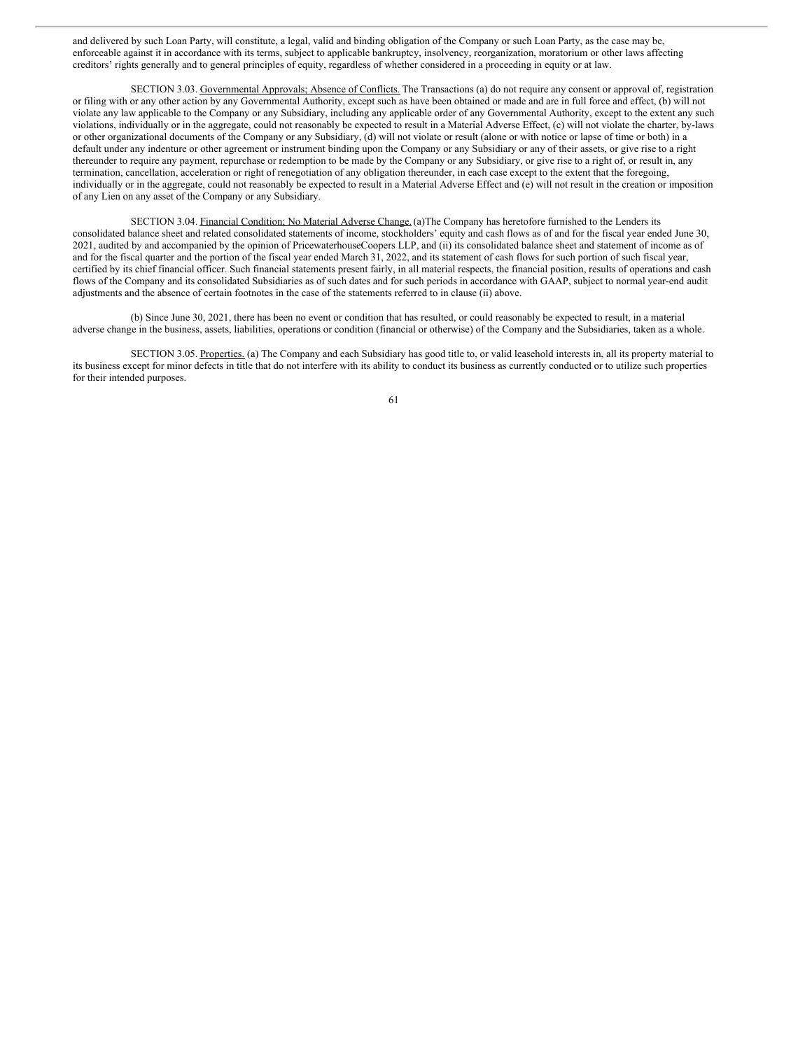and delivered by such Loan Party, will constitute, a legal, valid and binding obligation of the Company or such Loan Party, as the case may be, enforceable against it in accordance with its terms, subject to applicable bankruptcy, insolvency, reorganization, moratorium or other laws affecting creditors' rights generally and to general principles of equity, regardless of whether considered in a proceeding in equity or at law.

SECTION 3.03. Governmental Approvals; Absence of Conflicts. The Transactions (a) do not require any consent or approval of, registration or filing with or any other action by any Governmental Authority, except such as have been obtained or made and are in full force and effect, (b) will not violate any law applicable to the Company or any Subsidiary, including any applicable order of any Governmental Authority, except to the extent any such violations, individually or in the aggregate, could not reasonably be expected to result in a Material Adverse Effect, (c) will not violate the charter, by-laws or other organizational documents of the Company or any Subsidiary, (d) will not violate or result (alone or with notice or lapse of time or both) in a default under any indenture or other agreement or instrument binding upon the Company or any Subsidiary or any of their assets, or give rise to a right thereunder to require any payment, repurchase or redemption to be made by the Company or any Subsidiary, or give rise to a right of, or result in, any termination, cancellation, acceleration or right of renegotiation of any obligation thereunder, in each case except to the extent that the foregoing, individually or in the aggregate, could not reasonably be expected to result in a Material Adverse Effect and (e) will not result in the creation or imposition of any Lien on any asset of the Company or any Subsidiary.

SECTION 3.04. Financial Condition; No Material Adverse Change.(a)The Company has heretofore furnished to the Lenders its consolidated balance sheet and related consolidated statements of income, stockholders' equity and cash flows as of and for the fiscal year ended June 30, 2021, audited by and accompanied by the opinion of PricewaterhouseCoopers LLP, and (ii) its consolidated balance sheet and statement of income as of and for the fiscal quarter and the portion of the fiscal year ended March 31, 2022, and its statement of cash flows for such portion of such fiscal year, certified by its chief financial officer. Such financial statements present fairly, in all material respects, the financial position, results of operations and cash flows of the Company and its consolidated Subsidiaries as of such dates and for such periods in accordance with GAAP, subject to normal year-end audit adjustments and the absence of certain footnotes in the case of the statements referred to in clause (ii) above.

(b) Since June 30, 2021, there has been no event or condition that has resulted, or could reasonably be expected to result, in a material adverse change in the business, assets, liabilities, operations or condition (financial or otherwise) of the Company and the Subsidiaries, taken as a whole.

SECTION 3.05. Properties. (a) The Company and each Subsidiary has good title to, or valid leasehold interests in, all its property material to its business except for minor defects in title that do not interfere with its ability to conduct its business as currently conducted or to utilize such properties for their intended purposes.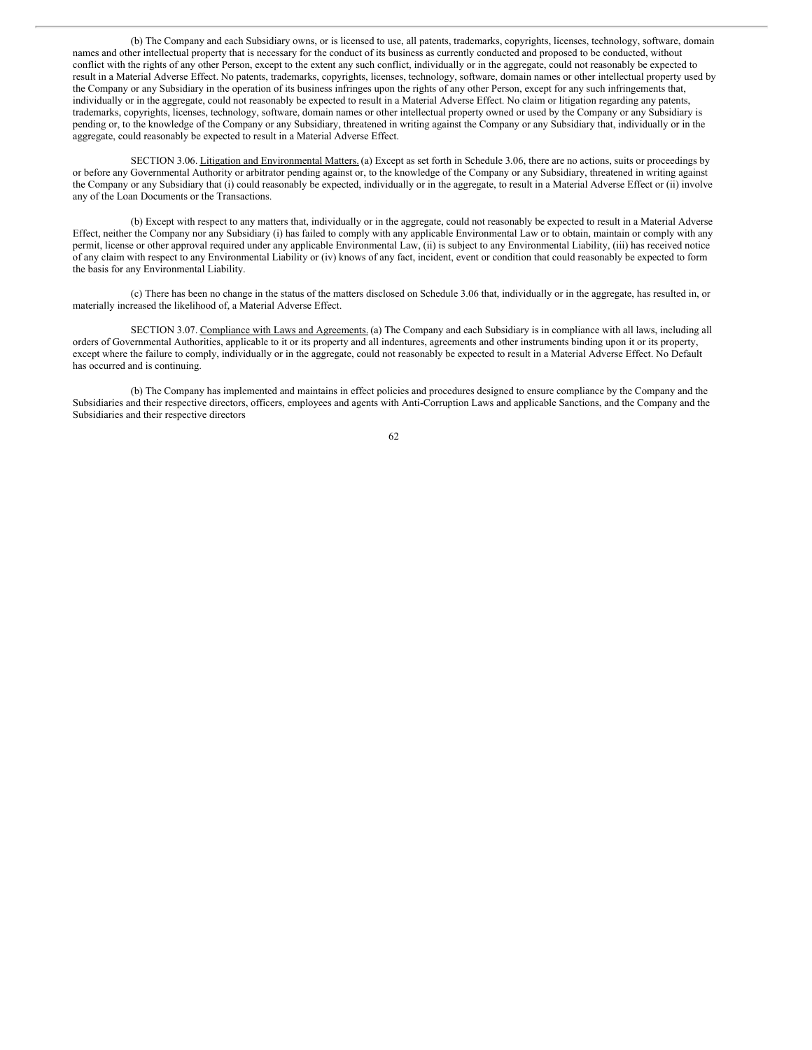(b) The Company and each Subsidiary owns, or is licensed to use, all patents, trademarks, copyrights, licenses, technology, software, domain names and other intellectual property that is necessary for the conduct of its business as currently conducted and proposed to be conducted, without conflict with the rights of any other Person, except to the extent any such conflict, individually or in the aggregate, could not reasonably be expected to result in a Material Adverse Effect. No patents, trademarks, copyrights, licenses, technology, software, domain names or other intellectual property used by the Company or any Subsidiary in the operation of its business infringes upon the rights of any other Person, except for any such infringements that, individually or in the aggregate, could not reasonably be expected to result in a Material Adverse Effect. No claim or litigation regarding any patents, trademarks, copyrights, licenses, technology, software, domain names or other intellectual property owned or used by the Company or any Subsidiary is pending or, to the knowledge of the Company or any Subsidiary, threatened in writing against the Company or any Subsidiary that, individually or in the aggregate, could reasonably be expected to result in a Material Adverse Effect.

SECTION 3.06. Litigation and Environmental Matters. (a) Except as set forth in Schedule 3.06, there are no actions, suits or proceedings by or before any Governmental Authority or arbitrator pending against or, to the knowledge of the Company or any Subsidiary, threatened in writing against the Company or any Subsidiary that (i) could reasonably be expected, individually or in the aggregate, to result in a Material Adverse Effect or (ii) involve any of the Loan Documents or the Transactions.

(b) Except with respect to any matters that, individually or in the aggregate, could not reasonably be expected to result in a Material Adverse Effect, neither the Company nor any Subsidiary (i) has failed to comply with any applicable Environmental Law or to obtain, maintain or comply with any permit, license or other approval required under any applicable Environmental Law, (ii) is subject to any Environmental Liability, (iii) has received notice of any claim with respect to any Environmental Liability or (iv) knows of any fact, incident, event or condition that could reasonably be expected to form the basis for any Environmental Liability.

(c) There has been no change in the status of the matters disclosed on Schedule 3.06 that, individually or in the aggregate, has resulted in, or materially increased the likelihood of, a Material Adverse Effect.

SECTION 3.07. Compliance with Laws and Agreements. (a) The Company and each Subsidiary is in compliance with all laws, including all orders of Governmental Authorities, applicable to it or its property and all indentures, agreements and other instruments binding upon it or its property, except where the failure to comply, individually or in the aggregate, could not reasonably be expected to result in a Material Adverse Effect. No Default has occurred and is continuing.

(b) The Company has implemented and maintains in effect policies and procedures designed to ensure compliance by the Company and the Subsidiaries and their respective directors, officers, employees and agents with Anti-Corruption Laws and applicable Sanctions, and the Company and the Subsidiaries and their respective directors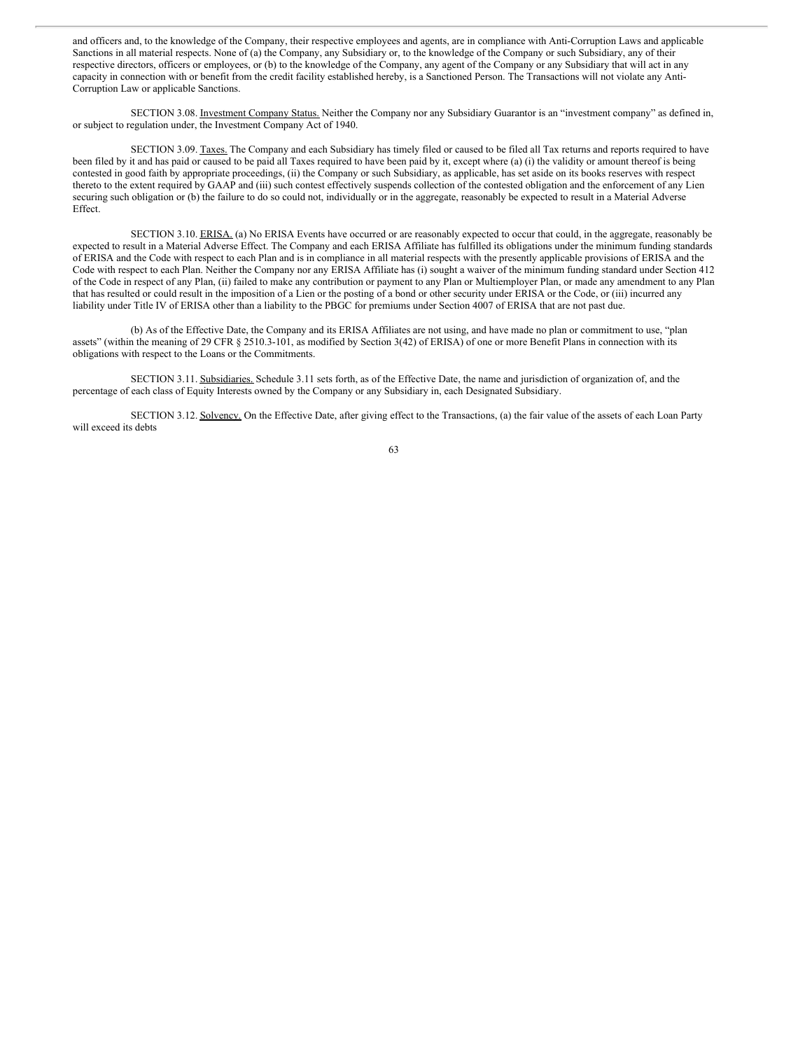and officers and, to the knowledge of the Company, their respective employees and agents, are in compliance with Anti-Corruption Laws and applicable Sanctions in all material respects. None of (a) the Company, any Subsidiary or, to the knowledge of the Company or such Subsidiary, any of their respective directors, officers or employees, or (b) to the knowledge of the Company, any agent of the Company or any Subsidiary that will act in any capacity in connection with or benefit from the credit facility established hereby, is a Sanctioned Person. The Transactions will not violate any Anti-Corruption Law or applicable Sanctions.

SECTION 3.08. Investment Company Status. Neither the Company nor any Subsidiary Guarantor is an "investment company" as defined in, or subject to regulation under, the Investment Company Act of 1940.

SECTION 3.09. Taxes. The Company and each Subsidiary has timely filed or caused to be filed all Tax returns and reports required to have been filed by it and has paid or caused to be paid all Taxes required to have been paid by it, except where (a) (i) the validity or amount thereof is being contested in good faith by appropriate proceedings, (ii) the Company or such Subsidiary, as applicable, has set aside on its books reserves with respect thereto to the extent required by GAAP and (iii) such contest effectively suspends collection of the contested obligation and the enforcement of any Lien securing such obligation or (b) the failure to do so could not, individually or in the aggregate, reasonably be expected to result in a Material Adverse Effect.

SECTION 3.10. ERISA. (a) No ERISA Events have occurred or are reasonably expected to occur that could, in the aggregate, reasonably be expected to result in a Material Adverse Effect. The Company and each ERISA Affiliate has fulfilled its obligations under the minimum funding standards of ERISA and the Code with respect to each Plan and is in compliance in all material respects with the presently applicable provisions of ERISA and the Code with respect to each Plan. Neither the Company nor any ERISA Affiliate has (i) sought a waiver of the minimum funding standard under Section 412 of the Code in respect of any Plan, (ii) failed to make any contribution or payment to any Plan or Multiemployer Plan, or made any amendment to any Plan that has resulted or could result in the imposition of a Lien or the posting of a bond or other security under ERISA or the Code, or (iii) incurred any liability under Title IV of ERISA other than a liability to the PBGC for premiums under Section 4007 of ERISA that are not past due.

(b) As of the Effective Date, the Company and its ERISA Affiliates are not using, and have made no plan or commitment to use, "plan assets" (within the meaning of 29 CFR § 2510.3-101, as modified by Section 3(42) of ERISA) of one or more Benefit Plans in connection with its obligations with respect to the Loans or the Commitments.

SECTION 3.11. Subsidiaries. Schedule 3.11 sets forth, as of the Effective Date, the name and jurisdiction of organization of, and the percentage of each class of Equity Interests owned by the Company or any Subsidiary in, each Designated Subsidiary.

SECTION 3.12. Solvency. On the Effective Date, after giving effect to the Transactions, (a) the fair value of the assets of each Loan Party will exceed its debts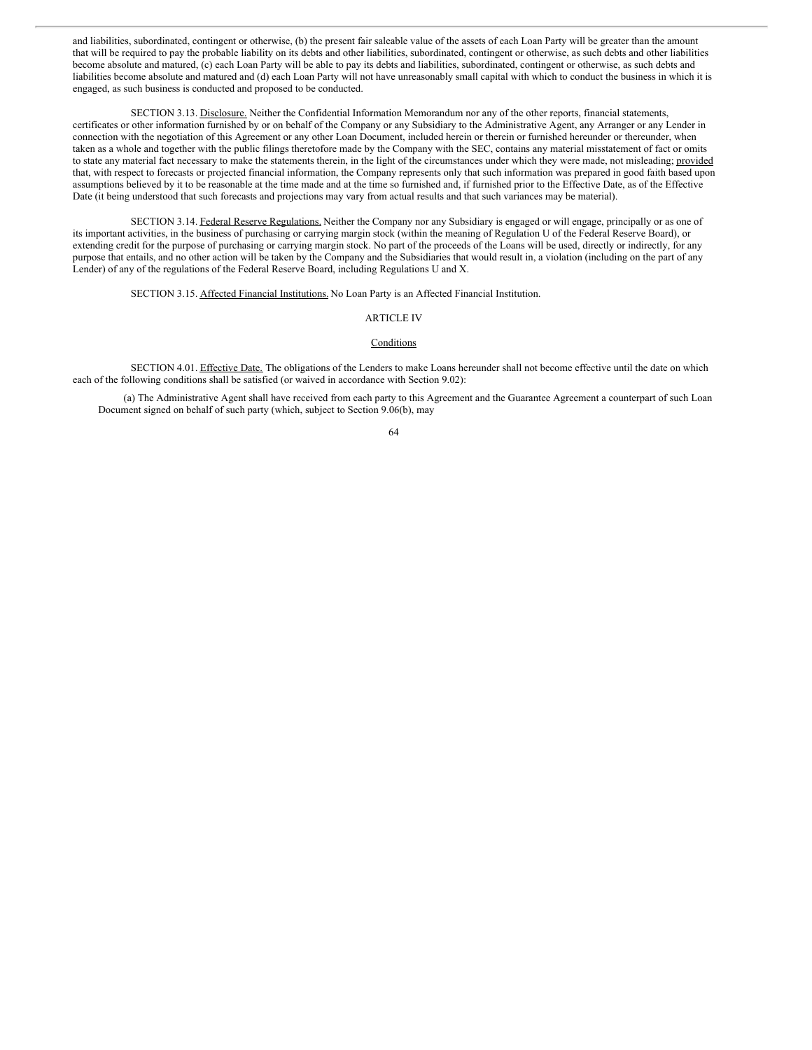and liabilities, subordinated, contingent or otherwise, (b) the present fair saleable value of the assets of each Loan Party will be greater than the amount that will be required to pay the probable liability on its debts and other liabilities, subordinated, contingent or otherwise, as such debts and other liabilities become absolute and matured, (c) each Loan Party will be able to pay its debts and liabilities, subordinated, contingent or otherwise, as such debts and liabilities become absolute and matured and (d) each Loan Party will not have unreasonably small capital with which to conduct the business in which it is engaged, as such business is conducted and proposed to be conducted.

SECTION 3.13. Disclosure. Neither the Confidential Information Memorandum nor any of the other reports, financial statements, certificates or other information furnished by or on behalf of the Company or any Subsidiary to the Administrative Agent, any Arranger or any Lender in connection with the negotiation of this Agreement or any other Loan Document, included herein or therein or furnished hereunder or thereunder, when taken as a whole and together with the public filings theretofore made by the Company with the SEC, contains any material misstatement of fact or omits to state any material fact necessary to make the statements therein, in the light of the circumstances under which they were made, not misleading; provided that, with respect to forecasts or projected financial information, the Company represents only that such information was prepared in good faith based upon assumptions believed by it to be reasonable at the time made and at the time so furnished and, if furnished prior to the Effective Date, as of the Effective Date (it being understood that such forecasts and projections may vary from actual results and that such variances may be material).

SECTION 3.14. Federal Reserve Regulations. Neither the Company nor any Subsidiary is engaged or will engage, principally or as one of its important activities, in the business of purchasing or carrying margin stock (within the meaning of Regulation U of the Federal Reserve Board), or extending credit for the purpose of purchasing or carrying margin stock. No part of the proceeds of the Loans will be used, directly or indirectly, for any purpose that entails, and no other action will be taken by the Company and the Subsidiaries that would result in, a violation (including on the part of any Lender) of any of the regulations of the Federal Reserve Board, including Regulations U and X.

SECTION 3.15. Affected Financial Institutions. No Loan Party is an Affected Financial Institution.

## ARTICLE IV

## **Conditions**

SECTION 4.01. Effective Date. The obligations of the Lenders to make Loans hereunder shall not become effective until the date on which each of the following conditions shall be satisfied (or waived in accordance with Section 9.02):

(a) The Administrative Agent shall have received from each party to this Agreement and the Guarantee Agreement a counterpart of such Loan Document signed on behalf of such party (which, subject to Section 9.06(b), may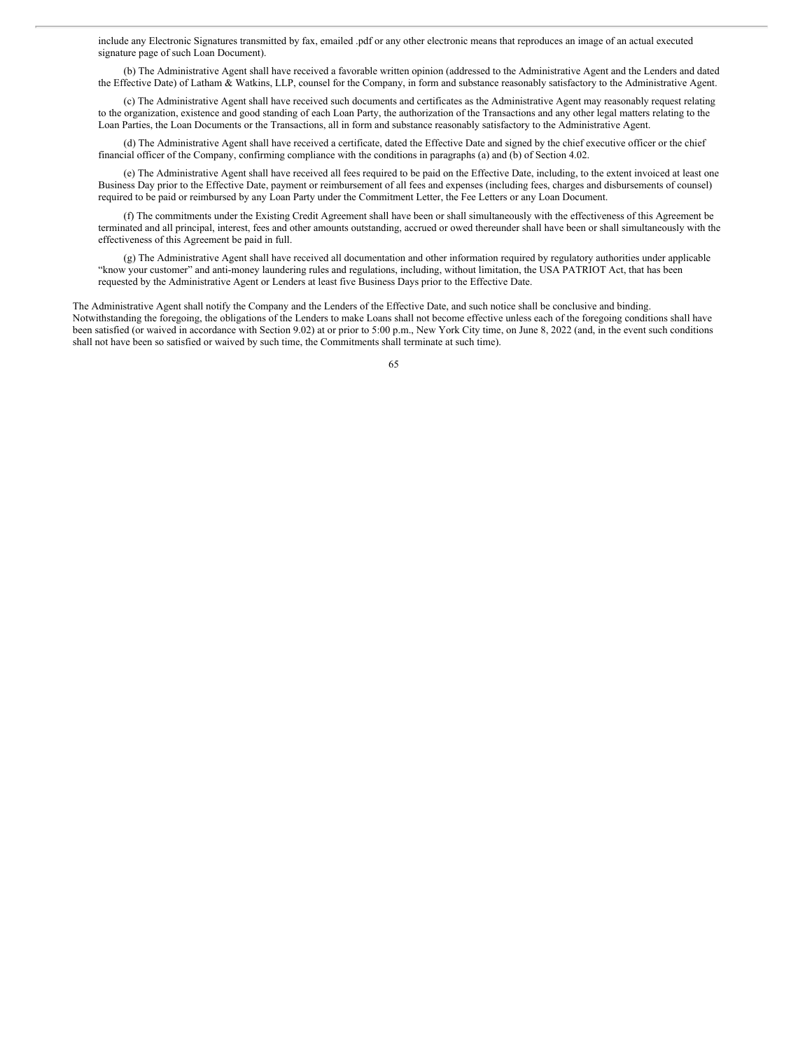include any Electronic Signatures transmitted by fax, emailed .pdf or any other electronic means that reproduces an image of an actual executed signature page of such Loan Document).

(b) The Administrative Agent shall have received a favorable written opinion (addressed to the Administrative Agent and the Lenders and dated the Effective Date) of Latham & Watkins, LLP, counsel for the Company, in form and substance reasonably satisfactory to the Administrative Agent.

(c) The Administrative Agent shall have received such documents and certificates as the Administrative Agent may reasonably request relating to the organization, existence and good standing of each Loan Party, the authorization of the Transactions and any other legal matters relating to the Loan Parties, the Loan Documents or the Transactions, all in form and substance reasonably satisfactory to the Administrative Agent.

(d) The Administrative Agent shall have received a certificate, dated the Effective Date and signed by the chief executive officer or the chief financial officer of the Company, confirming compliance with the conditions in paragraphs (a) and (b) of Section 4.02.

(e) The Administrative Agent shall have received all fees required to be paid on the Effective Date, including, to the extent invoiced at least one Business Day prior to the Effective Date, payment or reimbursement of all fees and expenses (including fees, charges and disbursements of counsel) required to be paid or reimbursed by any Loan Party under the Commitment Letter, the Fee Letters or any Loan Document.

(f) The commitments under the Existing Credit Agreement shall have been or shall simultaneously with the effectiveness of this Agreement be terminated and all principal, interest, fees and other amounts outstanding, accrued or owed thereunder shall have been or shall simultaneously with the effectiveness of this Agreement be paid in full.

(g) The Administrative Agent shall have received all documentation and other information required by regulatory authorities under applicable "know your customer" and anti-money laundering rules and regulations, including, without limitation, the USA PATRIOT Act, that has been requested by the Administrative Agent or Lenders at least five Business Days prior to the Effective Date.

The Administrative Agent shall notify the Company and the Lenders of the Effective Date, and such notice shall be conclusive and binding. Notwithstanding the foregoing, the obligations of the Lenders to make Loans shall not become effective unless each of the foregoing conditions shall have been satisfied (or waived in accordance with Section 9.02) at or prior to 5:00 p.m., New York City time, on June 8, 2022 (and, in the event such conditions shall not have been so satisfied or waived by such time, the Commitments shall terminate at such time).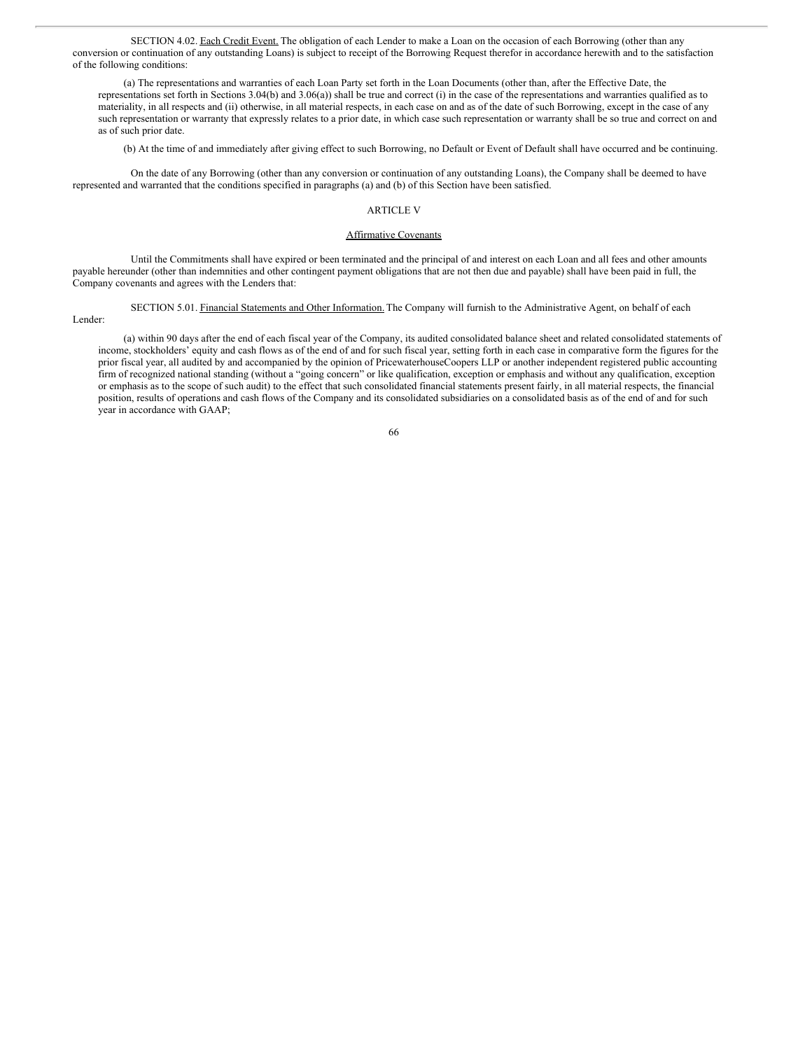SECTION 4.02. Each Credit Event. The obligation of each Lender to make a Loan on the occasion of each Borrowing (other than any conversion or continuation of any outstanding Loans) is subject to receipt of the Borrowing Request therefor in accordance herewith and to the satisfaction of the following conditions:

(a) The representations and warranties of each Loan Party set forth in the Loan Documents (other than, after the Effective Date, the representations set forth in Sections 3.04(b) and 3.06(a)) shall be true and correct (i) in the case of the representations and warranties qualified as to materiality, in all respects and (ii) otherwise, in all material respects, in each case on and as of the date of such Borrowing, except in the case of any such representation or warranty that expressly relates to a prior date, in which case such representation or warranty shall be so true and correct on and as of such prior date.

(b) At the time of and immediately after giving effect to such Borrowing, no Default or Event of Default shall have occurred and be continuing.

On the date of any Borrowing (other than any conversion or continuation of any outstanding Loans), the Company shall be deemed to have represented and warranted that the conditions specified in paragraphs (a) and (b) of this Section have been satisfied.

# ARTICLE V

## Affirmative Covenants

Until the Commitments shall have expired or been terminated and the principal of and interest on each Loan and all fees and other amounts payable hereunder (other than indemnities and other contingent payment obligations that are not then due and payable) shall have been paid in full, the Company covenants and agrees with the Lenders that:

## SECTION 5.01. Financial Statements and Other Information. The Company will furnish to the Administrative Agent, on behalf of each

Lender:

year in accordance with GAAP;

(a) within 90 days after the end of each fiscal year of the Company, its audited consolidated balance sheet and related consolidated statements of income, stockholders' equity and cash flows as of the end of and for such fiscal year, setting forth in each case in comparative form the figures for the prior fiscal year, all audited by and accompanied by the opinion of PricewaterhouseCoopers LLP or another independent registered public accounting firm of recognized national standing (without a "going concern" or like qualification, exception or emphasis and without any qualification, exception or emphasis as to the scope of such audit) to the effect that such consolidated financial statements present fairly, in all material respects, the financial

66

position, results of operations and cash flows of the Company and its consolidated subsidiaries on a consolidated basis as of the end of and for such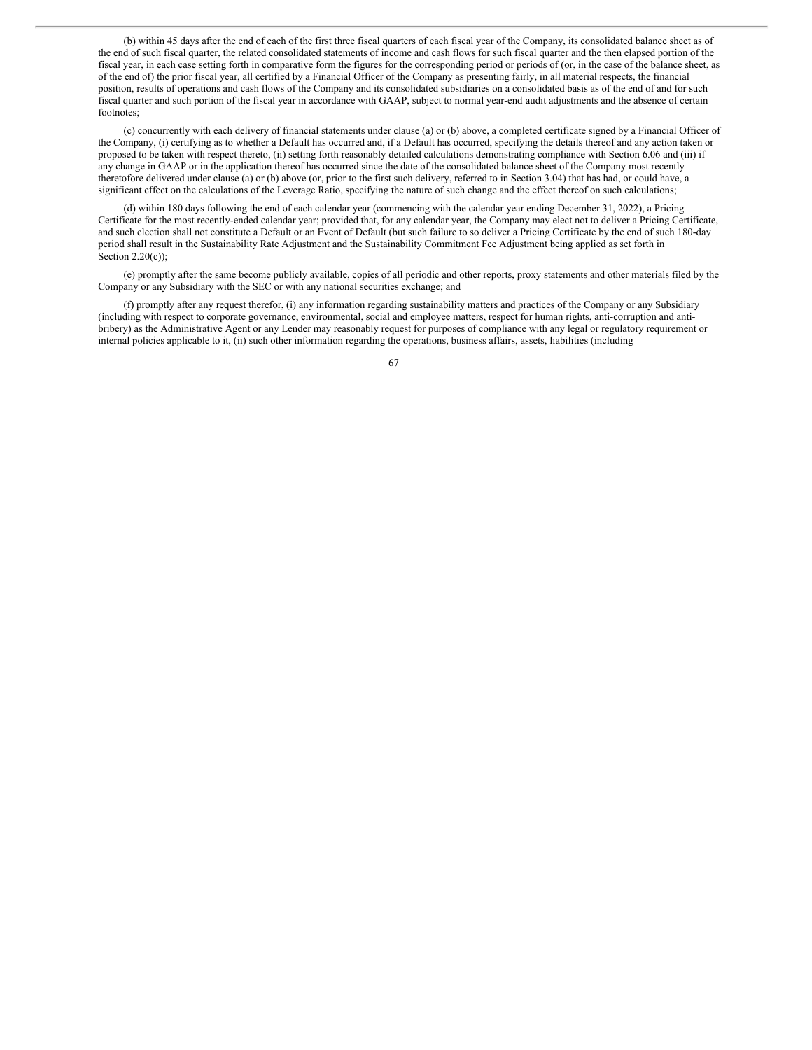(b) within 45 days after the end of each of the first three fiscal quarters of each fiscal year of the Company, its consolidated balance sheet as of the end of such fiscal quarter, the related consolidated statements of income and cash flows for such fiscal quarter and the then elapsed portion of the fiscal year, in each case setting forth in comparative form the figures for the corresponding period or periods of (or, in the case of the balance sheet, as of the end of) the prior fiscal year, all certified by a Financial Officer of the Company as presenting fairly, in all material respects, the financial position, results of operations and cash flows of the Company and its consolidated subsidiaries on a consolidated basis as of the end of and for such fiscal quarter and such portion of the fiscal year in accordance with GAAP, subject to normal year-end audit adjustments and the absence of certain footnotes;

(c) concurrently with each delivery of financial statements under clause (a) or (b) above, a completed certificate signed by a Financial Officer of the Company, (i) certifying as to whether a Default has occurred and, if a Default has occurred, specifying the details thereof and any action taken or proposed to be taken with respect thereto, (ii) setting forth reasonably detailed calculations demonstrating compliance with Section 6.06 and (iii) if any change in GAAP or in the application thereof has occurred since the date of the consolidated balance sheet of the Company most recently theretofore delivered under clause (a) or (b) above (or, prior to the first such delivery, referred to in Section 3.04) that has had, or could have, a significant effect on the calculations of the Leverage Ratio, specifying the nature of such change and the effect thereof on such calculations;

(d) within 180 days following the end of each calendar year (commencing with the calendar year ending December 31, 2022), a Pricing Certificate for the most recently-ended calendar year; provided that, for any calendar year, the Company may elect not to deliver a Pricing Certificate, and such election shall not constitute a Default or an Event of Default (but such failure to so deliver a Pricing Certificate by the end of such 180-day period shall result in the Sustainability Rate Adjustment and the Sustainability Commitment Fee Adjustment being applied as set forth in Section  $2.20(c)$ ;

(e) promptly after the same become publicly available, copies of all periodic and other reports, proxy statements and other materials filed by the Company or any Subsidiary with the SEC or with any national securities exchange; and

(f) promptly after any request therefor, (i) any information regarding sustainability matters and practices of the Company or any Subsidiary (including with respect to corporate governance, environmental, social and employee matters, respect for human rights, anti-corruption and antibribery) as the Administrative Agent or any Lender may reasonably request for purposes of compliance with any legal or regulatory requirement or internal policies applicable to it, (ii) such other information regarding the operations, business affairs, assets, liabilities (including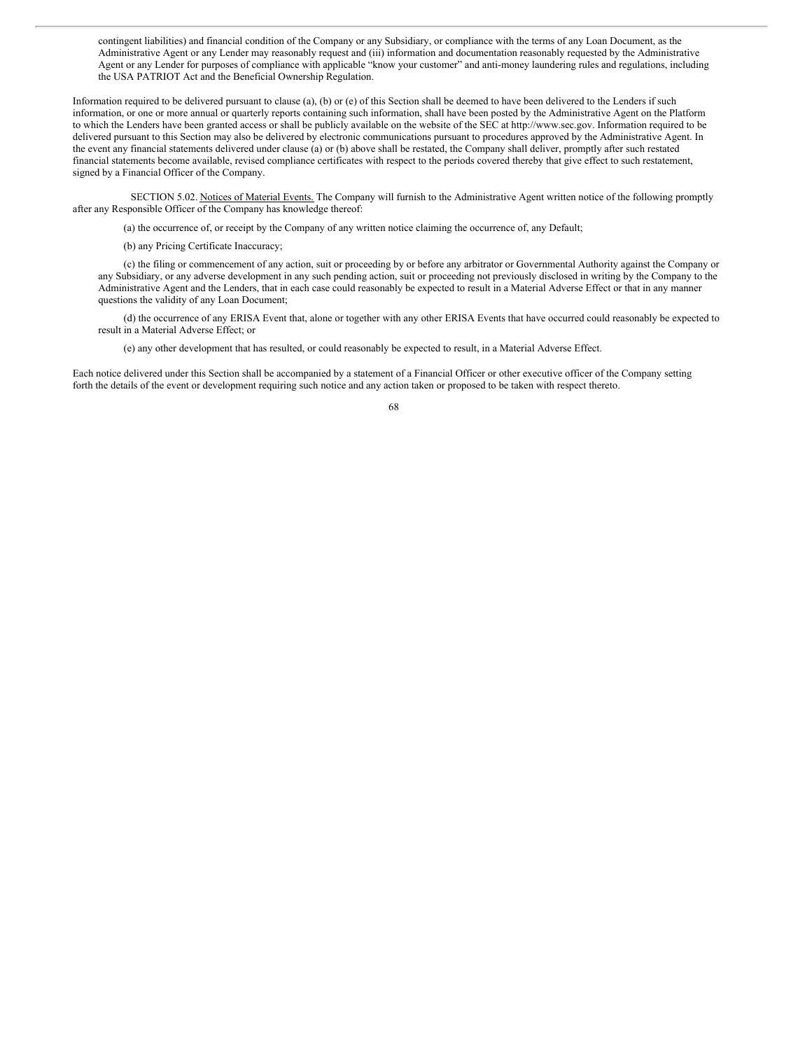contingent liabilities) and financial condition of the Company or any Subsidiary, or compliance with the terms of any Loan Document, as the Administrative Agent or any Lender may reasonably request and (iii) information and documentation reasonably requested by the Administrative Agent or any Lender for purposes of compliance with applicable "know your customer" and anti-money laundering rules and regulations, including the USA PATRIOT Act and the Beneficial Ownership Regulation.

Information required to be delivered pursuant to clause (a), (b) or (e) of this Section shall be deemed to have been delivered to the Lenders if such information, or one or more annual or quarterly reports containing such information, shall have been posted by the Administrative Agent on the Platform to which the Lenders have been granted access or shall be publicly available on the website of the SEC at http://www.sec.gov. Information required to be delivered pursuant to this Section may also be delivered by electronic communications pursuant to procedures approved by the Administrative Agent. In the event any financial statements delivered under clause (a) or (b) above shall be restated, the Company shall deliver, promptly after such restated financial statements become available, revised compliance certificates with respect to the periods covered thereby that give effect to such restatement, signed by a Financial Officer of the Company.

SECTION 5.02. Notices of Material Events. The Company will furnish to the Administrative Agent written notice of the following promptly after any Responsible Officer of the Company has knowledge thereof:

(a) the occurrence of, or receipt by the Company of any written notice claiming the occurrence of, any Default;

(b) any Pricing Certificate Inaccuracy;

(c) the filing or commencement of any action, suit or proceeding by or before any arbitrator or Governmental Authority against the Company or any Subsidiary, or any adverse development in any such pending action, suit or proceeding not previously disclosed in writing by the Company to the Administrative Agent and the Lenders, that in each case could reasonably be expected to result in a Material Adverse Effect or that in any manner questions the validity of any Loan Document;

(d) the occurrence of any ERISA Event that, alone or together with any other ERISA Events that have occurred could reasonably be expected to result in a Material Adverse Effect; or

(e) any other development that has resulted, or could reasonably be expected to result, in a Material Adverse Effect.

Each notice delivered under this Section shall be accompanied by a statement of a Financial Officer or other executive officer of the Company setting forth the details of the event or development requiring such notice and any action taken or proposed to be taken with respect thereto.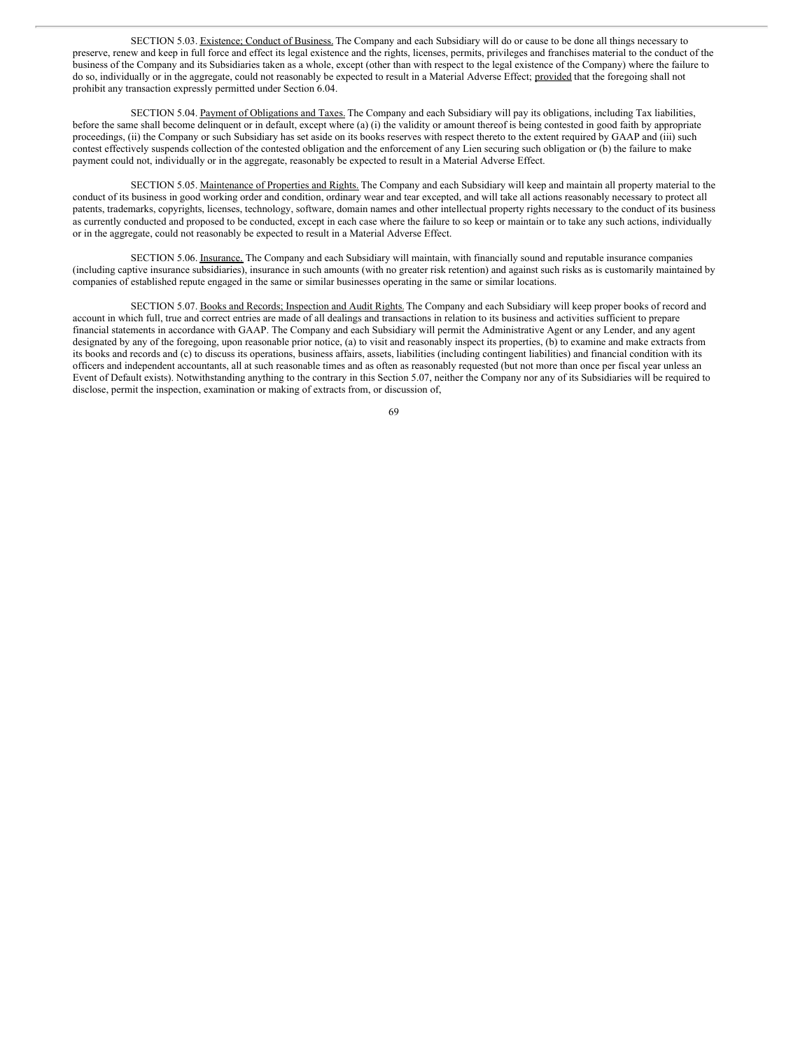SECTION 5.03. Existence; Conduct of Business. The Company and each Subsidiary will do or cause to be done all things necessary to preserve, renew and keep in full force and effect its legal existence and the rights, licenses, permits, privileges and franchises material to the conduct of the business of the Company and its Subsidiaries taken as a whole, except (other than with respect to the legal existence of the Company) where the failure to do so, individually or in the aggregate, could not reasonably be expected to result in a Material Adverse Effect; provided that the foregoing shall not prohibit any transaction expressly permitted under Section 6.04.

SECTION 5.04. Payment of Obligations and Taxes. The Company and each Subsidiary will pay its obligations, including Tax liabilities, before the same shall become delinquent or in default, except where (a) (i) the validity or amount thereof is being contested in good faith by appropriate proceedings, (ii) the Company or such Subsidiary has set aside on its books reserves with respect thereto to the extent required by GAAP and (iii) such contest effectively suspends collection of the contested obligation and the enforcement of any Lien securing such obligation or (b) the failure to make payment could not, individually or in the aggregate, reasonably be expected to result in a Material Adverse Effect.

SECTION 5.05. Maintenance of Properties and Rights. The Company and each Subsidiary will keep and maintain all property material to the conduct of its business in good working order and condition, ordinary wear and tear excepted, and will take all actions reasonably necessary to protect all patents, trademarks, copyrights, licenses, technology, software, domain names and other intellectual property rights necessary to the conduct of its business as currently conducted and proposed to be conducted, except in each case where the failure to so keep or maintain or to take any such actions, individually or in the aggregate, could not reasonably be expected to result in a Material Adverse Effect.

SECTION 5.06. Insurance. The Company and each Subsidiary will maintain, with financially sound and reputable insurance companies (including captive insurance subsidiaries), insurance in such amounts (with no greater risk retention) and against such risks as is customarily maintained by companies of established repute engaged in the same or similar businesses operating in the same or similar locations.

SECTION 5.07. Books and Records; Inspection and Audit Rights. The Company and each Subsidiary will keep proper books of record and account in which full, true and correct entries are made of all dealings and transactions in relation to its business and activities sufficient to prepare financial statements in accordance with GAAP. The Company and each Subsidiary will permit the Administrative Agent or any Lender, and any agent designated by any of the foregoing, upon reasonable prior notice, (a) to visit and reasonably inspect its properties, (b) to examine and make extracts from its books and records and (c) to discuss its operations, business affairs, assets, liabilities (including contingent liabilities) and financial condition with its officers and independent accountants, all at such reasonable times and as often as reasonably requested (but not more than once per fiscal year unless an Event of Default exists). Notwithstanding anything to the contrary in this Section 5.07, neither the Company nor any of its Subsidiaries will be required to disclose, permit the inspection, examination or making of extracts from, or discussion of,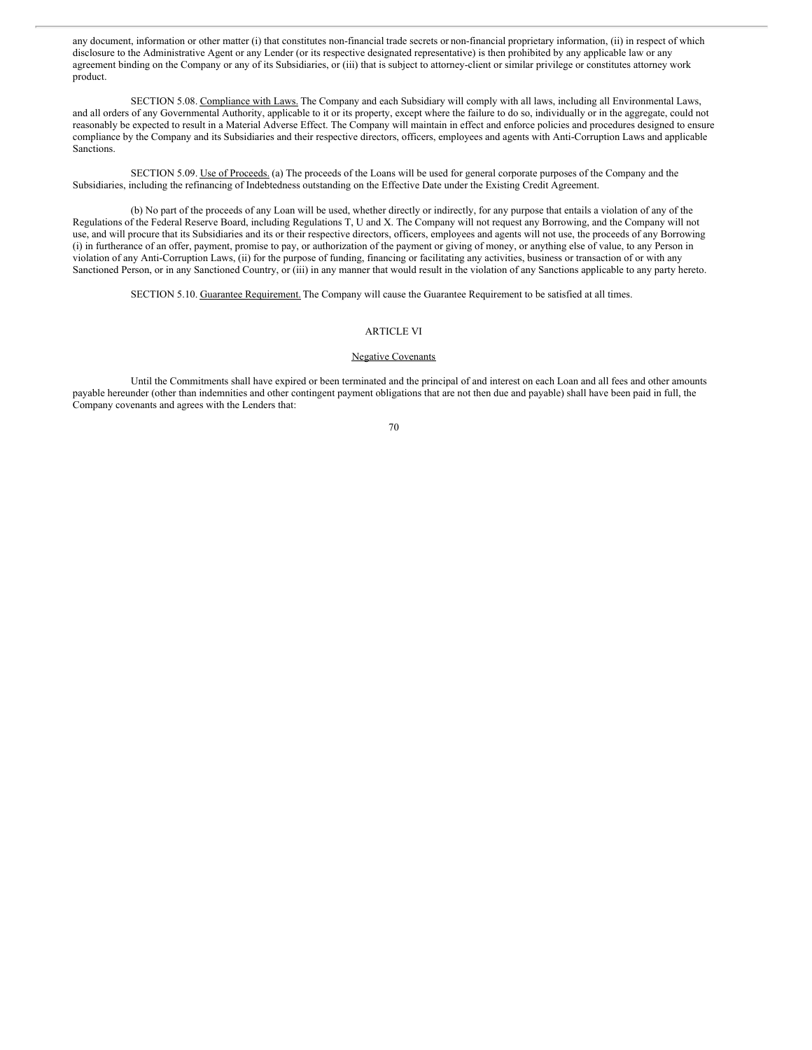any document, information or other matter (i) that constitutes non-financial trade secrets or non-financial proprietary information, (ii) in respect of which disclosure to the Administrative Agent or any Lender (or its respective designated representative) is then prohibited by any applicable law or any agreement binding on the Company or any of its Subsidiaries, or (iii) that is subject to attorney-client or similar privilege or constitutes attorney work product.

SECTION 5.08. Compliance with Laws. The Company and each Subsidiary will comply with all laws, including all Environmental Laws, and all orders of any Governmental Authority, applicable to it or its property, except where the failure to do so, individually or in the aggregate, could not reasonably be expected to result in a Material Adverse Effect. The Company will maintain in effect and enforce policies and procedures designed to ensure compliance by the Company and its Subsidiaries and their respective directors, officers, employees and agents with Anti-Corruption Laws and applicable Sanctions.

SECTION 5.09. Use of Proceeds. (a) The proceeds of the Loans will be used for general corporate purposes of the Company and the Subsidiaries, including the refinancing of Indebtedness outstanding on the Effective Date under the Existing Credit Agreement.

(b) No part of the proceeds of any Loan will be used, whether directly or indirectly, for any purpose that entails a violation of any of the Regulations of the Federal Reserve Board, including Regulations T, U and X. The Company will not request any Borrowing, and the Company will not use, and will procure that its Subsidiaries and its or their respective directors, officers, employees and agents will not use, the proceeds of any Borrowing (i) in furtherance of an offer, payment, promise to pay, or authorization of the payment or giving of money, or anything else of value, to any Person in violation of any Anti-Corruption Laws, (ii) for the purpose of funding, financing or facilitating any activities, business or transaction of or with any Sanctioned Person, or in any Sanctioned Country, or (iii) in any manner that would result in the violation of any Sanctions applicable to any party hereto.

SECTION 5.10. Guarantee Requirement. The Company will cause the Guarantee Requirement to be satisfied at all times.

## ARTICLE VI

## Negative Covenants

Until the Commitments shall have expired or been terminated and the principal of and interest on each Loan and all fees and other amounts payable hereunder (other than indemnities and other contingent payment obligations that are not then due and payable) shall have been paid in full, the Company covenants and agrees with the Lenders that: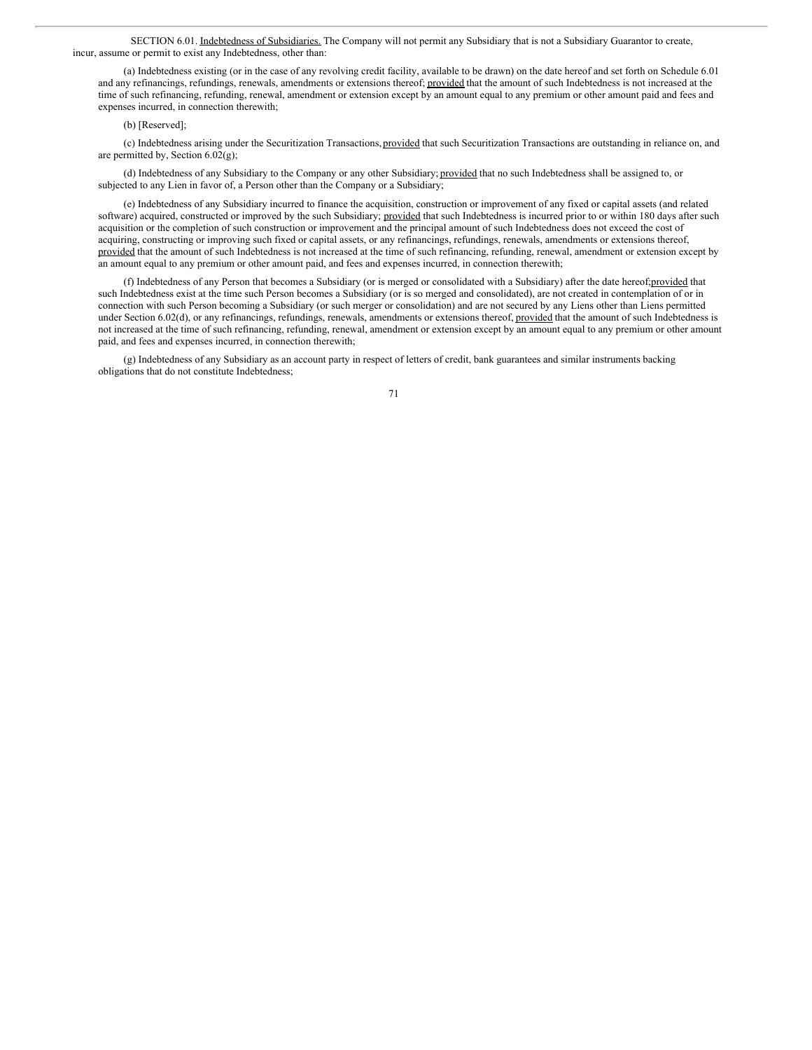SECTION 6.01. Indebtedness of Subsidiaries. The Company will not permit any Subsidiary that is not a Subsidiary Guarantor to create, incur, assume or permit to exist any Indebtedness, other than:

(a) Indebtedness existing (or in the case of any revolving credit facility, available to be drawn) on the date hereof and set forth on Schedule 6.01 and any refinancings, refundings, renewals, amendments or extensions thereof; provided that the amount of such Indebtedness is not increased at the time of such refinancing, refunding, renewal, amendment or extension except by an amount equal to any premium or other amount paid and fees and expenses incurred, in connection therewith;

#### (b) [Reserved];

(c) Indebtedness arising under the Securitization Transactions, provided that such Securitization Transactions are outstanding in reliance on, and are permitted by, Section 6.02(g);

(d) Indebtedness of any Subsidiary to the Company or any other Subsidiary; provided that no such Indebtedness shall be assigned to, or subjected to any Lien in favor of, a Person other than the Company or a Subsidiary;

(e) Indebtedness of any Subsidiary incurred to finance the acquisition, construction or improvement of any fixed or capital assets (and related software) acquired, constructed or improved by the such Subsidiary; provided that such Indebtedness is incurred prior to or within 180 days after such acquisition or the completion of such construction or improvement and the principal amount of such Indebtedness does not exceed the cost of acquiring, constructing or improving such fixed or capital assets, or any refinancings, refundings, renewals, amendments or extensions thereof, provided that the amount of such Indebtedness is not increased at the time of such refinancing, refunding, renewal, amendment or extension except by an amount equal to any premium or other amount paid, and fees and expenses incurred, in connection therewith;

(f) Indebtedness of any Person that becomes a Subsidiary (or is merged or consolidated with a Subsidiary) after the date hereof;provided that such Indebtedness exist at the time such Person becomes a Subsidiary (or is so merged and consolidated), are not created in contemplation of or in connection with such Person becoming a Subsidiary (or such merger or consolidation) and are not secured by any Liens other than Liens permitted under Section 6.02(d), or any refinancings, refundings, renewals, amendments or extensions thereof, provided that the amount of such Indebtedness is not increased at the time of such refinancing, refunding, renewal, amendment or extension except by an amount equal to any premium or other amount paid, and fees and expenses incurred, in connection therewith;

(g) Indebtedness of any Subsidiary as an account party in respect of letters of credit, bank guarantees and similar instruments backing obligations that do not constitute Indebtedness;

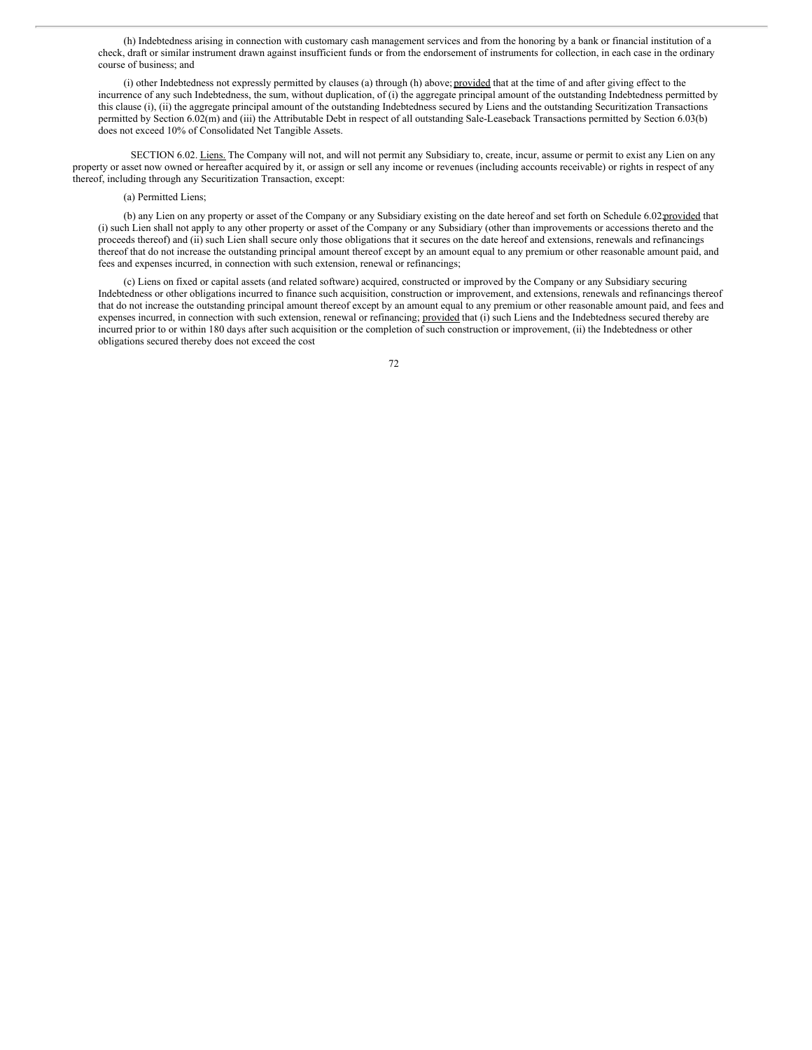(h) Indebtedness arising in connection with customary cash management services and from the honoring by a bank or financial institution of a check, draft or similar instrument drawn against insufficient funds or from the endorsement of instruments for collection, in each case in the ordinary course of business; and

(i) other Indebtedness not expressly permitted by clauses (a) through (h) above; provided that at the time of and after giving effect to the incurrence of any such Indebtedness, the sum, without duplication, of (i) the aggregate principal amount of the outstanding Indebtedness permitted by this clause (i), (ii) the aggregate principal amount of the outstanding Indebtedness secured by Liens and the outstanding Securitization Transactions permitted by Section 6.02(m) and (iii) the Attributable Debt in respect of all outstanding Sale-Leaseback Transactions permitted by Section 6.03(b) does not exceed 10% of Consolidated Net Tangible Assets.

SECTION 6.02. Liens. The Company will not, and will not permit any Subsidiary to, create, incur, assume or permit to exist any Lien on any property or asset now owned or hereafter acquired by it, or assign or sell any income or revenues (including accounts receivable) or rights in respect of any thereof, including through any Securitization Transaction, except:

# (a) Permitted Liens;

(b) any Lien on any property or asset of the Company or any Subsidiary existing on the date hereof and set forth on Schedule 6.02;provided that (i) such Lien shall not apply to any other property or asset of the Company or any Subsidiary (other than improvements or accessions thereto and the proceeds thereof) and (ii) such Lien shall secure only those obligations that it secures on the date hereof and extensions, renewals and refinancings thereof that do not increase the outstanding principal amount thereof except by an amount equal to any premium or other reasonable amount paid, and fees and expenses incurred, in connection with such extension, renewal or refinancings;

(c) Liens on fixed or capital assets (and related software) acquired, constructed or improved by the Company or any Subsidiary securing Indebtedness or other obligations incurred to finance such acquisition, construction or improvement, and extensions, renewals and refinancings thereof that do not increase the outstanding principal amount thereof except by an amount equal to any premium or other reasonable amount paid, and fees and expenses incurred, in connection with such extension, renewal or refinancing; provided that (i) such Liens and the Indebtedness secured thereby are incurred prior to or within 180 days after such acquisition or the completion of such construction or improvement, (ii) the Indebtedness or other obligations secured thereby does not exceed the cost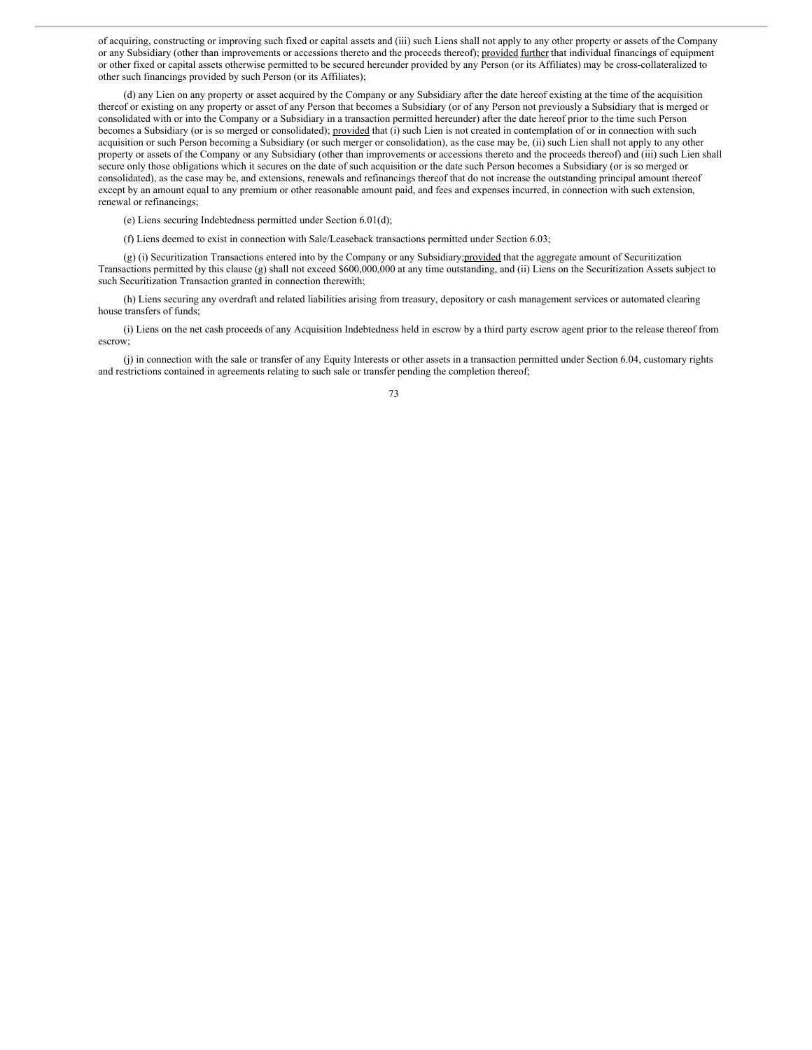of acquiring, constructing or improving such fixed or capital assets and (iii) such Liens shall not apply to any other property or assets of the Company or any Subsidiary (other than improvements or accessions thereto and the proceeds thereof); provided further that individual financings of equipment or other fixed or capital assets otherwise permitted to be secured hereunder provided by any Person (or its Affiliates) may be cross-collateralized to other such financings provided by such Person (or its Affiliates);

(d) any Lien on any property or asset acquired by the Company or any Subsidiary after the date hereof existing at the time of the acquisition thereof or existing on any property or asset of any Person that becomes a Subsidiary (or of any Person not previously a Subsidiary that is merged or consolidated with or into the Company or a Subsidiary in a transaction permitted hereunder) after the date hereof prior to the time such Person becomes a Subsidiary (or is so merged or consolidated); provided that (i) such Lien is not created in contemplation of or in connection with such acquisition or such Person becoming a Subsidiary (or such merger or consolidation), as the case may be, (ii) such Lien shall not apply to any other property or assets of the Company or any Subsidiary (other than improvements or accessions thereto and the proceeds thereof) and (iii) such Lien shall secure only those obligations which it secures on the date of such acquisition or the date such Person becomes a Subsidiary (or is so merged or consolidated), as the case may be, and extensions, renewals and refinancings thereof that do not increase the outstanding principal amount thereof except by an amount equal to any premium or other reasonable amount paid, and fees and expenses incurred, in connection with such extension, renewal or refinancings;

(e) Liens securing Indebtedness permitted under Section 6.01(d);

(f) Liens deemed to exist in connection with Sale/Leaseback transactions permitted under Section 6.03;

(g) (i) Securitization Transactions entered into by the Company or any Subsidiary;provided that the aggregate amount of Securitization Transactions permitted by this clause (g) shall not exceed \$600,000,000 at any time outstanding, and (ii) Liens on the Securitization Assets subject to such Securitization Transaction granted in connection therewith;

(h) Liens securing any overdraft and related liabilities arising from treasury, depository or cash management services or automated clearing house transfers of funds;

(i) Liens on the net cash proceeds of any Acquisition Indebtedness held in escrow by a third party escrow agent prior to the release thereof from escrow;

(j) in connection with the sale or transfer of any Equity Interests or other assets in a transaction permitted under Section 6.04, customary rights and restrictions contained in agreements relating to such sale or transfer pending the completion thereof;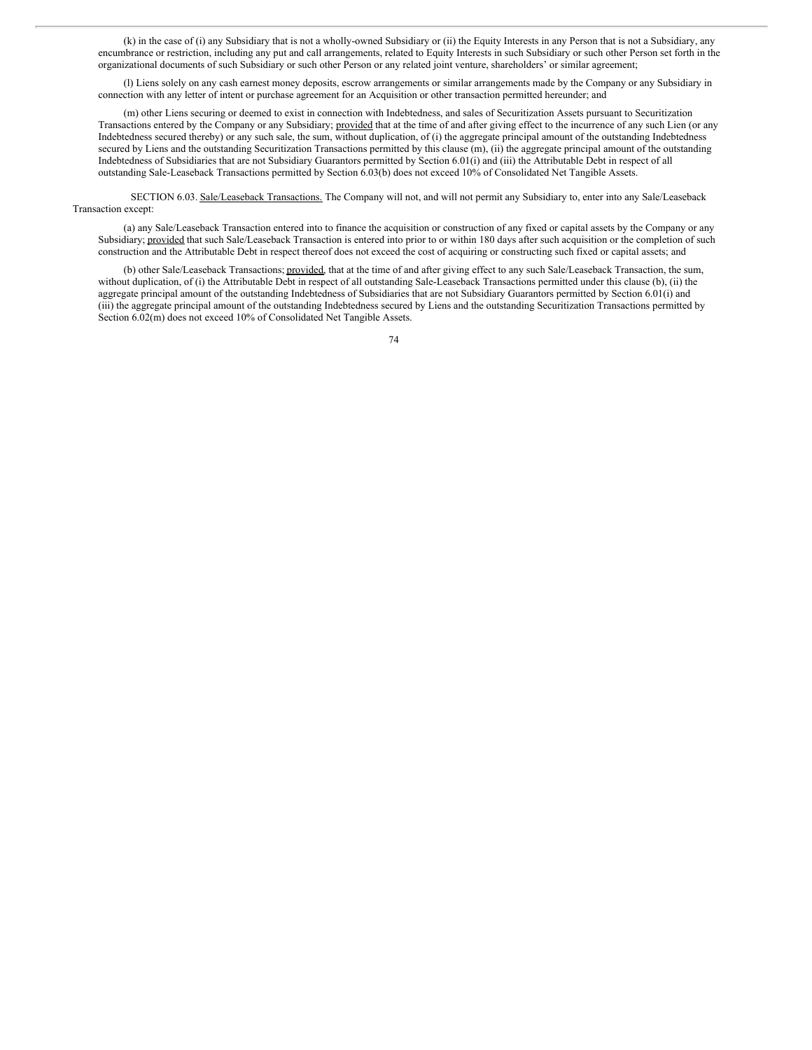(k) in the case of (i) any Subsidiary that is not a wholly-owned Subsidiary or (ii) the Equity Interests in any Person that is not a Subsidiary, any encumbrance or restriction, including any put and call arrangements, related to Equity Interests in such Subsidiary or such other Person set forth in the organizational documents of such Subsidiary or such other Person or any related joint venture, shareholders' or similar agreement;

(l) Liens solely on any cash earnest money deposits, escrow arrangements or similar arrangements made by the Company or any Subsidiary in connection with any letter of intent or purchase agreement for an Acquisition or other transaction permitted hereunder; and

(m) other Liens securing or deemed to exist in connection with Indebtedness, and sales of Securitization Assets pursuant to Securitization Transactions entered by the Company or any Subsidiary; provided that at the time of and after giving effect to the incurrence of any such Lien (or any Indebtedness secured thereby) or any such sale, the sum, without duplication, of (i) the aggregate principal amount of the outstanding Indebtedness secured by Liens and the outstanding Securitization Transactions permitted by this clause (m), (ii) the aggregate principal amount of the outstanding Indebtedness of Subsidiaries that are not Subsidiary Guarantors permitted by Section 6.01(i) and (iii) the Attributable Debt in respect of all outstanding Sale-Leaseback Transactions permitted by Section 6.03(b) does not exceed 10% of Consolidated Net Tangible Assets.

SECTION 6.03. Sale/Leaseback Transactions. The Company will not, and will not permit any Subsidiary to, enter into any Sale/Leaseback Transaction except:

(a) any Sale/Leaseback Transaction entered into to finance the acquisition or construction of any fixed or capital assets by the Company or any Subsidiary; provided that such Sale/Leaseback Transaction is entered into prior to or within 180 days after such acquisition or the completion of such construction and the Attributable Debt in respect thereof does not exceed the cost of acquiring or constructing such fixed or capital assets; and

(b) other Sale/Leaseback Transactions; provided, that at the time of and after giving effect to any such Sale/Leaseback Transaction, the sum, without duplication, of (i) the Attributable Debt in respect of all outstanding Sale-Leaseback Transactions permitted under this clause (b), (ii) the aggregate principal amount of the outstanding Indebtedness of Subsidiaries that are not Subsidiary Guarantors permitted by Section 6.01(i) and (iii) the aggregate principal amount of the outstanding Indebtedness secured by Liens and the outstanding Securitization Transactions permitted by Section 6.02(m) does not exceed 10% of Consolidated Net Tangible Assets.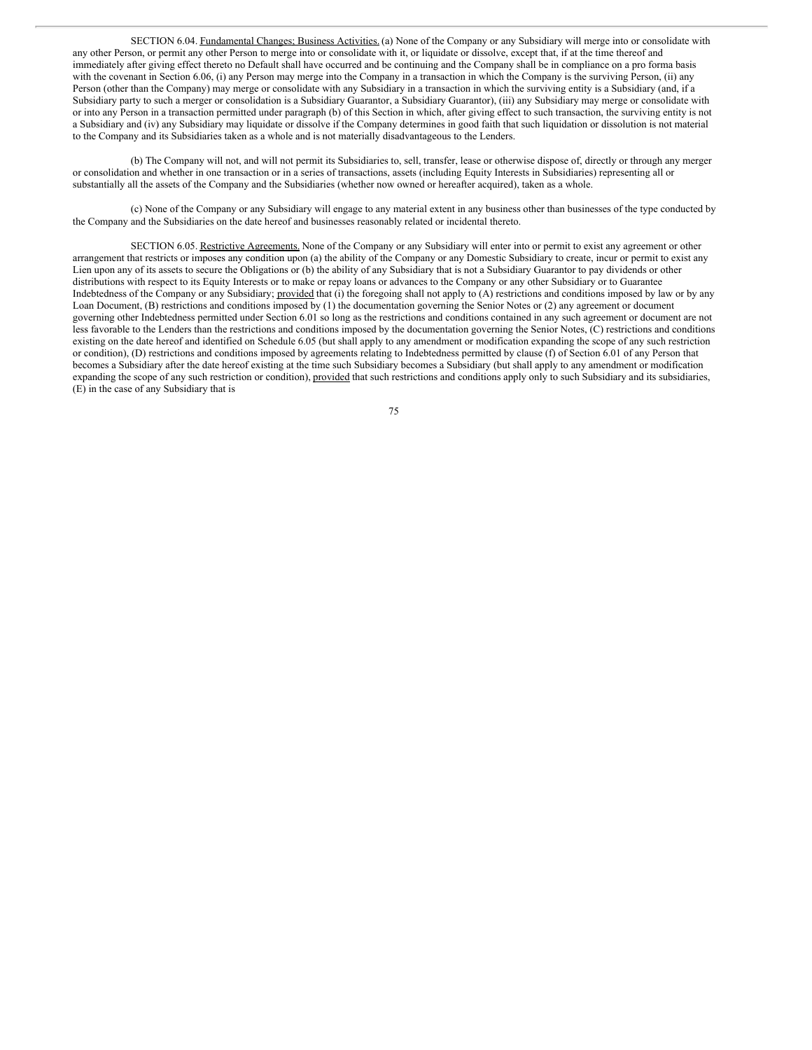SECTION 6.04. Fundamental Changes; Business Activities. (a) None of the Company or any Subsidiary will merge into or consolidate with any other Person, or permit any other Person to merge into or consolidate with it, or liquidate or dissolve, except that, if at the time thereof and immediately after giving effect thereto no Default shall have occurred and be continuing and the Company shall be in compliance on a pro forma basis with the covenant in Section 6.06, (i) any Person may merge into the Company in a transaction in which the Company is the surviving Person, (ii) any Person (other than the Company) may merge or consolidate with any Subsidiary in a transaction in which the surviving entity is a Subsidiary (and, if a Subsidiary party to such a merger or consolidation is a Subsidiary Guarantor, a Subsidiary Guarantor), (iii) any Subsidiary may merge or consolidate with or into any Person in a transaction permitted under paragraph (b) of this Section in which, after giving effect to such transaction, the surviving entity is not a Subsidiary and (iv) any Subsidiary may liquidate or dissolve if the Company determines in good faith that such liquidation or dissolution is not material to the Company and its Subsidiaries taken as a whole and is not materially disadvantageous to the Lenders.

(b) The Company will not, and will not permit its Subsidiaries to, sell, transfer, lease or otherwise dispose of, directly or through any merger or consolidation and whether in one transaction or in a series of transactions, assets (including Equity Interests in Subsidiaries) representing all or substantially all the assets of the Company and the Subsidiaries (whether now owned or hereafter acquired), taken as a whole.

(c) None of the Company or any Subsidiary will engage to any material extent in any business other than businesses of the type conducted by the Company and the Subsidiaries on the date hereof and businesses reasonably related or incidental thereto.

SECTION 6.05. Restrictive Agreements. None of the Company or any Subsidiary will enter into or permit to exist any agreement or other arrangement that restricts or imposes any condition upon (a) the ability of the Company or any Domestic Subsidiary to create, incur or permit to exist any Lien upon any of its assets to secure the Obligations or (b) the ability of any Subsidiary that is not a Subsidiary Guarantor to pay dividends or other distributions with respect to its Equity Interests or to make or repay loans or advances to the Company or any other Subsidiary or to Guarantee Indebtedness of the Company or any Subsidiary; provided that (i) the foregoing shall not apply to (A) restrictions and conditions imposed by law or by any Loan Document, (B) restrictions and conditions imposed by (1) the documentation governing the Senior Notes or (2) any agreement or document governing other Indebtedness permitted under Section 6.01 so long as the restrictions and conditions contained in any such agreement or document are not less favorable to the Lenders than the restrictions and conditions imposed by the documentation governing the Senior Notes, (C) restrictions and conditions existing on the date hereof and identified on Schedule 6.05 (but shall apply to any amendment or modification expanding the scope of any such restriction or condition), (D) restrictions and conditions imposed by agreements relating to Indebtedness permitted by clause (f) of Section 6.01 of any Person that becomes a Subsidiary after the date hereof existing at the time such Subsidiary becomes a Subsidiary (but shall apply to any amendment or modification expanding the scope of any such restriction or condition), provided that such restrictions and conditions apply only to such Subsidiary and its subsidiaries, (E) in the case of any Subsidiary that is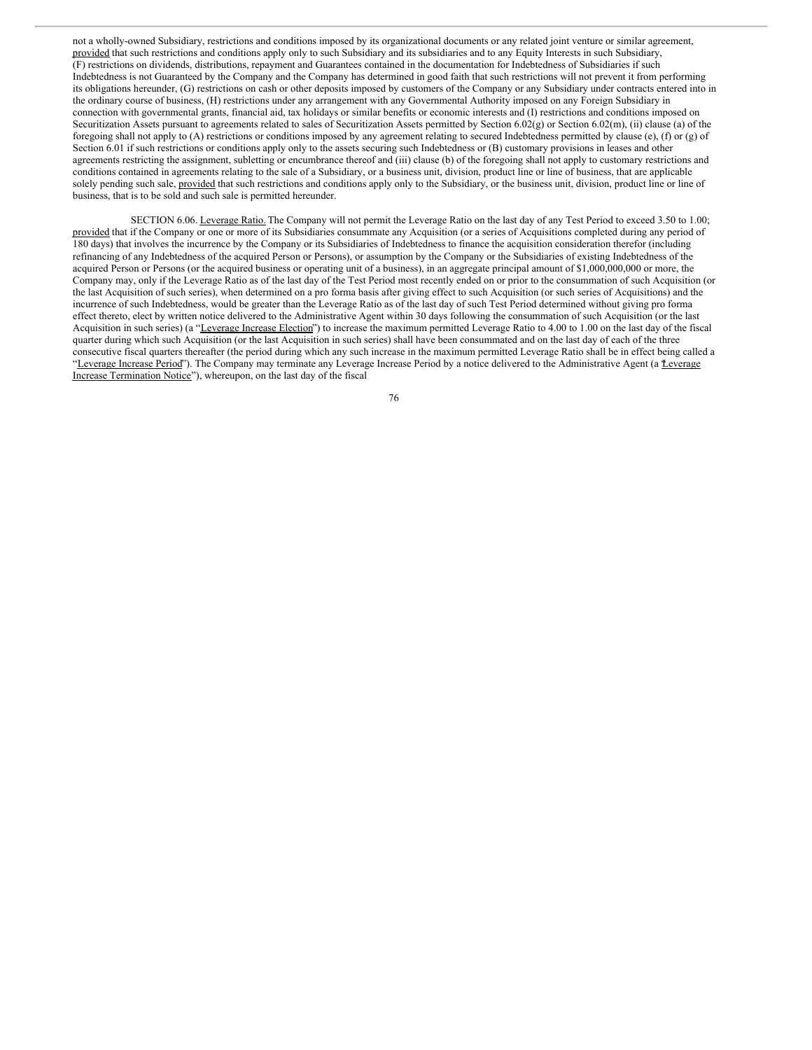not a wholly-owned Subsidiary, restrictions and conditions imposed by its organizational documents or any related joint venture or similar agreement, provided that such restrictions and conditions apply only to such Subsidiary and its subsidiaries and to any Equity Interests in such Subsidiary, (F) restrictions on dividends, distributions, repayment and Guarantees contained in the documentation for Indebtedness of Subsidiaries if such Indebtedness is not Guaranteed by the Company and the Company has determined in good faith that such restrictions will not prevent it from performing its obligations hereunder, (G) restrictions on cash or other deposits imposed by customers of the Company or any Subsidiary under contracts entered into in the ordinary course of business, (H) restrictions under any arrangement with any Governmental Authority imposed on any Foreign Subsidiary in connection with governmental grants, financial aid, tax holidays or similar benefits or economic interests and (I) restrictions and conditions imposed on Securitization Assets pursuant to agreements related to sales of Securitization Assets permitted by Section 6.02(g) or Section 6.02(m), (ii) clause (a) of the foregoing shall not apply to (A) restrictions or conditions imposed by any agreement relating to secured Indebtedness permitted by clause (e), (f) or (g) of Section 6.01 if such restrictions or conditions apply only to the assets securing such Indebtedness or (B) customary provisions in leases and other agreements restricting the assignment, subletting or encumbrance thereof and (iii) clause (b) of the foregoing shall not apply to customary restrictions and conditions contained in agreements relating to the sale of a Subsidiary, or a business unit, division, product line or line of business, that are applicable solely pending such sale, provided that such restrictions and conditions apply only to the Subsidiary, or the business unit, division, product line or line of business, that is to be sold and such sale is permitted hereunder.

SECTION 6.06. Leverage Ratio. The Company will not permit the Leverage Ratio on the last day of any Test Period to exceed 3.50 to 1.00; provided that if the Company or one or more of its Subsidiaries consummate any Acquisition (or a series of Acquisitions completed during any period of 180 days) that involves the incurrence by the Company or its Subsidiaries of Indebtedness to finance the acquisition consideration therefor (including refinancing of any Indebtedness of the acquired Person or Persons), or assumption by the Company or the Subsidiaries of existing Indebtedness of the acquired Person or Persons (or the acquired business or operating unit of a business), in an aggregate principal amount of \$1,000,000,000 or more, the Company may, only if the Leverage Ratio as of the last day of the Test Period most recently ended on or prior to the consummation of such Acquisition (or the last Acquisition of such series), when determined on a pro forma basis after giving effect to such Acquisition (or such series of Acquisitions) and the incurrence of such Indebtedness, would be greater than the Leverage Ratio as of the last day of such Test Period determined without giving pro forma effect thereto, elect by written notice delivered to the Administrative Agent within 30 days following the consummation of such Acquisition (or the last Acquisition in such series) (a "Leverage Increase Election") to increase the maximum permitted Leverage Ratio to 4.00 to 1.00 on the last day of the fiscal quarter during which such Acquisition (or the last Acquisition in such series) shall have been consummated and on the last day of each of the three consecutive fiscal quarters thereafter (the period during which any such increase in the maximum permitted Leverage Ratio shall be in effect being called a "Leverage Increase Period"). The Company may terminate any Leverage Increase Period by a notice delivered to the Administrative Agent (a *Leverage* Increase Termination Notice"), whereupon, on the last day of the fiscal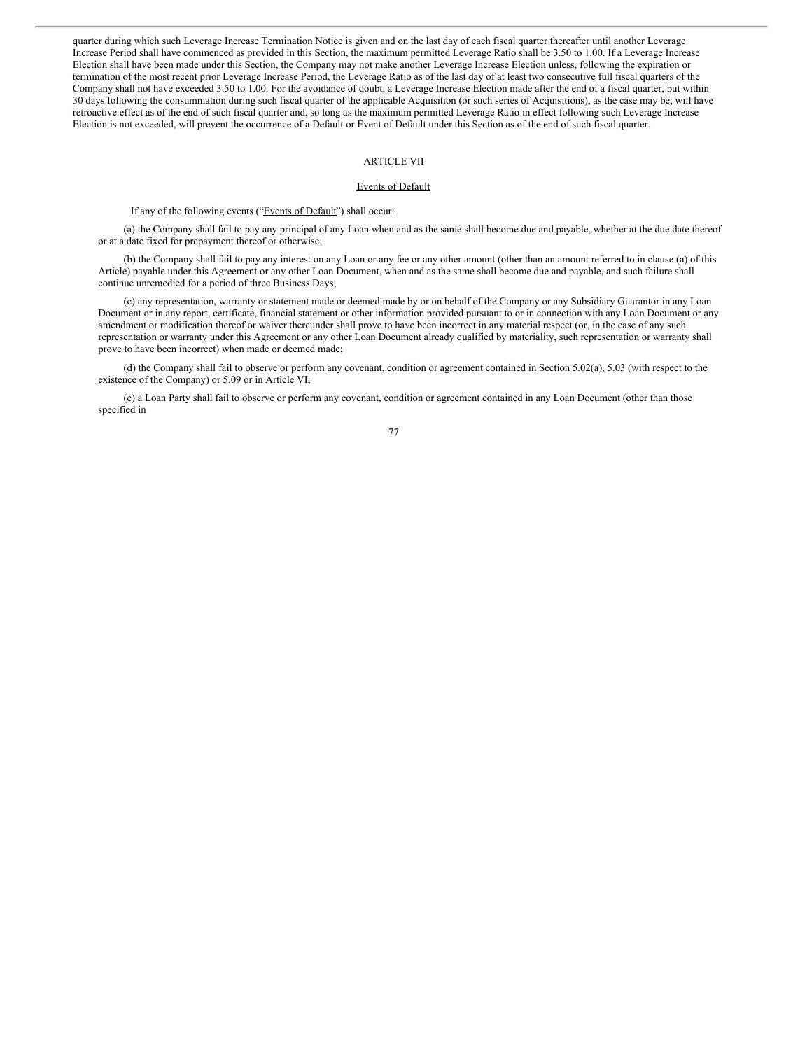quarter during which such Leverage Increase Termination Notice is given and on the last day of each fiscal quarter thereafter until another Leverage Increase Period shall have commenced as provided in this Section, the maximum permitted Leverage Ratio shall be 3.50 to 1.00. If a Leverage Increase Election shall have been made under this Section, the Company may not make another Leverage Increase Election unless, following the expiration or termination of the most recent prior Leverage Increase Period, the Leverage Ratio as of the last day of at least two consecutive full fiscal quarters of the Company shall not have exceeded 3.50 to 1.00. For the avoidance of doubt, a Leverage Increase Election made after the end of a fiscal quarter, but within 30 days following the consummation during such fiscal quarter of the applicable Acquisition (or such series of Acquisitions), as the case may be, will have retroactive effect as of the end of such fiscal quarter and, so long as the maximum permitted Leverage Ratio in effect following such Leverage Increase Election is not exceeded, will prevent the occurrence of a Default or Event of Default under this Section as of the end of such fiscal quarter.

# ARTICLE VII

#### Events of Default

If any of the following events ("Events of Default") shall occur:

(a) the Company shall fail to pay any principal of any Loan when and as the same shall become due and payable, whether at the due date thereof or at a date fixed for prepayment thereof or otherwise;

(b) the Company shall fail to pay any interest on any Loan or any fee or any other amount (other than an amount referred to in clause (a) of this Article) payable under this Agreement or any other Loan Document, when and as the same shall become due and payable, and such failure shall continue unremedied for a period of three Business Days;

(c) any representation, warranty or statement made or deemed made by or on behalf of the Company or any Subsidiary Guarantor in any Loan Document or in any report, certificate, financial statement or other information provided pursuant to or in connection with any Loan Document or any amendment or modification thereof or waiver thereunder shall prove to have been incorrect in any material respect (or, in the case of any such representation or warranty under this Agreement or any other Loan Document already qualified by materiality, such representation or warranty shall prove to have been incorrect) when made or deemed made;

(d) the Company shall fail to observe or perform any covenant, condition or agreement contained in Section 5.02(a), 5.03 (with respect to the existence of the Company) or 5.09 or in Article VI;

(e) a Loan Party shall fail to observe or perform any covenant, condition or agreement contained in any Loan Document (other than those specified in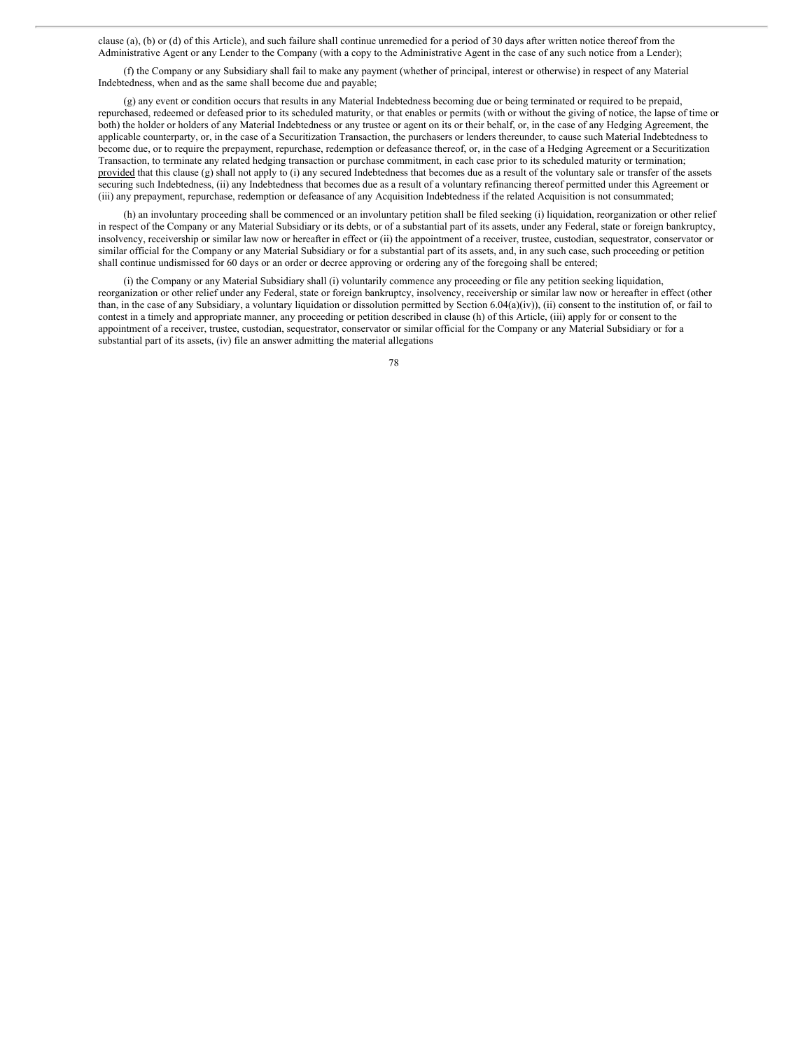clause (a), (b) or (d) of this Article), and such failure shall continue unremedied for a period of 30 days after written notice thereof from the Administrative Agent or any Lender to the Company (with a copy to the Administrative Agent in the case of any such notice from a Lender);

(f) the Company or any Subsidiary shall fail to make any payment (whether of principal, interest or otherwise) in respect of any Material Indebtedness, when and as the same shall become due and payable;

(g) any event or condition occurs that results in any Material Indebtedness becoming due or being terminated or required to be prepaid, repurchased, redeemed or defeased prior to its scheduled maturity, or that enables or permits (with or without the giving of notice, the lapse of time or both) the holder or holders of any Material Indebtedness or any trustee or agent on its or their behalf, or, in the case of any Hedging Agreement, the applicable counterparty, or, in the case of a Securitization Transaction, the purchasers or lenders thereunder, to cause such Material Indebtedness to become due, or to require the prepayment, repurchase, redemption or defeasance thereof, or, in the case of a Hedging Agreement or a Securitization Transaction, to terminate any related hedging transaction or purchase commitment, in each case prior to its scheduled maturity or termination; provided that this clause (g) shall not apply to (i) any secured Indebtedness that becomes due as a result of the voluntary sale or transfer of the assets securing such Indebtedness, (ii) any Indebtedness that becomes due as a result of a voluntary refinancing thereof permitted under this Agreement or (iii) any prepayment, repurchase, redemption or defeasance of any Acquisition Indebtedness if the related Acquisition is not consummated;

(h) an involuntary proceeding shall be commenced or an involuntary petition shall be filed seeking (i) liquidation, reorganization or other relief in respect of the Company or any Material Subsidiary or its debts, or of a substantial part of its assets, under any Federal, state or foreign bankruptcy, insolvency, receivership or similar law now or hereafter in effect or (ii) the appointment of a receiver, trustee, custodian, sequestrator, conservator or similar official for the Company or any Material Subsidiary or for a substantial part of its assets, and, in any such case, such proceeding or petition shall continue undismissed for 60 days or an order or decree approving or ordering any of the foregoing shall be entered;

(i) the Company or any Material Subsidiary shall (i) voluntarily commence any proceeding or file any petition seeking liquidation, reorganization or other relief under any Federal, state or foreign bankruptcy, insolvency, receivership or similar law now or hereafter in effect (other than, in the case of any Subsidiary, a voluntary liquidation or dissolution permitted by Section 6.04(a)(iv)), (ii) consent to the institution of, or fail to contest in a timely and appropriate manner, any proceeding or petition described in clause (h) of this Article, (iii) apply for or consent to the appointment of a receiver, trustee, custodian, sequestrator, conservator or similar official for the Company or any Material Subsidiary or for a substantial part of its assets, (iv) file an answer admitting the material allegations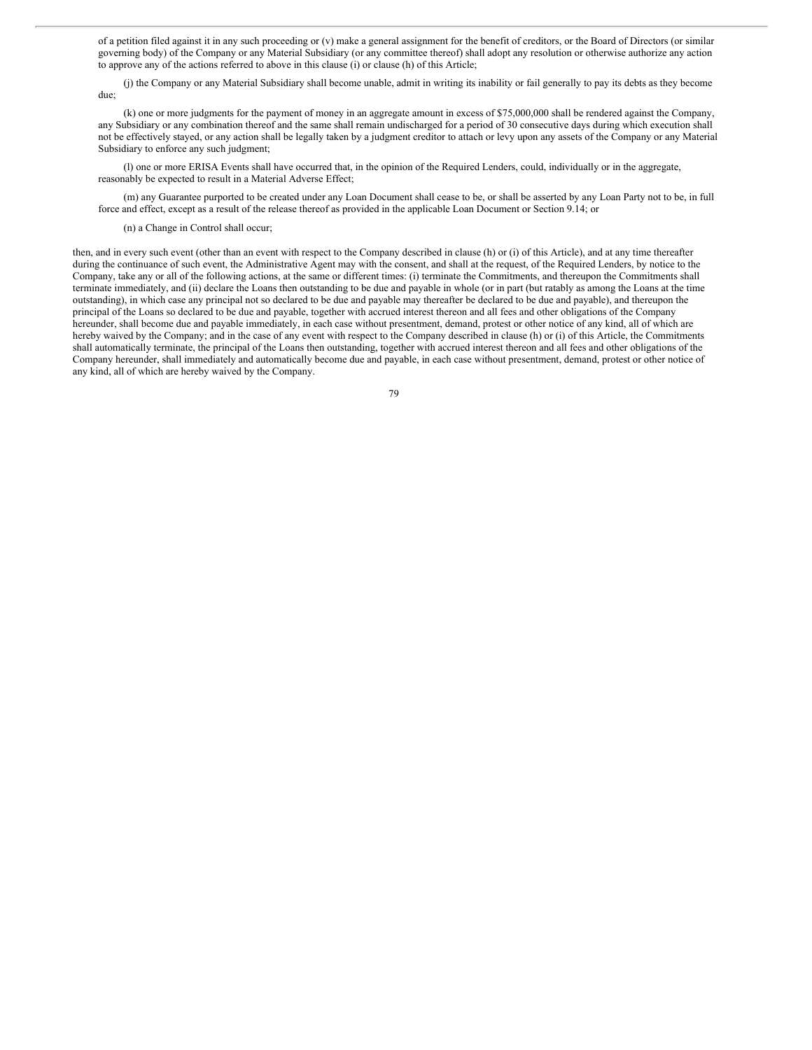of a petition filed against it in any such proceeding or (v) make a general assignment for the benefit of creditors, or the Board of Directors (or similar governing body) of the Company or any Material Subsidiary (or any committee thereof) shall adopt any resolution or otherwise authorize any action to approve any of the actions referred to above in this clause (i) or clause (h) of this Article;

(j) the Company or any Material Subsidiary shall become unable, admit in writing its inability or fail generally to pay its debts as they become due;

(k) one or more judgments for the payment of money in an aggregate amount in excess of \$75,000,000 shall be rendered against the Company, any Subsidiary or any combination thereof and the same shall remain undischarged for a period of 30 consecutive days during which execution shall not be effectively stayed, or any action shall be legally taken by a judgment creditor to attach or levy upon any assets of the Company or any Material Subsidiary to enforce any such judgment;

(l) one or more ERISA Events shall have occurred that, in the opinion of the Required Lenders, could, individually or in the aggregate, reasonably be expected to result in a Material Adverse Effect;

(m) any Guarantee purported to be created under any Loan Document shall cease to be, or shall be asserted by any Loan Party not to be, in full force and effect, except as a result of the release thereof as provided in the applicable Loan Document or Section 9.14; or

(n) a Change in Control shall occur;

then, and in every such event (other than an event with respect to the Company described in clause (h) or (i) of this Article), and at any time thereafter during the continuance of such event, the Administrative Agent may with the consent, and shall at the request, of the Required Lenders, by notice to the Company, take any or all of the following actions, at the same or different times: (i) terminate the Commitments, and thereupon the Commitments shall terminate immediately, and (ii) declare the Loans then outstanding to be due and payable in whole (or in part (but ratably as among the Loans at the time outstanding), in which case any principal not so declared to be due and payable may thereafter be declared to be due and payable), and thereupon the principal of the Loans so declared to be due and payable, together with accrued interest thereon and all fees and other obligations of the Company hereunder, shall become due and payable immediately, in each case without presentment, demand, protest or other notice of any kind, all of which are hereby waived by the Company; and in the case of any event with respect to the Company described in clause (h) or (i) of this Article, the Commitments shall automatically terminate, the principal of the Loans then outstanding, together with accrued interest thereon and all fees and other obligations of the Company hereunder, shall immediately and automatically become due and payable, in each case without presentment, demand, protest or other notice of any kind, all of which are hereby waived by the Company.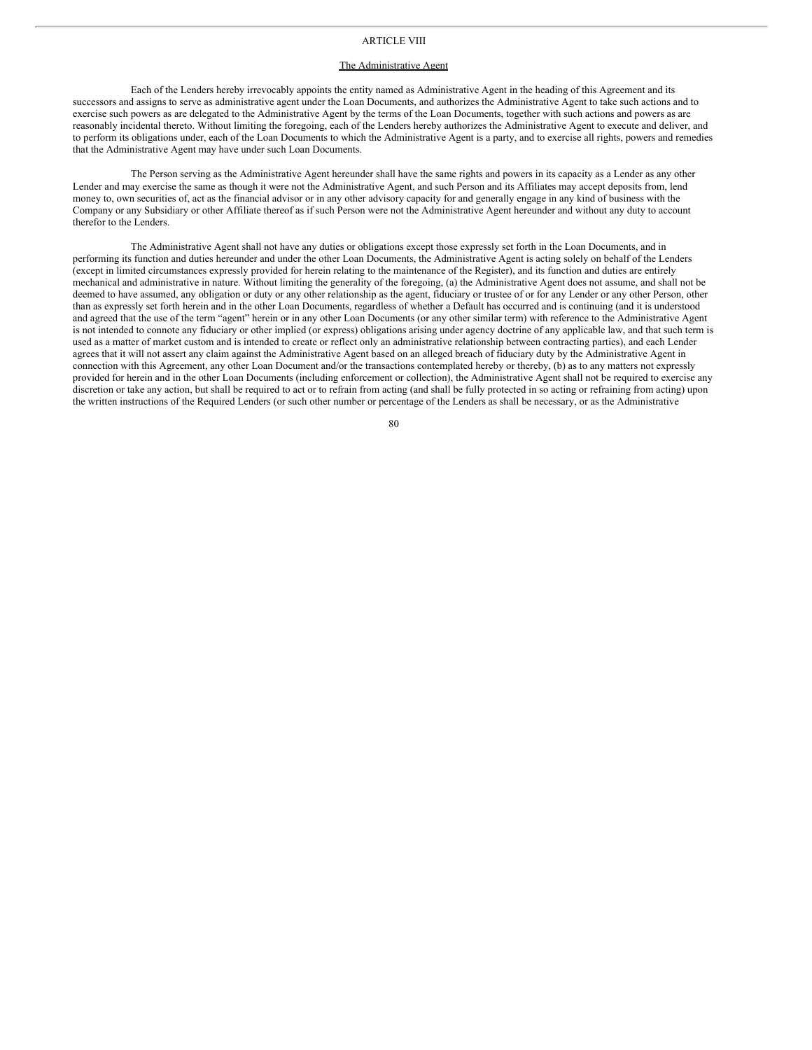# ARTICLE VIII

## The Administrative Agent

Each of the Lenders hereby irrevocably appoints the entity named as Administrative Agent in the heading of this Agreement and its successors and assigns to serve as administrative agent under the Loan Documents, and authorizes the Administrative Agent to take such actions and to exercise such powers as are delegated to the Administrative Agent by the terms of the Loan Documents, together with such actions and powers as are reasonably incidental thereto. Without limiting the foregoing, each of the Lenders hereby authorizes the Administrative Agent to execute and deliver, and to perform its obligations under, each of the Loan Documents to which the Administrative Agent is a party, and to exercise all rights, powers and remedies that the Administrative Agent may have under such Loan Documents.

The Person serving as the Administrative Agent hereunder shall have the same rights and powers in its capacity as a Lender as any other Lender and may exercise the same as though it were not the Administrative Agent, and such Person and its Affiliates may accept deposits from, lend money to, own securities of, act as the financial advisor or in any other advisory capacity for and generally engage in any kind of business with the Company or any Subsidiary or other Affiliate thereof as if such Person were not the Administrative Agent hereunder and without any duty to account therefor to the Lenders.

The Administrative Agent shall not have any duties or obligations except those expressly set forth in the Loan Documents, and in performing its function and duties hereunder and under the other Loan Documents, the Administrative Agent is acting solely on behalf of the Lenders (except in limited circumstances expressly provided for herein relating to the maintenance of the Register), and its function and duties are entirely mechanical and administrative in nature. Without limiting the generality of the foregoing, (a) the Administrative Agent does not assume, and shall not be deemed to have assumed, any obligation or duty or any other relationship as the agent, fiduciary or trustee of or for any Lender or any other Person, other than as expressly set forth herein and in the other Loan Documents, regardless of whether a Default has occurred and is continuing (and it is understood and agreed that the use of the term "agent" herein or in any other Loan Documents (or any other similar term) with reference to the Administrative Agent is not intended to connote any fiduciary or other implied (or express) obligations arising under agency doctrine of any applicable law, and that such term is used as a matter of market custom and is intended to create or reflect only an administrative relationship between contracting parties), and each Lender agrees that it will not assert any claim against the Administrative Agent based on an alleged breach of fiduciary duty by the Administrative Agent in connection with this Agreement, any other Loan Document and/or the transactions contemplated hereby or thereby, (b) as to any matters not expressly provided for herein and in the other Loan Documents (including enforcement or collection), the Administrative Agent shall not be required to exercise any discretion or take any action, but shall be required to act or to refrain from acting (and shall be fully protected in so acting or refraining from acting) upon the written instructions of the Required Lenders (or such other number or percentage of the Lenders as shall be necessary, or as the Administrative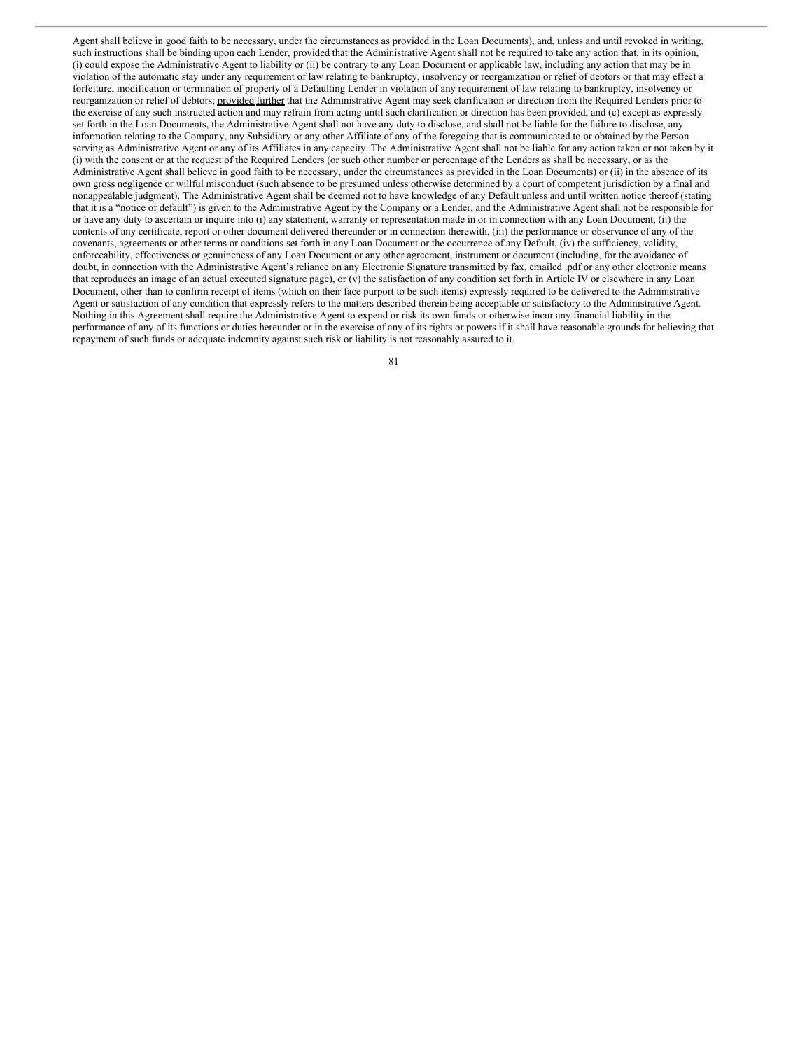Agent shall believe in good faith to be necessary, under the circumstances as provided in the Loan Documents), and, unless and until revoked in writing, such instructions shall be binding upon each Lender, provided that the Administrative Agent shall not be required to take any action that, in its opinion, (i) could expose the Administrative Agent to liability or (ii) be contrary to any Loan Document or applicable law, including any action that may be in violation of the automatic stay under any requirement of law relating to bankruptcy, insolvency or reorganization or relief of debtors or that may effect a forfeiture, modification or termination of property of a Defaulting Lender in violation of any requirement of law relating to bankruptcy, insolvency or reorganization or relief of debtors; provided further that the Administrative Agent may seek clarification or direction from the Required Lenders prior to the exercise of any such instructed action and may refrain from acting until such clarification or direction has been provided, and (c) except as expressly set forth in the Loan Documents, the Administrative Agent shall not have any duty to disclose, and shall not be liable for the failure to disclose, any information relating to the Company, any Subsidiary or any other Affiliate of any of the foregoing that is communicated to or obtained by the Person serving as Administrative Agent or any of its Affiliates in any capacity. The Administrative Agent shall not be liable for any action taken or not taken by it (i) with the consent or at the request of the Required Lenders (or such other number or percentage of the Lenders as shall be necessary, or as the Administrative Agent shall believe in good faith to be necessary, under the circumstances as provided in the Loan Documents) or (ii) in the absence of its own gross negligence or willful misconduct (such absence to be presumed unless otherwise determined by a court of competent jurisdiction by a final and nonappealable judgment). The Administrative Agent shall be deemed not to have knowledge of any Default unless and until written notice thereof (stating that it is a "notice of default") is given to the Administrative Agent by the Company or a Lender, and the Administrative Agent shall not be responsible for or have any duty to ascertain or inquire into (i) any statement, warranty or representation made in or in connection with any Loan Document, (ii) the contents of any certificate, report or other document delivered thereunder or in connection therewith, (iii) the performance or observance of any of the covenants, agreements or other terms or conditions set forth in any Loan Document or the occurrence of any Default, (iv) the sufficiency, validity, enforceability, effectiveness or genuineness of any Loan Document or any other agreement, instrument or document (including, for the avoidance of doubt, in connection with the Administrative Agent's reliance on any Electronic Signature transmitted by fax, emailed .pdf or any other electronic means that reproduces an image of an actual executed signature page), or (v) the satisfaction of any condition set forth in Article IV or elsewhere in any Loan Document, other than to confirm receipt of items (which on their face purport to be such items) expressly required to be delivered to the Administrative Agent or satisfaction of any condition that expressly refers to the matters described therein being acceptable or satisfactory to the Administrative Agent. Nothing in this Agreement shall require the Administrative Agent to expend or risk its own funds or otherwise incur any financial liability in the performance of any of its functions or duties hereunder or in the exercise of any of its rights or powers if it shall have reasonable grounds for believing that repayment of such funds or adequate indemnity against such risk or liability is not reasonably assured to it.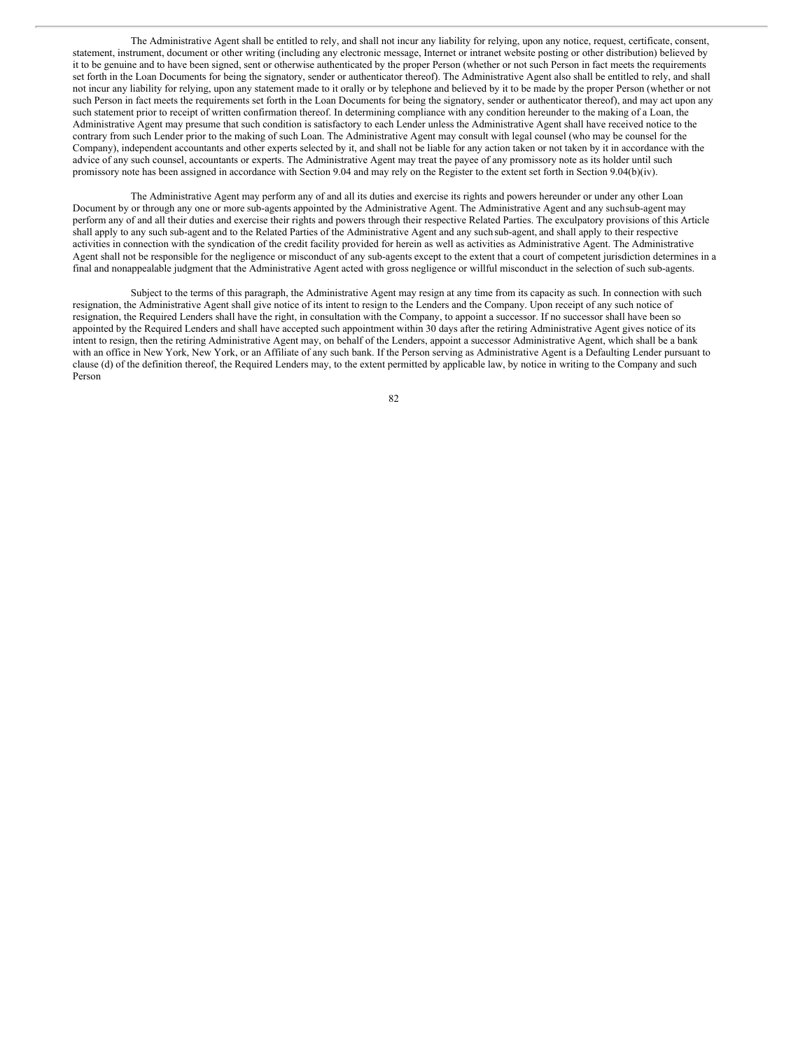The Administrative Agent shall be entitled to rely, and shall not incur any liability for relying, upon any notice, request, certificate, consent, statement, instrument, document or other writing (including any electronic message, Internet or intranet website posting or other distribution) believed by it to be genuine and to have been signed, sent or otherwise authenticated by the proper Person (whether or not such Person in fact meets the requirements set forth in the Loan Documents for being the signatory, sender or authenticator thereof). The Administrative Agent also shall be entitled to rely, and shall not incur any liability for relying, upon any statement made to it orally or by telephone and believed by it to be made by the proper Person (whether or not such Person in fact meets the requirements set forth in the Loan Documents for being the signatory, sender or authenticator thereof), and may act upon any such statement prior to receipt of written confirmation thereof. In determining compliance with any condition hereunder to the making of a Loan, the Administrative Agent may presume that such condition is satisfactory to each Lender unless the Administrative Agent shall have received notice to the contrary from such Lender prior to the making of such Loan. The Administrative Agent may consult with legal counsel (who may be counsel for the Company), independent accountants and other experts selected by it, and shall not be liable for any action taken or not taken by it in accordance with the advice of any such counsel, accountants or experts. The Administrative Agent may treat the payee of any promissory note as its holder until such promissory note has been assigned in accordance with Section 9.04 and may rely on the Register to the extent set forth in Section 9.04(b)(iv).

The Administrative Agent may perform any of and all its duties and exercise its rights and powers hereunder or under any other Loan Document by or through any one or more sub-agents appointed by the Administrative Agent. The Administrative Agent and any suchsub-agent may perform any of and all their duties and exercise their rights and powers through their respective Related Parties. The exculpatory provisions of this Article shall apply to any such sub-agent and to the Related Parties of the Administrative Agent and any suchsub-agent, and shall apply to their respective activities in connection with the syndication of the credit facility provided for herein as well as activities as Administrative Agent. The Administrative Agent shall not be responsible for the negligence or misconduct of any sub-agents except to the extent that a court of competent jurisdiction determines in a final and nonappealable judgment that the Administrative Agent acted with gross negligence or willful misconduct in the selection of such sub-agents.

Subject to the terms of this paragraph, the Administrative Agent may resign at any time from its capacity as such. In connection with such resignation, the Administrative Agent shall give notice of its intent to resign to the Lenders and the Company. Upon receipt of any such notice of resignation, the Required Lenders shall have the right, in consultation with the Company, to appoint a successor. If no successor shall have been so appointed by the Required Lenders and shall have accepted such appointment within 30 days after the retiring Administrative Agent gives notice of its intent to resign, then the retiring Administrative Agent may, on behalf of the Lenders, appoint a successor Administrative Agent, which shall be a bank with an office in New York, New York, or an Affiliate of any such bank. If the Person serving as Administrative Agent is a Defaulting Lender pursuant to clause (d) of the definition thereof, the Required Lenders may, to the extent permitted by applicable law, by notice in writing to the Company and such Person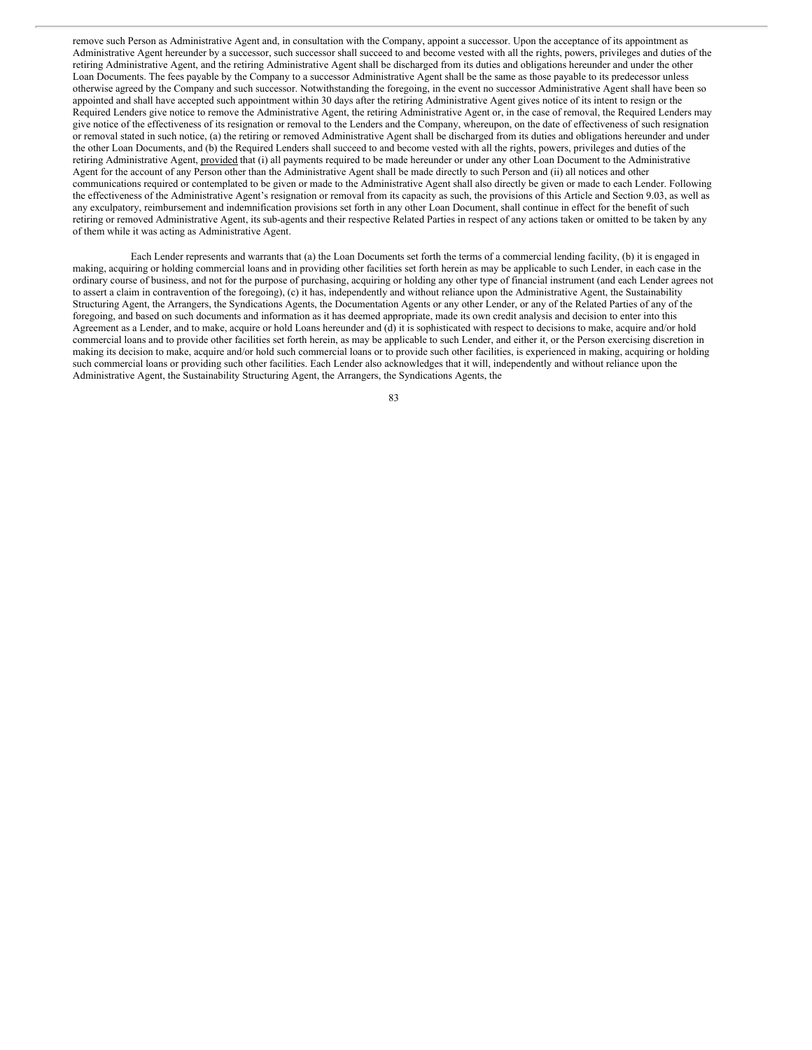remove such Person as Administrative Agent and, in consultation with the Company, appoint a successor. Upon the acceptance of its appointment as Administrative Agent hereunder by a successor, such successor shall succeed to and become vested with all the rights, powers, privileges and duties of the retiring Administrative Agent, and the retiring Administrative Agent shall be discharged from its duties and obligations hereunder and under the other Loan Documents. The fees payable by the Company to a successor Administrative Agent shall be the same as those payable to its predecessor unless otherwise agreed by the Company and such successor. Notwithstanding the foregoing, in the event no successor Administrative Agent shall have been so appointed and shall have accepted such appointment within 30 days after the retiring Administrative Agent gives notice of its intent to resign or the Required Lenders give notice to remove the Administrative Agent, the retiring Administrative Agent or, in the case of removal, the Required Lenders may give notice of the effectiveness of its resignation or removal to the Lenders and the Company, whereupon, on the date of effectiveness of such resignation or removal stated in such notice, (a) the retiring or removed Administrative Agent shall be discharged from its duties and obligations hereunder and under the other Loan Documents, and (b) the Required Lenders shall succeed to and become vested with all the rights, powers, privileges and duties of the retiring Administrative Agent, provided that (i) all payments required to be made hereunder or under any other Loan Document to the Administrative Agent for the account of any Person other than the Administrative Agent shall be made directly to such Person and (ii) all notices and other communications required or contemplated to be given or made to the Administrative Agent shall also directly be given or made to each Lender. Following the effectiveness of the Administrative Agent's resignation or removal from its capacity as such, the provisions of this Article and Section 9.03, as well as any exculpatory, reimbursement and indemnification provisions set forth in any other Loan Document, shall continue in effect for the benefit of such retiring or removed Administrative Agent, its sub-agents and their respective Related Parties in respect of any actions taken or omitted to be taken by any of them while it was acting as Administrative Agent.

Each Lender represents and warrants that (a) the Loan Documents set forth the terms of a commercial lending facility, (b) it is engaged in making, acquiring or holding commercial loans and in providing other facilities set forth herein as may be applicable to such Lender, in each case in the ordinary course of business, and not for the purpose of purchasing, acquiring or holding any other type of financial instrument (and each Lender agrees not to assert a claim in contravention of the foregoing), (c) it has, independently and without reliance upon the Administrative Agent, the Sustainability Structuring Agent, the Arrangers, the Syndications Agents, the Documentation Agents or any other Lender, or any of the Related Parties of any of the foregoing, and based on such documents and information as it has deemed appropriate, made its own credit analysis and decision to enter into this Agreement as a Lender, and to make, acquire or hold Loans hereunder and (d) it is sophisticated with respect to decisions to make, acquire and/or hold commercial loans and to provide other facilities set forth herein, as may be applicable to such Lender, and either it, or the Person exercising discretion in making its decision to make, acquire and/or hold such commercial loans or to provide such other facilities, is experienced in making, acquiring or holding such commercial loans or providing such other facilities. Each Lender also acknowledges that it will, independently and without reliance upon the Administrative Agent, the Sustainability Structuring Agent, the Arrangers, the Syndications Agents, the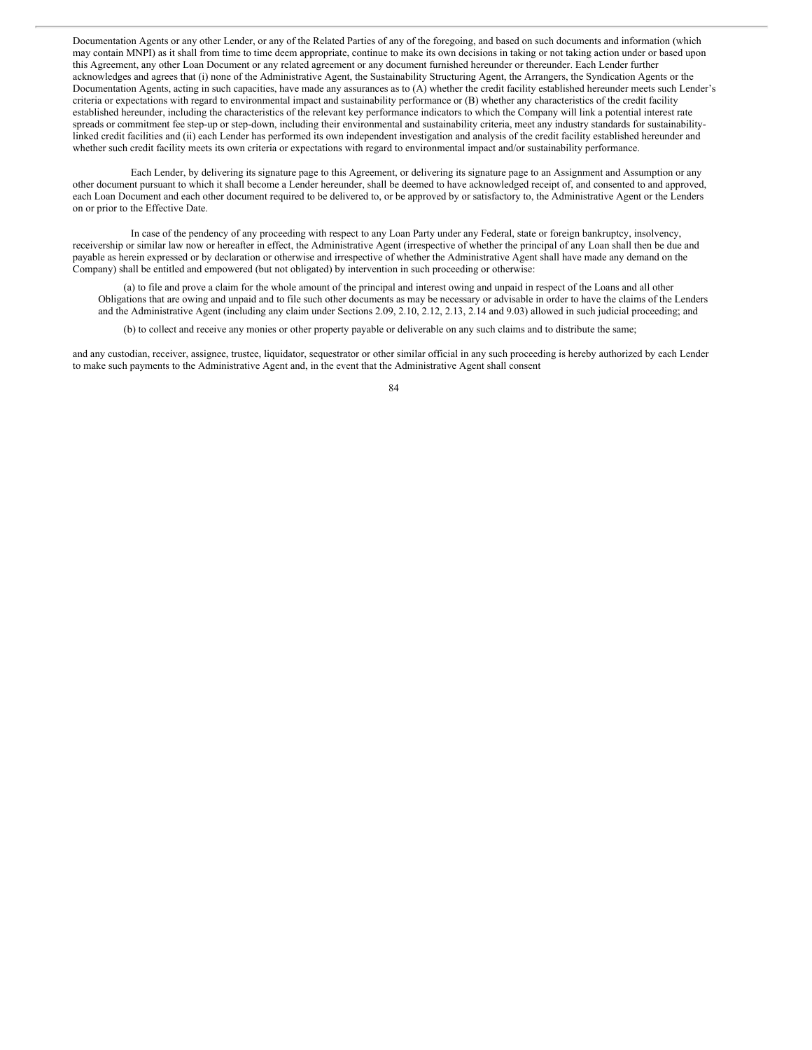Documentation Agents or any other Lender, or any of the Related Parties of any of the foregoing, and based on such documents and information (which may contain MNPI) as it shall from time to time deem appropriate, continue to make its own decisions in taking or not taking action under or based upon this Agreement, any other Loan Document or any related agreement or any document furnished hereunder or thereunder. Each Lender further acknowledges and agrees that (i) none of the Administrative Agent, the Sustainability Structuring Agent, the Arrangers, the Syndication Agents or the Documentation Agents, acting in such capacities, have made any assurances as to (A) whether the credit facility established hereunder meets such Lender's criteria or expectations with regard to environmental impact and sustainability performance or (B) whether any characteristics of the credit facility established hereunder, including the characteristics of the relevant key performance indicators to which the Company will link a potential interest rate spreads or commitment fee step-up or step-down, including their environmental and sustainability criteria, meet any industry standards for sustainabilitylinked credit facilities and (ii) each Lender has performed its own independent investigation and analysis of the credit facility established hereunder and whether such credit facility meets its own criteria or expectations with regard to environmental impact and/or sustainability performance.

Each Lender, by delivering its signature page to this Agreement, or delivering its signature page to an Assignment and Assumption or any other document pursuant to which it shall become a Lender hereunder, shall be deemed to have acknowledged receipt of, and consented to and approved, each Loan Document and each other document required to be delivered to, or be approved by or satisfactory to, the Administrative Agent or the Lenders on or prior to the Effective Date.

In case of the pendency of any proceeding with respect to any Loan Party under any Federal, state or foreign bankruptcy, insolvency, receivership or similar law now or hereafter in effect, the Administrative Agent (irrespective of whether the principal of any Loan shall then be due and payable as herein expressed or by declaration or otherwise and irrespective of whether the Administrative Agent shall have made any demand on the Company) shall be entitled and empowered (but not obligated) by intervention in such proceeding or otherwise:

(a) to file and prove a claim for the whole amount of the principal and interest owing and unpaid in respect of the Loans and all other Obligations that are owing and unpaid and to file such other documents as may be necessary or advisable in order to have the claims of the Lenders and the Administrative Agent (including any claim under Sections 2.09, 2.10, 2.12, 2.13, 2.14 and 9.03) allowed in such judicial proceeding; and

(b) to collect and receive any monies or other property payable or deliverable on any such claims and to distribute the same;

and any custodian, receiver, assignee, trustee, liquidator, sequestrator or other similar official in any such proceeding is hereby authorized by each Lender to make such payments to the Administrative Agent and, in the event that the Administrative Agent shall consent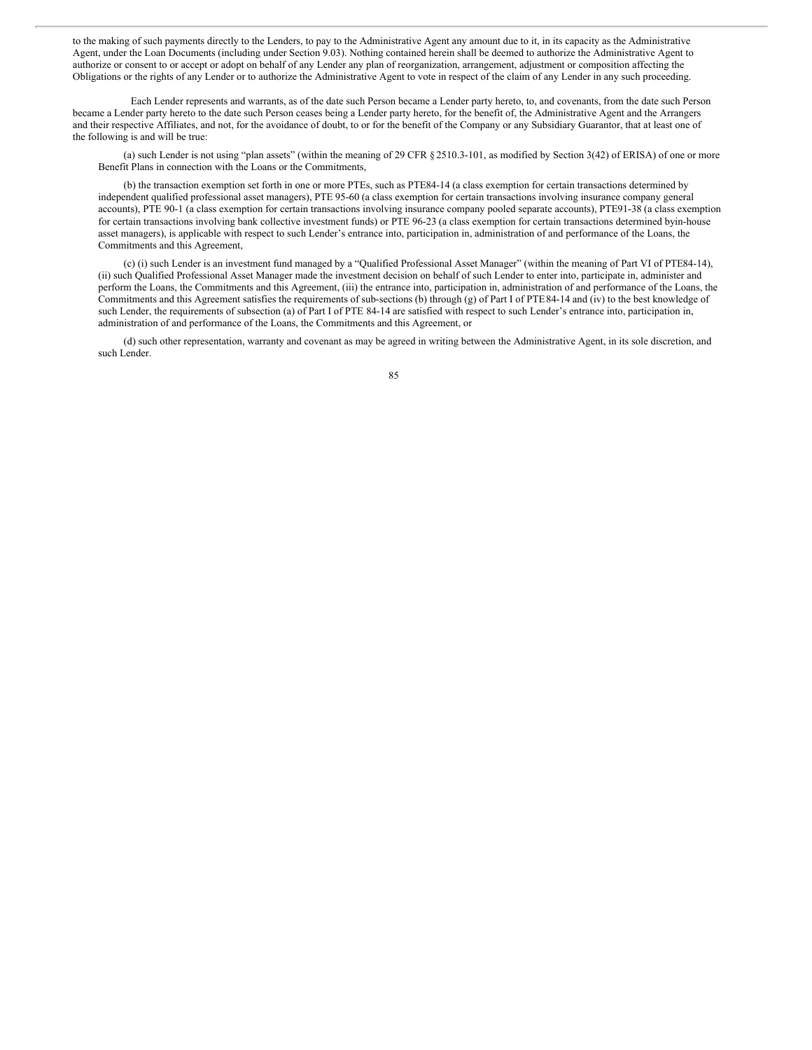to the making of such payments directly to the Lenders, to pay to the Administrative Agent any amount due to it, in its capacity as the Administrative Agent, under the Loan Documents (including under Section 9.03). Nothing contained herein shall be deemed to authorize the Administrative Agent to authorize or consent to or accept or adopt on behalf of any Lender any plan of reorganization, arrangement, adjustment or composition affecting the Obligations or the rights of any Lender or to authorize the Administrative Agent to vote in respect of the claim of any Lender in any such proceeding.

Each Lender represents and warrants, as of the date such Person became a Lender party hereto, to, and covenants, from the date such Person became a Lender party hereto to the date such Person ceases being a Lender party hereto, for the benefit of, the Administrative Agent and the Arrangers and their respective Affiliates, and not, for the avoidance of doubt, to or for the benefit of the Company or any Subsidiary Guarantor, that at least one of the following is and will be true:

(a) such Lender is not using "plan assets" (within the meaning of 29 CFR § 2510.3-101, as modified by Section 3(42) of ERISA) of one or more Benefit Plans in connection with the Loans or the Commitments,

(b) the transaction exemption set forth in one or more PTEs, such as PTE84-14 (a class exemption for certain transactions determined by independent qualified professional asset managers), PTE 95-60 (a class exemption for certain transactions involving insurance company general accounts), PTE 90-1 (a class exemption for certain transactions involving insurance company pooled separate accounts), PTE91-38 (a class exemption for certain transactions involving bank collective investment funds) or PTE 96-23 (a class exemption for certain transactions determined byin-house asset managers), is applicable with respect to such Lender's entrance into, participation in, administration of and performance of the Loans, the Commitments and this Agreement,

(c) (i) such Lender is an investment fund managed by a "Qualified Professional Asset Manager" (within the meaning of Part VI of PTE84-14), (ii) such Qualified Professional Asset Manager made the investment decision on behalf of such Lender to enter into, participate in, administer and perform the Loans, the Commitments and this Agreement, (iii) the entrance into, participation in, administration of and performance of the Loans, the Commitments and this Agreement satisfies the requirements of sub-sections (b) through (g) of Part I of PTE84-14 and (iv) to the best knowledge of such Lender, the requirements of subsection (a) of Part I of PTE 84-14 are satisfied with respect to such Lender's entrance into, participation in, administration of and performance of the Loans, the Commitments and this Agreement, or

(d) such other representation, warranty and covenant as may be agreed in writing between the Administrative Agent, in its sole discretion, and such Lender.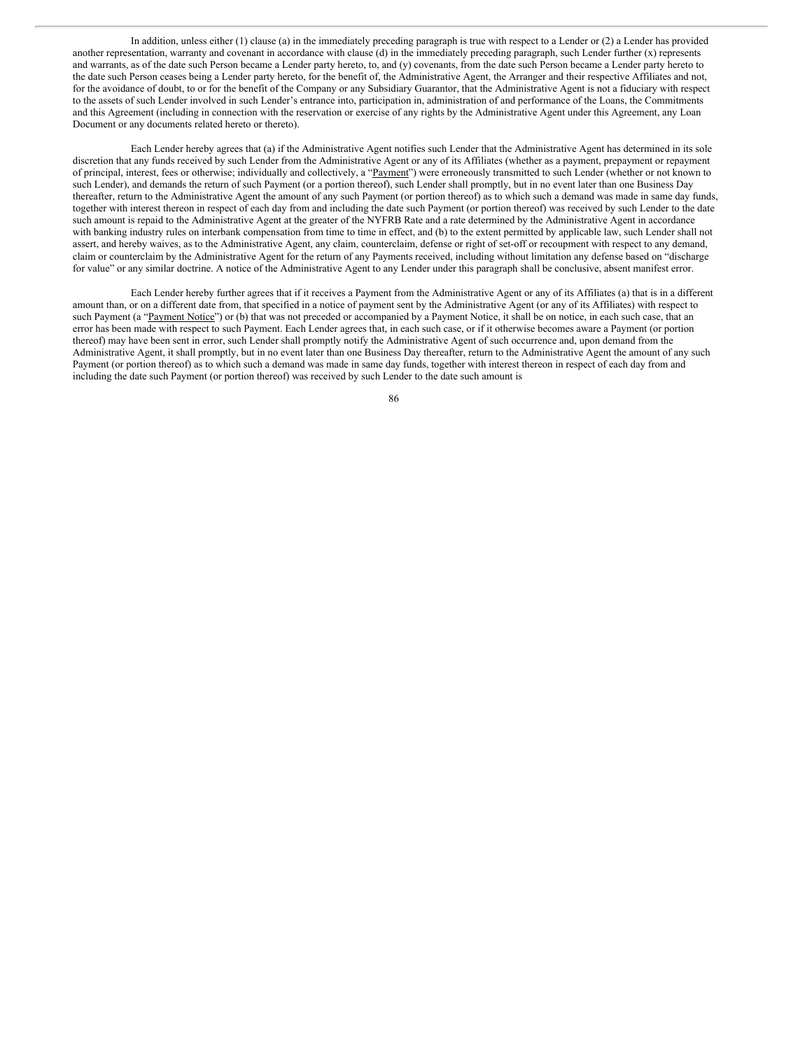In addition, unless either (1) clause (a) in the immediately preceding paragraph is true with respect to a Lender or (2) a Lender has provided another representation, warranty and covenant in accordance with clause (d) in the immediately preceding paragraph, such Lender further (x) represents and warrants, as of the date such Person became a Lender party hereto, to, and (y) covenants, from the date such Person became a Lender party hereto to the date such Person ceases being a Lender party hereto, for the benefit of, the Administrative Agent, the Arranger and their respective Affiliates and not, for the avoidance of doubt, to or for the benefit of the Company or any Subsidiary Guarantor, that the Administrative Agent is not a fiduciary with respect to the assets of such Lender involved in such Lender's entrance into, participation in, administration of and performance of the Loans, the Commitments and this Agreement (including in connection with the reservation or exercise of any rights by the Administrative Agent under this Agreement, any Loan Document or any documents related hereto or thereto).

Each Lender hereby agrees that (a) if the Administrative Agent notifies such Lender that the Administrative Agent has determined in its sole discretion that any funds received by such Lender from the Administrative Agent or any of its Affiliates (whether as a payment, prepayment or repayment of principal, interest, fees or otherwise; individually and collectively, a "Payment") were erroneously transmitted to such Lender (whether or not known to such Lender), and demands the return of such Payment (or a portion thereof), such Lender shall promptly, but in no event later than one Business Day thereafter, return to the Administrative Agent the amount of any such Payment (or portion thereof) as to which such a demand was made in same day funds, together with interest thereon in respect of each day from and including the date such Payment (or portion thereof) was received by such Lender to the date such amount is repaid to the Administrative Agent at the greater of the NYFRB Rate and a rate determined by the Administrative Agent in accordance with banking industry rules on interbank compensation from time to time in effect, and (b) to the extent permitted by applicable law, such Lender shall not assert, and hereby waives, as to the Administrative Agent, any claim, counterclaim, defense or right of set-off or recoupment with respect to any demand, claim or counterclaim by the Administrative Agent for the return of any Payments received, including without limitation any defense based on "discharge for value" or any similar doctrine. A notice of the Administrative Agent to any Lender under this paragraph shall be conclusive, absent manifest error.

Each Lender hereby further agrees that if it receives a Payment from the Administrative Agent or any of its Affiliates (a) that is in a different amount than, or on a different date from, that specified in a notice of payment sent by the Administrative Agent (or any of its Affiliates) with respect to such Payment (a "Payment Notice") or (b) that was not preceded or accompanied by a Payment Notice, it shall be on notice, in each such case, that an error has been made with respect to such Payment. Each Lender agrees that, in each such case, or if it otherwise becomes aware a Payment (or portion thereof) may have been sent in error, such Lender shall promptly notify the Administrative Agent of such occurrence and, upon demand from the Administrative Agent, it shall promptly, but in no event later than one Business Day thereafter, return to the Administrative Agent the amount of any such Payment (or portion thereof) as to which such a demand was made in same day funds, together with interest thereon in respect of each day from and including the date such Payment (or portion thereof) was received by such Lender to the date such amount is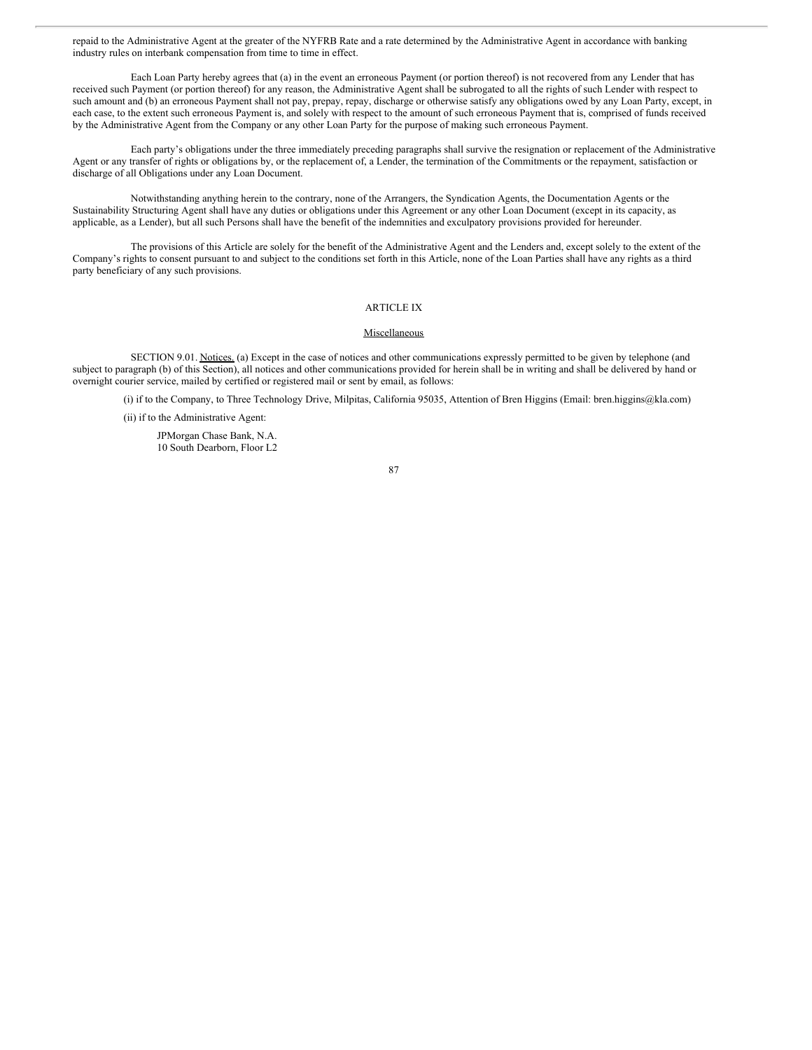repaid to the Administrative Agent at the greater of the NYFRB Rate and a rate determined by the Administrative Agent in accordance with banking industry rules on interbank compensation from time to time in effect.

Each Loan Party hereby agrees that (a) in the event an erroneous Payment (or portion thereof) is not recovered from any Lender that has received such Payment (or portion thereof) for any reason, the Administrative Agent shall be subrogated to all the rights of such Lender with respect to such amount and (b) an erroneous Payment shall not pay, prepay, repay, discharge or otherwise satisfy any obligations owed by any Loan Party, except, in each case, to the extent such erroneous Payment is, and solely with respect to the amount of such erroneous Payment that is, comprised of funds received by the Administrative Agent from the Company or any other Loan Party for the purpose of making such erroneous Payment.

Each party's obligations under the three immediately preceding paragraphs shall survive the resignation or replacement of the Administrative Agent or any transfer of rights or obligations by, or the replacement of, a Lender, the termination of the Commitments or the repayment, satisfaction or discharge of all Obligations under any Loan Document.

Notwithstanding anything herein to the contrary, none of the Arrangers, the Syndication Agents, the Documentation Agents or the Sustainability Structuring Agent shall have any duties or obligations under this Agreement or any other Loan Document (except in its capacity, as applicable, as a Lender), but all such Persons shall have the benefit of the indemnities and exculpatory provisions provided for hereunder.

The provisions of this Article are solely for the benefit of the Administrative Agent and the Lenders and, except solely to the extent of the Company's rights to consent pursuant to and subject to the conditions set forth in this Article, none of the Loan Parties shall have any rights as a third party beneficiary of any such provisions.

# ARTICLE IX

## Miscellaneous

SECTION 9.01. Notices. (a) Except in the case of notices and other communications expressly permitted to be given by telephone (and subject to paragraph (b) of this Section), all notices and other communications provided for herein shall be in writing and shall be delivered by hand or overnight courier service, mailed by certified or registered mail or sent by email, as follows:

(i) if to the Company, to Three Technology Drive, Milpitas, California 95035, Attention of Bren Higgins (Email: bren.higgins@kla.com)

(ii) if to the Administrative Agent:

JPMorgan Chase Bank, N.A. 10 South Dearborn, Floor L2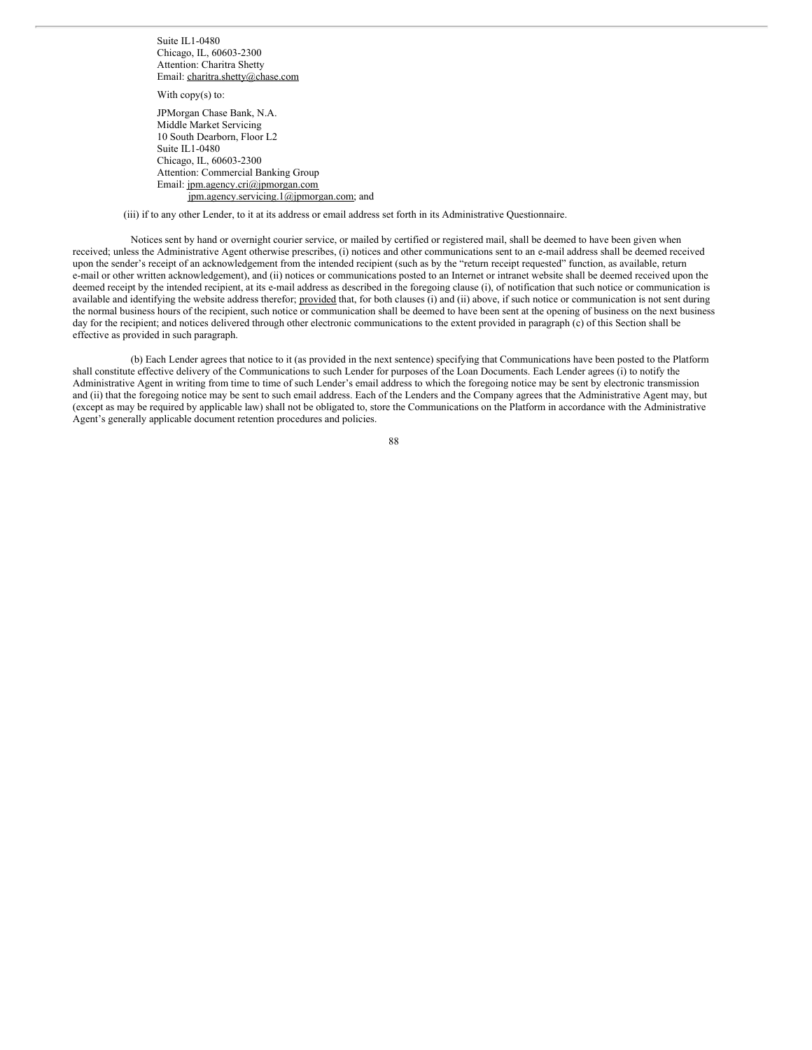Suite IL1-0480 Chicago, IL, 60603-2300 Attention: Charitra Shetty Email: charitra.shetty@chase.com

With copy(s) to:

JPMorgan Chase Bank, N.A. Middle Market Servicing 10 South Dearborn, Floor L2 Suite IL1-0480 Chicago, IL, 60603-2300 Attention: Commercial Banking Group Email: jpm.agency.cri@jpmorgan.com jpm.agency.servicing.1@jpmorgan.com; and

(iii) if to any other Lender, to it at its address or email address set forth in its Administrative Questionnaire.

Notices sent by hand or overnight courier service, or mailed by certified or registered mail, shall be deemed to have been given when received; unless the Administrative Agent otherwise prescribes, (i) notices and other communications sent to an e-mail address shall be deemed received upon the sender's receipt of an acknowledgement from the intended recipient (such as by the "return receipt requested" function, as available, return e-mail or other written acknowledgement), and (ii) notices or communications posted to an Internet or intranet website shall be deemed received upon the deemed receipt by the intended recipient, at its e-mail address as described in the foregoing clause (i), of notification that such notice or communication is available and identifying the website address therefor; provided that, for both clauses (i) and (ii) above, if such notice or communication is not sent during the normal business hours of the recipient, such notice or communication shall be deemed to have been sent at the opening of business on the next business day for the recipient; and notices delivered through other electronic communications to the extent provided in paragraph (c) of this Section shall be effective as provided in such paragraph.

(b) Each Lender agrees that notice to it (as provided in the next sentence) specifying that Communications have been posted to the Platform shall constitute effective delivery of the Communications to such Lender for purposes of the Loan Documents. Each Lender agrees (i) to notify the Administrative Agent in writing from time to time of such Lender's email address to which the foregoing notice may be sent by electronic transmission and (ii) that the foregoing notice may be sent to such email address. Each of the Lenders and the Company agrees that the Administrative Agent may, but (except as may be required by applicable law) shall not be obligated to, store the Communications on the Platform in accordance with the Administrative Agent's generally applicable document retention procedures and policies.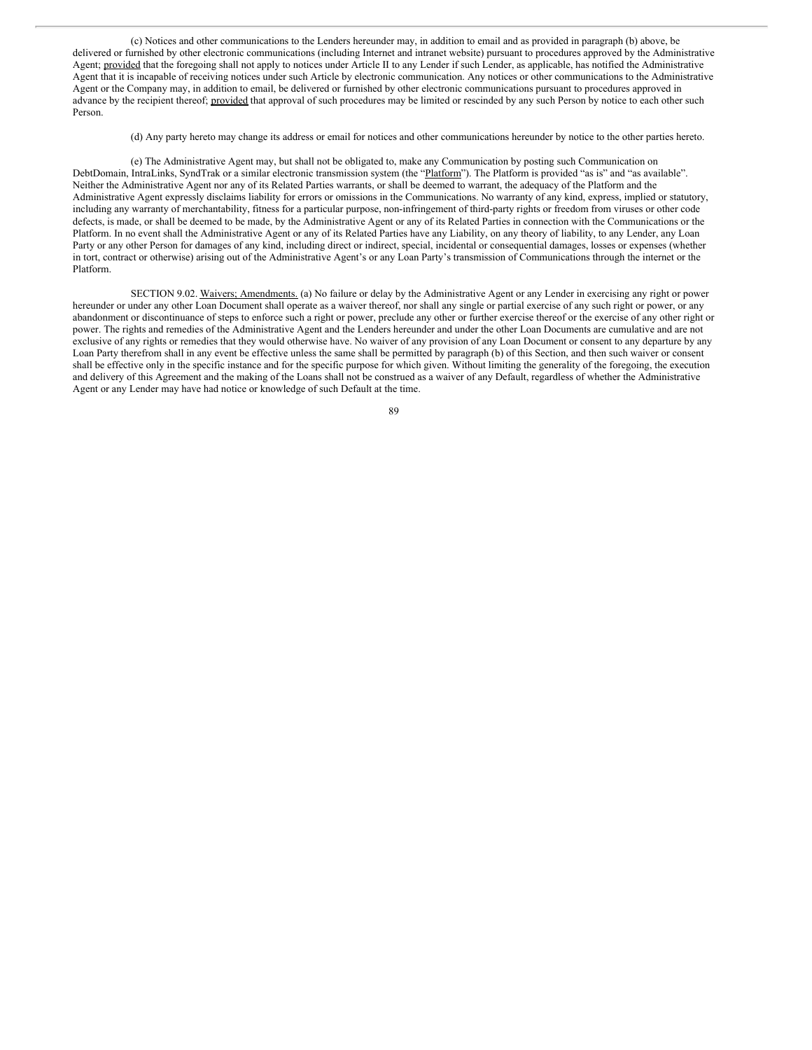(c) Notices and other communications to the Lenders hereunder may, in addition to email and as provided in paragraph (b) above, be delivered or furnished by other electronic communications (including Internet and intranet website) pursuant to procedures approved by the Administrative Agent; provided that the foregoing shall not apply to notices under Article II to any Lender if such Lender, as applicable, has notified the Administrative Agent that it is incapable of receiving notices under such Article by electronic communication. Any notices or other communications to the Administrative Agent or the Company may, in addition to email, be delivered or furnished by other electronic communications pursuant to procedures approved in advance by the recipient thereof; provided that approval of such procedures may be limited or rescinded by any such Person by notice to each other such Person.

(d) Any party hereto may change its address or email for notices and other communications hereunder by notice to the other parties hereto.

(e) The Administrative Agent may, but shall not be obligated to, make any Communication by posting such Communication on DebtDomain, IntraLinks, SyndTrak or a similar electronic transmission system (the "Platform"). The Platform is provided "as is" and "as available". Neither the Administrative Agent nor any of its Related Parties warrants, or shall be deemed to warrant, the adequacy of the Platform and the Administrative Agent expressly disclaims liability for errors or omissions in the Communications. No warranty of any kind, express, implied or statutory, including any warranty of merchantability, fitness for a particular purpose, non-infringement of third-party rights or freedom from viruses or other code defects, is made, or shall be deemed to be made, by the Administrative Agent or any of its Related Parties in connection with the Communications or the Platform. In no event shall the Administrative Agent or any of its Related Parties have any Liability, on any theory of liability, to any Lender, any Loan Party or any other Person for damages of any kind, including direct or indirect, special, incidental or consequential damages, losses or expenses (whether in tort, contract or otherwise) arising out of the Administrative Agent's or any Loan Party's transmission of Communications through the internet or the Platform.

SECTION 9.02. Waivers; Amendments. (a) No failure or delay by the Administrative Agent or any Lender in exercising any right or power hereunder or under any other Loan Document shall operate as a waiver thereof, nor shall any single or partial exercise of any such right or power, or any abandonment or discontinuance of steps to enforce such a right or power, preclude any other or further exercise thereof or the exercise of any other right or power. The rights and remedies of the Administrative Agent and the Lenders hereunder and under the other Loan Documents are cumulative and are not exclusive of any rights or remedies that they would otherwise have. No waiver of any provision of any Loan Document or consent to any departure by any Loan Party therefrom shall in any event be effective unless the same shall be permitted by paragraph (b) of this Section, and then such waiver or consent shall be effective only in the specific instance and for the specific purpose for which given. Without limiting the generality of the foregoing, the execution and delivery of this Agreement and the making of the Loans shall not be construed as a waiver of any Default, regardless of whether the Administrative Agent or any Lender may have had notice or knowledge of such Default at the time.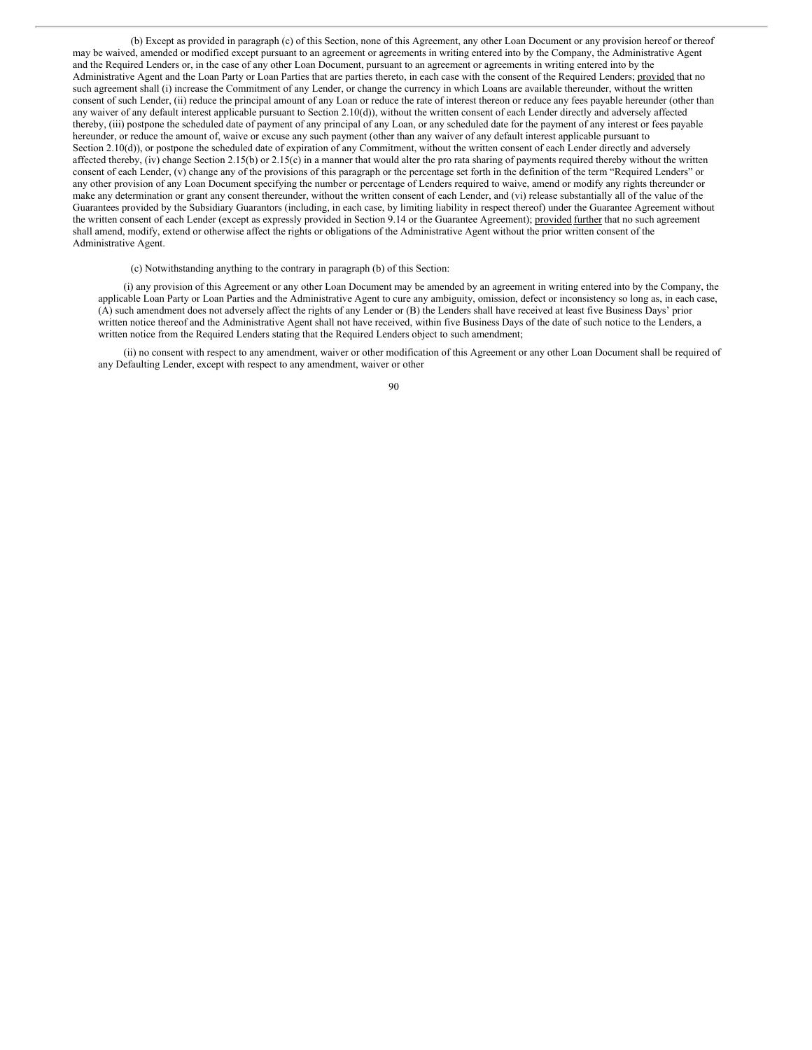(b) Except as provided in paragraph (c) of this Section, none of this Agreement, any other Loan Document or any provision hereof or thereof may be waived, amended or modified except pursuant to an agreement or agreements in writing entered into by the Company, the Administrative Agent and the Required Lenders or, in the case of any other Loan Document, pursuant to an agreement or agreements in writing entered into by the Administrative Agent and the Loan Party or Loan Parties that are parties thereto, in each case with the consent of the Required Lenders; provided that no such agreement shall (i) increase the Commitment of any Lender, or change the currency in which Loans are available thereunder, without the written consent of such Lender, (ii) reduce the principal amount of any Loan or reduce the rate of interest thereon or reduce any fees payable hereunder (other than any waiver of any default interest applicable pursuant to Section 2.10(d)), without the written consent of each Lender directly and adversely affected thereby, (iii) postpone the scheduled date of payment of any principal of any Loan, or any scheduled date for the payment of any interest or fees payable hereunder, or reduce the amount of, waive or excuse any such payment (other than any waiver of any default interest applicable pursuant to Section 2.10(d)), or postpone the scheduled date of expiration of any Commitment, without the written consent of each Lender directly and adversely affected thereby, (iv) change Section 2.15(b) or 2.15(c) in a manner that would alter the pro rata sharing of payments required thereby without the written consent of each Lender, (v) change any of the provisions of this paragraph or the percentage set forth in the definition of the term "Required Lenders" or any other provision of any Loan Document specifying the number or percentage of Lenders required to waive, amend or modify any rights thereunder or make any determination or grant any consent thereunder, without the written consent of each Lender, and (vi) release substantially all of the value of the Guarantees provided by the Subsidiary Guarantors (including, in each case, by limiting liability in respect thereof) under the Guarantee Agreement without the written consent of each Lender (except as expressly provided in Section 9.14 or the Guarantee Agreement); provided further that no such agreement shall amend, modify, extend or otherwise affect the rights or obligations of the Administrative Agent without the prior written consent of the Administrative Agent.

(c) Notwithstanding anything to the contrary in paragraph (b) of this Section:

(i) any provision of this Agreement or any other Loan Document may be amended by an agreement in writing entered into by the Company, the applicable Loan Party or Loan Parties and the Administrative Agent to cure any ambiguity, omission, defect or inconsistency so long as, in each case, (A) such amendment does not adversely affect the rights of any Lender or (B) the Lenders shall have received at least five Business Days' prior written notice thereof and the Administrative Agent shall not have received, within five Business Days of the date of such notice to the Lenders, a written notice from the Required Lenders stating that the Required Lenders object to such amendment;

(ii) no consent with respect to any amendment, waiver or other modification of this Agreement or any other Loan Document shall be required of any Defaulting Lender, except with respect to any amendment, waiver or other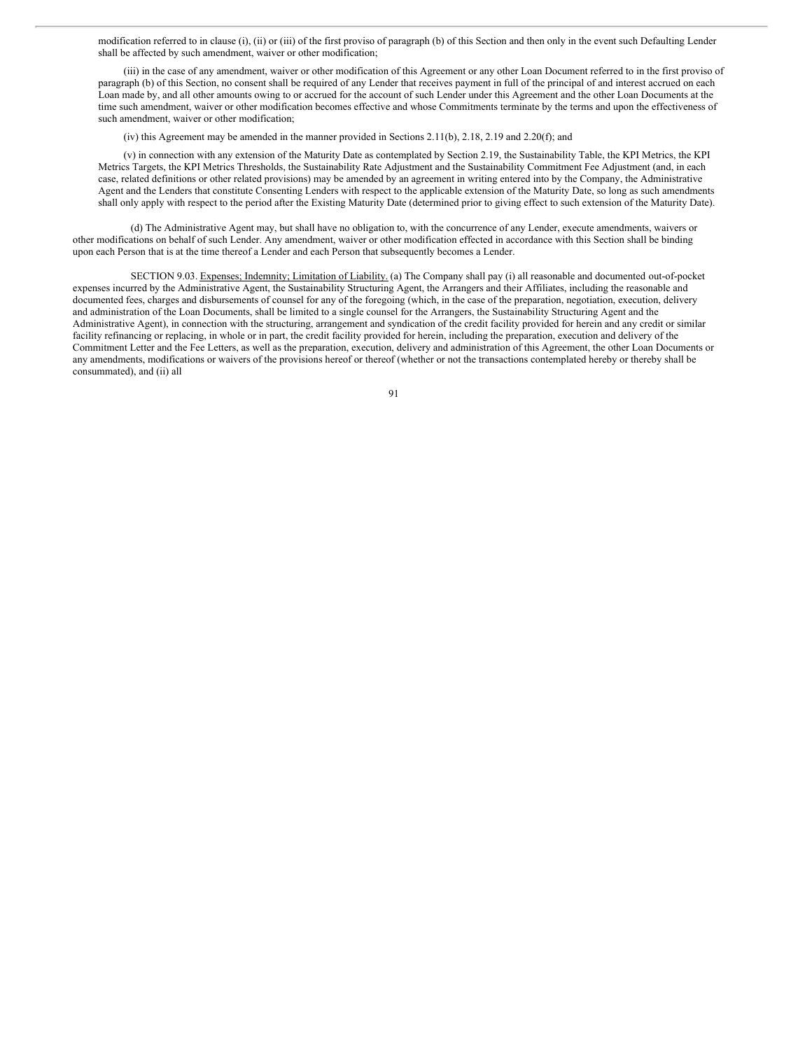modification referred to in clause (i), (ii) or (iii) of the first proviso of paragraph (b) of this Section and then only in the event such Defaulting Lender shall be affected by such amendment, waiver or other modification;

(iii) in the case of any amendment, waiver or other modification of this Agreement or any other Loan Document referred to in the first proviso of paragraph (b) of this Section, no consent shall be required of any Lender that receives payment in full of the principal of and interest accrued on each Loan made by, and all other amounts owing to or accrued for the account of such Lender under this Agreement and the other Loan Documents at the time such amendment, waiver or other modification becomes effective and whose Commitments terminate by the terms and upon the effectiveness of such amendment, waiver or other modification;

(iv) this Agreement may be amended in the manner provided in Sections 2.11(b), 2.18, 2.19 and 2.20(f); and

(v) in connection with any extension of the Maturity Date as contemplated by Section 2.19, the Sustainability Table, the KPI Metrics, the KPI Metrics Targets, the KPI Metrics Thresholds, the Sustainability Rate Adjustment and the Sustainability Commitment Fee Adjustment (and, in each case, related definitions or other related provisions) may be amended by an agreement in writing entered into by the Company, the Administrative Agent and the Lenders that constitute Consenting Lenders with respect to the applicable extension of the Maturity Date, so long as such amendments shall only apply with respect to the period after the Existing Maturity Date (determined prior to giving effect to such extension of the Maturity Date).

(d) The Administrative Agent may, but shall have no obligation to, with the concurrence of any Lender, execute amendments, waivers or other modifications on behalf of such Lender. Any amendment, waiver or other modification effected in accordance with this Section shall be binding upon each Person that is at the time thereof a Lender and each Person that subsequently becomes a Lender.

SECTION 9.03. Expenses; Indemnity; Limitation of Liability. (a) The Company shall pay (i) all reasonable and documented out-of-pocket expenses incurred by the Administrative Agent, the Sustainability Structuring Agent, the Arrangers and their Affiliates, including the reasonable and documented fees, charges and disbursements of counsel for any of the foregoing (which, in the case of the preparation, negotiation, execution, delivery and administration of the Loan Documents, shall be limited to a single counsel for the Arrangers, the Sustainability Structuring Agent and the Administrative Agent), in connection with the structuring, arrangement and syndication of the credit facility provided for herein and any credit or similar facility refinancing or replacing, in whole or in part, the credit facility provided for herein, including the preparation, execution and delivery of the Commitment Letter and the Fee Letters, as well as the preparation, execution, delivery and administration of this Agreement, the other Loan Documents or any amendments, modifications or waivers of the provisions hereof or thereof (whether or not the transactions contemplated hereby or thereby shall be consummated), and (ii) all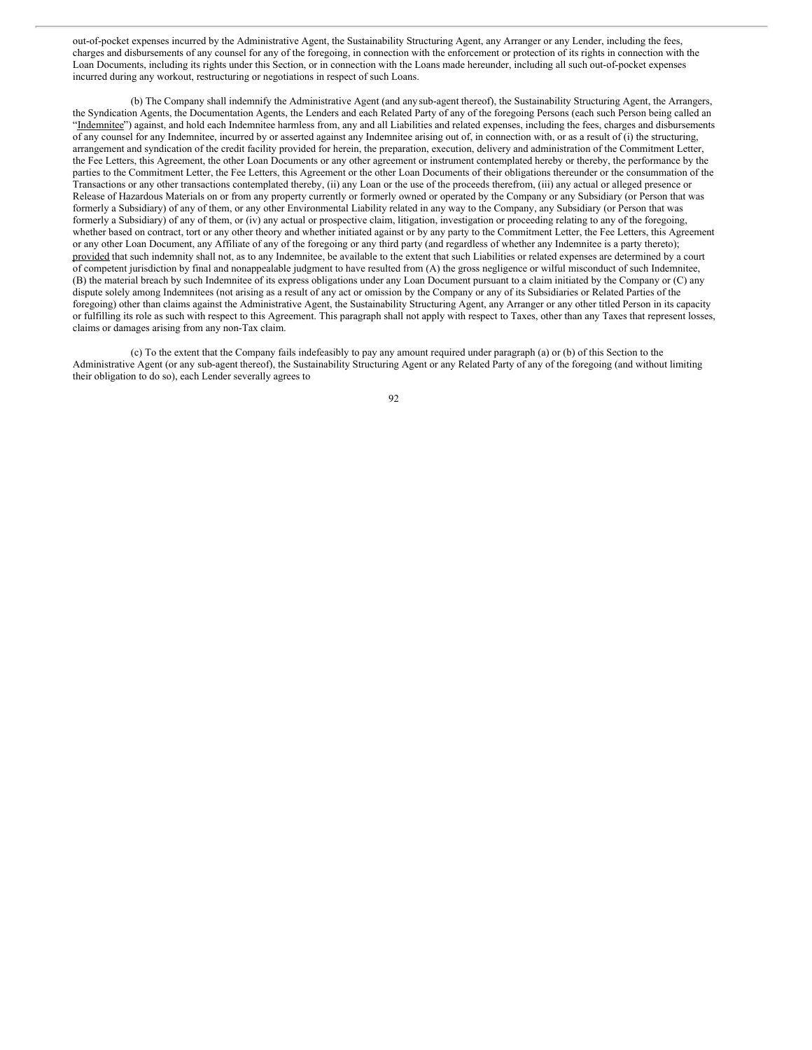out-of-pocket expenses incurred by the Administrative Agent, the Sustainability Structuring Agent, any Arranger or any Lender, including the fees, charges and disbursements of any counsel for any of the foregoing, in connection with the enforcement or protection of its rights in connection with the Loan Documents, including its rights under this Section, or in connection with the Loans made hereunder, including all such out-of-pocket expenses incurred during any workout, restructuring or negotiations in respect of such Loans.

(b) The Company shall indemnify the Administrative Agent (and anysub-agent thereof), the Sustainability Structuring Agent, the Arrangers, the Syndication Agents, the Documentation Agents, the Lenders and each Related Party of any of the foregoing Persons (each such Person being called an "Indemnitee") against, and hold each Indemnitee harmless from, any and all Liabilities and related expenses, including the fees, charges and disbursements of any counsel for any Indemnitee, incurred by or asserted against any Indemnitee arising out of, in connection with, or as a result of (i) the structuring, arrangement and syndication of the credit facility provided for herein, the preparation, execution, delivery and administration of the Commitment Letter, the Fee Letters, this Agreement, the other Loan Documents or any other agreement or instrument contemplated hereby or thereby, the performance by the parties to the Commitment Letter, the Fee Letters, this Agreement or the other Loan Documents of their obligations thereunder or the consummation of the Transactions or any other transactions contemplated thereby, (ii) any Loan or the use of the proceeds therefrom, (iii) any actual or alleged presence or Release of Hazardous Materials on or from any property currently or formerly owned or operated by the Company or any Subsidiary (or Person that was formerly a Subsidiary) of any of them, or any other Environmental Liability related in any way to the Company, any Subsidiary (or Person that was formerly a Subsidiary) of any of them, or (iv) any actual or prospective claim, litigation, investigation or proceeding relating to any of the foregoing, whether based on contract, tort or any other theory and whether initiated against or by any party to the Commitment Letter, the Fee Letters, this Agreement or any other Loan Document, any Affiliate of any of the foregoing or any third party (and regardless of whether any Indemnitee is a party thereto); provided that such indemnity shall not, as to any Indemnitee, be available to the extent that such Liabilities or related expenses are determined by a court of competent jurisdiction by final and nonappealable judgment to have resulted from (A) the gross negligence or wilful misconduct of such Indemnitee, (B) the material breach by such Indemnitee of its express obligations under any Loan Document pursuant to a claim initiated by the Company or (C) any dispute solely among Indemnitees (not arising as a result of any act or omission by the Company or any of its Subsidiaries or Related Parties of the foregoing) other than claims against the Administrative Agent, the Sustainability Structuring Agent, any Arranger or any other titled Person in its capacity or fulfilling its role as such with respect to this Agreement. This paragraph shall not apply with respect to Taxes, other than any Taxes that represent losses, claims or damages arising from any non-Tax claim.

(c) To the extent that the Company fails indefeasibly to pay any amount required under paragraph (a) or (b) of this Section to the Administrative Agent (or any sub-agent thereof), the Sustainability Structuring Agent or any Related Party of any of the foregoing (and without limiting their obligation to do so), each Lender severally agrees to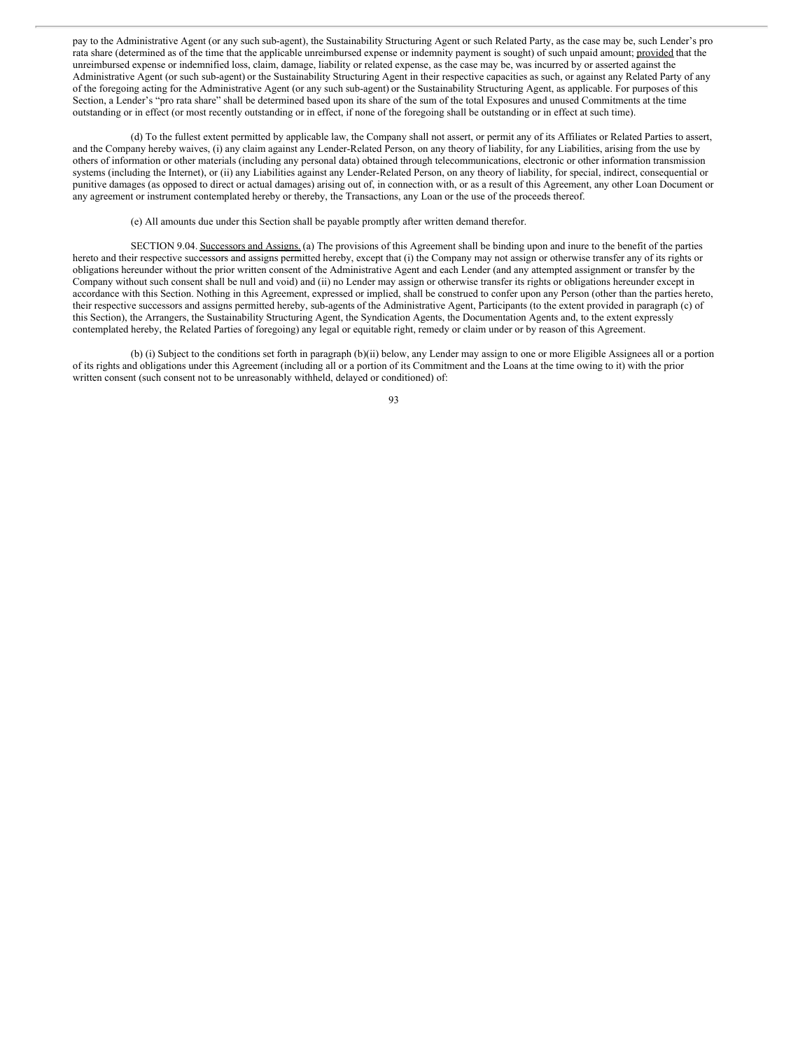pay to the Administrative Agent (or any such sub-agent), the Sustainability Structuring Agent or such Related Party, as the case may be, such Lender's pro rata share (determined as of the time that the applicable unreimbursed expense or indemnity payment is sought) of such unpaid amount; provided that the unreimbursed expense or indemnified loss, claim, damage, liability or related expense, as the case may be, was incurred by or asserted against the Administrative Agent (or such sub-agent) or the Sustainability Structuring Agent in their respective capacities as such, or against any Related Party of any of the foregoing acting for the Administrative Agent (or any such sub-agent) or the Sustainability Structuring Agent, as applicable. For purposes of this Section, a Lender's "pro rata share" shall be determined based upon its share of the sum of the total Exposures and unused Commitments at the time outstanding or in effect (or most recently outstanding or in effect, if none of the foregoing shall be outstanding or in effect at such time).

(d) To the fullest extent permitted by applicable law, the Company shall not assert, or permit any of its Affiliates or Related Parties to assert, and the Company hereby waives, (i) any claim against any Lender-Related Person, on any theory of liability, for any Liabilities, arising from the use by others of information or other materials (including any personal data) obtained through telecommunications, electronic or other information transmission systems (including the Internet), or (ii) any Liabilities against any Lender-Related Person, on any theory of liability, for special, indirect, consequential or punitive damages (as opposed to direct or actual damages) arising out of, in connection with, or as a result of this Agreement, any other Loan Document or any agreement or instrument contemplated hereby or thereby, the Transactions, any Loan or the use of the proceeds thereof.

(e) All amounts due under this Section shall be payable promptly after written demand therefor.

SECTION 9.04. Successors and Assigns. (a) The provisions of this Agreement shall be binding upon and inure to the benefit of the parties hereto and their respective successors and assigns permitted hereby, except that (i) the Company may not assign or otherwise transfer any of its rights or obligations hereunder without the prior written consent of the Administrative Agent and each Lender (and any attempted assignment or transfer by the Company without such consent shall be null and void) and (ii) no Lender may assign or otherwise transfer its rights or obligations hereunder except in accordance with this Section. Nothing in this Agreement, expressed or implied, shall be construed to confer upon any Person (other than the parties hereto, their respective successors and assigns permitted hereby, sub-agents of the Administrative Agent, Participants (to the extent provided in paragraph (c) of this Section), the Arrangers, the Sustainability Structuring Agent, the Syndication Agents, the Documentation Agents and, to the extent expressly contemplated hereby, the Related Parties of foregoing) any legal or equitable right, remedy or claim under or by reason of this Agreement.

(b) (i) Subject to the conditions set forth in paragraph (b)(ii) below, any Lender may assign to one or more Eligible Assignees all or a portion of its rights and obligations under this Agreement (including all or a portion of its Commitment and the Loans at the time owing to it) with the prior written consent (such consent not to be unreasonably withheld, delayed or conditioned) of: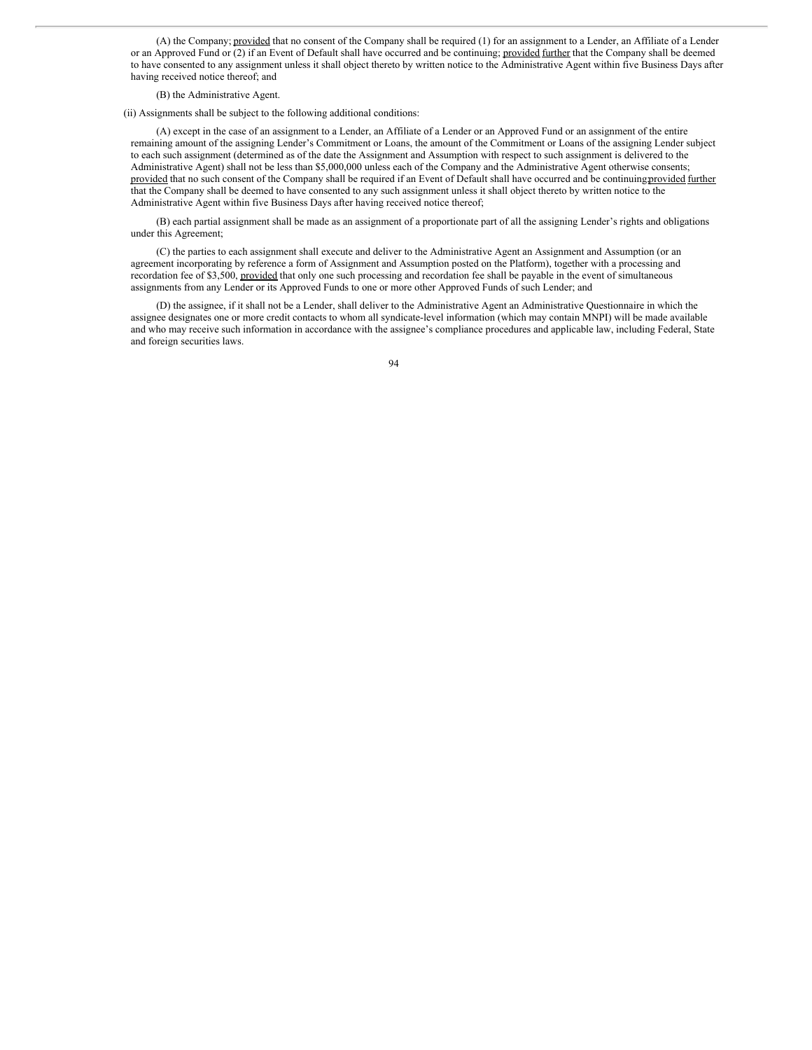(A) the Company; provided that no consent of the Company shall be required (1) for an assignment to a Lender, an Affiliate of a Lender or an Approved Fund or (2) if an Event of Default shall have occurred and be continuing; provided further that the Company shall be deemed to have consented to any assignment unless it shall object thereto by written notice to the Administrative Agent within five Business Days after having received notice thereof; and

(B) the Administrative Agent.

(ii) Assignments shall be subject to the following additional conditions:

(A) except in the case of an assignment to a Lender, an Affiliate of a Lender or an Approved Fund or an assignment of the entire remaining amount of the assigning Lender's Commitment or Loans, the amount of the Commitment or Loans of the assigning Lender subject to each such assignment (determined as of the date the Assignment and Assumption with respect to such assignment is delivered to the Administrative Agent) shall not be less than \$5,000,000 unless each of the Company and the Administrative Agent otherwise consents; provided that no such consent of the Company shall be required if an Event of Default shall have occurred and be continuing provided further that the Company shall be deemed to have consented to any such assignment unless it shall object thereto by written notice to the Administrative Agent within five Business Days after having received notice thereof;

(B) each partial assignment shall be made as an assignment of a proportionate part of all the assigning Lender's rights and obligations under this Agreement;

(C) the parties to each assignment shall execute and deliver to the Administrative Agent an Assignment and Assumption (or an agreement incorporating by reference a form of Assignment and Assumption posted on the Platform), together with a processing and recordation fee of \$3,500, provided that only one such processing and recordation fee shall be payable in the event of simultaneous assignments from any Lender or its Approved Funds to one or more other Approved Funds of such Lender; and

(D) the assignee, if it shall not be a Lender, shall deliver to the Administrative Agent an Administrative Questionnaire in which the assignee designates one or more credit contacts to whom all syndicate-level information (which may contain MNPI) will be made available and who may receive such information in accordance with the assignee's compliance procedures and applicable law, including Federal, State and foreign securities laws.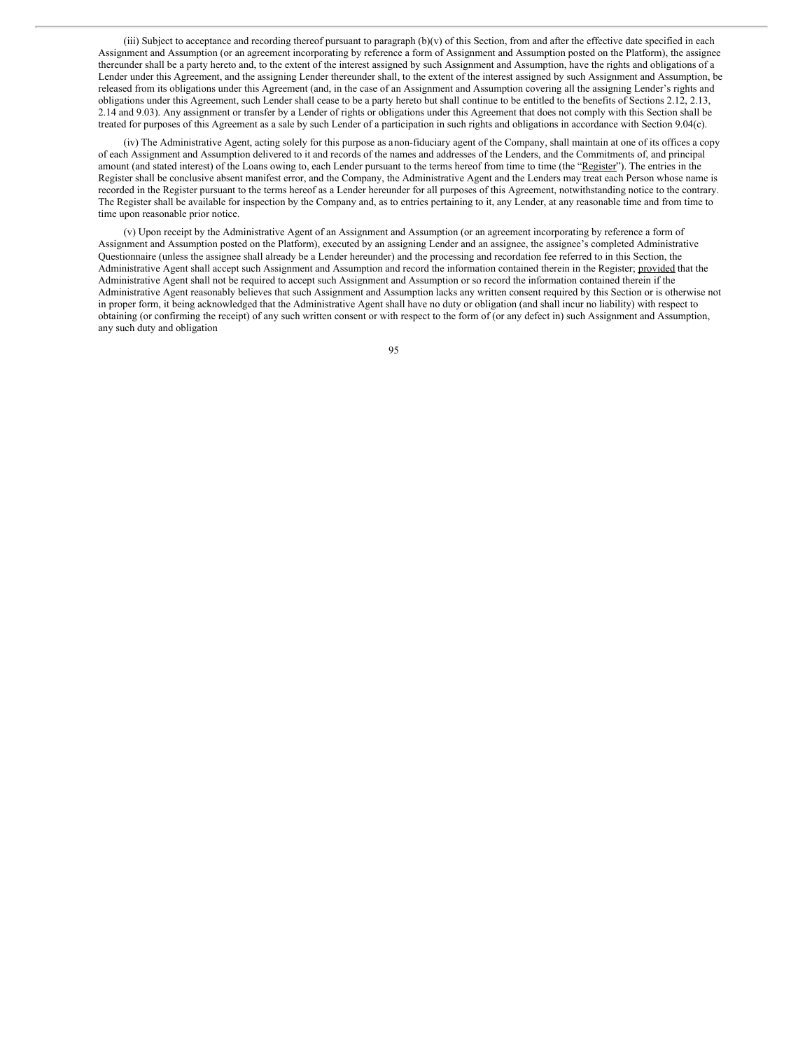(iii) Subject to acceptance and recording thereof pursuant to paragraph  $(b)(v)$  of this Section, from and after the effective date specified in each Assignment and Assumption (or an agreement incorporating by reference a form of Assignment and Assumption posted on the Platform), the assignee thereunder shall be a party hereto and, to the extent of the interest assigned by such Assignment and Assumption, have the rights and obligations of a Lender under this Agreement, and the assigning Lender thereunder shall, to the extent of the interest assigned by such Assignment and Assumption, be released from its obligations under this Agreement (and, in the case of an Assignment and Assumption covering all the assigning Lender's rights and obligations under this Agreement, such Lender shall cease to be a party hereto but shall continue to be entitled to the benefits of Sections 2.12, 2.13, 2.14 and 9.03). Any assignment or transfer by a Lender of rights or obligations under this Agreement that does not comply with this Section shall be treated for purposes of this Agreement as a sale by such Lender of a participation in such rights and obligations in accordance with Section 9.04(c).

(iv) The Administrative Agent, acting solely for this purpose as anon-fiduciary agent of the Company, shall maintain at one of its offices a copy of each Assignment and Assumption delivered to it and records of the names and addresses of the Lenders, and the Commitments of, and principal amount (and stated interest) of the Loans owing to, each Lender pursuant to the terms hereof from time to time (the "Register"). The entries in the Register shall be conclusive absent manifest error, and the Company, the Administrative Agent and the Lenders may treat each Person whose name is recorded in the Register pursuant to the terms hereof as a Lender hereunder for all purposes of this Agreement, notwithstanding notice to the contrary. The Register shall be available for inspection by the Company and, as to entries pertaining to it, any Lender, at any reasonable time and from time to time upon reasonable prior notice.

(v) Upon receipt by the Administrative Agent of an Assignment and Assumption (or an agreement incorporating by reference a form of Assignment and Assumption posted on the Platform), executed by an assigning Lender and an assignee, the assignee's completed Administrative Questionnaire (unless the assignee shall already be a Lender hereunder) and the processing and recordation fee referred to in this Section, the Administrative Agent shall accept such Assignment and Assumption and record the information contained therein in the Register; provided that the Administrative Agent shall not be required to accept such Assignment and Assumption or so record the information contained therein if the Administrative Agent reasonably believes that such Assignment and Assumption lacks any written consent required by this Section or is otherwise not in proper form, it being acknowledged that the Administrative Agent shall have no duty or obligation (and shall incur no liability) with respect to obtaining (or confirming the receipt) of any such written consent or with respect to the form of (or any defect in) such Assignment and Assumption, any such duty and obligation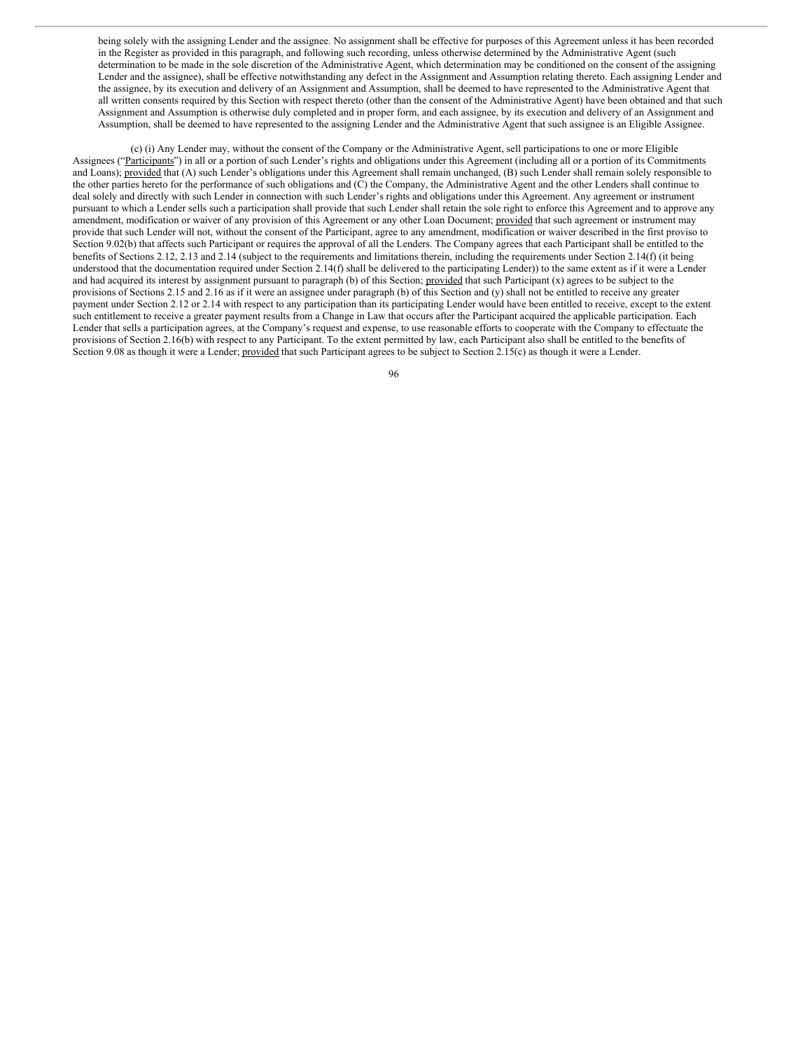being solely with the assigning Lender and the assignee. No assignment shall be effective for purposes of this Agreement unless it has been recorded in the Register as provided in this paragraph, and following such recording, unless otherwise determined by the Administrative Agent (such determination to be made in the sole discretion of the Administrative Agent, which determination may be conditioned on the consent of the assigning Lender and the assignee), shall be effective notwithstanding any defect in the Assignment and Assumption relating thereto. Each assigning Lender and the assignee, by its execution and delivery of an Assignment and Assumption, shall be deemed to have represented to the Administrative Agent that all written consents required by this Section with respect thereto (other than the consent of the Administrative Agent) have been obtained and that such Assignment and Assumption is otherwise duly completed and in proper form, and each assignee, by its execution and delivery of an Assignment and Assumption, shall be deemed to have represented to the assigning Lender and the Administrative Agent that such assignee is an Eligible Assignee.

(c) (i) Any Lender may, without the consent of the Company or the Administrative Agent, sell participations to one or more Eligible Assignees ("Participants") in all or a portion of such Lender's rights and obligations under this Agreement (including all or a portion of its Commitments and Loans); provided that (A) such Lender's obligations under this Agreement shall remain unchanged, (B) such Lender shall remain solely responsible to the other parties hereto for the performance of such obligations and (C) the Company, the Administrative Agent and the other Lenders shall continue to deal solely and directly with such Lender in connection with such Lender's rights and obligations under this Agreement. Any agreement or instrument pursuant to which a Lender sells such a participation shall provide that such Lender shall retain the sole right to enforce this Agreement and to approve any amendment, modification or waiver of any provision of this Agreement or any other Loan Document; provided that such agreement or instrument may provide that such Lender will not, without the consent of the Participant, agree to any amendment, modification or waiver described in the first proviso to Section 9.02(b) that affects such Participant or requires the approval of all the Lenders. The Company agrees that each Participant shall be entitled to the benefits of Sections 2.12, 2.13 and 2.14 (subject to the requirements and limitations therein, including the requirements under Section 2.14(f) (it being understood that the documentation required under Section 2.14(f) shall be delivered to the participating Lender)) to the same extent as if it were a Lender and had acquired its interest by assignment pursuant to paragraph (b) of this Section; provided that such Participant (x) agrees to be subject to the provisions of Sections 2.15 and 2.16 as if it were an assignee under paragraph (b) of this Section and (y) shall not be entitled to receive any greater payment under Section 2.12 or 2.14 with respect to any participation than its participating Lender would have been entitled to receive, except to the extent such entitlement to receive a greater payment results from a Change in Law that occurs after the Participant acquired the applicable participation. Each Lender that sells a participation agrees, at the Company's request and expense, to use reasonable efforts to cooperate with the Company to effectuate the provisions of Section 2.16(b) with respect to any Participant. To the extent permitted by law, each Participant also shall be entitled to the benefits of Section 9.08 as though it were a Lender; provided that such Participant agrees to be subject to Section 2.15(c) as though it were a Lender.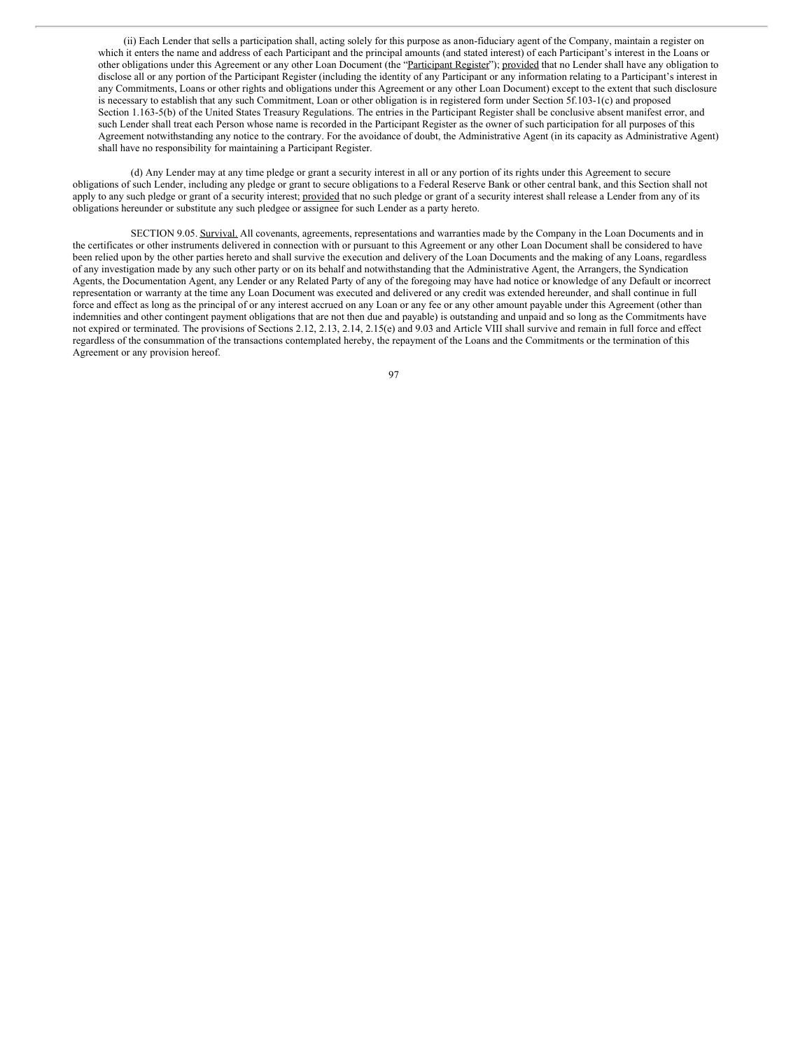(ii) Each Lender that sells a participation shall, acting solely for this purpose as anon-fiduciary agent of the Company, maintain a register on which it enters the name and address of each Participant and the principal amounts (and stated interest) of each Participant's interest in the Loans or other obligations under this Agreement or any other Loan Document (the "Participant Register"); provided that no Lender shall have any obligation to disclose all or any portion of the Participant Register (including the identity of any Participant or any information relating to a Participant's interest in any Commitments, Loans or other rights and obligations under this Agreement or any other Loan Document) except to the extent that such disclosure is necessary to establish that any such Commitment, Loan or other obligation is in registered form under Section 5f.103-1(c) and proposed Section 1.163-5(b) of the United States Treasury Regulations. The entries in the Participant Register shall be conclusive absent manifest error, and such Lender shall treat each Person whose name is recorded in the Participant Register as the owner of such participation for all purposes of this Agreement notwithstanding any notice to the contrary. For the avoidance of doubt, the Administrative Agent (in its capacity as Administrative Agent) shall have no responsibility for maintaining a Participant Register.

(d) Any Lender may at any time pledge or grant a security interest in all or any portion of its rights under this Agreement to secure obligations of such Lender, including any pledge or grant to secure obligations to a Federal Reserve Bank or other central bank, and this Section shall not apply to any such pledge or grant of a security interest; provided that no such pledge or grant of a security interest shall release a Lender from any of its obligations hereunder or substitute any such pledgee or assignee for such Lender as a party hereto.

SECTION 9.05. Survival. All covenants, agreements, representations and warranties made by the Company in the Loan Documents and in the certificates or other instruments delivered in connection with or pursuant to this Agreement or any other Loan Document shall be considered to have been relied upon by the other parties hereto and shall survive the execution and delivery of the Loan Documents and the making of any Loans, regardless of any investigation made by any such other party or on its behalf and notwithstanding that the Administrative Agent, the Arrangers, the Syndication Agents, the Documentation Agent, any Lender or any Related Party of any of the foregoing may have had notice or knowledge of any Default or incorrect representation or warranty at the time any Loan Document was executed and delivered or any credit was extended hereunder, and shall continue in full force and effect as long as the principal of or any interest accrued on any Loan or any fee or any other amount payable under this Agreement (other than indemnities and other contingent payment obligations that are not then due and payable) is outstanding and unpaid and so long as the Commitments have not expired or terminated. The provisions of Sections 2.12, 2.13, 2.14, 2.15(e) and 9.03 and Article VIII shall survive and remain in full force and effect regardless of the consummation of the transactions contemplated hereby, the repayment of the Loans and the Commitments or the termination of this Agreement or any provision hereof.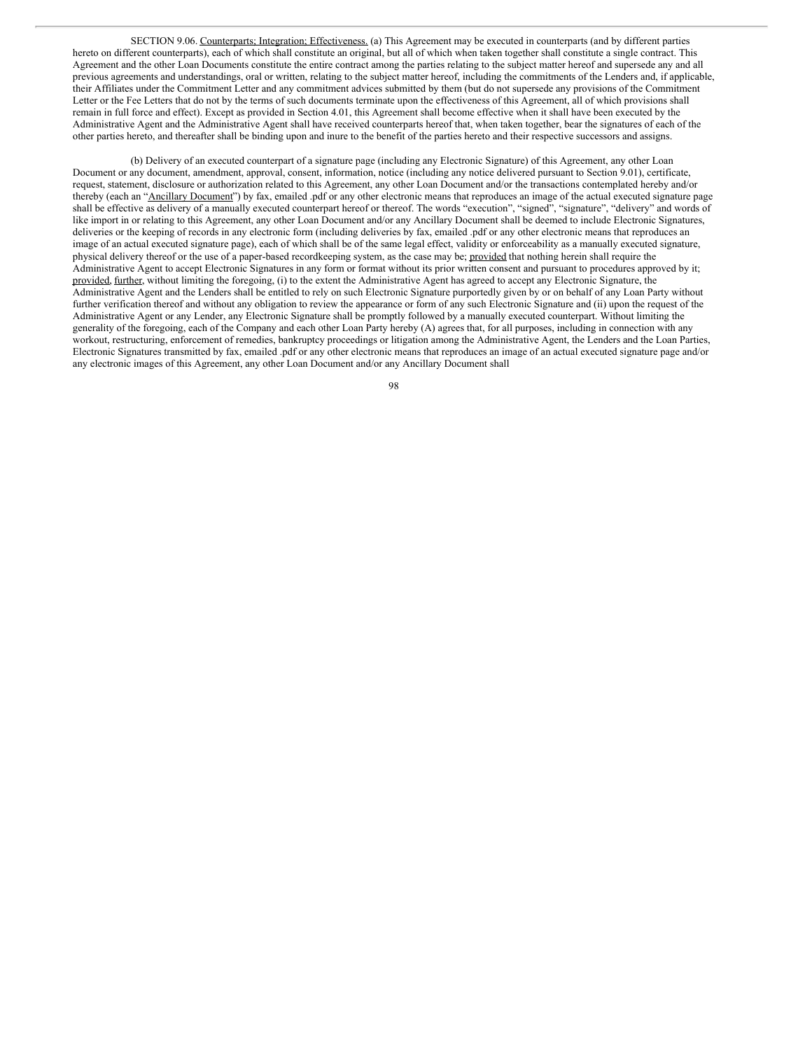SECTION 9.06. Counterparts; Integration; Effectiveness. (a) This Agreement may be executed in counterparts (and by different parties hereto on different counterparts), each of which shall constitute an original, but all of which when taken together shall constitute a single contract. This Agreement and the other Loan Documents constitute the entire contract among the parties relating to the subject matter hereof and supersede any and all previous agreements and understandings, oral or written, relating to the subject matter hereof, including the commitments of the Lenders and, if applicable, their Affiliates under the Commitment Letter and any commitment advices submitted by them (but do not supersede any provisions of the Commitment Letter or the Fee Letters that do not by the terms of such documents terminate upon the effectiveness of this Agreement, all of which provisions shall remain in full force and effect). Except as provided in Section 4.01, this Agreement shall become effective when it shall have been executed by the Administrative Agent and the Administrative Agent shall have received counterparts hereof that, when taken together, bear the signatures of each of the other parties hereto, and thereafter shall be binding upon and inure to the benefit of the parties hereto and their respective successors and assigns.

(b) Delivery of an executed counterpart of a signature page (including any Electronic Signature) of this Agreement, any other Loan Document or any document, amendment, approval, consent, information, notice (including any notice delivered pursuant to Section 9.01), certificate request, statement, disclosure or authorization related to this Agreement, any other Loan Document and/or the transactions contemplated hereby and/or thereby (each an "Ancillary Document") by fax, emailed .pdf or any other electronic means that reproduces an image of the actual executed signature page shall be effective as delivery of a manually executed counterpart hereof or thereof. The words "execution", "signed", "signature", "delivery" and words of like import in or relating to this Agreement, any other Loan Document and/or any Ancillary Document shall be deemed to include Electronic Signatures, deliveries or the keeping of records in any electronic form (including deliveries by fax, emailed .pdf or any other electronic means that reproduces an image of an actual executed signature page), each of which shall be of the same legal effect, validity or enforceability as a manually executed signature, physical delivery thereof or the use of a paper-based recordkeeping system, as the case may be; provided that nothing herein shall require the Administrative Agent to accept Electronic Signatures in any form or format without its prior written consent and pursuant to procedures approved by it; provided, further, without limiting the foregoing, (i) to the extent the Administrative Agent has agreed to accept any Electronic Signature, the Administrative Agent and the Lenders shall be entitled to rely on such Electronic Signature purportedly given by or on behalf of any Loan Party without further verification thereof and without any obligation to review the appearance or form of any such Electronic Signature and (ii) upon the request of the Administrative Agent or any Lender, any Electronic Signature shall be promptly followed by a manually executed counterpart. Without limiting the generality of the foregoing, each of the Company and each other Loan Party hereby (A) agrees that, for all purposes, including in connection with any workout, restructuring, enforcement of remedies, bankruptcy proceedings or litigation among the Administrative Agent, the Lenders and the Loan Parties, Electronic Signatures transmitted by fax, emailed .pdf or any other electronic means that reproduces an image of an actual executed signature page and/or any electronic images of this Agreement, any other Loan Document and/or any Ancillary Document shall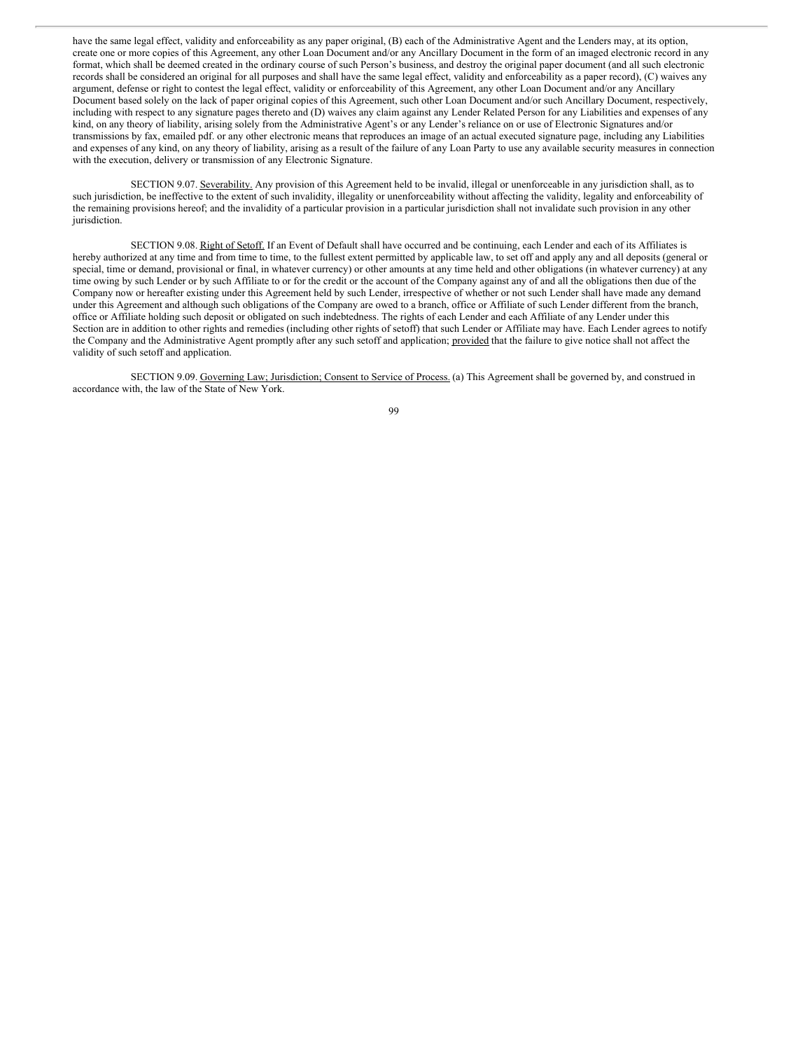have the same legal effect, validity and enforceability as any paper original, (B) each of the Administrative Agent and the Lenders may, at its option, create one or more copies of this Agreement, any other Loan Document and/or any Ancillary Document in the form of an imaged electronic record in any format, which shall be deemed created in the ordinary course of such Person's business, and destroy the original paper document (and all such electronic records shall be considered an original for all purposes and shall have the same legal effect, validity and enforceability as a paper record), (C) waives any argument, defense or right to contest the legal effect, validity or enforceability of this Agreement, any other Loan Document and/or any Ancillary Document based solely on the lack of paper original copies of this Agreement, such other Loan Document and/or such Ancillary Document, respectively, including with respect to any signature pages thereto and (D) waives any claim against any Lender Related Person for any Liabilities and expenses of any kind, on any theory of liability, arising solely from the Administrative Agent's or any Lender's reliance on or use of Electronic Signatures and/or transmissions by fax, emailed pdf. or any other electronic means that reproduces an image of an actual executed signature page, including any Liabilities and expenses of any kind, on any theory of liability, arising as a result of the failure of any Loan Party to use any available security measures in connection with the execution, delivery or transmission of any Electronic Signature.

SECTION 9.07. Severability. Any provision of this Agreement held to be invalid, illegal or unenforceable in any jurisdiction shall, as to such jurisdiction, be ineffective to the extent of such invalidity, illegality or unenforceability without affecting the validity, legality and enforceability of the remaining provisions hereof; and the invalidity of a particular provision in a particular jurisdiction shall not invalidate such provision in any other jurisdiction.

SECTION 9.08. Right of Setoff. If an Event of Default shall have occurred and be continuing, each Lender and each of its Affiliates is hereby authorized at any time and from time to time, to the fullest extent permitted by applicable law, to set off and apply any and all deposits (general or special, time or demand, provisional or final, in whatever currency) or other amounts at any time held and other obligations (in whatever currency) at any time owing by such Lender or by such Affiliate to or for the credit or the account of the Company against any of and all the obligations then due of the Company now or hereafter existing under this Agreement held by such Lender, irrespective of whether or not such Lender shall have made any demand under this Agreement and although such obligations of the Company are owed to a branch, office or Affiliate of such Lender different from the branch, office or Affiliate holding such deposit or obligated on such indebtedness. The rights of each Lender and each Affiliate of any Lender under this Section are in addition to other rights and remedies (including other rights of setoff) that such Lender or Affiliate may have. Each Lender agrees to notify the Company and the Administrative Agent promptly after any such setoff and application; provided that the failure to give notice shall not affect the validity of such setoff and application.

SECTION 9.09. Governing Law; Jurisdiction; Consent to Service of Process. (a) This Agreement shall be governed by, and construed in accordance with, the law of the State of New York.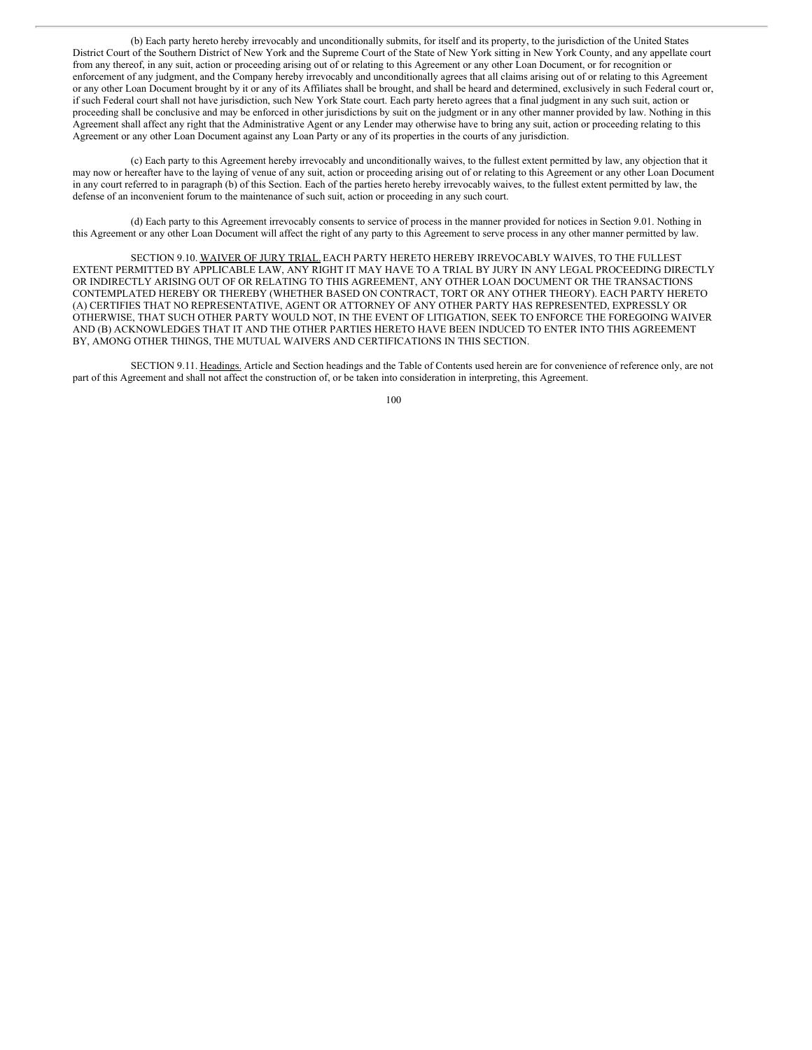(b) Each party hereto hereby irrevocably and unconditionally submits, for itself and its property, to the jurisdiction of the United States District Court of the Southern District of New York and the Supreme Court of the State of New York sitting in New York County, and any appellate court from any thereof, in any suit, action or proceeding arising out of or relating to this Agreement or any other Loan Document, or for recognition or enforcement of any judgment, and the Company hereby irrevocably and unconditionally agrees that all claims arising out of or relating to this Agreement or any other Loan Document brought by it or any of its Affiliates shall be brought, and shall be heard and determined, exclusively in such Federal court or, if such Federal court shall not have jurisdiction, such New York State court. Each party hereto agrees that a final judgment in any such suit, action or proceeding shall be conclusive and may be enforced in other jurisdictions by suit on the judgment or in any other manner provided by law. Nothing in this Agreement shall affect any right that the Administrative Agent or any Lender may otherwise have to bring any suit, action or proceeding relating to this Agreement or any other Loan Document against any Loan Party or any of its properties in the courts of any jurisdiction.

(c) Each party to this Agreement hereby irrevocably and unconditionally waives, to the fullest extent permitted by law, any objection that it may now or hereafter have to the laying of venue of any suit, action or proceeding arising out of or relating to this Agreement or any other Loan Document in any court referred to in paragraph (b) of this Section. Each of the parties hereto hereby irrevocably waives, to the fullest extent permitted by law, the defense of an inconvenient forum to the maintenance of such suit, action or proceeding in any such court.

(d) Each party to this Agreement irrevocably consents to service of process in the manner provided for notices in Section 9.01. Nothing in this Agreement or any other Loan Document will affect the right of any party to this Agreement to serve process in any other manner permitted by law.

SECTION 9.10. WAIVER OF JURY TRIAL. EACH PARTY HERETO HEREBY IRREVOCABLY WAIVES, TO THE FULLEST EXTENT PERMITTED BY APPLICABLE LAW, ANY RIGHT IT MAY HAVE TO A TRIAL BY JURY IN ANY LEGAL PROCEEDING DIRECTLY OR INDIRECTLY ARISING OUT OF OR RELATING TO THIS AGREEMENT, ANY OTHER LOAN DOCUMENT OR THE TRANSACTIONS CONTEMPLATED HEREBY OR THEREBY (WHETHER BASED ON CONTRACT, TORT OR ANY OTHER THEORY). EACH PARTY HERETO (A) CERTIFIES THAT NO REPRESENTATIVE, AGENT OR ATTORNEY OF ANY OTHER PARTY HAS REPRESENTED, EXPRESSLY OR OTHERWISE, THAT SUCH OTHER PARTY WOULD NOT, IN THE EVENT OF LITIGATION, SEEK TO ENFORCE THE FOREGOING WAIVER AND (B) ACKNOWLEDGES THAT IT AND THE OTHER PARTIES HERETO HAVE BEEN INDUCED TO ENTER INTO THIS AGREEMENT BY, AMONG OTHER THINGS, THE MUTUAL WAIVERS AND CERTIFICATIONS IN THIS SECTION.

SECTION 9.11. Headings. Article and Section headings and the Table of Contents used herein are for convenience of reference only, are not part of this Agreement and shall not affect the construction of, or be taken into consideration in interpreting, this Agreement.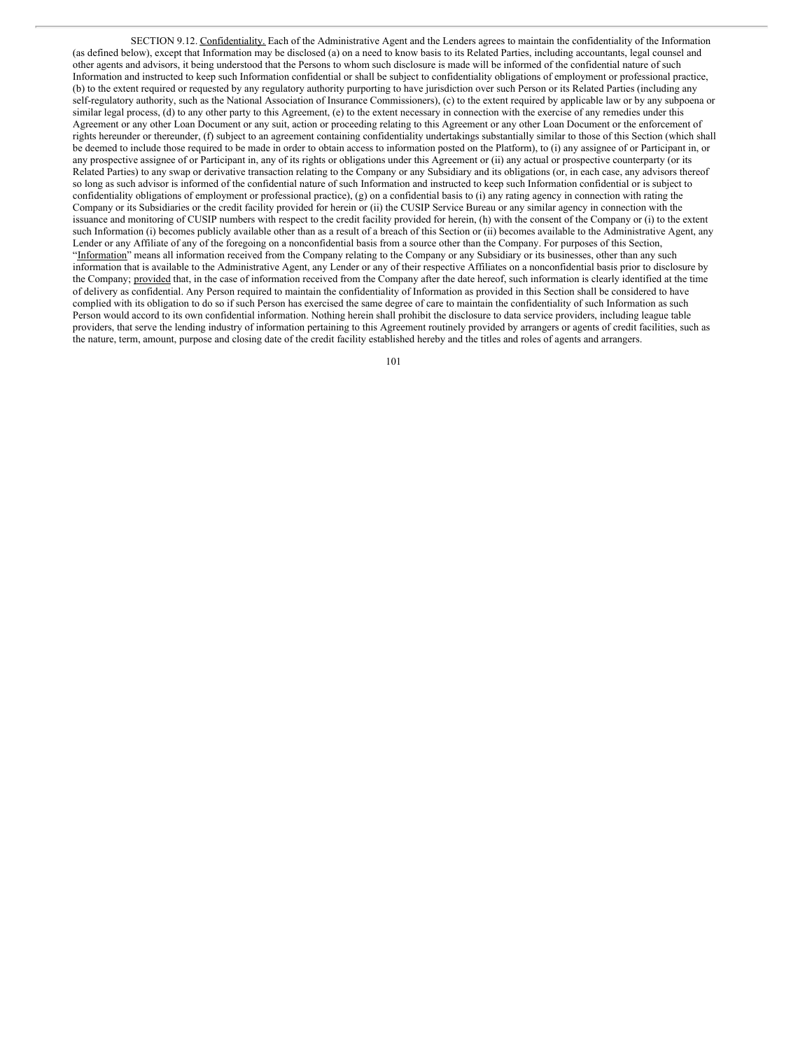SECTION 9.12. Confidentiality. Each of the Administrative Agent and the Lenders agrees to maintain the confidentiality of the Information (as defined below), except that Information may be disclosed (a) on a need to know basis to its Related Parties, including accountants, legal counsel and other agents and advisors, it being understood that the Persons to whom such disclosure is made will be informed of the confidential nature of such Information and instructed to keep such Information confidential or shall be subject to confidentiality obligations of employment or professional practice, (b) to the extent required or requested by any regulatory authority purporting to have jurisdiction over such Person or its Related Parties (including any self-regulatory authority, such as the National Association of Insurance Commissioners), (c) to the extent required by applicable law or by any subpoena or similar legal process, (d) to any other party to this Agreement, (e) to the extent necessary in connection with the exercise of any remedies under this Agreement or any other Loan Document or any suit, action or proceeding relating to this Agreement or any other Loan Document or the enforcement of rights hereunder or thereunder, (f) subject to an agreement containing confidentiality undertakings substantially similar to those of this Section (which shall be deemed to include those required to be made in order to obtain access to information posted on the Platform), to (i) any assignee of or Participant in, or any prospective assignee of or Participant in, any of its rights or obligations under this Agreement or (ii) any actual or prospective counterparty (or its Related Parties) to any swap or derivative transaction relating to the Company or any Subsidiary and its obligations (or, in each case, any advisors thereof so long as such advisor is informed of the confidential nature of such Information and instructed to keep such Information confidential or is subject to confidentiality obligations of employment or professional practice), (g) on a confidential basis to (i) any rating agency in connection with rating the Company or its Subsidiaries or the credit facility provided for herein or (ii) the CUSIP Service Bureau or any similar agency in connection with the issuance and monitoring of CUSIP numbers with respect to the credit facility provided for herein, (h) with the consent of the Company or (i) to the extent such Information (i) becomes publicly available other than as a result of a breach of this Section or (ii) becomes available to the Administrative Agent, any Lender or any Affiliate of any of the foregoing on a nonconfidential basis from a source other than the Company. For purposes of this Section, "Information" means all information received from the Company relating to the Company or any Subsidiary or its businesses, other than any such information that is available to the Administrative Agent, any Lender or any of their respective Affiliates on a nonconfidential basis prior to disclosure by the Company; provided that, in the case of information received from the Company after the date hereof, such information is clearly identified at the time of delivery as confidential. Any Person required to maintain the confidentiality of Information as provided in this Section shall be considered to have complied with its obligation to do so if such Person has exercised the same degree of care to maintain the confidentiality of such Information as such Person would accord to its own confidential information. Nothing herein shall prohibit the disclosure to data service providers, including league table providers, that serve the lending industry of information pertaining to this Agreement routinely provided by arrangers or agents of credit facilities, such as the nature, term, amount, purpose and closing date of the credit facility established hereby and the titles and roles of agents and arrangers.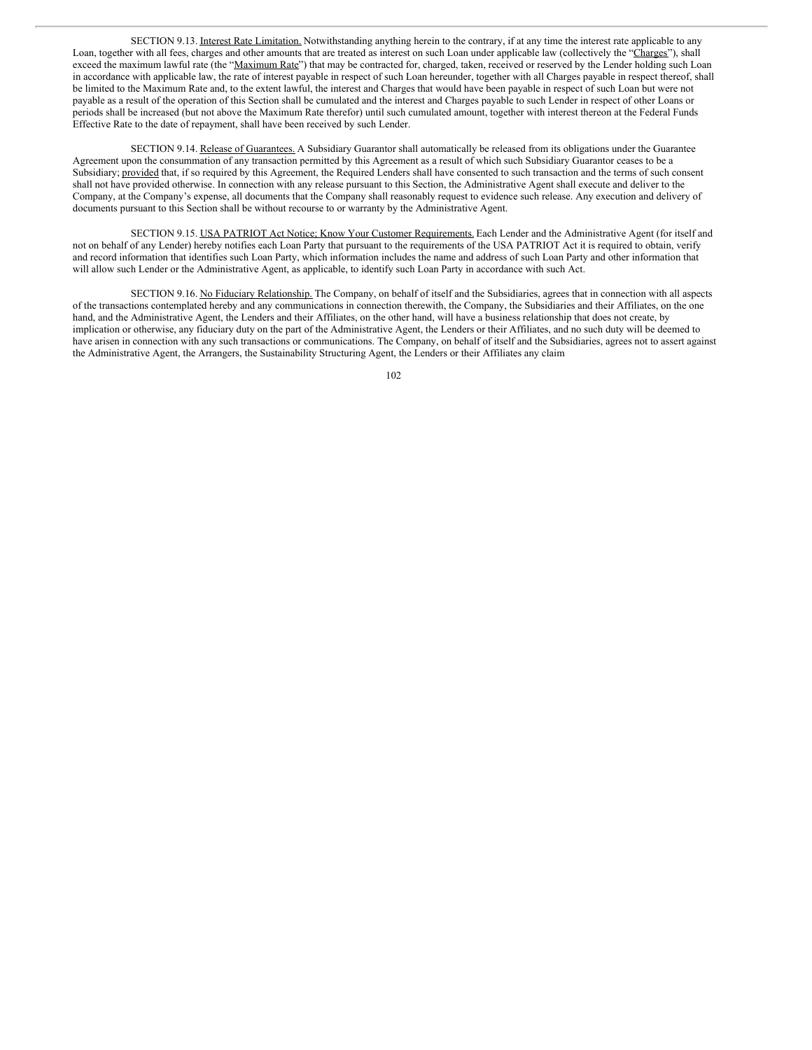SECTION 9.13. Interest Rate Limitation. Notwithstanding anything herein to the contrary, if at any time the interest rate applicable to any Loan, together with all fees, charges and other amounts that are treated as interest on such Loan under applicable law (collectively the "Charges"), shall exceed the maximum lawful rate (the "Maximum Rate") that may be contracted for, charged, taken, received or reserved by the Lender holding such Loan in accordance with applicable law, the rate of interest payable in respect of such Loan hereunder, together with all Charges payable in respect thereof, shall be limited to the Maximum Rate and, to the extent lawful, the interest and Charges that would have been payable in respect of such Loan but were not payable as a result of the operation of this Section shall be cumulated and the interest and Charges payable to such Lender in respect of other Loans or periods shall be increased (but not above the Maximum Rate therefor) until such cumulated amount, together with interest thereon at the Federal Funds Effective Rate to the date of repayment, shall have been received by such Lender.

SECTION 9.14. Release of Guarantees. A Subsidiary Guarantor shall automatically be released from its obligations under the Guarantee Agreement upon the consummation of any transaction permitted by this Agreement as a result of which such Subsidiary Guarantor ceases to be a Subsidiary; provided that, if so required by this Agreement, the Required Lenders shall have consented to such transaction and the terms of such consent shall not have provided otherwise. In connection with any release pursuant to this Section, the Administrative Agent shall execute and deliver to the Company, at the Company's expense, all documents that the Company shall reasonably request to evidence such release. Any execution and delivery of documents pursuant to this Section shall be without recourse to or warranty by the Administrative Agent.

SECTION 9.15. USA PATRIOT Act Notice; Know Your Customer Requirements. Each Lender and the Administrative Agent (for itself and not on behalf of any Lender) hereby notifies each Loan Party that pursuant to the requirements of the USA PATRIOT Act it is required to obtain, verify and record information that identifies such Loan Party, which information includes the name and address of such Loan Party and other information that will allow such Lender or the Administrative Agent, as applicable, to identify such Loan Party in accordance with such Act.

SECTION 9.16. No Fiduciary Relationship. The Company, on behalf of itself and the Subsidiaries, agrees that in connection with all aspects of the transactions contemplated hereby and any communications in connection therewith, the Company, the Subsidiaries and their Affiliates, on the one hand, and the Administrative Agent, the Lenders and their Affiliates, on the other hand, will have a business relationship that does not create, by implication or otherwise, any fiduciary duty on the part of the Administrative Agent, the Lenders or their Affiliates, and no such duty will be deemed to have arisen in connection with any such transactions or communications. The Company, on behalf of itself and the Subsidiaries, agrees not to assert against the Administrative Agent, the Arrangers, the Sustainability Structuring Agent, the Lenders or their Affiliates any claim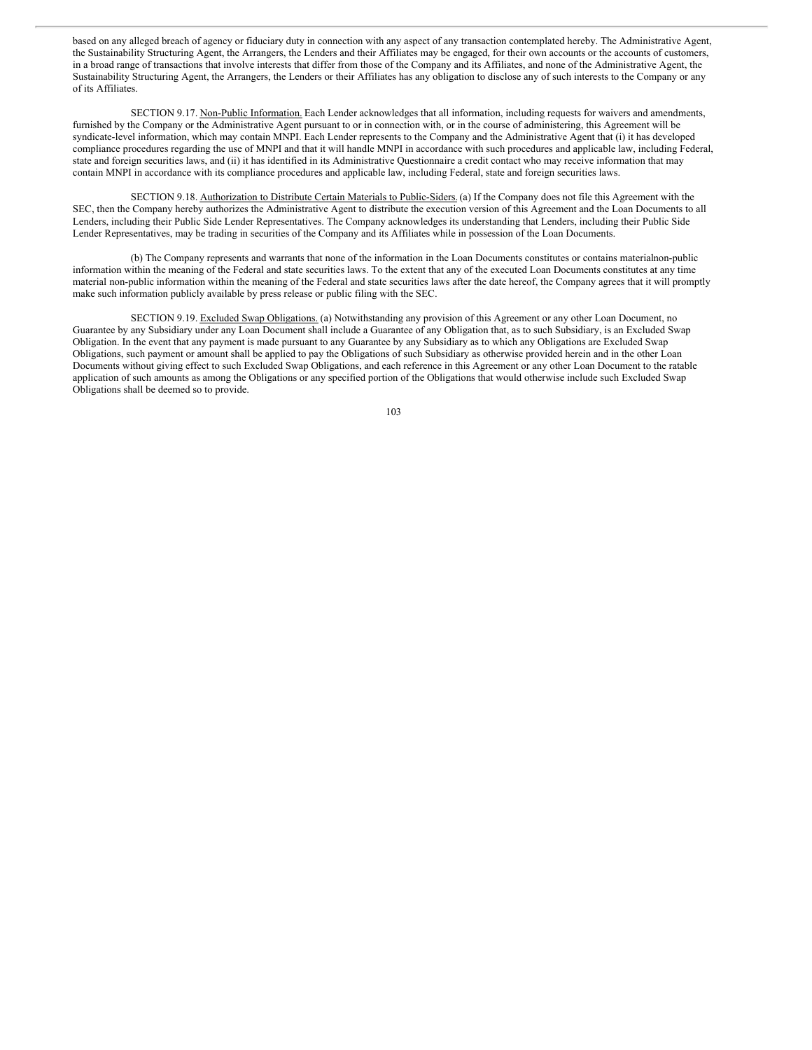based on any alleged breach of agency or fiduciary duty in connection with any aspect of any transaction contemplated hereby. The Administrative Agent, the Sustainability Structuring Agent, the Arrangers, the Lenders and their Affiliates may be engaged, for their own accounts or the accounts of customers, in a broad range of transactions that involve interests that differ from those of the Company and its Affiliates, and none of the Administrative Agent, the Sustainability Structuring Agent, the Arrangers, the Lenders or their Affiliates has any obligation to disclose any of such interests to the Company or any of its Affiliates.

SECTION 9.17. Non-Public Information. Each Lender acknowledges that all information, including requests for waivers and amendments, furnished by the Company or the Administrative Agent pursuant to or in connection with, or in the course of administering, this Agreement will be syndicate-level information, which may contain MNPI. Each Lender represents to the Company and the Administrative Agent that (i) it has developed compliance procedures regarding the use of MNPI and that it will handle MNPI in accordance with such procedures and applicable law, including Federal, state and foreign securities laws, and (ii) it has identified in its Administrative Questionnaire a credit contact who may receive information that may contain MNPI in accordance with its compliance procedures and applicable law, including Federal, state and foreign securities laws.

SECTION 9.18. Authorization to Distribute Certain Materials to Public-Siders.(a) If the Company does not file this Agreement with the SEC, then the Company hereby authorizes the Administrative Agent to distribute the execution version of this Agreement and the Loan Documents to all Lenders, including their Public Side Lender Representatives. The Company acknowledges its understanding that Lenders, including their Public Side Lender Representatives, may be trading in securities of the Company and its Affiliates while in possession of the Loan Documents.

(b) The Company represents and warrants that none of the information in the Loan Documents constitutes or contains materialnon-public information within the meaning of the Federal and state securities laws. To the extent that any of the executed Loan Documents constitutes at any time material non-public information within the meaning of the Federal and state securities laws after the date hereof, the Company agrees that it will promptly make such information publicly available by press release or public filing with the SEC.

SECTION 9.19. Excluded Swap Obligations. (a) Notwithstanding any provision of this Agreement or any other Loan Document, no Guarantee by any Subsidiary under any Loan Document shall include a Guarantee of any Obligation that, as to such Subsidiary, is an Excluded Swap Obligation. In the event that any payment is made pursuant to any Guarantee by any Subsidiary as to which any Obligations are Excluded Swap Obligations, such payment or amount shall be applied to pay the Obligations of such Subsidiary as otherwise provided herein and in the other Loan Documents without giving effect to such Excluded Swap Obligations, and each reference in this Agreement or any other Loan Document to the ratable application of such amounts as among the Obligations or any specified portion of the Obligations that would otherwise include such Excluded Swap Obligations shall be deemed so to provide.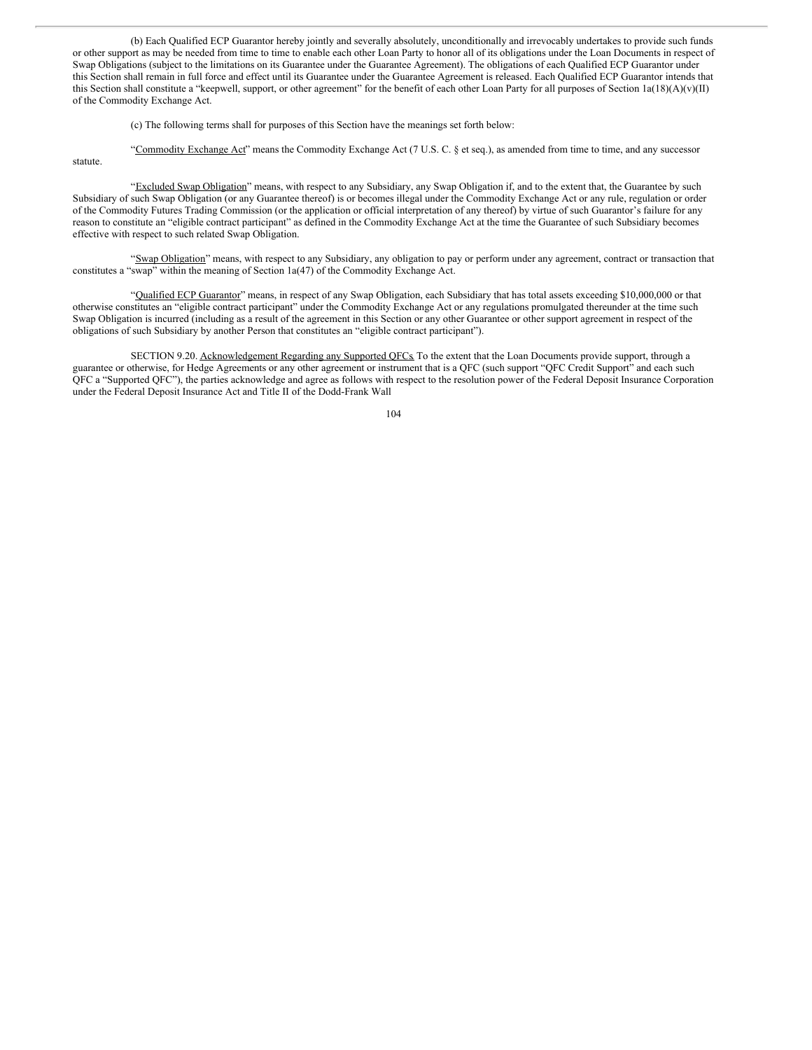(b) Each Qualified ECP Guarantor hereby jointly and severally absolutely, unconditionally and irrevocably undertakes to provide such funds or other support as may be needed from time to time to enable each other Loan Party to honor all of its obligations under the Loan Documents in respect of Swap Obligations (subject to the limitations on its Guarantee under the Guarantee Agreement). The obligations of each Qualified ECP Guarantor under this Section shall remain in full force and effect until its Guarantee under the Guarantee Agreement is released. Each Qualified ECP Guarantor intends that this Section shall constitute a "keepwell, support, or other agreement" for the benefit of each other Loan Party for all purposes of Section  $1a(18)(A)(v)(II)$ of the Commodity Exchange Act.

(c) The following terms shall for purposes of this Section have the meanings set forth below:

"Commodity Exchange Act" means the Commodity Exchange Act (7 U.S. C. § et seq.), as amended from time to time, and any successor

statute.

"Excluded Swap Obligation" means, with respect to any Subsidiary, any Swap Obligation if, and to the extent that, the Guarantee by such Subsidiary of such Swap Obligation (or any Guarantee thereof) is or becomes illegal under the Commodity Exchange Act or any rule, regulation or order of the Commodity Futures Trading Commission (or the application or official interpretation of any thereof) by virtue of such Guarantor's failure for any reason to constitute an "eligible contract participant" as defined in the Commodity Exchange Act at the time the Guarantee of such Subsidiary becomes effective with respect to such related Swap Obligation.

"Swap Obligation" means, with respect to any Subsidiary, any obligation to pay or perform under any agreement, contract or transaction that constitutes a "swap" within the meaning of Section 1a(47) of the Commodity Exchange Act.

"Qualified ECP Guarantor" means, in respect of any Swap Obligation, each Subsidiary that has total assets exceeding \$10,000,000 or that otherwise constitutes an "eligible contract participant" under the Commodity Exchange Act or any regulations promulgated thereunder at the time such Swap Obligation is incurred (including as a result of the agreement in this Section or any other Guarantee or other support agreement in respect of the obligations of such Subsidiary by another Person that constitutes an "eligible contract participant").

SECTION 9.20. Acknowledgement Regarding any Supported QFCs. To the extent that the Loan Documents provide support, through a guarantee or otherwise, for Hedge Agreements or any other agreement or instrument that is a QFC (such support "QFC Credit Support" and each such QFC a "Supported QFC"), the parties acknowledge and agree as follows with respect to the resolution power of the Federal Deposit Insurance Corporation under the Federal Deposit Insurance Act and Title II of the Dodd-Frank Wall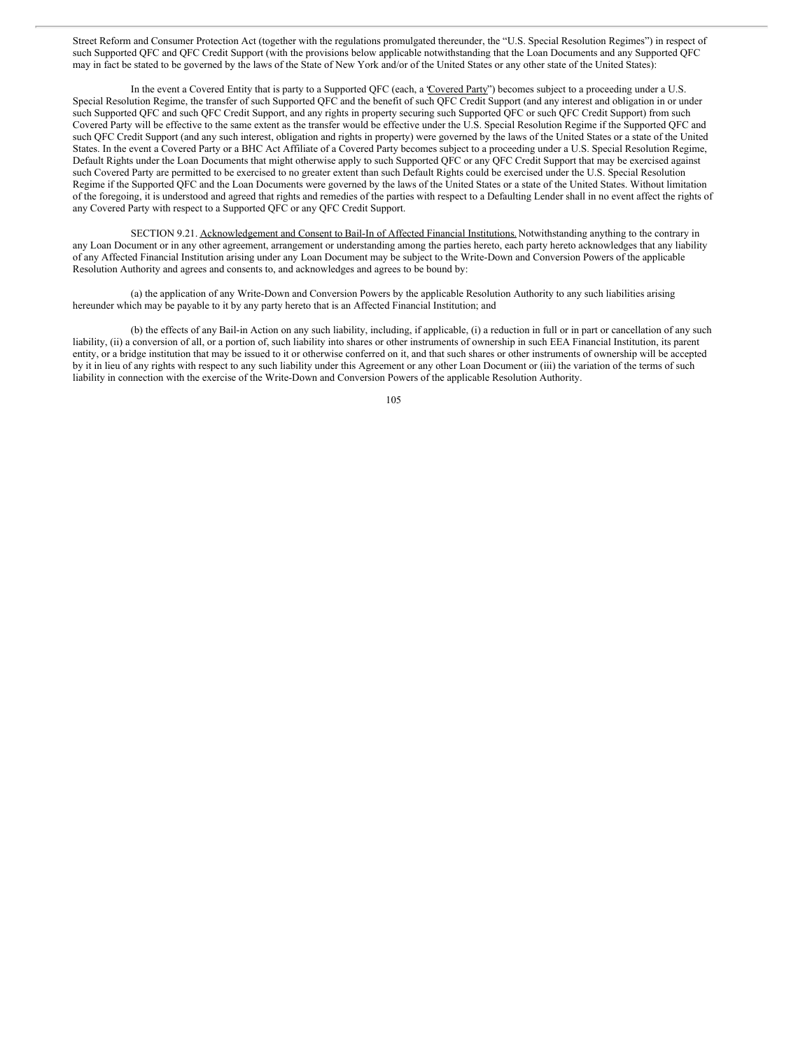Street Reform and Consumer Protection Act (together with the regulations promulgated thereunder, the "U.S. Special Resolution Regimes") in respect of such Supported QFC and QFC Credit Support (with the provisions below applicable notwithstanding that the Loan Documents and any Supported QFC may in fact be stated to be governed by the laws of the State of New York and/or of the United States or any other state of the United States):

In the event a Covered Entity that is party to a Supported QFC (each, a 'Covered Party'') becomes subject to a proceeding under a U.S. Special Resolution Regime, the transfer of such Supported QFC and the benefit of such QFC Credit Support (and any interest and obligation in or under such Supported QFC and such QFC Credit Support, and any rights in property securing such Supported QFC or such QFC Credit Support) from such Covered Party will be effective to the same extent as the transfer would be effective under the U.S. Special Resolution Regime if the Supported QFC and such QFC Credit Support (and any such interest, obligation and rights in property) were governed by the laws of the United States or a state of the United States. In the event a Covered Party or a BHC Act Affiliate of a Covered Party becomes subject to a proceeding under a U.S. Special Resolution Regime, Default Rights under the Loan Documents that might otherwise apply to such Supported QFC or any QFC Credit Support that may be exercised against such Covered Party are permitted to be exercised to no greater extent than such Default Rights could be exercised under the U.S. Special Resolution Regime if the Supported QFC and the Loan Documents were governed by the laws of the United States or a state of the United States. Without limitation of the foregoing, it is understood and agreed that rights and remedies of the parties with respect to a Defaulting Lender shall in no event affect the rights of any Covered Party with respect to a Supported QFC or any QFC Credit Support.

SECTION 9.21. Acknowledgement and Consent to Bail-In of Affected Financial Institutions. Notwithstanding anything to the contrary in any Loan Document or in any other agreement, arrangement or understanding among the parties hereto, each party hereto acknowledges that any liability of any Affected Financial Institution arising under any Loan Document may be subject to the Write-Down and Conversion Powers of the applicable Resolution Authority and agrees and consents to, and acknowledges and agrees to be bound by:

(a) the application of any Write-Down and Conversion Powers by the applicable Resolution Authority to any such liabilities arising hereunder which may be payable to it by any party hereto that is an Affected Financial Institution; and

(b) the effects of any Bail-in Action on any such liability, including, if applicable, (i) a reduction in full or in part or cancellation of any such liability, (ii) a conversion of all, or a portion of, such liability into shares or other instruments of ownership in such EEA Financial Institution, its parent entity, or a bridge institution that may be issued to it or otherwise conferred on it, and that such shares or other instruments of ownership will be accepted by it in lieu of any rights with respect to any such liability under this Agreement or any other Loan Document or (iii) the variation of the terms of such liability in connection with the exercise of the Write-Down and Conversion Powers of the applicable Resolution Authority.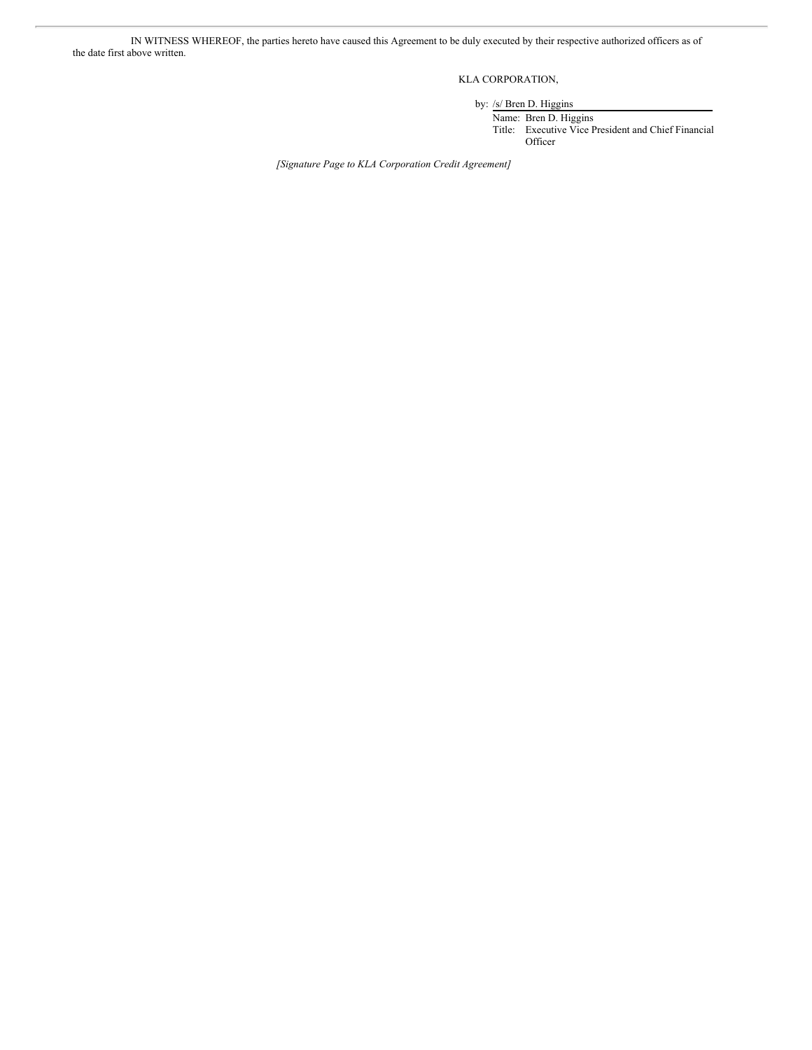IN WITNESS WHEREOF, the parties hereto have caused this Agreement to be duly executed by their respective authorized officers as of the date first above written.

KLA CORPORATION,

by: /s/ Bren D. Higgins

Name: Bren D. Higgins Title: Executive Vice President and Chief Financial Officer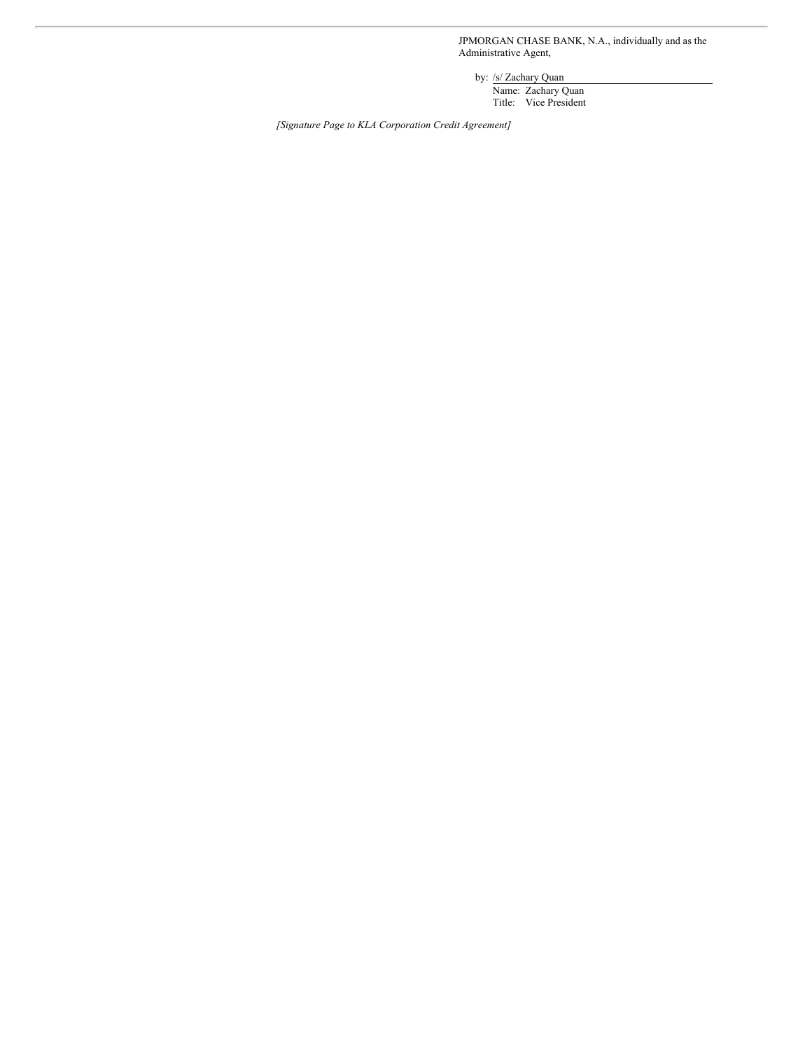JPMORGAN CHASE BANK, N.A., individually and as the Administrative Agent,

by: /s/ Zachary Quan

Name: Zachary Quan Title: Vice President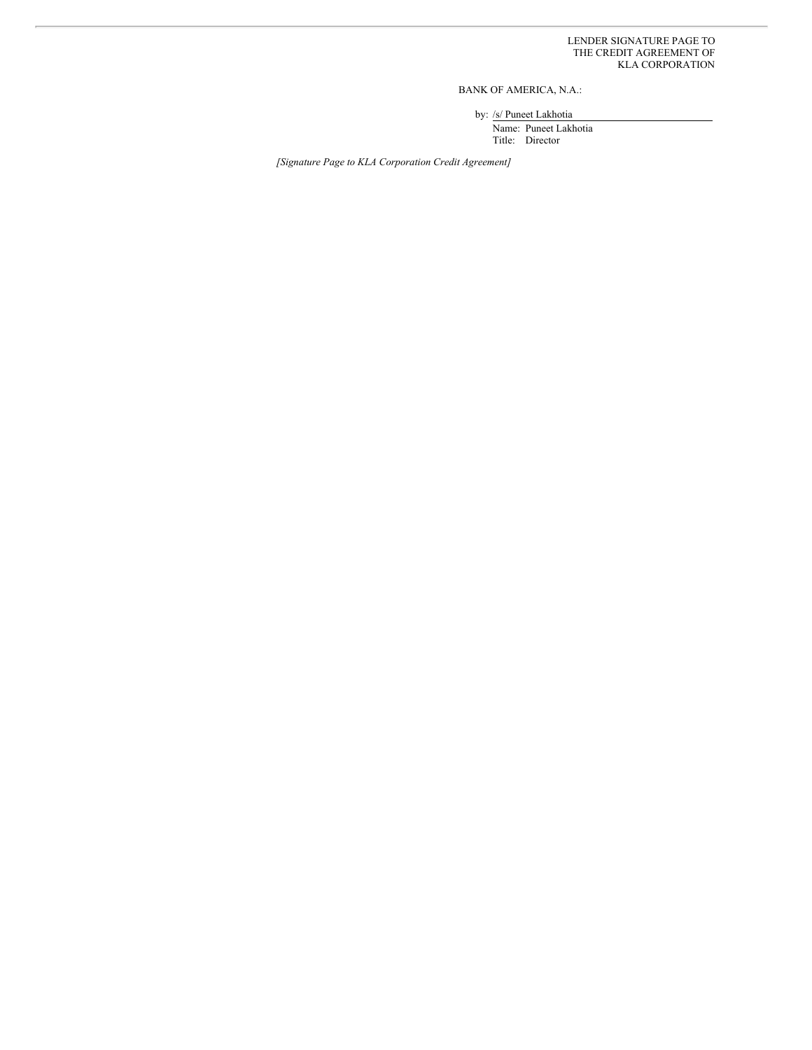BANK OF AMERICA, N.A.:

by: /s/ Puneet Lakhotia

Name: Puneet Lakhotia Title: Director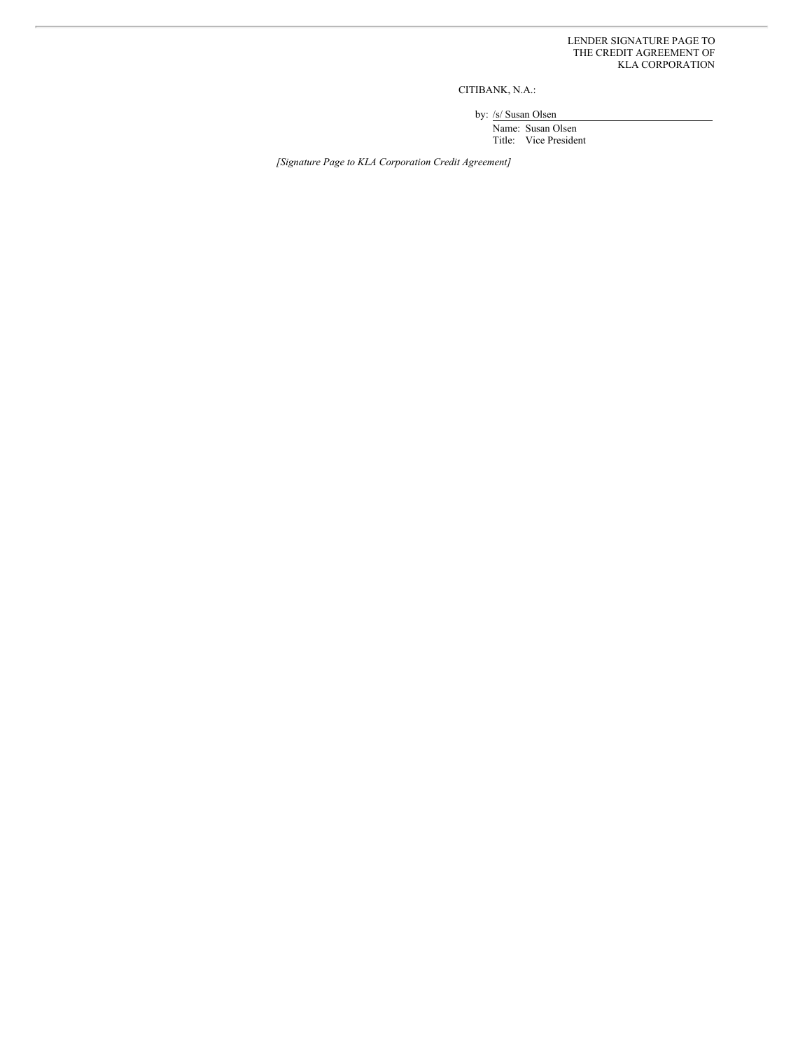CITIBANK, N.A.:

by: /s/ Susan Olsen

Name: Susan Olsen Title: Vice President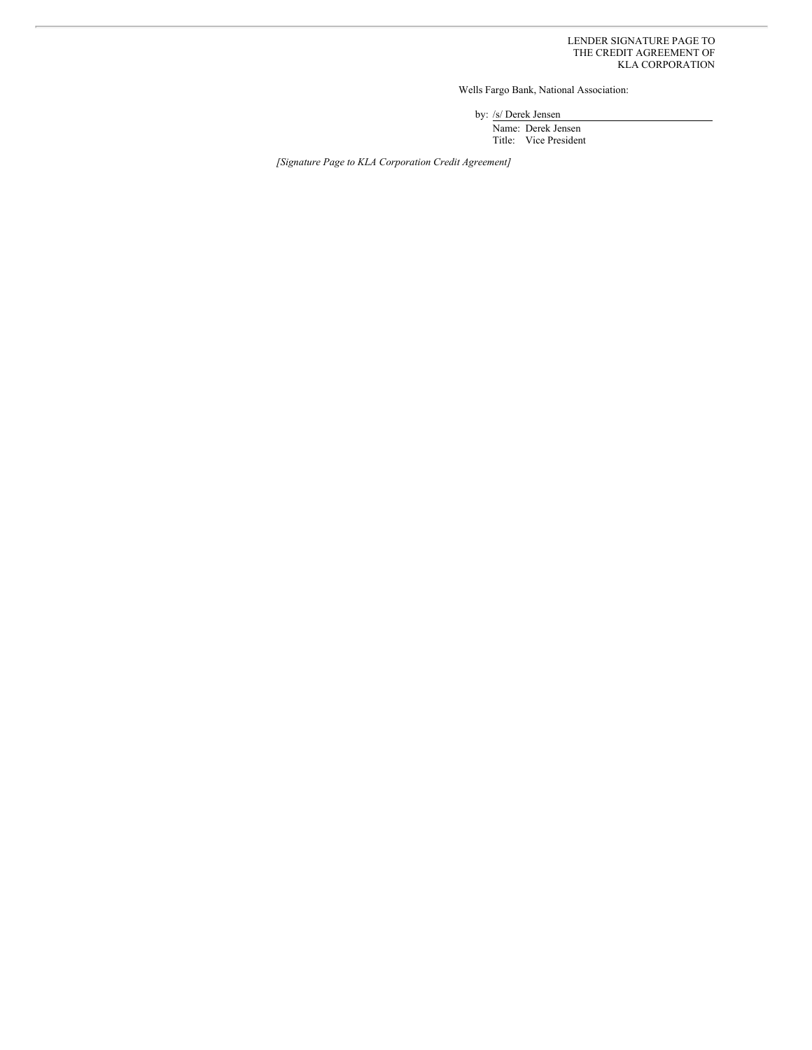Wells Fargo Bank, National Association:

by: /s/ Derek Jensen

Name: Derek Jensen Title: Vice President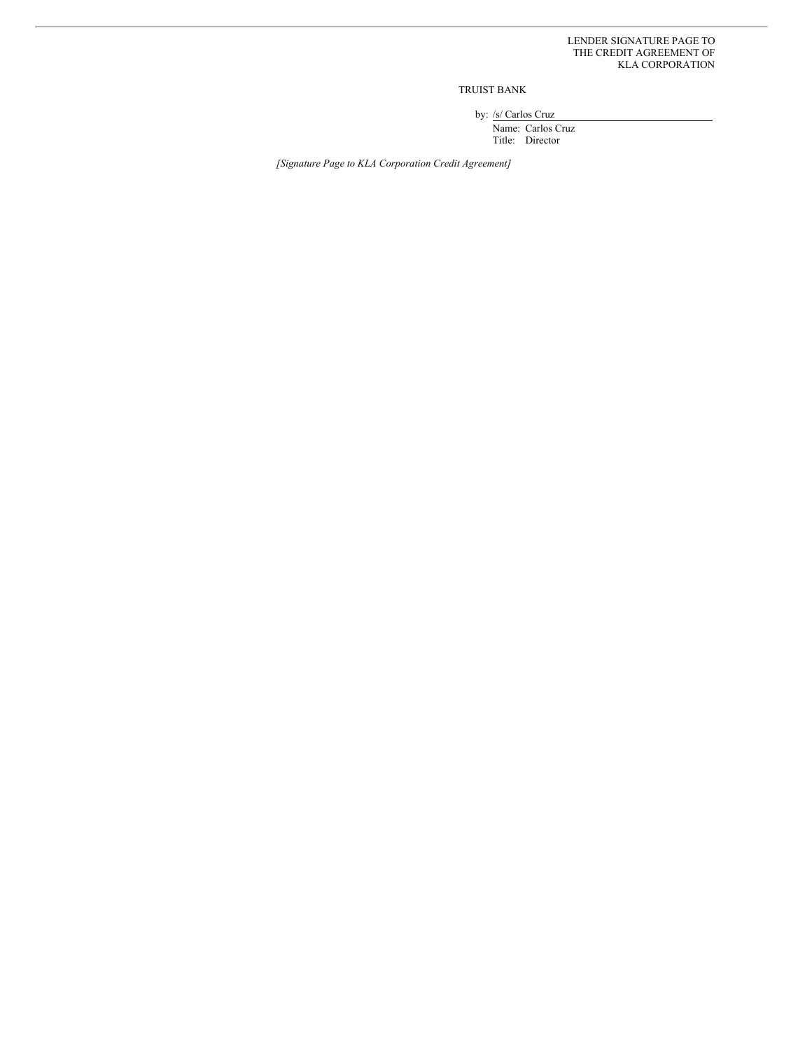TRUIST BANK

by: /s/ Carlos Cruz

Name: Carlos Cruz Title: Director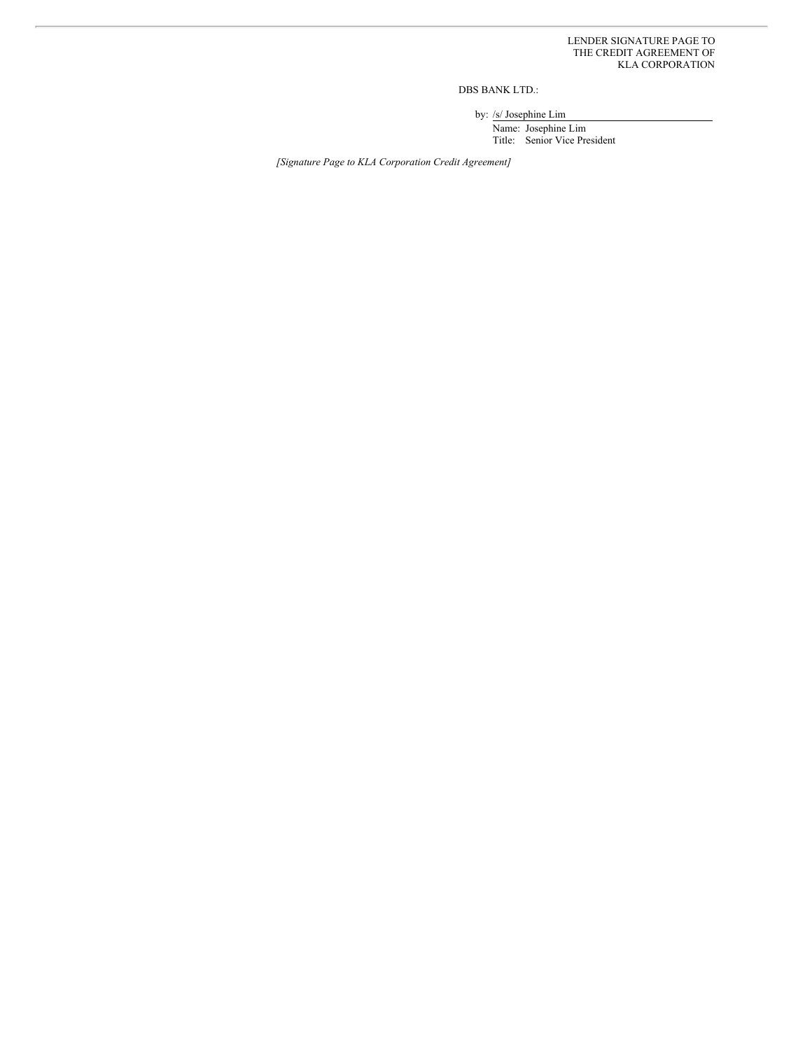DBS BANK LTD.:

by: /s/ Josephine Lim

Name: Josephine Lim Title: Senior Vice President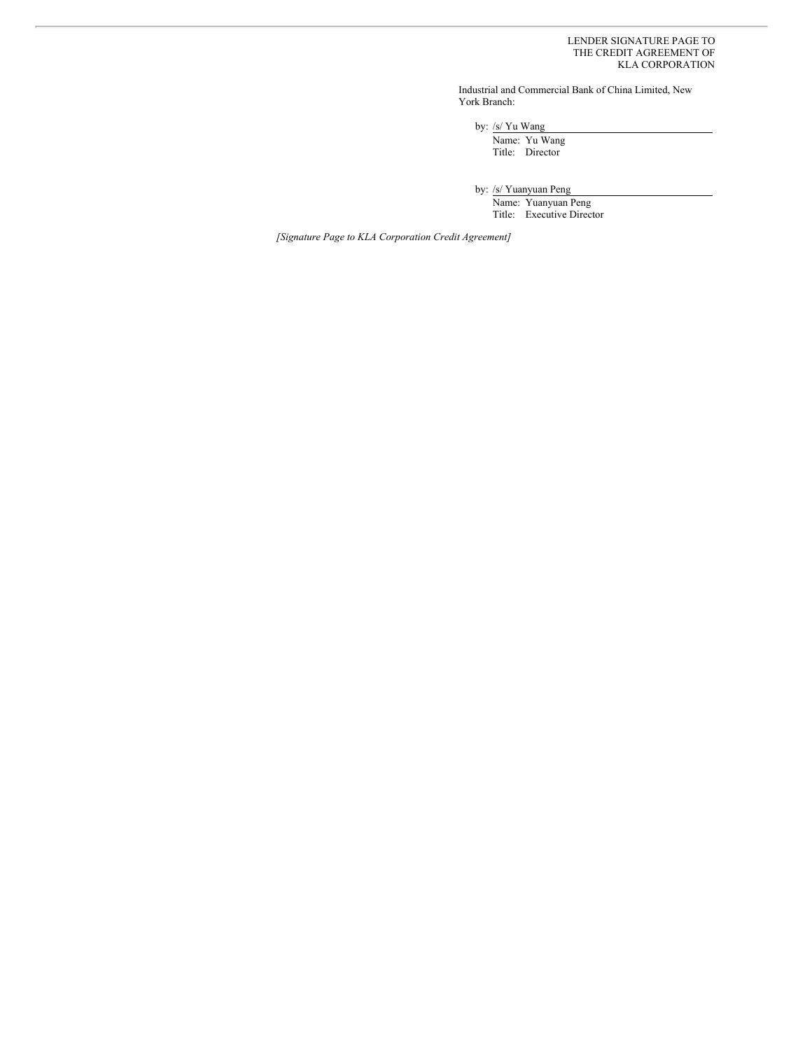Industrial and Commercial Bank of China Limited, New York Branch:

by: /s/ Yu Wang

Name: Yu Wang Title: Director

by: /s/ Yuanyuan Peng

Name: Yuanyuan Peng Title: Executive Director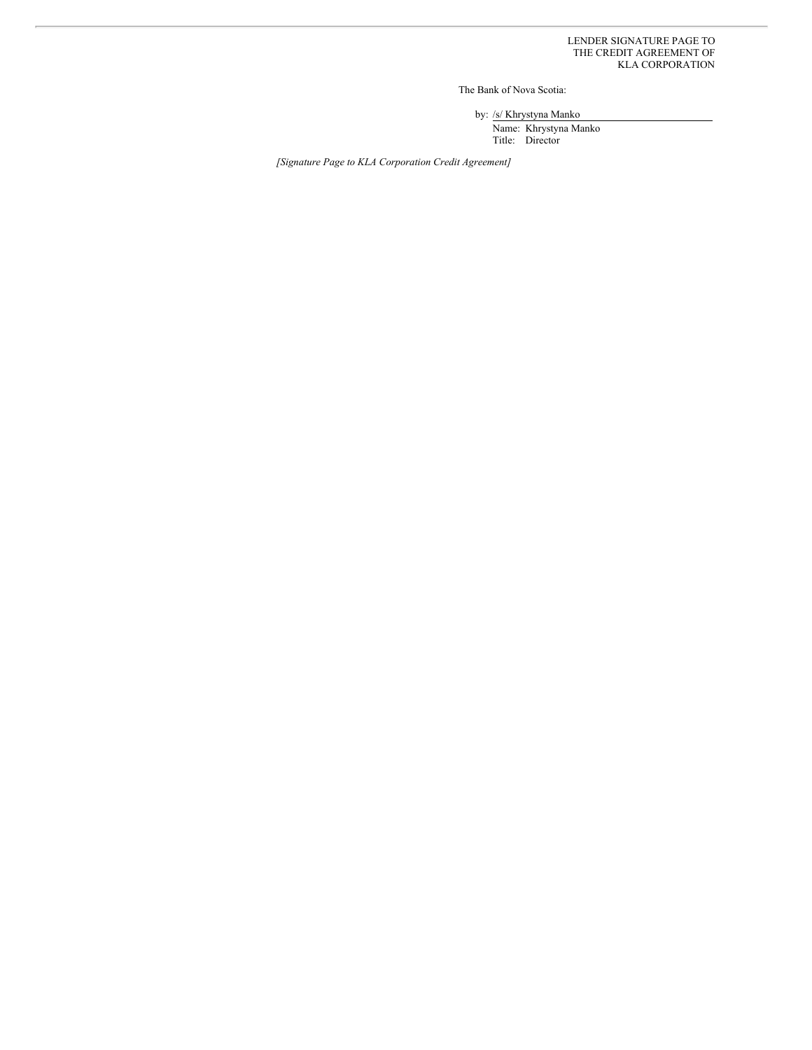The Bank of Nova Scotia:

by: /s/ Khrystyna Manko

Name: Khrystyna Manko Title: Director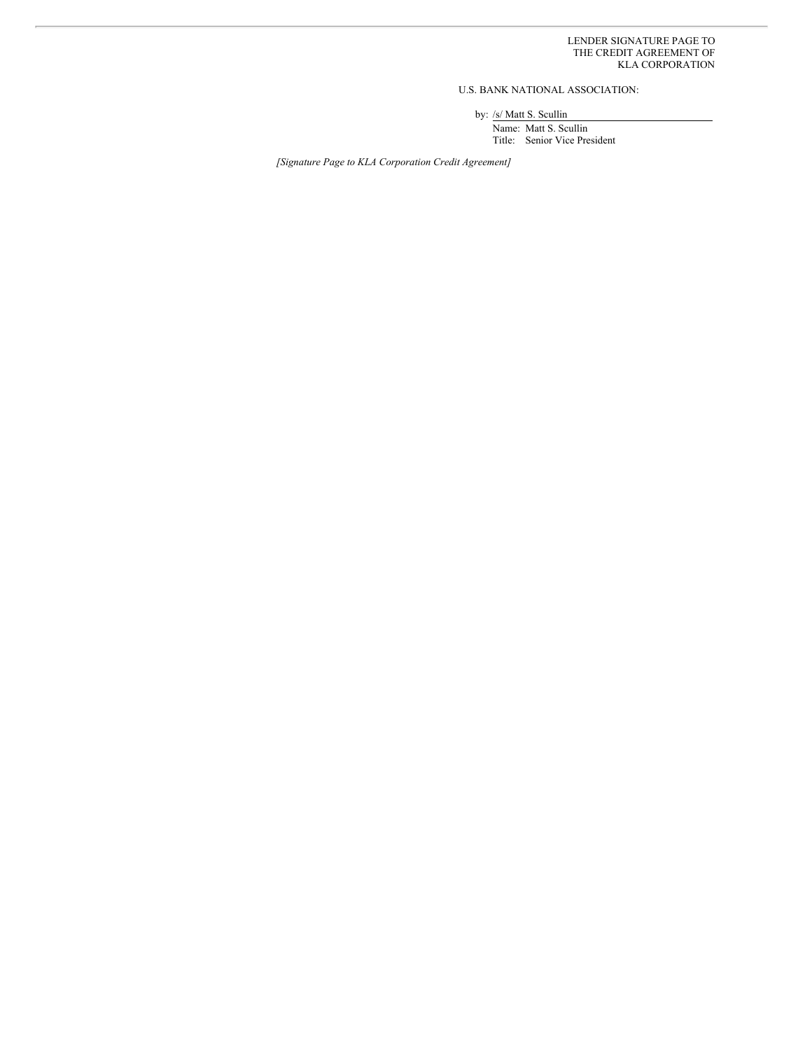U.S. BANK NATIONAL ASSOCIATION:

by: /s/ Matt S. Scullin

Name: Matt S. Scullin Title: Senior Vice President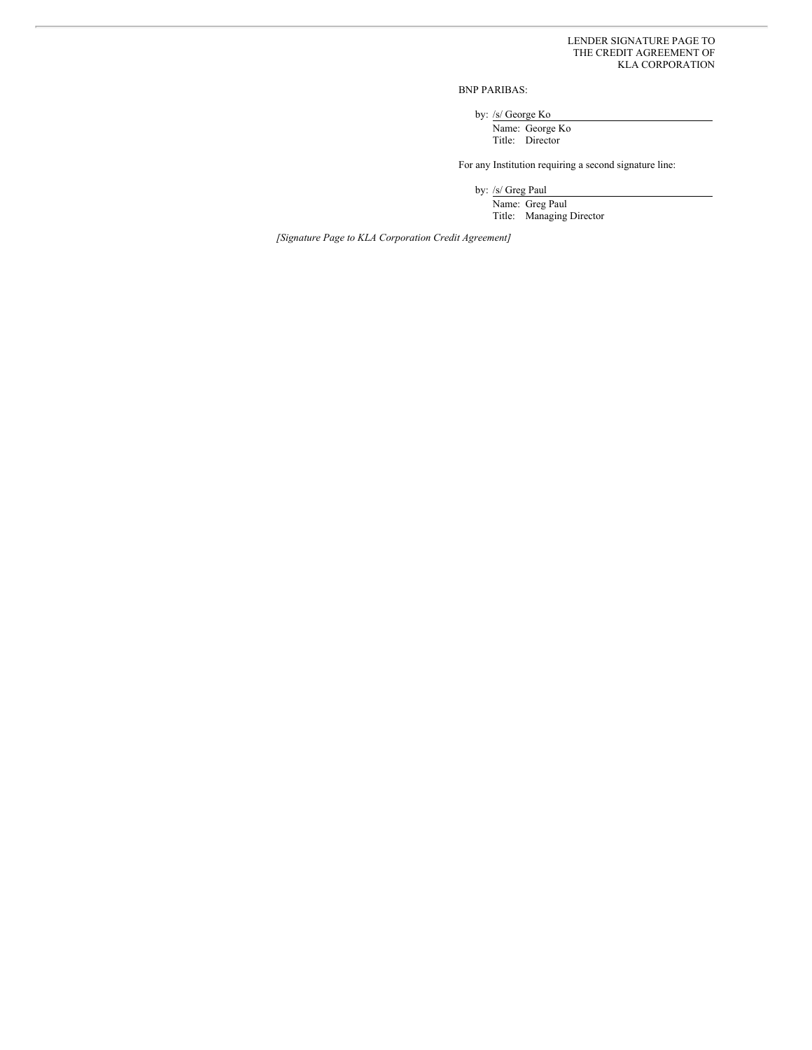BNP PARIBAS:

by: /s/ George Ko

Name: George Ko Title: Director

For any Institution requiring a second signature line:

by: /s/ Greg Paul

Name: Greg Paul Title: Managing Director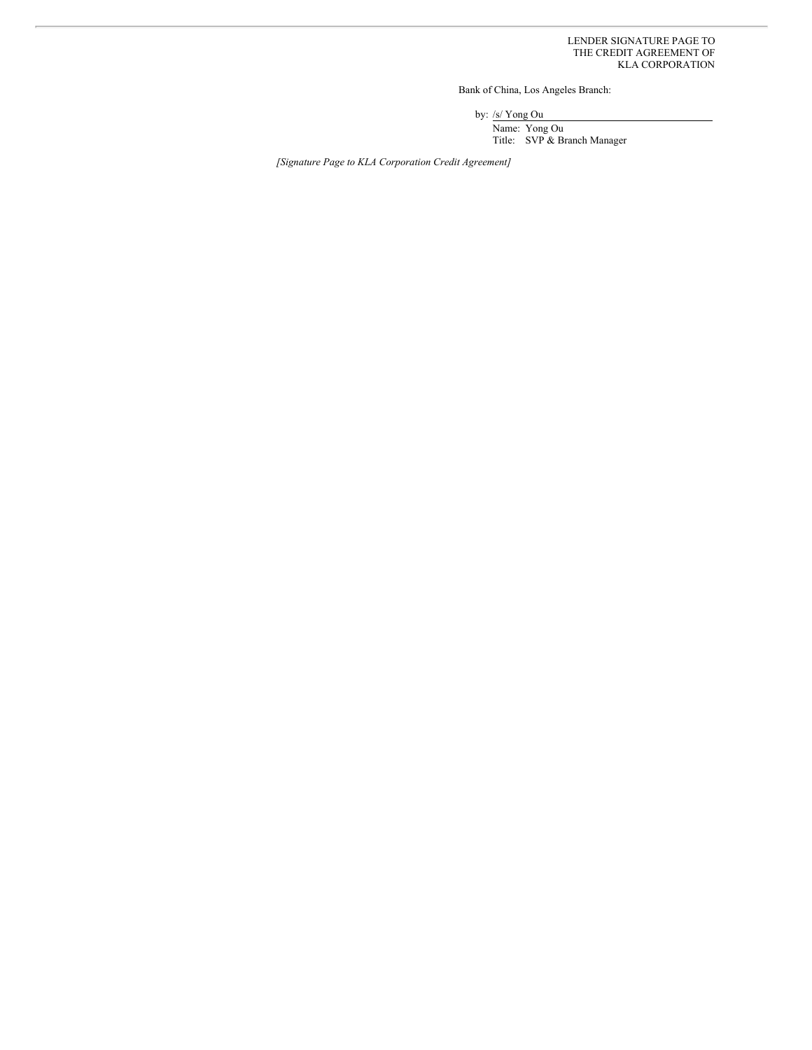Bank of China, Los Angeles Branch:

by: /s/ Yong Ou

Name: Yong Ou Title: SVP & Branch Manager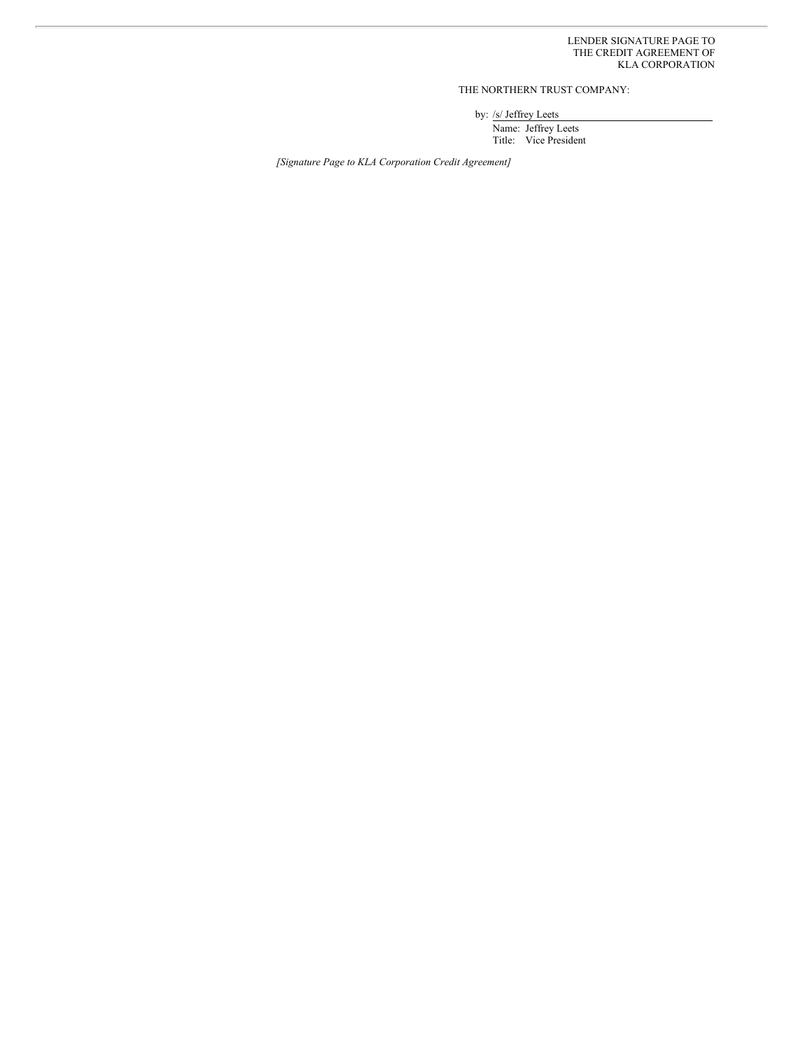# THE NORTHERN TRUST COMPANY:

by: /s/ Jeffrey Leets

Name: Jeffrey Leets Title: Vice President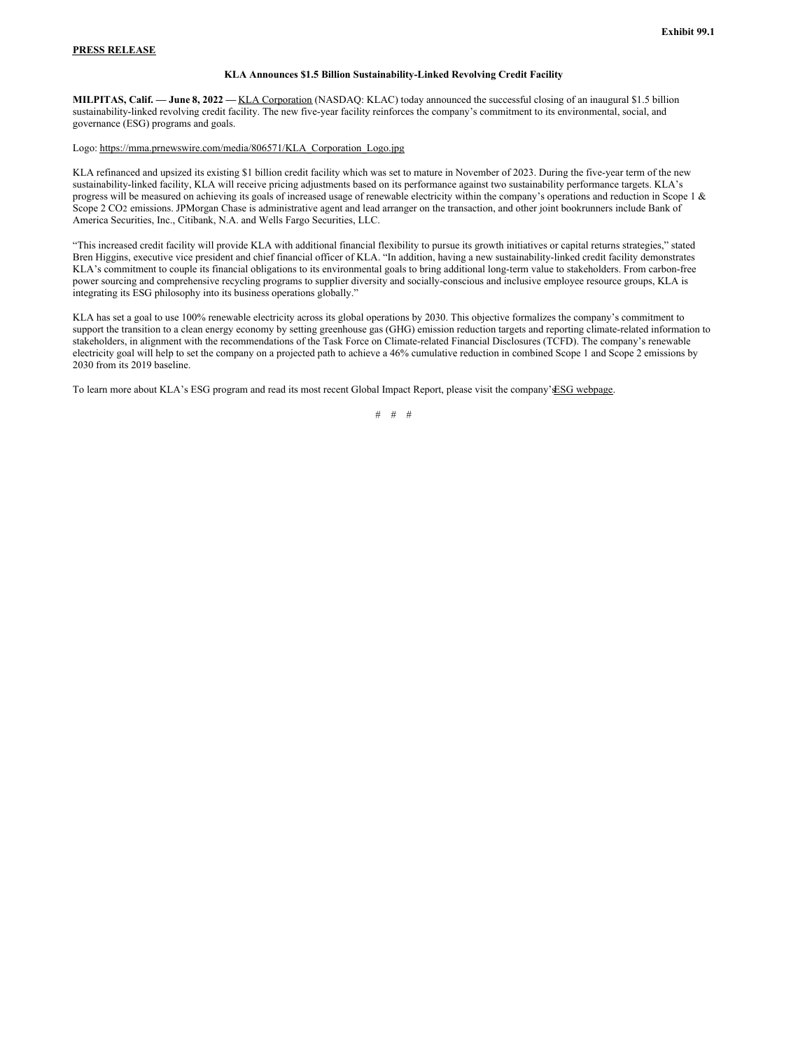### **PRESS RELEASE**

## **KLA Announces \$1.5 Billion Sustainability-Linked Revolving Credit Facility**

**MILPITAS, Calif. — June 8, 2022 —** KLA Corporation (NASDAQ: KLAC) today announced the successful closing of an inaugural \$1.5 billion sustainability-linked revolving credit facility. The new five-year facility reinforces the company's commitment to its environmental, social, and governance (ESG) programs and goals.

#### Logo: https://mma.prnewswire.com/media/806571/KLA\_Corporation\_Logo.jpg

KLA refinanced and upsized its existing \$1 billion credit facility which was set to mature in November of 2023. During the five-year term of the new sustainability-linked facility, KLA will receive pricing adjustments based on its performance against two sustainability performance targets. KLA's progress will be measured on achieving its goals of increased usage of renewable electricity within the company's operations and reduction in Scope 1 & Scope 2 CO2 emissions. JPMorgan Chase is administrative agent and lead arranger on the transaction, and other joint bookrunners include Bank of America Securities, Inc., Citibank, N.A. and Wells Fargo Securities, LLC.

"This increased credit facility will provide KLA with additional financial flexibility to pursue its growth initiatives or capital returns strategies," stated Bren Higgins, executive vice president and chief financial officer of KLA. "In addition, having a new sustainability-linked credit facility demonstrates KLA's commitment to couple its financial obligations to its environmental goals to bring additional long-term value to stakeholders. From carbon-free power sourcing and comprehensive recycling programs to supplier diversity and socially-conscious and inclusive employee resource groups, KLA is integrating its ESG philosophy into its business operations globally."

KLA has set a goal to use 100% renewable electricity across its global operations by 2030. This objective formalizes the company's commitment to support the transition to a clean energy economy by setting greenhouse gas (GHG) emission reduction targets and reporting climate-related information to stakeholders, in alignment with the recommendations of the Task Force on Climate-related Financial Disclosures (TCFD). The company's renewable electricity goal will help to set the company on a projected path to achieve a 46% cumulative reduction in combined Scope 1 and Scope 2 emissions by 2030 from its 2019 baseline.

To learn more about KLA's ESG program and read its most recent Global Impact Report, please visit the company'sESG webpage.

# # #